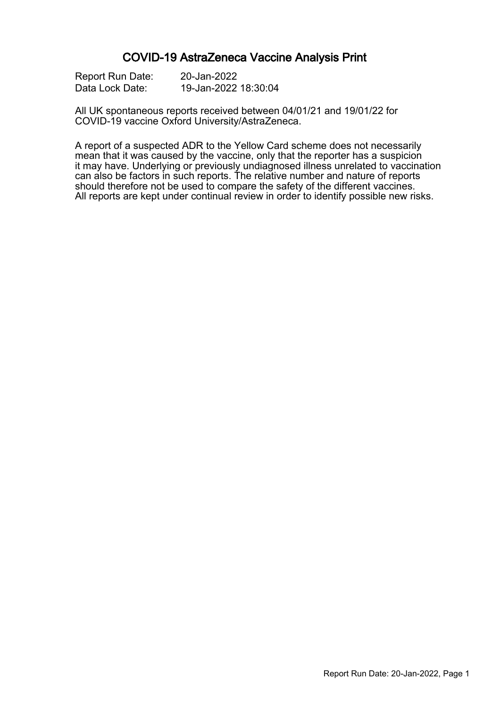### COVID-19 AstraZeneca Vaccine Analysis Print

| Report Run Date: | 20-Jan-2022          |
|------------------|----------------------|
| Data Lock Date:  | 19-Jan-2022 18:30:04 |

All UK spontaneous reports received between 04/01/21 and 19/01/22 for COVID-19 vaccine Oxford University/AstraZeneca.

A report of a suspected ADR to the Yellow Card scheme does not necessarily mean that it was caused by the vaccine, only that the reporter has a suspicion it may have. Underlying or previously undiagnosed illness unrelated to vaccination can also be factors in such reports. The relative number and nature of reports should therefore not be used to compare the safety of the different vaccines. All reports are kept under continual review in order to identify possible new risks.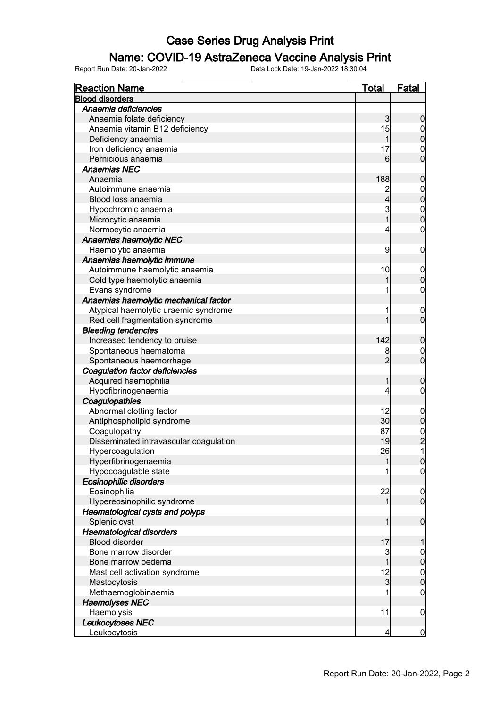### Name: COVID-19 AstraZeneca Vaccine Analysis Print

| <b>Reaction Name</b>                   | <b>Total</b>            | <b>Fatal</b>                    |
|----------------------------------------|-------------------------|---------------------------------|
| <b>Blood disorders</b>                 |                         |                                 |
| Anaemia deficiencies                   |                         |                                 |
| Anaemia folate deficiency              | 3                       | $\boldsymbol{0}$                |
| Anaemia vitamin B12 deficiency         | 15                      | $\overline{0}$                  |
| Deficiency anaemia                     | $\mathbf{1}$            | $\mathbf 0$                     |
| Iron deficiency anaemia                | 17                      | $\mathbf 0$                     |
| Pernicious anaemia                     | $6 \overline{}$         | $\mathbf 0$                     |
| <b>Anaemias NEC</b>                    |                         |                                 |
| Anaemia                                | 188                     | $\mathbf 0$                     |
| Autoimmune anaemia                     | $\overline{\mathbf{c}}$ | $\boldsymbol{0}$                |
| Blood loss anaemia                     | $\overline{4}$          | $\mathbf 0$                     |
| Hypochromic anaemia                    | 3                       |                                 |
| Microcytic anaemia                     | $\overline{1}$          | $0\atop 0$                      |
| Normocytic anaemia                     | 4                       | $\boldsymbol{0}$                |
| Anaemias haemolytic NEC                |                         |                                 |
| Haemolytic anaemia                     | 9                       | $\mathbf 0$                     |
| Anaemias haemolytic immune             |                         |                                 |
| Autoimmune haemolytic anaemia          | 10                      | $\mathbf 0$                     |
| Cold type haemolytic anaemia           |                         | $\mathbf 0$                     |
| Evans syndrome                         |                         | $\boldsymbol{0}$                |
| Anaemias haemolytic mechanical factor  |                         |                                 |
| Atypical haemolytic uraemic syndrome   |                         | $\mathbf 0$                     |
| Red cell fragmentation syndrome        |                         | $\mathbf 0$                     |
| <b>Bleeding tendencies</b>             |                         |                                 |
| Increased tendency to bruise           | 142                     | $\mathbf 0$                     |
| Spontaneous haematoma                  | 8                       | $\boldsymbol{0}$                |
| Spontaneous haemorrhage                | $\overline{2}$          | $\mathbf 0$                     |
| <b>Coagulation factor deficiencies</b> |                         |                                 |
| Acquired haemophilia                   | 1                       | $\mathbf 0$                     |
| Hypofibrinogenaemia                    | 4                       | $\mathbf 0$                     |
| Coagulopathies                         |                         |                                 |
| Abnormal clotting factor               | 12                      | $\mathbf 0$                     |
| Antiphospholipid syndrome              | 30                      | $\pmb{0}$                       |
| Coagulopathy                           | 87                      |                                 |
| Disseminated intravascular coagulation | 19                      | $\frac{0}{2}$                   |
| Hypercoagulation                       | 26                      | 1                               |
| Hyperfibrinogenaemia                   | 1                       | $\overline{0}$                  |
| Hypocoagulable state                   |                         | 0                               |
| <b>Eosinophilic disorders</b>          |                         |                                 |
| Eosinophilia                           | 22                      | $\boldsymbol{0}$                |
| Hypereosinophilic syndrome             | 1                       | $\mathbf 0$                     |
| Haematological cysts and polyps        |                         |                                 |
| Splenic cyst                           | 1                       | $\boldsymbol{0}$                |
| Haematological disorders               |                         |                                 |
| <b>Blood disorder</b>                  | 17                      | 1                               |
| Bone marrow disorder                   |                         |                                 |
| Bone marrow oedema                     | 3<br>1                  | $\mathbf 0$<br>$\pmb{0}$        |
|                                        |                         |                                 |
| Mast cell activation syndrome          | 12<br>$\overline{3}$    | $\boldsymbol{0}$<br>$\mathbf 0$ |
| Mastocytosis<br>Methaemoglobinaemia    |                         | $\mathbf 0$                     |
| <b>Haemolyses NEC</b>                  |                         |                                 |
|                                        | 11                      |                                 |
| Haemolysis<br>Leukocytoses NEC         |                         | $\mathbf 0$                     |
| Leukocytosis                           | 4                       | $\overline{0}$                  |
|                                        |                         |                                 |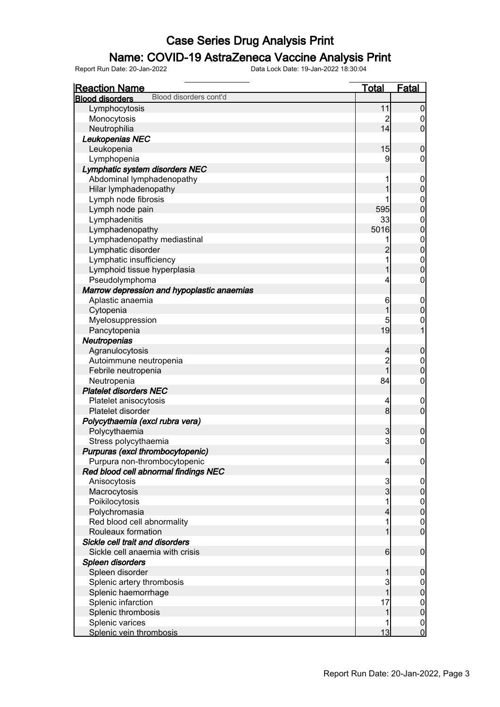### Name: COVID-19 AstraZeneca Vaccine Analysis Print

| <b>Reaction Name</b>                                  | <u>Total</u>        | Fatal                                |
|-------------------------------------------------------|---------------------|--------------------------------------|
| Blood disorders cont'd<br><b>Blood disorders</b>      |                     |                                      |
| Lymphocytosis                                         | 11                  | $\mathbf 0$                          |
| Monocytosis                                           | $\overline{c}$      | 0                                    |
| Neutrophilia                                          | 14                  | $\overline{0}$                       |
| Leukopenias NEC                                       |                     |                                      |
| Leukopenia                                            | 15                  | $\mathbf 0$                          |
| Lymphopenia                                           | 9                   | 0                                    |
| Lymphatic system disorders NEC                        |                     |                                      |
| Abdominal lymphadenopathy                             |                     | $\mathbf 0$                          |
| Hilar lymphadenopathy                                 |                     | $\mathbf 0$                          |
| Lymph node fibrosis                                   |                     | $\mathbf{0}$                         |
| Lymph node pain                                       | 595                 | $\overline{0}$                       |
| Lymphadenitis                                         | 33                  | $\mathbf{0}$                         |
| Lymphadenopathy                                       | 5016                | $\overline{0}$                       |
| Lymphadenopathy mediastinal                           | 1                   | $\mathbf{0}$                         |
| Lymphatic disorder                                    | $\overline{2}$      | $\overline{0}$                       |
| Lymphatic insufficiency                               | 1                   | $\mathbf{0}$                         |
| Lymphoid tissue hyperplasia                           | 1                   | $\overline{0}$                       |
| Pseudolymphoma                                        | 4                   | $\mathbf 0$                          |
| Marrow depression and hypoplastic anaemias            |                     |                                      |
| Aplastic anaemia                                      | 6                   | $\mathbf 0$                          |
| Cytopenia                                             |                     | $\mathbf 0$                          |
| Myelosuppression                                      | 5                   | $\mathbf{0}$                         |
| Pancytopenia                                          | 19                  | $\overline{1}$                       |
| Neutropenias                                          |                     |                                      |
| Agranulocytosis                                       | 4                   | $\boldsymbol{0}$                     |
| Autoimmune neutropenia                                | $\overline{c}$      |                                      |
| Febrile neutropenia                                   | $\overline{1}$      | $\mathbf 0$<br>$\overline{0}$        |
|                                                       | 84                  | $\boldsymbol{0}$                     |
| Neutropenia<br><b>Platelet disorders NEC</b>          |                     |                                      |
| Platelet anisocytosis                                 |                     |                                      |
| Platelet disorder                                     | 4<br>8              | $\mathbf 0$<br>$\overline{0}$        |
|                                                       |                     |                                      |
| Polycythaemia (excl rubra vera)<br>Polycythaemia      | 3                   |                                      |
| Stress polycythaemia                                  | 3                   | $\boldsymbol{0}$<br>$\boldsymbol{0}$ |
|                                                       |                     |                                      |
| Purpuras (excl thrombocytopenic)                      |                     |                                      |
| Purpura non-thrombocytopenic                          | 4                   | $\overline{0}$                       |
| Red blood cell abnormal findings NEC<br>Anisocytosis  |                     |                                      |
|                                                       | 3<br>$\overline{3}$ | $\overline{0}$<br>$\pmb{0}$          |
| Macrocytosis<br>Poikilocytosis                        |                     |                                      |
|                                                       |                     | $\boldsymbol{0}$<br>$\mathbf 0$      |
| Polychromasia                                         | 4                   |                                      |
| Red blood cell abnormality                            |                     | $\mathbf 0$<br>$\overline{0}$        |
| Rouleaux formation<br>Sickle cell trait and disorders |                     |                                      |
| Sickle cell anaemia with crisis                       |                     |                                      |
|                                                       | $6 \overline{}$     | $\mathbf 0$                          |
| Spleen disorders                                      |                     |                                      |
| Spleen disorder                                       |                     | $\boldsymbol{0}$                     |
| Splenic artery thrombosis                             | 3                   |                                      |
| Splenic haemorrhage                                   |                     | $\overline{0}$                       |
| Splenic infarction                                    | 17                  | $\overline{0}$                       |
| Splenic thrombosis                                    |                     | $\mathbf 0$                          |
| Splenic varices                                       |                     | $\overline{0}$                       |
| Splenic vein thrombosis                               | 13                  | $\overline{0}$                       |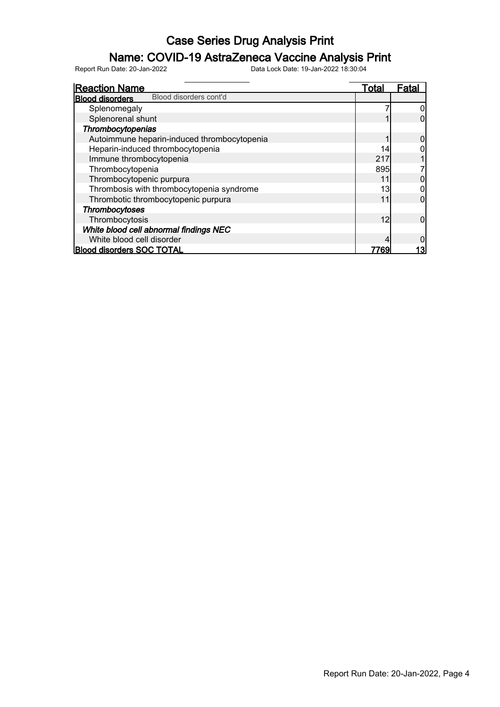### Name: COVID-19 AstraZeneca Vaccine Analysis Print

| <b>Reaction Name</b>                             | Total | Fatal |
|--------------------------------------------------|-------|-------|
| Blood disorders cont'd<br><b>Blood disorders</b> |       |       |
| Splenomegaly                                     |       |       |
| Splenorenal shunt                                |       |       |
| Thrombocytopenias                                |       |       |
| Autoimmune heparin-induced thrombocytopenia      |       |       |
| Heparin-induced thrombocytopenia                 | 14    |       |
| Immune thrombocytopenia                          | 217   |       |
| Thrombocytopenia                                 | 895   |       |
| Thrombocytopenic purpura                         | 11    |       |
| Thrombosis with thrombocytopenia syndrome        | 13    |       |
| Thrombotic thrombocytopenic purpura              | 11    | 0     |
| Thrombocytoses                                   |       |       |
| Thrombocytosis                                   | 12    |       |
| White blood cell abnormal findings NEC           |       |       |
| White blood cell disorder                        |       |       |
| <b>Blood disorders SOC TOTAL</b>                 | 7769  |       |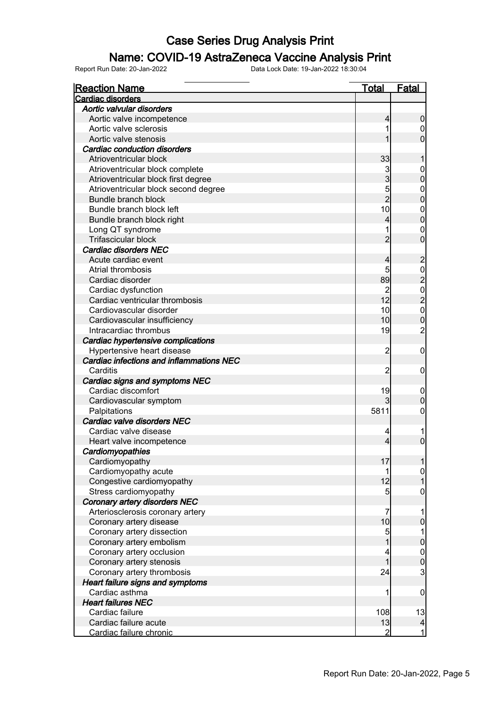### Name: COVID-19 AstraZeneca Vaccine Analysis Print

| <b>Reaction Name</b>                     | <b>Total</b>         | <b>Fatal</b>                                 |
|------------------------------------------|----------------------|----------------------------------------------|
| Cardiac disorders                        |                      |                                              |
| Aortic valvular disorders                |                      |                                              |
| Aortic valve incompetence                | 4                    | $\boldsymbol{0}$                             |
| Aortic valve sclerosis                   |                      | $\mathbf 0$                                  |
| Aortic valve stenosis                    |                      | $\overline{0}$                               |
| <b>Cardiac conduction disorders</b>      |                      |                                              |
| Atrioventricular block                   | 33                   |                                              |
| Atrioventricular block complete          | 3 <sup>1</sup>       |                                              |
| Atrioventricular block first degree      | 3                    | $0\atop 0$                                   |
| Atrioventricular block second degree     |                      |                                              |
| Bundle branch block                      | $\frac{5}{2}$        | $0$ 0                                        |
| Bundle branch block left                 | 10                   |                                              |
| Bundle branch block right                | 4                    | $\begin{matrix}0\\0\end{matrix}$             |
| Long QT syndrome                         |                      |                                              |
| Trifascicular block                      | $\overline{2}$       | $\begin{matrix}0\\0\end{matrix}$             |
| Cardiac disorders NEC                    |                      |                                              |
| Acute cardiac event                      |                      |                                              |
|                                          | 4                    |                                              |
| Atrial thrombosis                        | 5                    |                                              |
| Cardiac disorder                         | 89                   |                                              |
| Cardiac dysfunction                      | $\overline{c}$<br>12 |                                              |
| Cardiac ventricular thrombosis           |                      | 20202020                                     |
| Cardiovascular disorder                  | 10                   |                                              |
| Cardiovascular insufficiency             | 10                   |                                              |
| Intracardiac thrombus                    | 19                   |                                              |
| Cardiac hypertensive complications       |                      |                                              |
| Hypertensive heart disease               | $\overline{c}$       | $\mathbf 0$                                  |
| Cardiac infections and inflammations NEC |                      |                                              |
| Carditis                                 | $\overline{2}$       | $\mathbf 0$                                  |
| Cardiac signs and symptoms NEC           |                      |                                              |
| Cardiac discomfort                       | 19                   | $\mathbf 0$                                  |
| Cardiovascular symptom                   | 3                    | $\pmb{0}$                                    |
| Palpitations                             | 5811                 | $\mathbf 0$                                  |
| Cardiac valve disorders NEC              |                      |                                              |
| Cardiac valve disease                    | 4                    |                                              |
| Heart valve incompetence                 | 4                    | $\mathbf 0$                                  |
| Cardiomyopathies                         |                      |                                              |
| Cardiomyopathy                           | 17                   |                                              |
| Cardiomyopathy acute                     | 1                    | $\overline{0}$                               |
| Congestive cardiomyopathy                | 12                   | $\overline{1}$                               |
| Stress cardiomyopathy                    | 5                    | $\mathbf 0$                                  |
| Coronary artery disorders NEC            |                      |                                              |
| Arteriosclerosis coronary artery         | 7                    |                                              |
| Coronary artery disease                  | 10                   | $\mathbf 0$                                  |
| Coronary artery dissection               | 5                    | 1                                            |
| Coronary artery embolism                 | 1                    | $\bf{0}$                                     |
| Coronary artery occlusion                |                      |                                              |
| Coronary artery stenosis                 | 1                    |                                              |
| Coronary artery thrombosis               | 24                   | $\begin{array}{c}\n0 \\ 0 \\ 3\n\end{array}$ |
| <b>Heart failure signs and symptoms</b>  |                      |                                              |
| Cardiac asthma                           | 1                    | $\mathbf 0$                                  |
| <b>Heart failures NEC</b>                |                      |                                              |
| Cardiac failure                          | 108                  | 13                                           |
| Cardiac failure acute                    | 13                   | $\vert$                                      |
| Cardiac failure chronic                  | 2                    |                                              |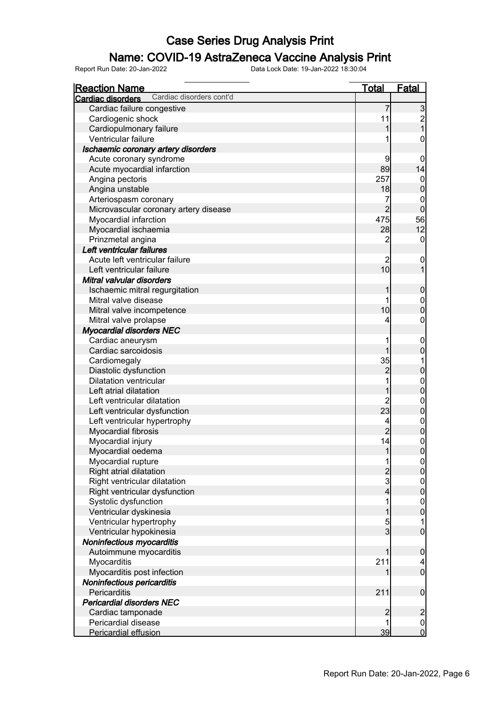### Name: COVID-19 AstraZeneca Vaccine Analysis Print

| <b>Reaction Name</b>                                  | <b>Total</b>            | Fatal                                      |
|-------------------------------------------------------|-------------------------|--------------------------------------------|
| Cardiac disorders cont'd<br>Cardiac disorders         |                         |                                            |
| Cardiac failure congestive                            | 7                       |                                            |
| Cardiogenic shock                                     | 11                      | $\begin{array}{c} 3 \\ 2 \\ 1 \end{array}$ |
| Cardiopulmonary failure                               | 1                       |                                            |
| Ventricular failure                                   |                         | 0                                          |
| Ischaemic coronary artery disorders                   |                         |                                            |
| Acute coronary syndrome                               | 9                       | $\mathbf 0$                                |
| Acute myocardial infarction                           | 89                      | 14                                         |
| Angina pectoris                                       | 257                     | $\mathbf 0$                                |
| Angina unstable                                       | 18                      | $\overline{0}$                             |
| Arteriospasm coronary                                 | 7                       | $\mathbf 0$                                |
| Microvascular coronary artery disease                 | $\overline{2}$          | $\overline{0}$                             |
| Myocardial infarction                                 | 475                     | 56                                         |
| Myocardial ischaemia                                  | 28                      | 12                                         |
| Prinzmetal angina                                     | 2                       | $\overline{0}$                             |
| Left ventricular failures                             |                         |                                            |
| Acute left ventricular failure                        |                         | 0                                          |
| Left ventricular failure                              | 10                      |                                            |
| Mitral valvular disorders                             |                         |                                            |
| Ischaemic mitral regurgitation                        | 1                       | $\mathbf 0$                                |
| Mitral valve disease                                  |                         |                                            |
| Mitral valve incompetence                             | 10                      | $\begin{matrix}0\\0\end{matrix}$           |
| Mitral valve prolapse                                 |                         | $\overline{0}$                             |
| <b>Myocardial disorders NEC</b>                       |                         |                                            |
| Cardiac aneurysm                                      |                         |                                            |
| Cardiac sarcoidosis                                   |                         | $\begin{matrix} 0 \\ 0 \end{matrix}$       |
| Cardiomegaly                                          | 35                      |                                            |
| Diastolic dysfunction                                 | $\overline{2}$          | $\overline{0}$                             |
| <b>Dilatation ventricular</b>                         | 1                       |                                            |
| Left atrial dilatation                                | 1                       | $\begin{matrix}0\\0\end{matrix}$           |
| Left ventricular dilatation                           |                         |                                            |
| Left ventricular dysfunction                          | 23                      | $\begin{matrix} 0 \\ 0 \end{matrix}$       |
| Left ventricular hypertrophy                          | 4                       |                                            |
| Myocardial fibrosis                                   | $\overline{2}$          | $\begin{matrix} 0 \\ 0 \end{matrix}$       |
| Myocardial injury                                     | 14                      |                                            |
|                                                       | $\mathbf{1}$            | $\begin{matrix}0\\0\end{matrix}$           |
| Myocardial oedema                                     |                         |                                            |
| Myocardial rupture<br>Right atrial dilatation         |                         | $\frac{0}{0}$                              |
|                                                       | $\frac{2}{3}$           |                                            |
| Right ventricular dilatation                          | $\overline{\mathbf{4}}$ | $\begin{matrix} 0 \\ 0 \end{matrix}$       |
| Right ventricular dysfunction<br>Systolic dysfunction |                         |                                            |
|                                                       |                         | $\begin{matrix} 0 \\ 0 \end{matrix}$       |
| Ventricular dyskinesia                                | 1                       |                                            |
| Ventricular hypertrophy                               | 5<br>$\mathsf{S}$       | $\overline{0}$                             |
| Ventricular hypokinesia                               |                         |                                            |
| Noninfectious myocarditis                             |                         |                                            |
| Autoimmune myocarditis                                |                         | $\boldsymbol{0}$                           |
| Myocarditis                                           | 211                     | $\begin{array}{c} 4 \\ 0 \end{array}$      |
| Myocarditis post infection                            |                         |                                            |
| Noninfectious pericarditis                            |                         |                                            |
| Pericarditis                                          | 211                     | $\boldsymbol{0}$                           |
| <b>Pericardial disorders NEC</b>                      |                         |                                            |
| Cardiac tamponade                                     | $\overline{c}$          | $\overline{c}$                             |
| Pericardial disease                                   |                         | $\begin{matrix} 0 \\ 0 \end{matrix}$       |
| Pericardial effusion                                  | 39                      |                                            |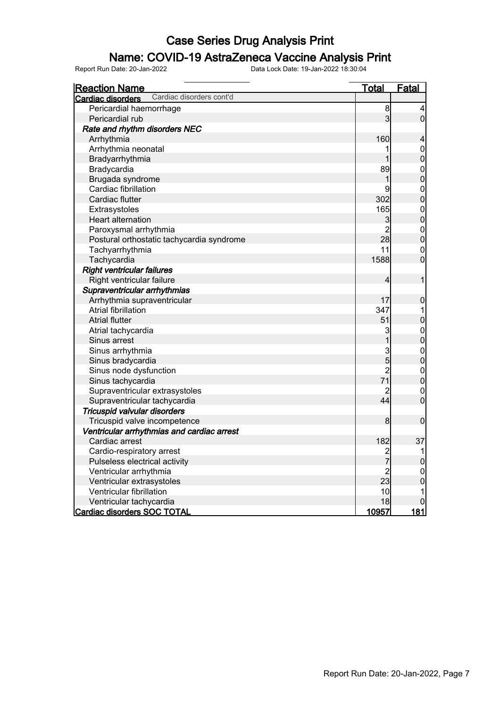### Name: COVID-19 AstraZeneca Vaccine Analysis Print

| <b>Reaction Name</b>                          | <u>Total</u>   | Fatal                                |
|-----------------------------------------------|----------------|--------------------------------------|
| Cardiac disorders cont'd<br>Cardiac disorders |                |                                      |
| Pericardial haemorrhage                       | 8              | 4                                    |
| Pericardial rub                               | 3              | $\overline{0}$                       |
| Rate and rhythm disorders NEC                 |                |                                      |
| Arrhythmia                                    | 160            | 4                                    |
| Arrhythmia neonatal                           | 1              | $\mathbf{0}$                         |
| Bradyarrhythmia                               | 1              | $\overline{0}$                       |
| Bradycardia                                   | 89             | $\mathbf{0}$                         |
| Brugada syndrome                              | 1              | $\overline{0}$                       |
| Cardiac fibrillation                          | 9              | $0\atop 0$                           |
| Cardiac flutter                               | 302            |                                      |
| Extrasystoles                                 | 165            | $\begin{matrix}0\\0\end{matrix}$     |
| Heart alternation                             | 3              |                                      |
| Paroxysmal arrhythmia                         | $\overline{2}$ |                                      |
| Postural orthostatic tachycardia syndrome     | 28             | $\begin{matrix}0\\0\end{matrix}$     |
| Tachyarrhythmia                               | 11             | $\overline{0}$                       |
| Tachycardia                                   | 1588           | $\overline{0}$                       |
| <b>Right ventricular failures</b>             |                |                                      |
| Right ventricular failure                     | $\overline{4}$ | 1                                    |
| Supraventricular arrhythmias                  |                |                                      |
| Arrhythmia supraventricular                   | 17             | $\pmb{0}$                            |
| Atrial fibrillation                           | 347            | 1                                    |
| <b>Atrial flutter</b>                         | 51             | $\mathbf 0$                          |
| Atrial tachycardia                            | 3              |                                      |
| Sinus arrest                                  | $\overline{1}$ | $0\atop 0$                           |
| Sinus arrhythmia                              | $\mathbf{3}$   | $\begin{matrix}0\\0\end{matrix}$     |
| Sinus bradycardia                             | $\overline{5}$ |                                      |
| Sinus node dysfunction                        | $\overline{2}$ |                                      |
| Sinus tachycardia                             | 71             | $\begin{matrix} 0 \\ 0 \end{matrix}$ |
| Supraventricular extrasystoles                | $\overline{2}$ | $\mathbf{0}$                         |
| Supraventricular tachycardia                  | 44             | $\overline{0}$                       |
| Tricuspid valvular disorders                  |                |                                      |
| Tricuspid valve incompetence                  | 8              | $\mathbf 0$                          |
| Ventricular arrhythmias and cardiac arrest    |                |                                      |
| Cardiac arrest                                | 182            | 37                                   |
| Cardio-respiratory arrest                     |                | 1                                    |
| Pulseless electrical activity                 | 2<br>7         | $\mathbf{0}$                         |
| Ventricular arrhythmia                        | $\overline{c}$ | $\mathbf 0$                          |
| Ventricular extrasystoles                     | 23             | $\overline{0}$                       |
| Ventricular fibrillation                      | 10             | 1                                    |
| Ventricular tachycardia                       | 18             | $\mathbf 0$                          |
| Cardiac disorders SOC TOTAL                   | 10957          | 181                                  |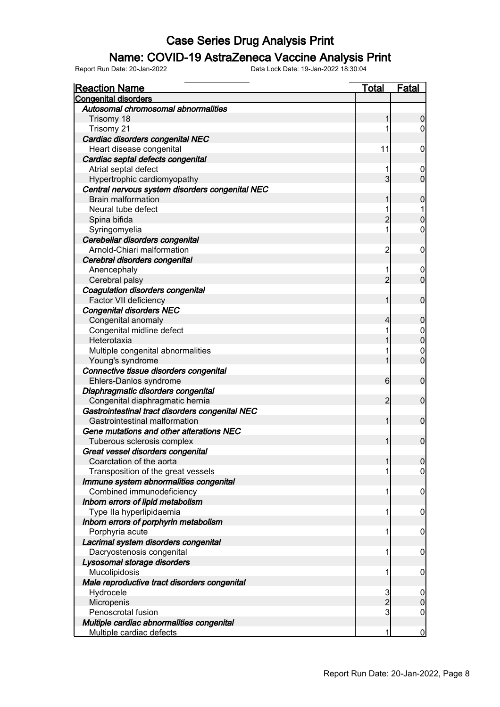#### Name: COVID-19 AstraZeneca Vaccine Analysis Print

| <b>Reaction Name</b>                                     | <b>Total</b>   | <b>Fatal</b>     |
|----------------------------------------------------------|----------------|------------------|
| <b>Congenital disorders</b>                              |                |                  |
| Autosomal chromosomal abnormalities                      |                |                  |
| Trisomy 18                                               | 1              | $\boldsymbol{0}$ |
| Trisomy 21                                               |                | $\overline{0}$   |
| Cardiac disorders congenital NEC                         |                |                  |
| Heart disease congenital                                 | 11             | $\mathbf 0$      |
| Cardiac septal defects congenital                        |                |                  |
| Atrial septal defect                                     |                | 0                |
| Hypertrophic cardiomyopathy                              | $\overline{3}$ | $\mathbf 0$      |
| Central nervous system disorders congenital NEC          |                |                  |
| <b>Brain malformation</b>                                |                | $\mathbf 0$      |
| Neural tube defect                                       |                |                  |
| Spina bifida                                             | $\overline{2}$ | $\mathbf 0$      |
| Syringomyelia                                            | 1              | $\mathbf 0$      |
| Cerebellar disorders congenital                          |                |                  |
| Arnold-Chiari malformation                               | $\overline{c}$ | $\mathbf 0$      |
| Cerebral disorders congenital                            |                |                  |
| Anencephaly                                              |                | 0                |
| Cerebral palsy                                           | $\overline{2}$ | $\mathbf 0$      |
| Coagulation disorders congenital                         |                |                  |
| Factor VII deficiency                                    | 1              | $\mathbf 0$      |
| <b>Congenital disorders NEC</b>                          |                |                  |
| Congenital anomaly                                       | 4              | $\mathbf 0$      |
| Congenital midline defect                                |                | $\boldsymbol{0}$ |
| Heterotaxia                                              |                | $\mathbf 0$      |
| Multiple congenital abnormalities                        |                | $\mathbf 0$      |
| Young's syndrome                                         |                | $\mathbf 0$      |
| Connective tissue disorders congenital                   |                |                  |
| Ehlers-Danlos syndrome                                   | $6 \mid$       | $\mathbf 0$      |
| Diaphragmatic disorders congenital                       |                |                  |
| Congenital diaphragmatic hernia                          | $\overline{2}$ | $\mathbf 0$      |
| Gastrointestinal tract disorders congenital NEC          |                |                  |
| Gastrointestinal malformation                            | 1              | $\mathbf 0$      |
| Gene mutations and other alterations NEC                 |                |                  |
| Tuberous sclerosis complex                               | 1              | $\mathbf 0$      |
| Great vessel disorders congenital                        |                |                  |
| Coarctation of the aorta                                 | 1              | 0                |
| Transposition of the great vessels                       |                | $\overline{0}$   |
| Immune system abnormalities congenital                   |                |                  |
| Combined immunodeficiency                                | 1              | $\mathbf 0$      |
| Inborn errors of lipid metabolism                        |                |                  |
| Type IIa hyperlipidaemia                                 | 1              | $\mathbf 0$      |
| Inborn errors of porphyrin metabolism                    |                |                  |
| Porphyria acute                                          | 1              |                  |
| Lacrimal system disorders congenital                     |                | $\mathbf 0$      |
|                                                          | 1              |                  |
| Dacryostenosis congenital<br>Lysosomal storage disorders |                | $\mathbf 0$      |
| Mucolipidosis                                            |                |                  |
|                                                          | 1              | $\mathbf 0$      |
| Male reproductive tract disorders congenital             |                |                  |
| Hydrocele                                                | 3              | $\mathbf 0$      |
| Micropenis                                               | $\overline{2}$ | $\pmb{0}$        |
| Penoscrotal fusion                                       | 3              | $\boldsymbol{0}$ |
| Multiple cardiac abnormalities congenital                |                |                  |
| Multiple cardiac defects                                 | 1              | $\overline{0}$   |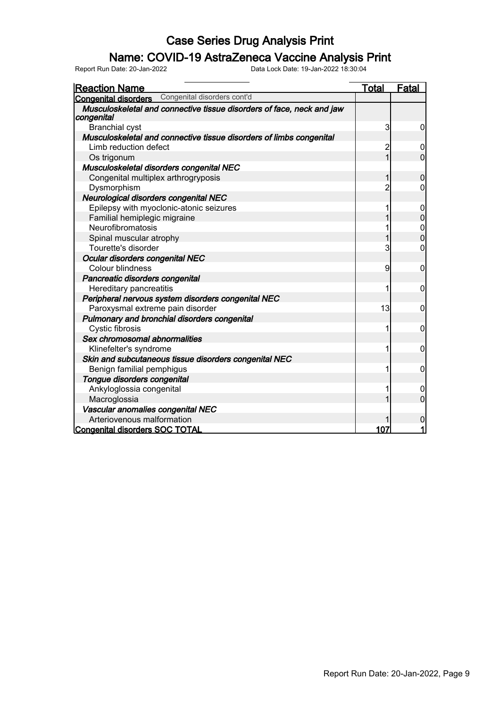#### Name: COVID-19 AstraZeneca Vaccine Analysis Print

| <b>Reaction Name</b>                                                                | Total          | Fatal                                |
|-------------------------------------------------------------------------------------|----------------|--------------------------------------|
| <b>Congenital disorders</b> Congenital disorders cont'd                             |                |                                      |
| Musculoskeletal and connective tissue disorders of face, neck and jaw<br>congenital |                |                                      |
| <b>Branchial cyst</b>                                                               | 3              | 0                                    |
| Musculoskeletal and connective tissue disorders of limbs congenital                 |                |                                      |
| Limb reduction defect                                                               | 2              | 0                                    |
| Os trigonum                                                                         | 1              | $\overline{0}$                       |
| Musculoskeletal disorders congenital NEC                                            |                |                                      |
| Congenital multiplex arthrogryposis                                                 | 1              | $\mathbf 0$                          |
| Dysmorphism                                                                         | $\overline{2}$ | 0                                    |
| Neurological disorders congenital NEC                                               |                |                                      |
| Epilepsy with myoclonic-atonic seizures                                             |                | 0                                    |
| Familial hemiplegic migraine                                                        |                | $\overline{0}$                       |
| Neurofibromatosis                                                                   |                | $\begin{matrix} 0 \\ 0 \end{matrix}$ |
| Spinal muscular atrophy                                                             |                |                                      |
| Tourette's disorder                                                                 | 3              | $\mathbf 0$                          |
| Ocular disorders congenital NEC                                                     |                |                                      |
| Colour blindness                                                                    | 9              | $\mathbf 0$                          |
| Pancreatic disorders congenital                                                     |                |                                      |
| Hereditary pancreatitis                                                             | 1              | 0                                    |
| Peripheral nervous system disorders congenital NEC                                  |                |                                      |
| Paroxysmal extreme pain disorder                                                    | 13             | 0                                    |
| Pulmonary and bronchial disorders congenital                                        |                |                                      |
| Cystic fibrosis                                                                     |                | 0                                    |
| Sex chromosomal abnormalities                                                       |                |                                      |
| Klinefelter's syndrome                                                              | 1              | 0                                    |
| Skin and subcutaneous tissue disorders congenital NEC                               |                |                                      |
| Benign familial pemphigus                                                           | 1              | $\mathbf 0$                          |
| Tongue disorders congenital                                                         |                |                                      |
| Ankyloglossia congenital                                                            |                | $\boldsymbol{0}$                     |
| Macroglossia                                                                        |                | $\overline{0}$                       |
| Vascular anomalies congenital NEC                                                   |                |                                      |
| Arteriovenous malformation                                                          |                | $\mathbf 0$                          |
| Congenital disorders SOC TOTAL                                                      | 107            | 1                                    |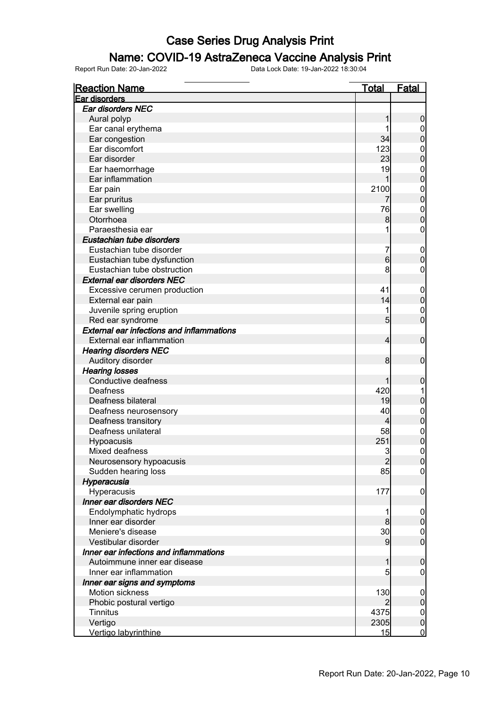### Name: COVID-19 AstraZeneca Vaccine Analysis Print

| <b>Reaction Name</b>                             | <b>Total</b>   | <b>Fatal</b>     |
|--------------------------------------------------|----------------|------------------|
| Ear disorders                                    |                |                  |
| Ear disorders NEC                                |                |                  |
| Aural polyp                                      |                | $\boldsymbol{0}$ |
| Ear canal erythema                               |                | 0                |
| Ear congestion                                   | 34             | $\mathbf 0$      |
| Ear discomfort                                   | 123            | $\mathbf{0}$     |
| Ear disorder                                     | 23             | $\overline{0}$   |
| Ear haemorrhage                                  | 19             | $\mathbf{0}$     |
| Ear inflammation                                 | 1              | $\overline{0}$   |
| Ear pain                                         | 2100           | $\mathbf{0}$     |
| Ear pruritus                                     | 7              | $\overline{0}$   |
| Ear swelling                                     | 76             | $\boldsymbol{0}$ |
| Otorrhoea                                        | 8 <sup>1</sup> | $\overline{0}$   |
| Paraesthesia ear                                 |                | 0                |
| Eustachian tube disorders                        |                |                  |
| Eustachian tube disorder                         | 7              | $\mathbf 0$      |
| Eustachian tube dysfunction                      | $6 \,$         | $\mathbf 0$      |
| Eustachian tube obstruction                      | 8              | 0                |
| <b>External ear disorders NEC</b>                |                |                  |
| Excessive cerumen production                     | 41             | $\mathbf 0$      |
| External ear pain                                | 14             | $\pmb{0}$        |
| Juvenile spring eruption                         |                | $\mathbf 0$      |
| Red ear syndrome                                 | $\overline{5}$ | $\overline{0}$   |
| <b>External ear infections and inflammations</b> |                |                  |
| External ear inflammation                        | 4              | $\mathbf 0$      |
| <b>Hearing disorders NEC</b>                     |                |                  |
| Auditory disorder                                | 8              | $\mathbf 0$      |
|                                                  |                |                  |
| <b>Hearing losses</b><br>Conductive deafness     |                |                  |
| Deafness                                         | 420            | $\mathbf 0$      |
| Deafness bilateral                               | 19             | $\boldsymbol{0}$ |
|                                                  | 40             |                  |
| Deafness neurosensory                            |                | $\mathbf 0$      |
| Deafness transitory                              | 4              | $\pmb{0}$        |
| Deafness unilateral                              | 58             | $\mathbf{0}$     |
| Hypoacusis                                       | 251            | $\overline{0}$   |
| Mixed deafness                                   | 3              | $\overline{0}$   |
| Neurosensory hypoacusis                          | $\overline{2}$ | 0                |
| Sudden hearing loss                              | 85             | $\overline{0}$   |
| Hyperacusia                                      |                |                  |
| Hyperacusis                                      | 177            | $\mathbf 0$      |
| Inner ear disorders NEC                          |                |                  |
| Endolymphatic hydrops                            |                | $\overline{0}$   |
| Inner ear disorder                               | 8              | $\pmb{0}$        |
| Meniere's disease                                | 30             | $\overline{0}$   |
| Vestibular disorder                              | 9              | $\overline{0}$   |
| Inner ear infections and inflammations           |                |                  |
| Autoimmune inner ear disease                     | 1              | $\mathbf 0$      |
| Inner ear inflammation                           | 5              | 0                |
| Inner ear signs and symptoms                     |                |                  |
| Motion sickness                                  | 130            | $\overline{0}$   |
| Phobic postural vertigo                          |                | $\overline{0}$   |
| Tinnitus                                         | 4375           | $\overline{0}$   |
| Vertigo                                          | 2305           | $\mathbf 0$      |
| Vertigo labyrinthine                             | 15             | $\overline{0}$   |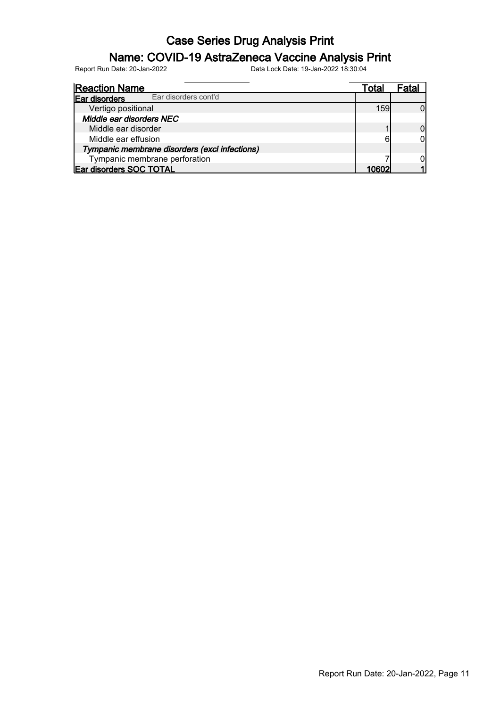### Name: COVID-19 AstraZeneca Vaccine Analysis Print

| <b>Reaction Name</b>                          | Total |  |
|-----------------------------------------------|-------|--|
| Ear disorders cont'd<br>Ear disorders         |       |  |
| Vertigo positional                            | 159   |  |
| Middle ear disorders NEC                      |       |  |
| Middle ear disorder                           |       |  |
| Middle ear effusion                           |       |  |
| Tympanic membrane disorders (excl infections) |       |  |
| Tympanic membrane perforation                 |       |  |
| Ear disorders SOC TOTAL                       |       |  |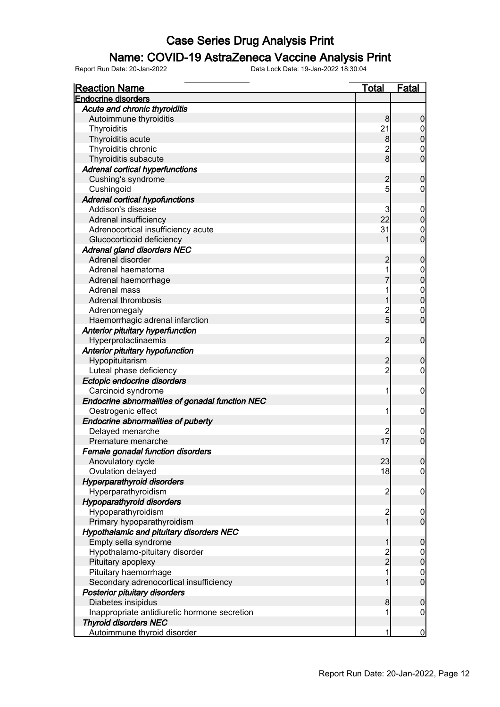#### Name: COVID-19 AstraZeneca Vaccine Analysis Print

| <b>Reaction Name</b>                            | <b>Total</b>   | Fatal            |
|-------------------------------------------------|----------------|------------------|
| <b>Endocrine disorders</b>                      |                |                  |
| Acute and chronic thyroiditis                   |                |                  |
| Autoimmune thyroiditis                          | 8              | $\boldsymbol{0}$ |
| Thyroiditis                                     | 21             | 0                |
| Thyroiditis acute                               | 8 <sup>0</sup> | $\overline{0}$   |
| Thyroiditis chronic                             | $\overline{c}$ | $\mathbf 0$      |
| Thyroiditis subacute                            | 8              | $\overline{0}$   |
| <b>Adrenal cortical hyperfunctions</b>          |                |                  |
| Cushing's syndrome                              | $\overline{2}$ | $\boldsymbol{0}$ |
| Cushingoid                                      | 5              | $\mathbf 0$      |
| <b>Adrenal cortical hypofunctions</b>           |                |                  |
| Addison's disease                               | 3              | $\boldsymbol{0}$ |
| Adrenal insufficiency                           | 22             | $\mathbf 0$      |
| Adrenocortical insufficiency acute              | 31             | $\mathbf 0$      |
| Glucocorticoid deficiency                       |                | $\overline{0}$   |
| <b>Adrenal gland disorders NEC</b>              |                |                  |
| Adrenal disorder                                | $\overline{2}$ | $\boldsymbol{0}$ |
| Adrenal haematoma                               |                | $\boldsymbol{0}$ |
| Adrenal haemorrhage                             |                | $\overline{0}$   |
| Adrenal mass                                    |                |                  |
| Adrenal thrombosis                              |                | $0\atop 0$       |
| Adrenomegaly                                    | $\overline{c}$ | $\mathbf 0$      |
| Haemorrhagic adrenal infarction                 | $\overline{5}$ | $\overline{0}$   |
| Anterior pituitary hyperfunction                |                |                  |
|                                                 | $\overline{2}$ | $\mathbf 0$      |
| Hyperprolactinaemia                             |                |                  |
| Anterior pituitary hypofunction                 | $\overline{2}$ |                  |
| Hypopituitarism                                 |                | $\boldsymbol{0}$ |
| Luteal phase deficiency                         | $\overline{2}$ | $\mathbf 0$      |
| Ectopic endocrine disorders                     |                |                  |
| Carcinoid syndrome                              | 1              | $\mathbf 0$      |
| Endocrine abnormalities of gonadal function NEC |                |                  |
| Oestrogenic effect                              | 1              | $\mathbf 0$      |
| Endocrine abnormalities of puberty              |                |                  |
| Delayed menarche                                |                | $\overline{0}$   |
| Premature menarche                              | 17             | $\overline{0}$   |
| Female gonadal function disorders               |                |                  |
| Anovulatory cycle                               | 23             | $\overline{0}$   |
| Ovulation delayed                               | 18             | $\mathbf 0$      |
| <b>Hyperparathyroid disorders</b>               |                |                  |
| Hyperparathyroidism                             | $\overline{c}$ | $\mathbf 0$      |
| <b>Hypoparathyroid disorders</b>                |                |                  |
| Hypoparathyroidism                              | $\overline{c}$ | $\overline{0}$   |
| Primary hypoparathyroidism                      | $\overline{1}$ | $\mathbf 0$      |
| Hypothalamic and pituitary disorders NEC        |                |                  |
| Empty sella syndrome                            | 1              | $\boldsymbol{0}$ |
| Hypothalamo-pituitary disorder                  | $\overline{c}$ | $\overline{0}$   |
| Pituitary apoplexy                              | $\overline{2}$ | $\mathbf 0$      |
| Pituitary haemorrhage                           | 1              | $\boldsymbol{0}$ |
| Secondary adrenocortical insufficiency          | 1              | $\overline{0}$   |
| Posterior pituitary disorders                   |                |                  |
| Diabetes insipidus                              | 8              | $\boldsymbol{0}$ |
| Inappropriate antidiuretic hormone secretion    | 1              | $\mathbf 0$      |
| <b>Thyroid disorders NEC</b>                    |                |                  |
| Autoimmune thyroid disorder                     | 1              | $\mathbf 0$      |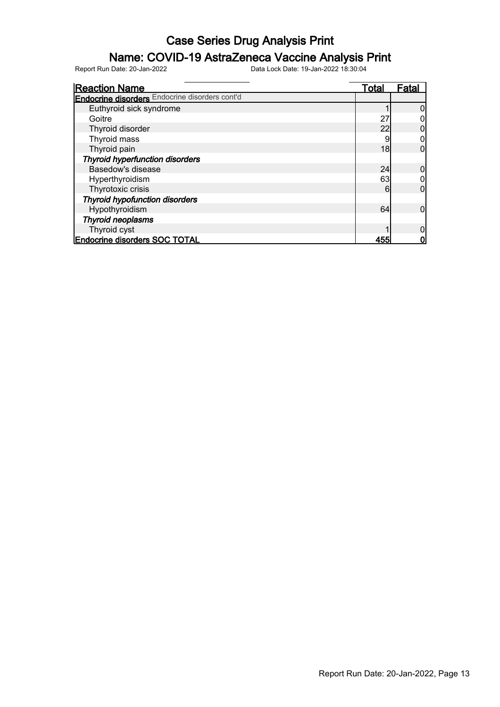### Name: COVID-19 AstraZeneca Vaccine Analysis Print

| <b>Reaction Name</b>                                  | Total | Fata |
|-------------------------------------------------------|-------|------|
| <b>Endocrine disorders</b> Endocrine disorders cont'd |       |      |
| Euthyroid sick syndrome                               |       |      |
| Goitre                                                | 27    |      |
| Thyroid disorder                                      | 22    |      |
| Thyroid mass                                          |       |      |
| Thyroid pain                                          | 18    | 0    |
| <b>Thyroid hyperfunction disorders</b>                |       |      |
| Basedow's disease                                     | 24    |      |
| Hyperthyroidism                                       | 63    |      |
| Thyrotoxic crisis                                     | 6     | 0    |
| <b>Thyroid hypofunction disorders</b>                 |       |      |
| Hypothyroidism                                        | 64    | 0    |
| <b>Thyroid neoplasms</b>                              |       |      |
| Thyroid cyst                                          |       |      |
| <b>Endocrine disorders SOC TOTAL</b>                  | 455   |      |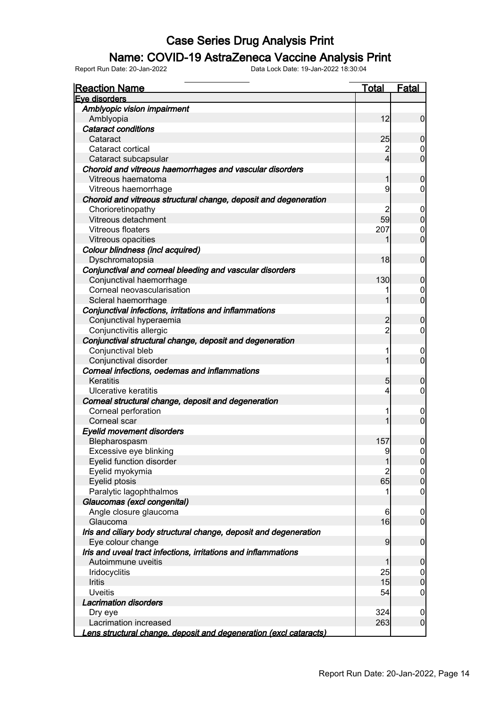### Name: COVID-19 AstraZeneca Vaccine Analysis Print

| <b>Reaction Name</b>                                                     | <b>Total</b>            | <b>Fatal</b>                  |
|--------------------------------------------------------------------------|-------------------------|-------------------------------|
| Eve disorders                                                            |                         |                               |
| Amblyopic vision impairment                                              |                         |                               |
| Amblyopia                                                                | 12                      | $\mathbf 0$                   |
| <b>Cataract conditions</b>                                               |                         |                               |
| Cataract                                                                 | 25                      | $\mathbf 0$                   |
| Cataract cortical                                                        | $\overline{c}$          | 0                             |
| Cataract subcapsular                                                     | $\overline{\mathbf{4}}$ | $\mathbf 0$                   |
| Choroid and vitreous haemorrhages and vascular disorders                 |                         |                               |
| Vitreous haematoma                                                       | 1                       | $\boldsymbol{0}$              |
| Vitreous haemorrhage                                                     | 9                       | 0                             |
| Choroid and vitreous structural change, deposit and degeneration         |                         |                               |
| Chorioretinopathy                                                        | 2                       | $\mathbf 0$                   |
| Vitreous detachment                                                      | 59                      | $\mathbf 0$                   |
| Vitreous floaters                                                        | 207                     | $\mathbf 0$                   |
| Vitreous opacities                                                       |                         | $\mathbf 0$                   |
| Colour blindness (incl acquired)                                         |                         |                               |
| Dyschromatopsia                                                          | 18                      | $\mathbf 0$                   |
| Conjunctival and corneal bleeding and vascular disorders                 |                         |                               |
| Conjunctival haemorrhage                                                 | 130                     | $\mathbf 0$                   |
| Corneal neovascularisation                                               |                         | 0                             |
| Scleral haemorrhage                                                      | 1                       | $\mathbf 0$                   |
| Conjunctival infections, irritations and inflammations                   |                         |                               |
| Conjunctival hyperaemia                                                  | $\overline{c}$          | $\mathbf 0$                   |
| Conjunctivitis allergic                                                  | $\overline{2}$          | $\overline{0}$                |
| Conjunctival structural change, deposit and degeneration                 |                         |                               |
| Conjunctival bleb                                                        |                         | $\mathbf 0$                   |
| Conjunctival disorder                                                    | 1                       | $\overline{0}$                |
| Corneal infections, oedemas and inflammations                            |                         |                               |
| Keratitis                                                                | 5                       | $\mathbf 0$                   |
| Ulcerative keratitis                                                     | 4                       | $\mathbf 0$                   |
| Corneal structural change, deposit and degeneration                      |                         |                               |
| Corneal perforation                                                      |                         | $\mathbf 0$                   |
| Corneal scar                                                             | 1                       | $\overline{0}$                |
| <b>Eyelid movement disorders</b>                                         |                         |                               |
| Blepharospasm                                                            | 157                     | $\boldsymbol{0}$              |
| Excessive eye blinking                                                   | 9                       | $\mathbf 0$                   |
| Eyelid function disorder                                                 | $\mathbf{1}$            | 0                             |
| Eyelid myokymia                                                          | $\overline{2}$          | 0                             |
| Eyelid ptosis                                                            | 65                      | $\pmb{0}$                     |
| Paralytic lagophthalmos                                                  |                         | $\mathbf 0$                   |
| Glaucomas (excl congenital)                                              |                         |                               |
| Angle closure glaucoma                                                   | 6                       | $\mathbf 0$                   |
| Glaucoma                                                                 | 16                      | $\overline{0}$                |
| Iris and ciliary body structural change, deposit and degeneration        |                         |                               |
| Eye colour change                                                        | 9                       | $\boldsymbol{0}$              |
| Iris and uveal tract infections, irritations and inflammations           |                         |                               |
| Autoimmune uveitis                                                       | 1                       | $\mathbf 0$                   |
|                                                                          | 25                      |                               |
| Iridocyclitis<br>Iritis                                                  | 15                      | $\overline{0}$<br>$\mathbf 0$ |
| <b>Uveitis</b>                                                           | 54                      |                               |
| <b>Lacrimation disorders</b>                                             |                         | $\mathbf 0$                   |
|                                                                          |                         |                               |
| Dry eye<br>Lacrimation increased                                         | 324<br>263              | $\mathbf 0$<br>$\mathbf 0$    |
|                                                                          |                         |                               |
| <u>ens structural change, deposit and degeneration (excl cataracts).</u> |                         |                               |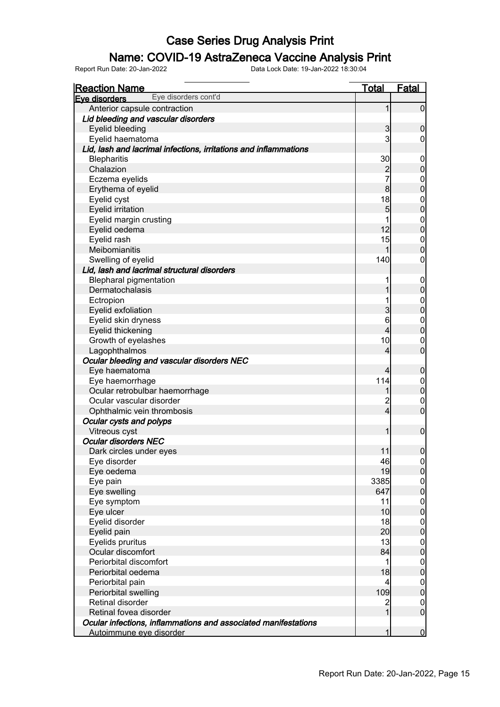### Name: COVID-19 AstraZeneca Vaccine Analysis Print

| <b>Reaction Name</b>                                             | <u>Total</u>            | Fatal            |
|------------------------------------------------------------------|-------------------------|------------------|
| Eye disorders cont'd<br>Eye disorders                            |                         |                  |
| Anterior capsule contraction                                     | 1                       | $\overline{0}$   |
| Lid bleeding and vascular disorders                              |                         |                  |
| Eyelid bleeding                                                  | $\mathbf{3}$            | $\mathbf 0$      |
| Eyelid haematoma                                                 | 3                       | 0                |
| Lid, lash and lacrimal infections, irritations and inflammations |                         |                  |
| <b>Blepharitis</b>                                               | 30                      | $\mathbf 0$      |
| Chalazion                                                        | $\overline{c}$          | $\boldsymbol{0}$ |
| Eczema eyelids                                                   | 7                       | $\boldsymbol{0}$ |
| Erythema of eyelid                                               | $\bf{8}$                | $\mathbf 0$      |
| Eyelid cyst                                                      | 18                      | $\boldsymbol{0}$ |
| <b>Eyelid irritation</b>                                         | 5                       | $\mathbf 0$      |
| Eyelid margin crusting                                           |                         | $\boldsymbol{0}$ |
| Eyelid oedema                                                    | 12                      | $\mathbf 0$      |
| Eyelid rash                                                      | 15                      | $\mathbf 0$      |
| Meibomianitis                                                    | 1                       | $\mathbf 0$      |
| Swelling of eyelid                                               | 140                     | $\mathbf 0$      |
| Lid, lash and lacrimal structural disorders                      |                         |                  |
| <b>Blepharal pigmentation</b>                                    |                         | $\mathbf 0$      |
| Dermatochalasis                                                  |                         | $\boldsymbol{0}$ |
| Ectropion                                                        |                         | $\boldsymbol{0}$ |
| Eyelid exfoliation                                               | 3                       | $\overline{0}$   |
| Eyelid skin dryness                                              | 6                       | $\boldsymbol{0}$ |
| Eyelid thickening                                                | 4                       | $\overline{0}$   |
| Growth of eyelashes                                              | 10                      | $\mathbf 0$      |
| Lagophthalmos                                                    | 4                       | $\overline{0}$   |
| Ocular bleeding and vascular disorders NEC                       |                         |                  |
| Eye haematoma                                                    | 4                       | $\boldsymbol{0}$ |
| Eye haemorrhage                                                  | 114                     | $\boldsymbol{0}$ |
| Ocular retrobulbar haemorrhage                                   |                         | $\mathbf 0$      |
| Ocular vascular disorder                                         | $\overline{\mathbf{c}}$ | $\mathbf 0$      |
| Ophthalmic vein thrombosis                                       | $\overline{4}$          | $\overline{0}$   |
| Ocular cysts and polyps                                          |                         |                  |
| Vitreous cyst                                                    | 1                       | $\bf 0$          |
| <b>Ocular disorders NEC</b>                                      |                         |                  |
| Dark circles under eyes                                          | 11                      | $\boldsymbol{0}$ |
| Eye disorder                                                     | 46                      | 0                |
| Eye oedema                                                       | 19                      | 0                |
| Eye pain                                                         | 3385                    | $\overline{0}$   |
| Eye swelling                                                     | 647                     | $\overline{0}$   |
| Eye symptom                                                      | 11                      | $\overline{0}$   |
| Eye ulcer                                                        | 10                      | $\overline{0}$   |
| Eyelid disorder                                                  | 18                      | $\overline{0}$   |
| Eyelid pain                                                      | 20                      | $\overline{0}$   |
| Eyelids pruritus                                                 | 13                      | $\boldsymbol{0}$ |
| Ocular discomfort                                                | 84                      | $\overline{0}$   |
| Periorbital discomfort                                           | 1                       | $\boldsymbol{0}$ |
| Periorbital oedema                                               | 18                      | $\overline{0}$   |
| Periorbital pain                                                 | 4                       | $\boldsymbol{0}$ |
| Periorbital swelling                                             | 109                     | $\overline{0}$   |
| Retinal disorder                                                 | $\overline{\mathbf{c}}$ | $\mathbf 0$      |
| Retinal fovea disorder                                           | 1                       | $\overline{0}$   |
| Ocular infections, inflammations and associated manifestations   |                         |                  |
| Autoimmune eye disorder                                          | 1                       | $\overline{0}$   |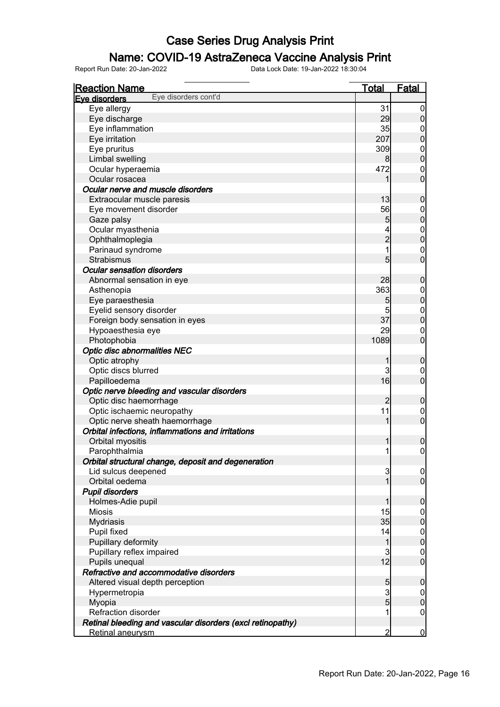### Name: COVID-19 AstraZeneca Vaccine Analysis Print

| <b>Reaction Name</b>                                       | <b>Total</b>   | <b>Fatal</b>                       |
|------------------------------------------------------------|----------------|------------------------------------|
| Eye disorders cont'd<br>Eve disorders                      |                |                                    |
| Eye allergy                                                | 31             | $\overline{0}$                     |
| Eye discharge                                              | 29             | $\pmb{0}$                          |
| Eye inflammation                                           | 35             | $\boldsymbol{0}$                   |
| Eye irritation                                             | 207            | $\mathbf 0$                        |
| Eye pruritus                                               | 309            |                                    |
| Limbal swelling                                            | 8              | $0\atop 0$                         |
| Ocular hyperaemia                                          | 472            | $\mathbf{0}$                       |
| Ocular rosacea                                             | 1              | $\overline{0}$                     |
| Ocular nerve and muscle disorders                          |                |                                    |
| Extraocular muscle paresis                                 | 13             | $\mathbf 0$                        |
| Eye movement disorder                                      | 56             | $\mathbf 0$                        |
| Gaze palsy                                                 | 5              | $\mathbf 0$                        |
| Ocular myasthenia                                          |                |                                    |
| Ophthalmoplegia                                            | $\overline{2}$ | $0$<br>0                           |
| Parinaud syndrome                                          | $\overline{1}$ | $\mathbf{0}$                       |
| Strabismus                                                 | 5              | $\overline{0}$                     |
| <b>Ocular sensation disorders</b>                          |                |                                    |
| Abnormal sensation in eye                                  | 28             | $\mathbf 0$                        |
| Asthenopia                                                 | 363            |                                    |
| Eye paraesthesia                                           | 5              | $\boldsymbol{0}$<br>$\mathbf 0$    |
| Eyelid sensory disorder                                    | 5              |                                    |
|                                                            | 37             | $\boldsymbol{0}$<br>$\overline{0}$ |
| Foreign body sensation in eyes                             | 29             |                                    |
| Hypoaesthesia eye                                          |                | $\mathbf 0$<br>$\overline{0}$      |
| Photophobia                                                | 1089           |                                    |
| <b>Optic disc abnormalities NEC</b>                        |                |                                    |
| Optic atrophy                                              | 1              | $\mathbf 0$                        |
| Optic discs blurred                                        | 3              | $\mathbf 0$<br>$\overline{0}$      |
| Papilloedema                                               | 16             |                                    |
| Optic nerve bleeding and vascular disorders                |                |                                    |
| Optic disc haemorrhage                                     | $\overline{c}$ | $\mathbf 0$                        |
| Optic ischaemic neuropathy                                 | 11             | $\mathbf 0$                        |
| Optic nerve sheath haemorrhage                             | 1              | $\overline{0}$                     |
| Orbital infections, inflammations and irritations          |                |                                    |
| Orbital myositis                                           | 1              | $\boldsymbol{0}$                   |
| Parophthalmia                                              | $\mathbf{1}$   | $\mathsf{O}\xspace$                |
| Orbital structural change, deposit and degeneration        |                |                                    |
| Lid sulcus deepened                                        | 3              | 0                                  |
| Orbital oedema                                             | $\mathbf{1}$   | $\overline{0}$                     |
| <b>Pupil disorders</b>                                     |                |                                    |
| Holmes-Adie pupil                                          | 1              | $\mathbf 0$                        |
| <b>Miosis</b>                                              | 15             | $\boldsymbol{0}$                   |
| <b>Mydriasis</b>                                           | 35             | $\mathbf 0$                        |
| Pupil fixed                                                | 14             | $\boldsymbol{0}$                   |
| Pupillary deformity                                        | $\mathbf{1}$   | $\mathbf 0$                        |
| Pupillary reflex impaired                                  | 3              | $\boldsymbol{0}$                   |
| Pupils unequal                                             | 12             | $\boldsymbol{0}$                   |
| Refractive and accommodative disorders                     |                |                                    |
| Altered visual depth perception                            | 5              | $\mathbf 0$                        |
| Hypermetropia                                              | $\overline{3}$ | $\overline{0}$                     |
| Myopia                                                     | $\overline{5}$ | $\pmb{0}$                          |
| Refraction disorder                                        | 1              | $\boldsymbol{0}$                   |
| Retinal bleeding and vascular disorders (excl retinopathy) |                |                                    |
| Retinal aneurysm                                           | $\overline{2}$ | $\overline{0}$                     |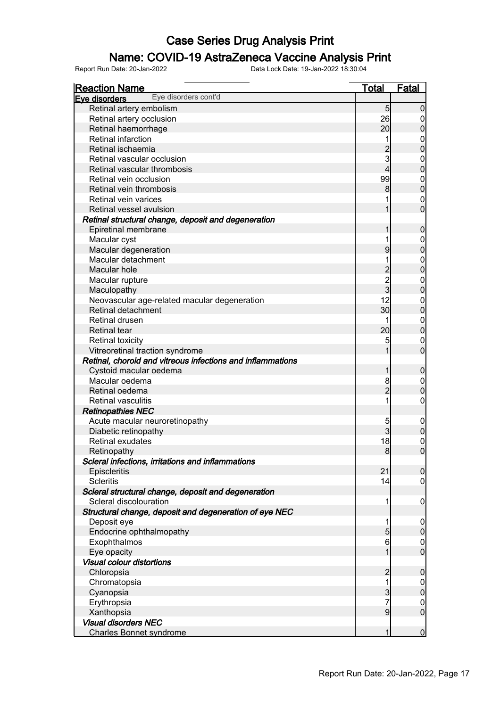### Name: COVID-19 AstraZeneca Vaccine Analysis Print

| <b>Reaction Name</b>                                                        | <b>Total</b>    | <b>Fatal</b>     |
|-----------------------------------------------------------------------------|-----------------|------------------|
| Eye disorders cont'd<br>Eye disorders                                       |                 |                  |
| Retinal artery embolism                                                     | $5\overline{)}$ | $\mathbf 0$      |
| Retinal artery occlusion                                                    | 26              | $\overline{0}$   |
| Retinal haemorrhage                                                         | 20              | $\mathbf 0$      |
| Retinal infarction                                                          |                 | $\mathbf{0}$     |
| Retinal ischaemia                                                           |                 | $\mathbf 0$      |
| Retinal vascular occlusion                                                  | 3               | $\mathbf{0}$     |
| Retinal vascular thrombosis                                                 | 4               | $\mathbf 0$      |
| Retinal vein occlusion                                                      | 99              | $\boldsymbol{0}$ |
| Retinal vein thrombosis                                                     | 8               | $\mathbf 0$      |
| Retinal vein varices                                                        |                 | $\mathbf 0$      |
| Retinal vessel avulsion                                                     |                 | $\overline{0}$   |
| Retinal structural change, deposit and degeneration                         |                 |                  |
| Epiretinal membrane                                                         |                 | $\boldsymbol{0}$ |
| Macular cyst                                                                |                 | $\mathbf{0}$     |
| Macular degeneration                                                        | 9               | $\mathbf 0$      |
| Macular detachment                                                          |                 | $\mathbf{0}$     |
| Macular hole                                                                |                 | $\overline{0}$   |
| Macular rupture                                                             |                 | $\mathbf{0}$     |
| Maculopathy                                                                 | $\frac{2}{3}$   | $\mathbf 0$      |
| Neovascular age-related macular degeneration                                | 12              | $\boldsymbol{0}$ |
| Retinal detachment                                                          | 30              | $\mathbf 0$      |
| Retinal drusen                                                              |                 | $\overline{0}$   |
| <b>Retinal tear</b>                                                         | 20              | $\mathbf 0$      |
| <b>Retinal toxicity</b>                                                     | 5               | $\mathbf 0$      |
| Vitreoretinal traction syndrome                                             |                 | $\overline{0}$   |
| Retinal, choroid and vitreous infections and inflammations                  |                 |                  |
| Cystoid macular oedema                                                      |                 | $\boldsymbol{0}$ |
| Macular oedema                                                              | 8               | $\overline{0}$   |
| Retinal oedema                                                              | $\overline{2}$  | $\pmb{0}$        |
| <b>Retinal vasculitis</b>                                                   |                 | $\mathbf 0$      |
| <b>Retinopathies NEC</b>                                                    |                 |                  |
| Acute macular neuroretinopathy                                              | 5               | $\mathbf 0$      |
| Diabetic retinopathy                                                        | $\overline{3}$  | $\mathbf 0$      |
| Retinal exudates                                                            | 18              | $\mathbf 0$      |
| Retinopathy                                                                 | 8 <sup>1</sup>  | $\overline{0}$   |
| Scleral infections, irritations and inflammations                           |                 |                  |
| Episcleritis                                                                | 21              | 0                |
| <b>Scleritis</b>                                                            | 14              | $\overline{0}$   |
| Scleral structural change, deposit and degeneration                         |                 |                  |
| Scleral discolouration                                                      |                 | $\mathbf 0$      |
| Structural change, deposit and degeneration of eye NEC                      |                 |                  |
| Deposit eye                                                                 |                 | $\overline{0}$   |
| Endocrine ophthalmopathy                                                    | 5               | $\overline{0}$   |
| Exophthalmos                                                                | 6               | $\overline{0}$   |
| Eye opacity                                                                 |                 | $\overline{0}$   |
| <b>Visual colour distortions</b>                                            |                 |                  |
| Chloropsia                                                                  | $\overline{2}$  | $\boldsymbol{0}$ |
| Chromatopsia                                                                | 1               | $\boldsymbol{0}$ |
| Cyanopsia                                                                   | 3               | $\overline{0}$   |
| Erythropsia                                                                 | 7               | $\mathbf 0$      |
|                                                                             | 9               | $\overline{0}$   |
|                                                                             |                 |                  |
|                                                                             |                 | $\mathbf 0$      |
| Xanthopsia<br><b>Visual disorders NEC</b><br><b>Charles Bonnet syndrome</b> |                 |                  |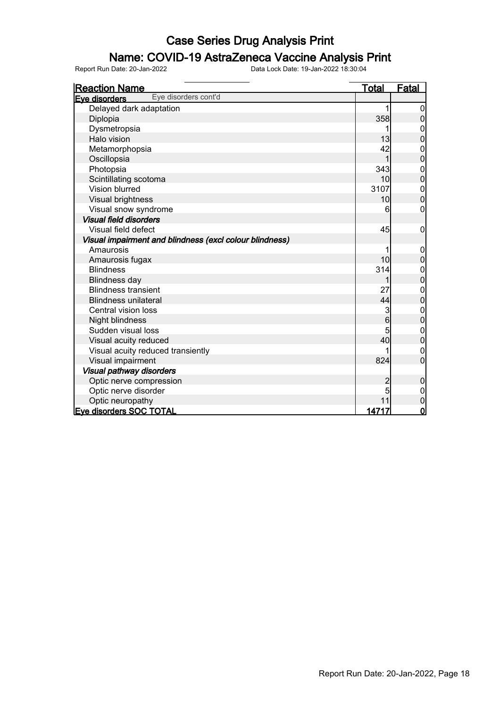### Name: COVID-19 AstraZeneca Vaccine Analysis Print

| <b>Reaction Name</b>                                    | <b>Total</b>     | <u>Fatal</u>     |
|---------------------------------------------------------|------------------|------------------|
| Eye disorders cont'd<br>Eve disorders                   |                  |                  |
| Delayed dark adaptation                                 |                  | 0                |
| Diplopia                                                | 358              | 0                |
| Dysmetropsia                                            |                  | $\boldsymbol{0}$ |
| Halo vision                                             | 13               | $\overline{0}$   |
| Metamorphopsia                                          | 42               | 0                |
| Oscillopsia                                             |                  | 0                |
| Photopsia                                               | 343              | $\mathbf 0$      |
| Scintillating scotoma                                   | 10               | $\mathbf 0$      |
| <b>Vision blurred</b>                                   | 3107             | 0                |
| Visual brightness                                       | 10               | $\overline{0}$   |
| Visual snow syndrome                                    | 6                | 0                |
| <b>Visual field disorders</b>                           |                  |                  |
| Visual field defect                                     | 45               | $\mathbf 0$      |
| Visual impairment and blindness (excl colour blindness) |                  |                  |
| Amaurosis                                               |                  | $\mathbf 0$      |
| Amaurosis fugax                                         | 10               | $\mathbf 0$      |
| <b>Blindness</b>                                        | 314              | $\mathbf 0$      |
| <b>Blindness day</b>                                    |                  | $\overline{0}$   |
| <b>Blindness transient</b>                              | 27               | $\mathbf 0$      |
| <b>Blindness unilateral</b>                             | 44               | $\mathbf 0$      |
| Central vision loss                                     | 3                | $\mathbf 0$      |
| Night blindness                                         | $6 \overline{6}$ | $\overline{0}$   |
| Sudden visual loss                                      |                  | 0                |
| Visual acuity reduced                                   | 40               | $\mathbf 0$      |
| Visual acuity reduced transiently                       |                  | 0                |
| Visual impairment                                       | 824              | $\overline{0}$   |
| Visual pathway disorders                                |                  |                  |
| Optic nerve compression                                 |                  | 0                |
| Optic nerve disorder                                    | 5                | $\boldsymbol{0}$ |
| Optic neuropathy                                        | 11               | $\boldsymbol{0}$ |
| Eye disorders SOC TOTAL                                 | <u> 14717</u>    | $\mathbf 0$      |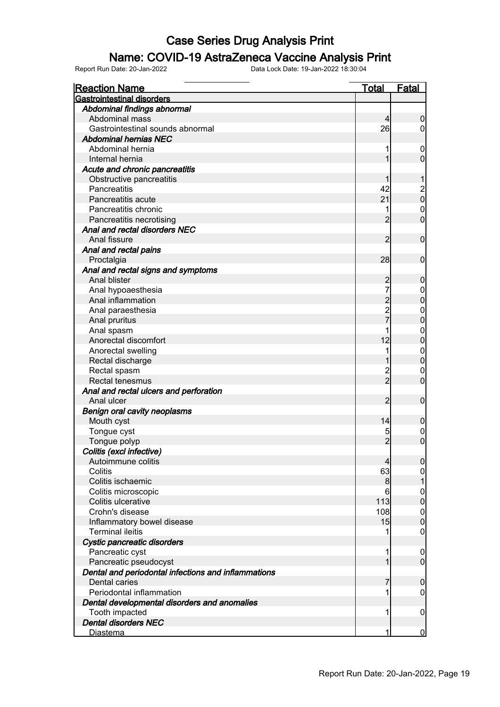### Name: COVID-19 AstraZeneca Vaccine Analysis Print

| <u>Reaction Name</u>                                | <b>Total</b>                               | <b>Fatal</b>                         |
|-----------------------------------------------------|--------------------------------------------|--------------------------------------|
| <b>Gastrointestinal disorders</b>                   |                                            |                                      |
| Abdominal findings abnormal                         |                                            |                                      |
| Abdominal mass                                      | $\overline{4}$                             | $\boldsymbol{0}$                     |
| Gastrointestinal sounds abnormal                    | 26                                         | $\overline{0}$                       |
| <b>Abdominal hernias NEC</b>                        |                                            |                                      |
| Abdominal hernia                                    | 1                                          | $\mathbf 0$                          |
| Internal hernia                                     | 1                                          | $\overline{0}$                       |
| Acute and chronic pancreatitis                      |                                            |                                      |
| Obstructive pancreatitis                            |                                            | 1                                    |
| Pancreatitis                                        | 42                                         |                                      |
| Pancreatitis acute                                  | 21                                         | $\begin{matrix} 2 \\ 0 \end{matrix}$ |
| Pancreatitis chronic                                | 1                                          | $\boldsymbol{0}$                     |
| Pancreatitis necrotising                            | $\overline{2}$                             | $\overline{0}$                       |
| Anal and rectal disorders NEC                       |                                            |                                      |
| Anal fissure                                        | $\overline{2}$                             | $\mathbf 0$                          |
| Anal and rectal pains                               |                                            |                                      |
| Proctalgia                                          | 28                                         | $\mathbf 0$                          |
|                                                     |                                            |                                      |
| Anal and rectal signs and symptoms<br>Anal blister  |                                            |                                      |
|                                                     | $\overline{c}$<br>7                        | $\boldsymbol{0}$                     |
| Anal hypoaesthesia                                  |                                            | $\mathbf{0}$                         |
| Anal inflammation                                   | $\begin{array}{c} 2 \\ 2 \\ 7 \end{array}$ | $\overline{0}$                       |
| Anal paraesthesia                                   |                                            | $\mathbf{0}$                         |
| Anal pruritus                                       |                                            | $\overline{0}$                       |
| Anal spasm                                          |                                            | $\mathbf{0}$                         |
| Anorectal discomfort                                | 12                                         | $\overline{0}$                       |
| Anorectal swelling                                  | 1                                          | $\mathbf{0}$                         |
| Rectal discharge                                    |                                            | $\mathbf 0$                          |
| Rectal spasm                                        | 2<br>2                                     | $\mathbf 0$                          |
| Rectal tenesmus                                     |                                            | $\overline{0}$                       |
| Anal and rectal ulcers and perforation              |                                            |                                      |
| Anal ulcer                                          | 2                                          | $\boldsymbol{0}$                     |
| <b>Benign oral cavity neoplasms</b>                 |                                            |                                      |
| Mouth cyst                                          | 14                                         | $\boldsymbol{0}$                     |
| Tongue cyst                                         | 5                                          | $\mathbf{0}$                         |
| Tongue polyp                                        | $\overline{2}$                             | $\overline{0}$                       |
| Colitis (excl infective)                            |                                            |                                      |
| Autoimmune colitis                                  | $\overline{4}$                             | 0                                    |
| Colitis                                             | 63                                         | $\overline{0}$                       |
| Colitis ischaemic                                   | 8                                          | 1                                    |
| Colitis microscopic                                 | 6                                          | $\boldsymbol{0}$                     |
| Colitis ulcerative                                  | 113                                        | $\mathbf 0$                          |
| Crohn's disease                                     | 108                                        | $\boldsymbol{0}$                     |
| Inflammatory bowel disease                          | 15                                         | $\mathbf 0$                          |
| <b>Terminal ileitis</b>                             | 1                                          | $\mathbf 0$                          |
| Cystic pancreatic disorders                         |                                            |                                      |
| Pancreatic cyst                                     | 1                                          | $\mathbf 0$                          |
| Pancreatic pseudocyst                               | 1                                          | $\overline{0}$                       |
| Dental and periodontal infections and inflammations |                                            |                                      |
| Dental caries                                       | 7                                          | $\mathbf 0$                          |
| Periodontal inflammation                            | 1                                          | $\overline{0}$                       |
| Dental developmental disorders and anomalies        |                                            |                                      |
| Tooth impacted                                      | 1                                          | $\mathbf 0$                          |
| <b>Dental disorders NEC</b>                         |                                            |                                      |
| Diastema                                            | 1                                          | $\overline{0}$                       |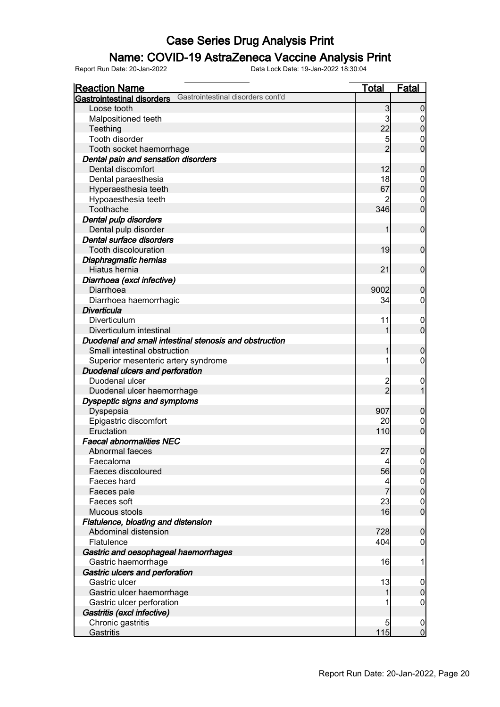### Name: COVID-19 AstraZeneca Vaccine Analysis Print

| <b>Reaction Name</b>                                                   | <b>Total</b>    | <b>Fatal</b>     |
|------------------------------------------------------------------------|-----------------|------------------|
| Gastrointestinal disorders cont'd<br><b>Gastrointestinal disorders</b> |                 |                  |
| Loose tooth                                                            | 3               | $\overline{0}$   |
| Malpositioned teeth                                                    | 3               | 0                |
| Teething                                                               | 22              | $\pmb{0}$        |
| Tooth disorder                                                         | 5               | $\boldsymbol{0}$ |
| Tooth socket haemorrhage                                               | $\overline{2}$  | $\overline{0}$   |
| Dental pain and sensation disorders                                    |                 |                  |
| Dental discomfort                                                      | 12              | $\mathbf 0$      |
| Dental paraesthesia                                                    | 18              | $\overline{0}$   |
| Hyperaesthesia teeth                                                   | 67              | $\mathbf 0$      |
| Hypoaesthesia teeth                                                    |                 | $\mathbf 0$      |
| Toothache                                                              | 346             | $\mathbf 0$      |
| Dental pulp disorders                                                  |                 |                  |
| Dental pulp disorder                                                   | 1               | $\mathbf 0$      |
| Dental surface disorders                                               |                 |                  |
| <b>Tooth discolouration</b>                                            | 19              | $\mathbf 0$      |
| Diaphragmatic hernias                                                  |                 |                  |
| Hiatus hernia                                                          | 21              | $\mathbf 0$      |
| Diarrhoea (excl infective)                                             |                 |                  |
| Diarrhoea                                                              | 9002            | $\mathbf 0$      |
| Diarrhoea haemorrhagic                                                 | 34              | $\overline{0}$   |
| <b>Diverticula</b>                                                     |                 |                  |
| Diverticulum                                                           | 11              | $\mathbf 0$      |
| Diverticulum intestinal                                                | 1               | $\overline{0}$   |
| Duodenal and small intestinal stenosis and obstruction                 |                 |                  |
| Small intestinal obstruction                                           | 1               | $\mathbf 0$      |
| Superior mesenteric artery syndrome                                    | 1               | $\overline{0}$   |
| Duodenal ulcers and perforation                                        |                 |                  |
| Duodenal ulcer                                                         |                 | $\mathbf 0$      |
| Duodenal ulcer haemorrhage                                             | $\overline{2}$  | $\overline{1}$   |
| Dyspeptic signs and symptoms                                           |                 |                  |
| Dyspepsia                                                              | 907             | $\mathbf 0$      |
| Epigastric discomfort                                                  | 20              | $\mathbf 0$      |
| Eructation                                                             | 110             | $\overline{0}$   |
| <b>Faecal abnormalities NEC</b>                                        |                 |                  |
| Abnormal faeces                                                        | 27              | $\boldsymbol{0}$ |
| Faecaloma                                                              | $\vert 4 \vert$ | $\Omega$         |
| Faeces discoloured                                                     | 56              | $\overline{0}$   |
| Faeces hard                                                            | 4               | $\overline{0}$   |
| Faeces pale                                                            |                 | $\mathbf 0$      |
| Faeces soft                                                            | 23              | $\boldsymbol{0}$ |
| Mucous stools                                                          | 16              | $\overline{0}$   |
| Flatulence, bloating and distension                                    |                 |                  |
| Abdominal distension                                                   | 728             | $\boldsymbol{0}$ |
| Flatulence                                                             | 404             | $\mathbf 0$      |
| Gastric and oesophageal haemorrhages                                   |                 |                  |
| Gastric haemorrhage                                                    | 16              | 1                |
| Gastric ulcers and perforation                                         |                 |                  |
| Gastric ulcer                                                          | 13              | $\mathbf 0$      |
| Gastric ulcer haemorrhage                                              | 1               | $\boldsymbol{0}$ |
| Gastric ulcer perforation                                              |                 | $\mathbf 0$      |
| Gastritis (excl infective)                                             |                 |                  |
| Chronic gastritis                                                      | 5               | $\mathbf 0$      |
| Gastritis                                                              | 115             | $\overline{0}$   |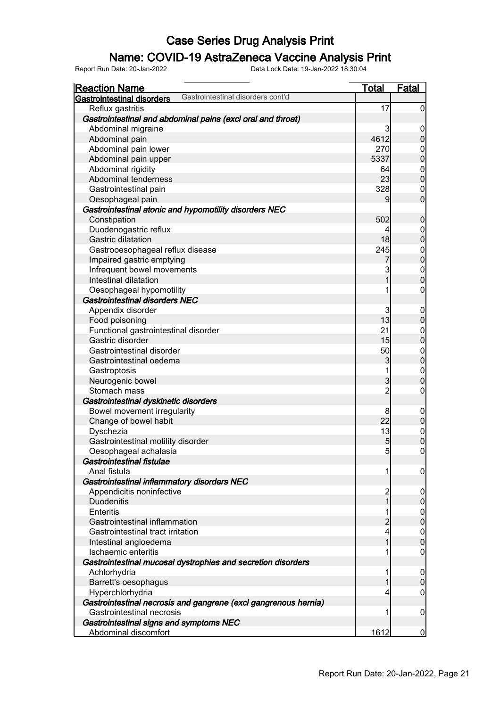### Name: COVID-19 AstraZeneca Vaccine Analysis Print

| <b>Reaction Name</b>                                     |                                                                 | <b>Total</b>   | Fatal                    |
|----------------------------------------------------------|-----------------------------------------------------------------|----------------|--------------------------|
| <b>Gastrointestinal disorders</b>                        | Gastrointestinal disorders cont'd                               |                |                          |
| Reflux gastritis                                         |                                                                 | 17             | $\overline{0}$           |
|                                                          | Gastrointestinal and abdominal pains (excl oral and throat)     |                |                          |
| Abdominal migraine                                       |                                                                 | 3              | $\boldsymbol{0}$         |
| Abdominal pain                                           |                                                                 | 4612           | $\pmb{0}$                |
| Abdominal pain lower                                     |                                                                 | 270            | $\overline{0}$           |
| Abdominal pain upper                                     |                                                                 | 5337           | $\mathbf 0$              |
| Abdominal rigidity                                       |                                                                 | 64             | $\overline{0}$           |
| Abdominal tenderness                                     |                                                                 | 23             | $\overline{0}$           |
| Gastrointestinal pain                                    |                                                                 | 328            | $\overline{0}$           |
| Oesophageal pain                                         |                                                                 | 9              | $\mathbf 0$              |
|                                                          | Gastrointestinal atonic and hypomotility disorders NEC          |                |                          |
| Constipation                                             |                                                                 | 502            | $\mathbf 0$              |
| Duodenogastric reflux                                    |                                                                 | 4              | $\overline{0}$           |
| Gastric dilatation                                       |                                                                 | 18             | $\mathbf 0$              |
| Gastrooesophageal reflux disease                         |                                                                 | 245            |                          |
| Impaired gastric emptying                                |                                                                 |                | $0$<br>0                 |
| Infrequent bowel movements                               |                                                                 | 3              |                          |
| Intestinal dilatation                                    |                                                                 | 1              | $0\atop 0$               |
| Oesophageal hypomotility                                 |                                                                 | 1              | $\pmb{0}$                |
| <b>Gastrointestinal disorders NEC</b>                    |                                                                 |                |                          |
| Appendix disorder                                        |                                                                 | 3              |                          |
| Food poisoning                                           |                                                                 | 13             | $\mathbf 0$<br>$\pmb{0}$ |
|                                                          |                                                                 | 21             |                          |
| Functional gastrointestinal disorder<br>Gastric disorder |                                                                 | 15             | $\overline{0}$           |
|                                                          |                                                                 |                | $\mathbf 0$              |
| Gastrointestinal disorder                                |                                                                 | 50             | $\boldsymbol{0}$         |
| Gastrointestinal oedema                                  |                                                                 | 3              | $\overline{0}$           |
| Gastroptosis                                             |                                                                 | 1              | $\boldsymbol{0}$         |
| Neurogenic bowel                                         |                                                                 | 3              | $\overline{0}$           |
| Stomach mass                                             |                                                                 | $\overline{2}$ | $\boldsymbol{0}$         |
| Gastrointestinal dyskinetic disorders                    |                                                                 |                |                          |
| Bowel movement irregularity                              |                                                                 | 8              | $\mathbf 0$              |
| Change of bowel habit                                    |                                                                 | 22             | $\pmb{0}$                |
| Dyschezia                                                |                                                                 | 13             | $0$<br>0                 |
| Gastrointestinal motility disorder                       |                                                                 | 5              |                          |
| Oesophageal achalasia                                    |                                                                 | 5              | $\pmb{0}$                |
| Gastrointestinal fistulae                                |                                                                 |                |                          |
| Anal fistula                                             |                                                                 | 1              | $\boldsymbol{0}$         |
| Gastrointestinal inflammatory disorders NEC              |                                                                 |                |                          |
| Appendicitis noninfective                                |                                                                 | $\overline{c}$ | $\boldsymbol{0}$         |
| <b>Duodenitis</b>                                        |                                                                 | 1              | $\pmb{0}$                |
| Enteritis                                                |                                                                 | 1              | $\overline{0}$           |
| Gastrointestinal inflammation                            |                                                                 | $\overline{c}$ | $\mathbf 0$              |
| Gastrointestinal tract irritation                        |                                                                 | 4              | $\mathbf 0$              |
| Intestinal angioedema                                    |                                                                 | 1              | $\mathbf 0$              |
| Ischaemic enteritis                                      |                                                                 |                | $\mathbf 0$              |
|                                                          | Gastrointestinal mucosal dystrophies and secretion disorders    |                |                          |
| Achlorhydria                                             |                                                                 | 1              | $\boldsymbol{0}$         |
| Barrett's oesophagus                                     |                                                                 | 1              | $\pmb{0}$                |
| Hyperchlorhydria                                         |                                                                 | 4              | $\mathbf 0$              |
|                                                          | Gastrointestinal necrosis and gangrene (excl gangrenous hernia) |                |                          |
| <b>Gastrointestinal necrosis</b>                         |                                                                 | 1              | $\mathbf 0$              |
| Gastrointestinal signs and symptoms NEC                  |                                                                 |                |                          |
| Abdominal discomfort                                     |                                                                 | 1612           | $\overline{0}$           |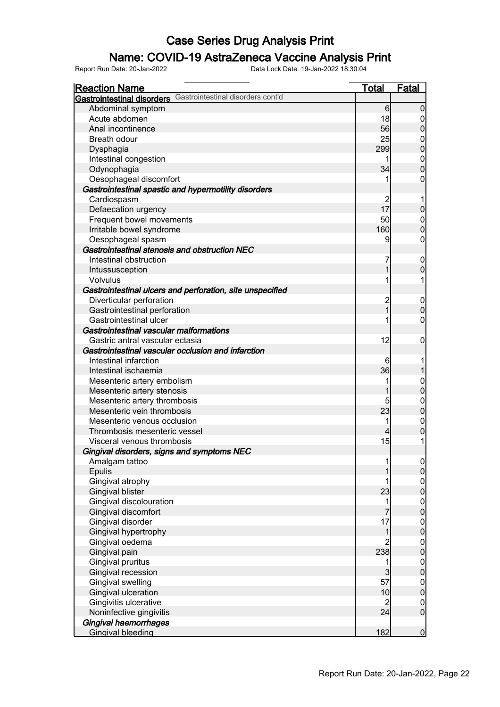### Name: COVID-19 AstraZeneca Vaccine Analysis Print

| <b>Reaction Name</b>                                                   | <b>Total</b>   | <b>Fatal</b>                         |
|------------------------------------------------------------------------|----------------|--------------------------------------|
| Gastrointestinal disorders cont'd<br><b>Gastrointestinal disorders</b> |                |                                      |
| Abdominal symptom                                                      | 6              | $\overline{0}$                       |
| Acute abdomen                                                          | 18             | 0                                    |
| Anal incontinence                                                      | 56             | $\overline{0}$                       |
| Breath odour                                                           | 25             | 0                                    |
| Dysphagia                                                              | 299            | $\overline{0}$                       |
| Intestinal congestion                                                  | 1              | $\mathbf{0}$                         |
| Odynophagia                                                            | 34             | $\overline{0}$                       |
| Oesophageal discomfort                                                 |                | 0                                    |
| Gastrointestinal spastic and hypermotility disorders                   |                |                                      |
| Cardiospasm                                                            |                |                                      |
| Defaecation urgency                                                    | 17             | $\mathbf 0$                          |
| Frequent bowel movements                                               | 50             | $\overline{0}$                       |
| Irritable bowel syndrome                                               | 160            | $\overline{0}$                       |
| Oesophageal spasm                                                      | 9              | 0                                    |
| Gastrointestinal stenosis and obstruction NEC                          |                |                                      |
| Intestinal obstruction                                                 | 7              | $\boldsymbol{0}$                     |
| Intussusception                                                        | 1              | $\mathbf 0$                          |
| Volvulus                                                               |                |                                      |
| Gastrointestinal ulcers and perforation, site unspecified              |                |                                      |
| Diverticular perforation                                               |                | $\mathbf 0$                          |
| Gastrointestinal perforation                                           | 2<br>1         | $\mathbf 0$                          |
| Gastrointestinal ulcer                                                 |                | 0                                    |
| Gastrointestinal vascular malformations                                |                |                                      |
| Gastric antral vascular ectasia                                        | 12             | 0                                    |
| Gastrointestinal vascular occlusion and infarction                     |                |                                      |
| Intestinal infarction                                                  | 6              |                                      |
| Intestinal ischaemia                                                   | 36             |                                      |
| Mesenteric artery embolism                                             | 1              | $\mathbf 0$                          |
| Mesenteric artery stenosis                                             |                | $\overline{0}$                       |
| Mesenteric artery thrombosis                                           | 5              | $\mathbf{0}$                         |
| Mesenteric vein thrombosis                                             | 23             | $\overline{0}$                       |
| Mesenteric venous occlusion                                            |                | $\mathbf{0}$                         |
| Thrombosis mesenteric vessel                                           | 4              | 0                                    |
| Visceral venous thrombosis                                             | 15             | 1                                    |
| Gingival disorders, signs and symptoms NEC                             |                |                                      |
| Amalgam tattoo                                                         |                |                                      |
| Epulis                                                                 |                | $\begin{matrix} 0 \\ 0 \end{matrix}$ |
| Gingival atrophy                                                       |                |                                      |
| <b>Gingival blister</b>                                                | 23             | $0$<br>0                             |
| Gingival discolouration                                                | 1              |                                      |
| Gingival discomfort                                                    |                | $\begin{matrix} 0 \\ 0 \end{matrix}$ |
| Gingival disorder                                                      | 17             |                                      |
| Gingival hypertrophy                                                   | 1              | $\begin{matrix} 0 \\ 0 \end{matrix}$ |
| Gingival oedema                                                        | $\overline{c}$ |                                      |
| Gingival pain                                                          | 238            | $0$<br>0                             |
| Gingival pruritus                                                      | 1              |                                      |
| Gingival recession                                                     | 3              | $\begin{matrix} 0 \\ 0 \end{matrix}$ |
| Gingival swelling                                                      | 57             |                                      |
| Gingival ulceration                                                    | 10             | $\begin{matrix} 0 \\ 0 \end{matrix}$ |
| Gingivitis ulcerative                                                  | $\overline{c}$ | $\boldsymbol{0}$                     |
| Noninfective gingivitis                                                | 24             | $\overline{0}$                       |
| <b>Gingival haemorrhages</b>                                           |                |                                      |
| <b>Gingival bleeding</b>                                               | 182            | $\overline{0}$                       |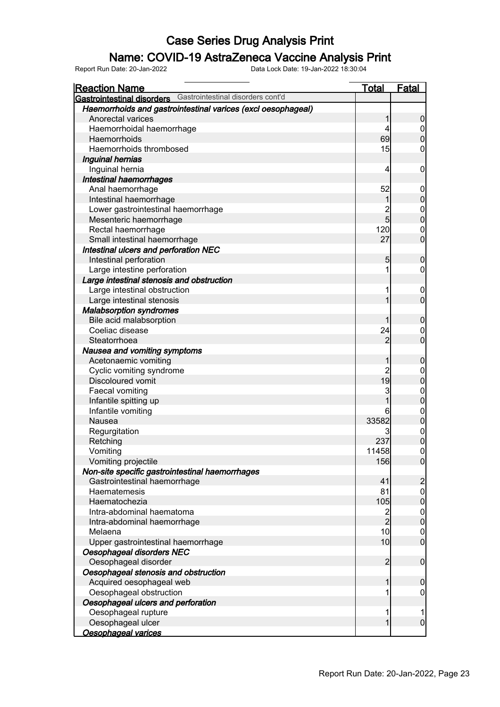### Name: COVID-19 AstraZeneca Vaccine Analysis Print

| <b>Reaction Name</b>                                                | <u>Total</u>   | <b>Fatal</b>     |
|---------------------------------------------------------------------|----------------|------------------|
| <b>Gastrointestinal disorders</b> Gastrointestinal disorders cont'd |                |                  |
| Haemorrhoids and gastrointestinal varices (excl oesophageal)        |                |                  |
| Anorectal varices                                                   |                | 0                |
| Haemorrhoidal haemorrhage                                           | 4              | 0                |
| Haemorrhoids                                                        | 69             | 0                |
| Haemorrhoids thrombosed                                             | 15             | 0                |
| Inguinal hernias                                                    |                |                  |
| Inguinal hernia                                                     | 4              | 0                |
| <b>Intestinal haemorrhages</b>                                      |                |                  |
| Anal haemorrhage                                                    | 52             | $\overline{0}$   |
| Intestinal haemorrhage                                              | 1              | 0                |
| Lower gastrointestinal haemorrhage                                  | $\overline{c}$ | $\mathbf{0}$     |
| Mesenteric haemorrhage                                              | $\overline{5}$ | $\mathbf{0}$     |
| Rectal haemorrhage                                                  | 120            | $\mathbf{0}$     |
| Small intestinal haemorrhage                                        | 27             | $\overline{0}$   |
| Intestinal ulcers and perforation NEC                               |                |                  |
| Intestinal perforation                                              | 5              | 0                |
| Large intestine perforation                                         | 1              | 0                |
| Large intestinal stenosis and obstruction                           |                |                  |
| Large intestinal obstruction                                        | 1              | $\overline{0}$   |
| Large intestinal stenosis                                           |                | $\mathbf 0$      |
| <b>Malabsorption syndromes</b>                                      |                |                  |
| Bile acid malabsorption                                             |                | 0                |
| Coeliac disease                                                     | 24             | $\mathbf 0$      |
| Steatorrhoea                                                        | 2              | $\overline{0}$   |
| Nausea and vomiting symptoms                                        |                |                  |
| Acetonaemic vomiting                                                |                | 0                |
| Cyclic vomiting syndrome                                            | $\overline{c}$ | $\mathbf 0$      |
| <b>Discoloured vomit</b>                                            | 19             | $\mathbf 0$      |
| Faecal vomiting                                                     | 3              | $\mathbf{0}$     |
| Infantile spitting up                                               |                | $\mathbf 0$      |
| Infantile vomiting                                                  | 6              | $\mathbf{0}$     |
| Nausea                                                              | 33582          | $\mathbf 0$      |
| Regurgitation                                                       | 3              | $\boldsymbol{0}$ |
| Retching                                                            | 237            | $\overline{0}$   |
| Vomiting                                                            | 11458          | $\overline{0}$   |
| Vomiting projectile                                                 | 156            | $\Omega$         |
| Non-site specific gastrointestinal haemorrhages                     |                |                  |
| Gastrointestinal haemorrhage                                        | 41             | $\overline{c}$   |
| Haematemesis                                                        | 81             | $\overline{0}$   |
| Haematochezia                                                       | 105            | $\boldsymbol{0}$ |
| Intra-abdominal haematoma                                           | $\overline{c}$ | $\mathbf 0$      |
| Intra-abdominal haemorrhage                                         | $\overline{2}$ | $\boldsymbol{0}$ |
| Melaena                                                             | 10             | $\mathbf 0$      |
| Upper gastrointestinal haemorrhage                                  | 10             | $\overline{0}$   |
| Oesophageal disorders NEC                                           |                |                  |
| Oesophageal disorder                                                | $\overline{c}$ | $\boldsymbol{0}$ |
| Oesophageal stenosis and obstruction                                |                |                  |
| Acquired oesophageal web                                            | 1              | 0                |
| Oesophageal obstruction                                             | 1              | $\mathbf 0$      |
| Oesophageal ulcers and perforation                                  |                |                  |
| Oesophageal rupture                                                 | 1              |                  |
| Oesophageal ulcer                                                   | 1              | $\mathbf 0$      |
| Oesophageal varices                                                 |                |                  |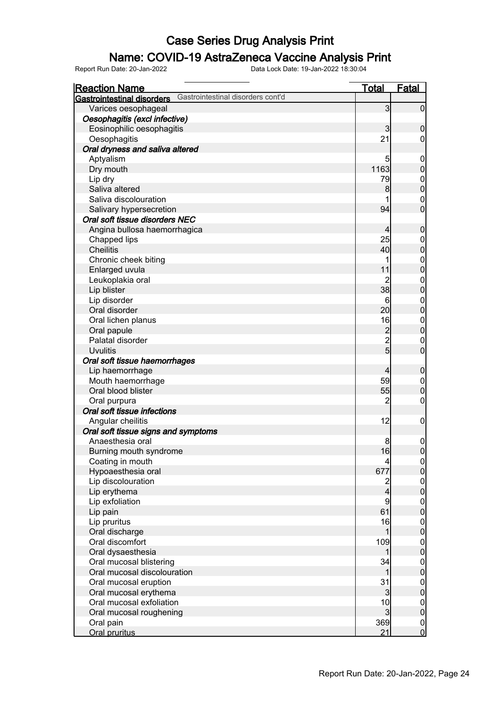### Name: COVID-19 AstraZeneca Vaccine Analysis Print

| <b>Reaction Name</b>                                                | <u>Total</u>   | <b>Fatal</b>                         |
|---------------------------------------------------------------------|----------------|--------------------------------------|
| <b>Gastrointestinal disorders</b> Gastrointestinal disorders cont'd |                |                                      |
| Varices oesophageal                                                 | $\mathbf{3}$   | $\mathbf 0$                          |
| Oesophagitis (excl infective)                                       |                |                                      |
| Eosinophilic oesophagitis                                           | 3              | $\boldsymbol{0}$                     |
| Oesophagitis                                                        | 21             | 0                                    |
| Oral dryness and saliva altered                                     |                |                                      |
| Aptyalism                                                           | 5              | $\mathbf 0$                          |
| Dry mouth                                                           | 1163           | $\boldsymbol{0}$                     |
| Lip dry                                                             | 79             | $\boldsymbol{0}$                     |
| Saliva altered                                                      | 8              | $\mathbf 0$                          |
| Saliva discolouration                                               |                | $\mathbf 0$                          |
|                                                                     | 94             | $\overline{0}$                       |
| Salivary hypersecretion<br>Oral soft tissue disorders NEC           |                |                                      |
|                                                                     |                |                                      |
| Angina bullosa haemorrhagica                                        | 4              | $\boldsymbol{0}$                     |
| Chapped lips                                                        | 25             | $\boldsymbol{0}$                     |
| <b>Cheilitis</b>                                                    | 40             | $\mathbf 0$                          |
| Chronic cheek biting                                                |                | $0$ 0                                |
| Enlarged uvula                                                      | 11             |                                      |
| Leukoplakia oral                                                    | $\overline{2}$ | $\boldsymbol{0}$                     |
| Lip blister                                                         | 38             | $\mathbf 0$                          |
| Lip disorder                                                        | 6              | $\boldsymbol{0}$                     |
| Oral disorder                                                       | 20             | $\mathbf 0$                          |
| Oral lichen planus                                                  | 16             | $\boldsymbol{0}$                     |
| Oral papule                                                         | $\overline{c}$ | $\mathbf 0$                          |
| Palatal disorder                                                    | $\overline{2}$ | $\mathbf 0$                          |
| <b>Uvulitis</b>                                                     | $\overline{5}$ | $\overline{0}$                       |
| Oral soft tissue haemorrhages                                       |                |                                      |
| Lip haemorrhage                                                     | $\overline{4}$ | $\boldsymbol{0}$                     |
| Mouth haemorrhage                                                   | 59             | $\mathbf 0$                          |
| Oral blood blister                                                  | 55             | $\pmb{0}$                            |
| Oral purpura                                                        | $\overline{2}$ | $\mathbf 0$                          |
| Oral soft tissue infections                                         |                |                                      |
| Angular cheilitis                                                   | 12             | $\mathbf 0$                          |
| Oral soft tissue signs and symptoms                                 |                |                                      |
| Anaesthesia oral                                                    | 8              | $\mathbf 0$                          |
| Burning mouth syndrome                                              | 16             | $\overline{0}$                       |
| Coating in mouth                                                    | 4              |                                      |
| Hypoaesthesia oral                                                  | 677            | $\begin{matrix} 0 \\ 0 \end{matrix}$ |
| Lip discolouration                                                  |                |                                      |
| Lip erythema                                                        | 2<br>4         | $0\atop 0$                           |
| Lip exfoliation                                                     | 9              |                                      |
| Lip pain                                                            | 61             | $\begin{matrix} 0 \\ 0 \end{matrix}$ |
| Lip pruritus                                                        | 16             |                                      |
| Oral discharge                                                      | 1              | $0\atop 0$                           |
| Oral discomfort                                                     | 109            |                                      |
| Oral dysaesthesia                                                   | 1              | $0\atop 0$                           |
| Oral mucosal blistering                                             | 34             |                                      |
| Oral mucosal discolouration                                         | 1              | $0\atop 0$                           |
| Oral mucosal eruption                                               | 31             |                                      |
| Oral mucosal erythema                                               | $\overline{3}$ | $0\atop 0$                           |
| Oral mucosal exfoliation                                            | 10             | $\boldsymbol{0}$                     |
| Oral mucosal roughening                                             | $\overline{3}$ | $\mathbf 0$                          |
| Oral pain                                                           | 369            | $\overline{0}$                       |
| Oral pruritus                                                       | 21             | $\overline{0}$                       |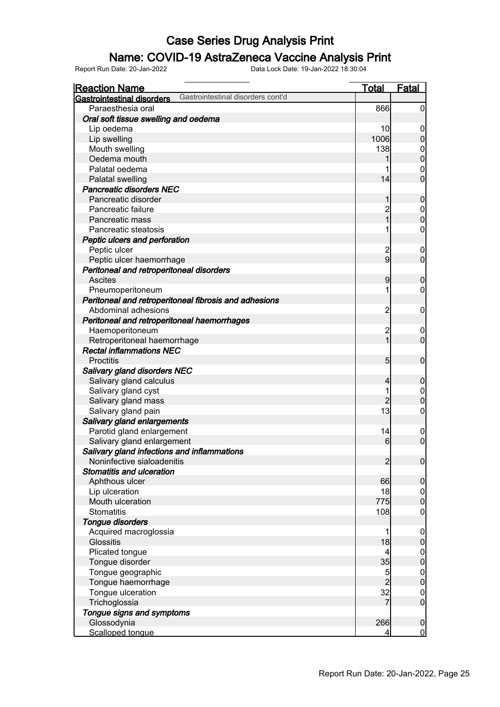### Name: COVID-19 AstraZeneca Vaccine Analysis Print

| <b>Reaction Name</b>                                                   | <b>Total</b>            | Fatal            |
|------------------------------------------------------------------------|-------------------------|------------------|
| Gastrointestinal disorders cont'd<br><b>Gastrointestinal disorders</b> |                         |                  |
| Paraesthesia oral                                                      | 866                     | $\overline{0}$   |
| Oral soft tissue swelling and oedema                                   |                         |                  |
| Lip oedema                                                             | 10                      | $\mathbf 0$      |
| Lip swelling                                                           | 1006                    | $\overline{0}$   |
| Mouth swelling                                                         | 138                     | $\mathbf 0$      |
| Oedema mouth                                                           |                         | $\overline{0}$   |
| Palatal oedema                                                         |                         | $\mathbf 0$      |
| Palatal swelling                                                       | 14                      | $\mathbf 0$      |
| <b>Pancreatic disorders NEC</b>                                        |                         |                  |
| Pancreatic disorder                                                    |                         | $\boldsymbol{0}$ |
| Pancreatic failure                                                     | $\overline{c}$          | $\boldsymbol{0}$ |
| Pancreatic mass                                                        | 1                       | $\mathbf 0$      |
| Pancreatic steatosis                                                   |                         | $\mathbf 0$      |
| Peptic ulcers and perforation                                          |                         |                  |
| Peptic ulcer                                                           | $\overline{\mathbf{c}}$ | $\mathbf 0$      |
| Peptic ulcer haemorrhage                                               | 9                       | $\mathbf 0$      |
| Peritoneal and retroperitoneal disorders                               |                         |                  |
| <b>Ascites</b>                                                         | 9                       | $\boldsymbol{0}$ |
| Pneumoperitoneum                                                       |                         | 0                |
| Peritoneal and retroperitoneal fibrosis and adhesions                  |                         |                  |
| Abdominal adhesions                                                    | $\overline{\mathbf{c}}$ | $\mathbf 0$      |
| Peritoneal and retroperitoneal haemorrhages                            |                         |                  |
| Haemoperitoneum                                                        | $\overline{c}$          | $\mathbf 0$      |
| Retroperitoneal haemorrhage                                            | 1                       | $\mathbf 0$      |
| <b>Rectal inflammations NEC</b>                                        |                         |                  |
| <b>Proctitis</b>                                                       | $5\overline{)}$         | $\mathbf 0$      |
| Salivary gland disorders NEC                                           |                         |                  |
| Salivary gland calculus                                                | 4                       | $\boldsymbol{0}$ |
| Salivary gland cyst                                                    |                         | $\mathbf 0$      |
| Salivary gland mass                                                    | $\overline{2}$          | $\mathbf 0$      |
| Salivary gland pain                                                    | 13                      | $\mathbf 0$      |
| Salivary gland enlargements                                            |                         |                  |
| Parotid gland enlargement                                              | 14                      | $\mathbf 0$      |
| Salivary gland enlargement                                             | 6                       | $\mathbf 0$      |
| Salivary gland infections and inflammations                            |                         |                  |
| Noninfective sialoadenitis                                             | $\overline{2}$          | $\overline{0}$   |
| <b>Stomatitis and ulceration</b>                                       |                         |                  |
| Aphthous ulcer                                                         | 66                      | $\overline{0}$   |
| Lip ulceration                                                         | 18                      | $\overline{0}$   |
| Mouth ulceration                                                       | 775                     | $\pmb{0}$        |
| <b>Stomatitis</b>                                                      | 108                     | $\boldsymbol{0}$ |
| <b>Tongue disorders</b>                                                |                         |                  |
| Acquired macroglossia                                                  |                         | $\overline{0}$   |
| <b>Glossitis</b>                                                       | 18                      | $\pmb{0}$        |
| Plicated tongue                                                        | 4                       | $\boldsymbol{0}$ |
| Tongue disorder                                                        | 35                      | $\mathbf 0$      |
| Tongue geographic                                                      | 5                       | $\boldsymbol{0}$ |
| Tongue haemorrhage                                                     | $\overline{2}$          | $\mathbf 0$      |
| Tongue ulceration                                                      | 32                      | $\mathbf 0$      |
| Trichoglossia                                                          | 7                       | $\boldsymbol{0}$ |
| Tongue signs and symptoms                                              |                         |                  |
| Glossodynia                                                            | 266                     | $\pmb{0}$        |
| Scalloped tongue                                                       | 4                       | $\overline{0}$   |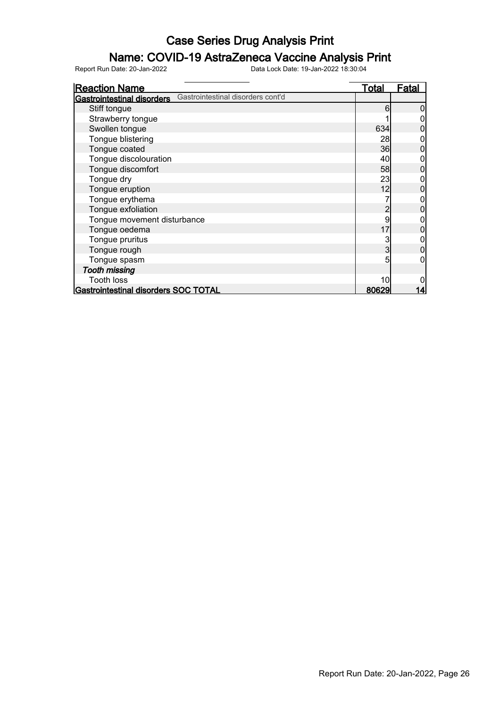### Name: COVID-19 AstraZeneca Vaccine Analysis Print

| <b>Reaction Name</b>                                                   | <u>Total</u> | <b>Fatal</b> |
|------------------------------------------------------------------------|--------------|--------------|
| Gastrointestinal disorders cont'd<br><b>Gastrointestinal disorders</b> |              |              |
| Stiff tongue                                                           | 6            |              |
| Strawberry tongue                                                      |              |              |
| Swollen tongue                                                         | 634          |              |
| Tongue blistering                                                      | 28           |              |
| Tongue coated                                                          | 36           |              |
| Tongue discolouration                                                  | 40           |              |
| Tongue discomfort                                                      | 58           |              |
| Tongue dry                                                             | 23           |              |
| Tongue eruption                                                        | 12           |              |
| Tongue erythema                                                        |              |              |
| Tongue exfoliation                                                     | 2            |              |
| Tongue movement disturbance                                            | 9            |              |
| Tongue oedema                                                          | 17           |              |
| Tongue pruritus                                                        | 3            |              |
| Tongue rough                                                           | 3            |              |
| Tongue spasm                                                           | 5            |              |
| <b>Tooth missing</b>                                                   |              |              |
| <b>Tooth loss</b>                                                      | 10           |              |
| Gastrointestinal disorders SOC TOTAL                                   | 80629        | 14           |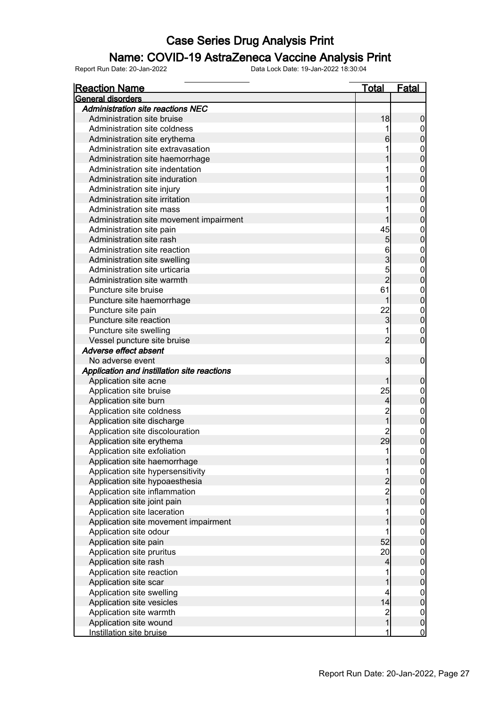### Name: COVID-19 AstraZeneca Vaccine Analysis Print

| <b>Reaction Name</b>                                                | <u>Total</u>                     | <b>Fatal</b>                |
|---------------------------------------------------------------------|----------------------------------|-----------------------------|
| General disorders                                                   |                                  |                             |
| <b>Administration site reactions NEC</b>                            |                                  |                             |
| Administration site bruise                                          | 18                               | $\boldsymbol{0}$            |
| Administration site coldness                                        |                                  | 0                           |
| Administration site erythema                                        | 6                                | $\mathbf 0$                 |
| Administration site extravasation                                   |                                  | $\boldsymbol{0}$            |
| Administration site haemorrhage                                     |                                  | $\mathbf 0$                 |
| Administration site indentation                                     |                                  | $\mathbf 0$                 |
| Administration site induration                                      |                                  | $\mathbf 0$                 |
| Administration site injury                                          |                                  | $\mathbf 0$                 |
| Administration site irritation                                      |                                  | $\mathbf 0$                 |
| Administration site mass                                            |                                  | $\mathbf 0$                 |
| Administration site movement impairment                             |                                  | $\mathbf 0$                 |
| Administration site pain                                            | 45                               | $\boldsymbol{0}$            |
| Administration site rash                                            | 5                                | $\mathbf 0$                 |
| Administration site reaction                                        | 6                                | $\mathbf 0$                 |
| Administration site swelling                                        | 3                                | $\mathbf 0$                 |
| Administration site urticaria                                       | 5                                | $\mathbf 0$                 |
| Administration site warmth                                          | $\overline{2}$                   | $\mathbf 0$                 |
| Puncture site bruise                                                | 61                               | $\mathbf 0$                 |
| Puncture site haemorrhage                                           | 1                                | $\mathbf 0$                 |
| Puncture site pain                                                  | 22                               | $\boldsymbol{0}$            |
| Puncture site reaction                                              | 3                                | $\mathbf 0$                 |
| Puncture site swelling                                              |                                  | 0                           |
| Vessel puncture site bruise                                         | $\overline{2}$                   | $\overline{0}$              |
| Adverse effect absent                                               |                                  |                             |
| No adverse event                                                    | 3                                | $\mathbf 0$                 |
| Application and instillation site reactions                         |                                  |                             |
| Application site acne                                               |                                  | $\boldsymbol{0}$            |
| Application site bruise                                             | 25                               | 0                           |
| Application site burn                                               | $\overline{4}$                   | $\mathbf 0$                 |
| Application site coldness                                           |                                  | $\mathbf{0}$                |
| Application site discharge                                          |                                  | $\mathbf 0$                 |
| Application site discolouration                                     |                                  |                             |
| Application site erythema                                           | 29                               | $\mathbf{0}$<br>$\mathbf 0$ |
| Application site exfoliation                                        | 1                                | $\boldsymbol{0}$            |
|                                                                     | $\mathbf{1}$                     |                             |
| Application site haemorrhage                                        |                                  | $\overline{0}$              |
| Application site hypersensitivity<br>Application site hypoaesthesia | $\overline{2}$                   | $\overline{0}$<br>$\pmb{0}$ |
|                                                                     |                                  |                             |
| Application site inflammation                                       | $\overline{c}$<br>$\overline{1}$ | $\overline{0}$              |
| Application site joint pain                                         |                                  | $\mathbf 0$                 |
| Application site laceration                                         |                                  | $\overline{0}$              |
| Application site movement impairment                                |                                  | $\pmb{0}$                   |
| Application site odour                                              |                                  | $\mathbf 0$                 |
| Application site pain                                               | 52                               | $\pmb{0}$                   |
| Application site pruritus                                           | 20                               | $\overline{0}$              |
| Application site rash                                               | 4                                | $\mathbf 0$                 |
| Application site reaction                                           |                                  | $\overline{0}$              |
| Application site scar                                               |                                  | $\pmb{0}$                   |
| Application site swelling                                           | 4                                | $\overline{0}$              |
| Application site vesicles                                           | 14                               | $\mathbf 0$                 |
| Application site warmth                                             | $\overline{\mathbf{c}}$          | $\mathbf 0$                 |
| Application site wound                                              | $\mathbf{1}$                     | $\pmb{0}$                   |
| Instillation site bruise                                            | 1                                | $\overline{0}$              |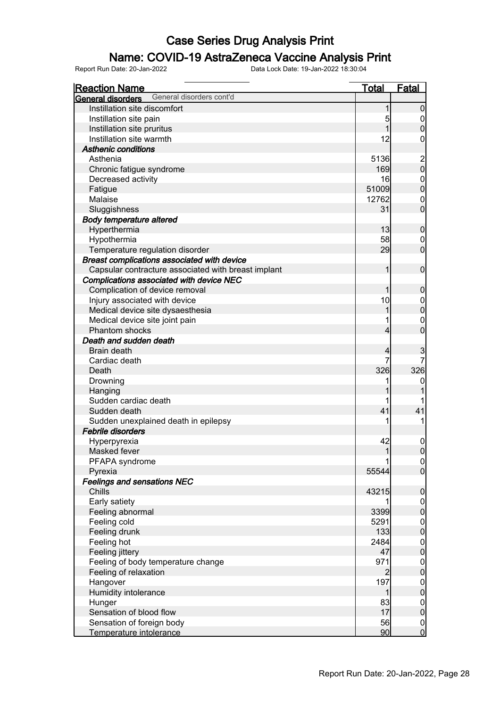### Name: COVID-19 AstraZeneca Vaccine Analysis Print

| <b>Reaction Name</b>                                 | <b>Total</b>   | <b>Fatal</b>                         |
|------------------------------------------------------|----------------|--------------------------------------|
| General disorders cont'd<br><b>General disorders</b> |                |                                      |
| Instillation site discomfort                         | 1              | $\boldsymbol{0}$                     |
| Instillation site pain                               | 5              |                                      |
| Instillation site pruritus                           |                | $\begin{matrix} 0 \\ 0 \end{matrix}$ |
| Instillation site warmth                             | 12             | $\mathsf{O}\xspace$                  |
| <b>Asthenic conditions</b>                           |                |                                      |
| Asthenia                                             | 5136           |                                      |
| Chronic fatigue syndrome                             | 169            | $\begin{matrix} 2 \\ 0 \end{matrix}$ |
| Decreased activity                                   | 16             |                                      |
| Fatigue                                              | 51009          | $\begin{matrix}0\\0\end{matrix}$     |
| Malaise                                              | 12762          | $\boldsymbol{0}$                     |
| Sluggishness                                         | 31             | $\overline{0}$                       |
| <b>Body temperature altered</b>                      |                |                                      |
| Hyperthermia                                         | 13             | $\pmb{0}$                            |
| Hypothermia                                          | 58             | $\mathbf 0$                          |
| Temperature regulation disorder                      | 29             | $\mathbf 0$                          |
| Breast complications associated with device          |                |                                      |
| Capsular contracture associated with breast implant  | 1              | $\boldsymbol{0}$                     |
| Complications associated with device NEC             |                |                                      |
| Complication of device removal                       |                |                                      |
| Injury associated with device                        | 10             | $\boldsymbol{0}$                     |
|                                                      |                | $0$<br>0                             |
| Medical device site dysaesthesia                     |                |                                      |
| Medical device site joint pain<br>Phantom shocks     |                | $\begin{matrix}0\\0\end{matrix}$     |
|                                                      | 4              |                                      |
| Death and sudden death                               |                |                                      |
| Brain death                                          | 4              | 3                                    |
| Cardiac death                                        | 7              |                                      |
| Death                                                | 326            | 326                                  |
| Drowning                                             |                | $\boldsymbol{0}$                     |
| Hanging                                              |                |                                      |
| Sudden cardiac death                                 |                |                                      |
| Sudden death                                         | 41             | 41                                   |
| Sudden unexplained death in epilepsy                 |                |                                      |
| <b>Febrile disorders</b>                             |                |                                      |
| Hyperpyrexia                                         | 42             | $\mathbf 0$                          |
| Masked fever                                         | 1              | $\overline{0}$                       |
| PFAPA syndrome                                       |                | $\begin{matrix} 0 \\ 0 \end{matrix}$ |
| Pyrexia                                              | 55544          |                                      |
| <b>Feelings and sensations NEC</b>                   |                |                                      |
| Chills                                               | 43215          | $\pmb{0}$                            |
| Early satiety                                        |                |                                      |
| Feeling abnormal                                     | 3399           | $\begin{matrix} 0 \\ 0 \end{matrix}$ |
| Feeling cold                                         | 5291           | $\begin{matrix}0\\0\end{matrix}$     |
| Feeling drunk                                        | 133            |                                      |
| Feeling hot                                          | 2484           | $\begin{matrix} 0 \\ 0 \end{matrix}$ |
| Feeling jittery                                      | 47             |                                      |
| Feeling of body temperature change                   | 971            |                                      |
| Feeling of relaxation                                | $\overline{c}$ | $\begin{matrix}0\\0\end{matrix}$     |
| Hangover                                             | 197            |                                      |
| Humidity intolerance                                 | 1              | $\begin{matrix}0\\0\end{matrix}$     |
| Hunger                                               | 83             |                                      |
| Sensation of blood flow                              | 17             | $\begin{matrix}0\\0\end{matrix}$     |
| Sensation of foreign body                            | 56             |                                      |
| Temperature intolerance                              | 90             | $\begin{matrix} 0 \\ 0 \end{matrix}$ |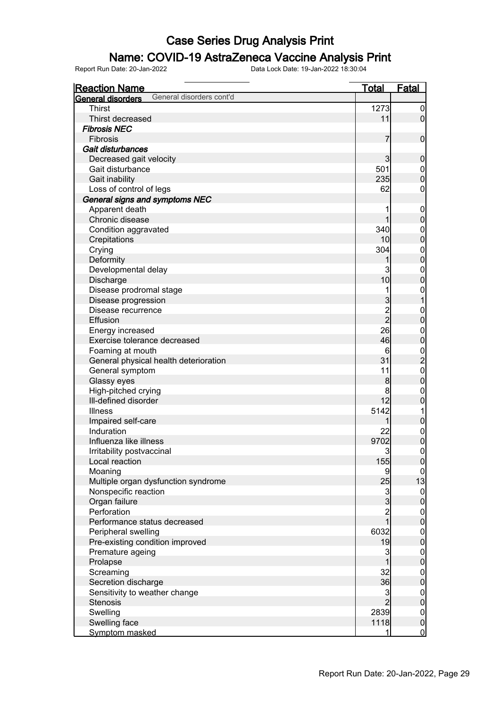### Name: COVID-19 AstraZeneca Vaccine Analysis Print

| <b>Reaction Name</b>                          | <b>Total</b>   | <b>Fatal</b>                         |
|-----------------------------------------------|----------------|--------------------------------------|
| General disorders cont'd<br>General disorders |                |                                      |
| <b>Thirst</b>                                 | 1273           | $\boldsymbol{0}$                     |
| Thirst decreased                              | 11             | $\overline{0}$                       |
| <b>Fibrosis NEC</b>                           |                |                                      |
| Fibrosis                                      | 7              | $\boldsymbol{0}$                     |
| Gait disturbances                             |                |                                      |
| Decreased gait velocity                       | $\overline{3}$ | $\mathbf 0$                          |
| Gait disturbance                              | 501            | $\boldsymbol{0}$                     |
| Gait inability                                | 235            | $\mathbf 0$                          |
| Loss of control of legs                       | 62             | 0                                    |
| General signs and symptoms NEC                |                |                                      |
| Apparent death                                |                |                                      |
| Chronic disease                               |                | $\mathbf 0$<br>$\boldsymbol{0}$      |
|                                               | 340            |                                      |
| Condition aggravated                          | 10             | $\boldsymbol{0}$<br>$\overline{0}$   |
| Crepitations                                  |                |                                      |
| Crying                                        | 304            | $\boldsymbol{0}$                     |
| Deformity                                     | 1              | $\mathbf 0$                          |
| Developmental delay                           | 3              | $\boldsymbol{0}$                     |
| Discharge                                     | 10             | $\overline{0}$                       |
| Disease prodromal stage                       |                | $\mathbf{0}$                         |
| Disease progression                           | $\overline{3}$ | $\overline{1}$                       |
| Disease recurrence                            | $\overline{c}$ | $\mathbf{0}$                         |
| Effusion                                      | $\overline{2}$ | $\mathbf 0$                          |
| Energy increased                              | 26             | $\boldsymbol{0}$                     |
| Exercise tolerance decreased                  | 46             | $\mathbf 0$                          |
| Foaming at mouth                              | 6              | $\frac{0}{2}$                        |
| General physical health deterioration         | 31             |                                      |
| General symptom                               | 11             | $\mathbf{0}$                         |
| Glassy eyes                                   | 8              | $\mathbf 0$                          |
| High-pitched crying                           | 8              | $\mathbf 0$                          |
| Ill-defined disorder                          | 12             | $\overline{0}$                       |
| <b>Illness</b>                                | 5142           | 1                                    |
| Impaired self-care                            | 1              | $\pmb{0}$                            |
| Induration                                    | 22             | $\boldsymbol{0}$                     |
| Influenza like illness                        | 9702           | $\overline{0}$                       |
| Irritability postvaccinal                     | 3              | $\mathbf 0$                          |
| Local reaction                                | 155            | 0                                    |
| Moaning                                       | 9              | $\overline{0}$                       |
| Multiple organ dysfunction syndrome           | 25             | 13                                   |
| Nonspecific reaction                          | $\mathbf{3}$   | $\overline{0}$                       |
| Organ failure                                 | $\overline{3}$ | $\mathbf 0$                          |
| Perforation                                   | $\overline{c}$ |                                      |
| Performance status decreased                  | $\overline{1}$ | $\begin{matrix} 0 \\ 0 \end{matrix}$ |
| Peripheral swelling                           | 6032           | $\boldsymbol{0}$                     |
| Pre-existing condition improved               | 19             | $\overline{0}$                       |
| Premature ageing                              | 3              |                                      |
| Prolapse                                      |                | $0\atop 0$                           |
| Screaming                                     | 32             | $\boldsymbol{0}$                     |
| Secretion discharge                           | 36             | $\overline{0}$                       |
| Sensitivity to weather change                 | $\overline{3}$ | $\overline{0}$                       |
| <b>Stenosis</b>                               | $\overline{2}$ | $\overline{0}$                       |
| Swelling                                      | 2839           | $\overline{0}$                       |
| Swelling face                                 | 1118           | $\boldsymbol{0}$                     |
| Symptom masked                                | 1              | $\overline{0}$                       |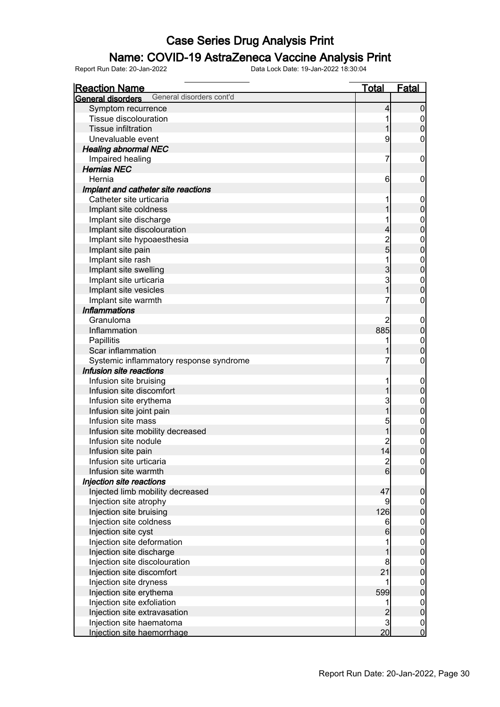### Name: COVID-19 AstraZeneca Vaccine Analysis Print

| <b>Reaction Name</b>                                 | <b>Total</b>        | <b>Fatal</b>                         |
|------------------------------------------------------|---------------------|--------------------------------------|
| General disorders cont'd<br><b>General disorders</b> |                     |                                      |
| Symptom recurrence                                   | 4                   | $\mathbf 0$                          |
| Tissue discolouration                                |                     | $\boldsymbol{0}$                     |
| <b>Tissue infiltration</b>                           |                     | $\overline{0}$                       |
| Unevaluable event                                    | 9                   | 0                                    |
| <b>Healing abnormal NEC</b>                          |                     |                                      |
| Impaired healing                                     | 7                   | $\mathbf 0$                          |
| <b>Hernias NEC</b>                                   |                     |                                      |
| Hernia                                               | 6                   | $\mathbf 0$                          |
| Implant and catheter site reactions                  |                     |                                      |
| Catheter site urticaria                              |                     | $\mathbf 0$                          |
| Implant site coldness                                |                     | $\mathbf 0$                          |
| Implant site discharge                               |                     |                                      |
| Implant site discolouration                          |                     | $0$<br>0                             |
|                                                      | 4<br>$\overline{2}$ |                                      |
| Implant site hypoaesthesia                           | $\overline{5}$      | $0$<br>0                             |
| Implant site pain                                    |                     |                                      |
| Implant site rash                                    | 1                   | $0$<br>0                             |
| Implant site swelling                                | 3                   |                                      |
| Implant site urticaria                               | 3                   | $0\atop 0$                           |
| Implant site vesicles                                | 1                   |                                      |
| Implant site warmth                                  |                     | $\boldsymbol{0}$                     |
| <b>Inflammations</b>                                 |                     |                                      |
| Granuloma                                            | 2                   | $\mathbf 0$                          |
| Inflammation                                         | 885                 | $\mathbf 0$                          |
| Papillitis                                           |                     | $\mathbf{0}$                         |
| Scar inflammation                                    |                     | $\overline{0}$                       |
| Systemic inflammatory response syndrome              |                     | $\boldsymbol{0}$                     |
| Infusion site reactions                              |                     |                                      |
| Infusion site bruising                               |                     | $\mathbf 0$                          |
| Infusion site discomfort                             |                     | $\mathbf 0$                          |
| Infusion site erythema                               | 3                   | $0\atop 0$                           |
| Infusion site joint pain                             | 1                   |                                      |
| Infusion site mass                                   | 5                   | $0$<br>0                             |
| Infusion site mobility decreased                     |                     |                                      |
| Infusion site nodule                                 |                     | $\mathbf{0}$                         |
| Infusion site pain                                   | 4                   | $\overline{0}$                       |
| Infusion site urticaria                              | $\mathbf{2}$        | $\begin{matrix} 0 \\ 0 \end{matrix}$ |
| Infusion site warmth                                 | 6                   |                                      |
| Injection site reactions                             |                     |                                      |
| Injected limb mobility decreased                     | 47                  | $\boldsymbol{0}$                     |
| Injection site atrophy                               | 9                   | $\overline{0}$                       |
| Injection site bruising                              | 126                 | $\overline{0}$                       |
| Injection site coldness                              | 6                   |                                      |
| Injection site cyst                                  | 6                   | $\begin{matrix} 0 \\ 0 \end{matrix}$ |
| Injection site deformation                           |                     |                                      |
| Injection site discharge                             |                     | $\begin{matrix} 0 \\ 0 \end{matrix}$ |
| Injection site discolouration                        | 8                   |                                      |
| Injection site discomfort                            | 21                  | $\begin{matrix} 0 \\ 0 \end{matrix}$ |
| Injection site dryness                               |                     |                                      |
| Injection site erythema                              | 599                 | $\begin{matrix} 0 \\ 0 \end{matrix}$ |
| Injection site exfoliation                           |                     |                                      |
| Injection site extravasation                         | $\overline{c}$      | $\begin{matrix} 0 \\ 0 \end{matrix}$ |
| Injection site haematoma                             | $\mathbf{3}$        | $\boldsymbol{0}$                     |
| Injection site haemorrhage                           | 20                  | $\overline{0}$                       |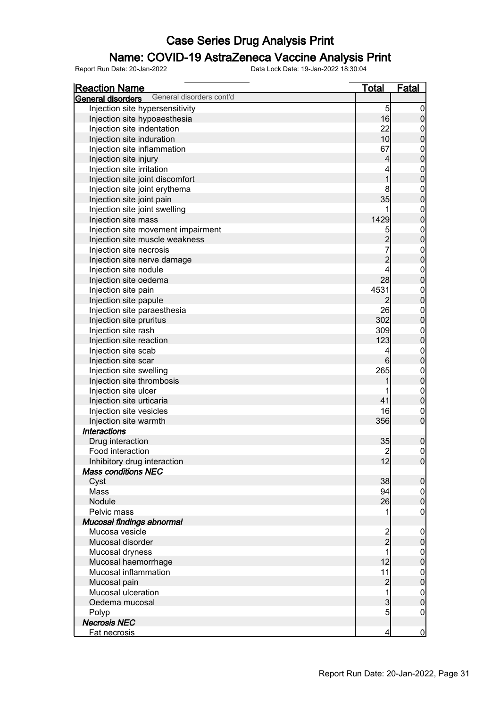### Name: COVID-19 AstraZeneca Vaccine Analysis Print

| General disorders cont'd<br>General disorders |                         |                                      |
|-----------------------------------------------|-------------------------|--------------------------------------|
|                                               |                         |                                      |
| Injection site hypersensitivity               | 5                       | $\boldsymbol{0}$                     |
| Injection site hypoaesthesia                  | 16                      | $\boldsymbol{0}$                     |
| Injection site indentation                    | 22                      |                                      |
| Injection site induration                     | 10                      | $\begin{matrix}0\\0\end{matrix}$     |
| Injection site inflammation                   | 67                      |                                      |
| Injection site injury                         | 4                       | $0$ 0                                |
| Injection site irritation                     | 4                       |                                      |
| Injection site joint discomfort               | $\overline{1}$          | $0$ 0                                |
| Injection site joint erythema                 | 8                       |                                      |
| Injection site joint pain                     | 35                      | $0$ 0                                |
| Injection site joint swelling                 | 1                       |                                      |
| Injection site mass                           | 1429                    | $0$ 0                                |
| Injection site movement impairment            | 5                       |                                      |
| Injection site muscle weakness                |                         | $0\atop 0$                           |
| Injection site necrosis                       | $\frac{2}{7}$           |                                      |
| Injection site nerve damage                   | $\overline{c}$          | $0$<br>0                             |
| Injection site nodule                         | 4                       |                                      |
|                                               | 28                      | $0$ 0                                |
| Injection site oedema                         |                         |                                      |
| Injection site pain                           | 4531                    | $0$ 0                                |
| Injection site papule                         | 2                       |                                      |
| Injection site paraesthesia                   | 26                      | $0$<br>0                             |
| Injection site pruritus                       | 302                     |                                      |
| Injection site rash                           | 309                     | $0$ 0                                |
| Injection site reaction                       | 123                     |                                      |
| Injection site scab                           | 4                       | $0$ 0                                |
| Injection site scar                           | 6                       |                                      |
| Injection site swelling                       | 265                     | $0$<br>0                             |
| Injection site thrombosis                     |                         |                                      |
| Injection site ulcer                          |                         | $\begin{matrix}0\\0\end{matrix}$     |
| Injection site urticaria                      | 41                      |                                      |
| Injection site vesicles                       | 16                      | $\begin{matrix} 0 \\ 0 \end{matrix}$ |
| Injection site warmth                         | 356                     |                                      |
| <b>Interactions</b>                           |                         |                                      |
| Drug interaction                              | 35                      | $\pmb{0}$                            |
| Food interaction                              | $\overline{2}$          | $\overline{0}$                       |
| Inhibitory drug interaction                   | 12                      | 0                                    |
| <b>Mass conditions NEC</b>                    |                         |                                      |
| Cyst                                          | 38                      | $\overline{0}$                       |
| Mass                                          | 94                      |                                      |
| Nodule                                        | 26                      | $\begin{matrix} 0 \\ 0 \end{matrix}$ |
| Pelvic mass                                   | 1                       | $\overline{0}$                       |
| Mucosal findings abnormal                     |                         |                                      |
| Mucosa vesicle                                |                         | $\mathbf{0}$                         |
| Mucosal disorder                              | $\frac{2}{2}$           | $\mathbf 0$                          |
| Mucosal dryness                               | 1                       |                                      |
| Mucosal haemorrhage                           | 12                      | $0\atop 0$                           |
| Mucosal inflammation                          | 11                      |                                      |
| Mucosal pain                                  | $\overline{\mathbf{c}}$ | $0\atop 0$                           |
| Mucosal ulceration                            | $\overline{1}$          |                                      |
| Oedema mucosal                                | $\overline{3}$          | $0\atop 0$                           |
| Polyp                                         | $\overline{5}$          | $\mathbf 0$                          |
| <b>Necrosis NEC</b>                           |                         |                                      |
| Fat necrosis                                  | 4                       | $\overline{0}$                       |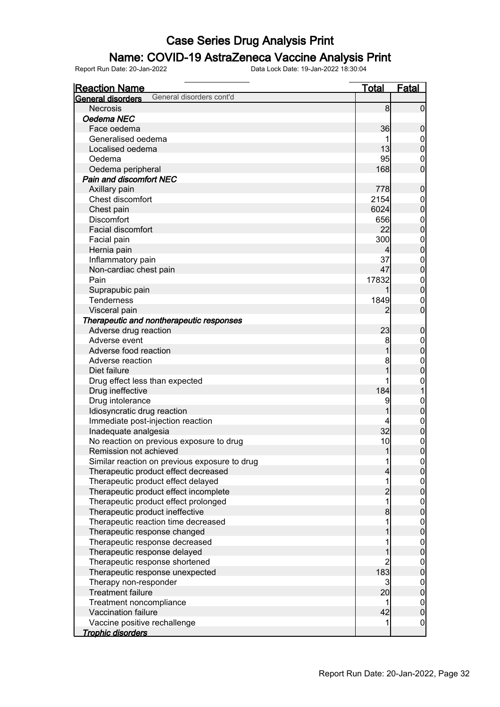### Name: COVID-19 AstraZeneca Vaccine Analysis Print

| <b>Reaction Name</b>                          | <b>Total</b>   | <b>Fatal</b>     |
|-----------------------------------------------|----------------|------------------|
| General disorders cont'd<br>General disorders |                |                  |
| <b>Necrosis</b>                               | 8              | $\overline{0}$   |
| Oedema NEC                                    |                |                  |
| Face oedema                                   | 36             | $\boldsymbol{0}$ |
| Generalised oedema                            |                | $\overline{0}$   |
| Localised oedema                              | 13             | $\mathbf 0$      |
| Oedema                                        | 95             | $\boldsymbol{0}$ |
| Oedema peripheral                             | 168            | $\overline{0}$   |
| <b>Pain and discomfort NEC</b>                |                |                  |
| Axillary pain                                 | 778            | $\mathbf 0$      |
| Chest discomfort                              | 2154           | $\mathbf 0$      |
| Chest pain                                    | 6024           | $\mathbf 0$      |
| <b>Discomfort</b>                             | 656            | $\mathbf{0}$     |
| Facial discomfort                             | 22             | $\overline{0}$   |
| Facial pain                                   | 300            | $\mathbf{0}$     |
| Hernia pain                                   | 4              | $\overline{0}$   |
| Inflammatory pain                             | 37             | $\mathbf{0}$     |
| Non-cardiac chest pain                        | 47             | $\mathbf 0$      |
| Pain                                          | 17832          | $\mathbf{0}$     |
| Suprapubic pain                               |                | $\overline{0}$   |
| <b>Tenderness</b>                             | 1849           | $\mathbf 0$      |
| Visceral pain                                 | 2              | $\mathbf 0$      |
| Therapeutic and nontherapeutic responses      |                |                  |
| Adverse drug reaction                         | 23             | $\boldsymbol{0}$ |
| Adverse event                                 | 8              | $\mathbf{0}$     |
| Adverse food reaction                         |                | $\mathbf 0$      |
| Adverse reaction                              | 8              | $\mathbf{0}$     |
| Diet failure                                  |                | $\mathbf 0$      |
| Drug effect less than expected                |                | $\mathbf{0}$     |
| Drug ineffective                              | 184            | $\mathbf{1}$     |
| Drug intolerance                              | 9              | $\mathbf{0}$     |
| Idiosyncratic drug reaction                   | 1              | $\bf{0}$         |
| Immediate post-injection reaction             |                | $\mathbf{0}$     |
| Inadequate analgesia                          | 32             | $\pmb{0}$        |
| No reaction on previous exposure to drug      | 10             | $\mathbf{0}$     |
| Remission not achieved                        | 1              | $\overline{0}$   |
| Similar reaction on previous exposure to drug | 1              | 이                |
| Therapeutic product effect decreased          | 4              | $\overline{0}$   |
| Therapeutic product effect delayed            | 1              |                  |
| Therapeutic product effect incomplete         | $\overline{c}$ | $0\atop 0$       |
| Therapeutic product effect prolonged          | 1              |                  |
| Therapeutic product ineffective               | 8              | $0\atop 0$       |
| Therapeutic reaction time decreased           | 1              |                  |
| Therapeutic response changed                  |                | $0$<br>0         |
| Therapeutic response decreased                |                |                  |
| Therapeutic response delayed                  |                | $0$<br>0         |
| Therapeutic response shortened                | $\overline{2}$ | $\boldsymbol{0}$ |
| Therapeutic response unexpected               | 183            | $\overline{0}$   |
| Therapy non-responder                         | 3              | $\boldsymbol{0}$ |
| <b>Treatment failure</b>                      | 20             | $\mathbf 0$      |
| Treatment noncompliance                       | 1              | $\boldsymbol{0}$ |
| Vaccination failure                           | 42             | $\mathbf 0$      |
| Vaccine positive rechallenge                  | 1              | $\overline{0}$   |
| <b>Trophic disorders</b>                      |                |                  |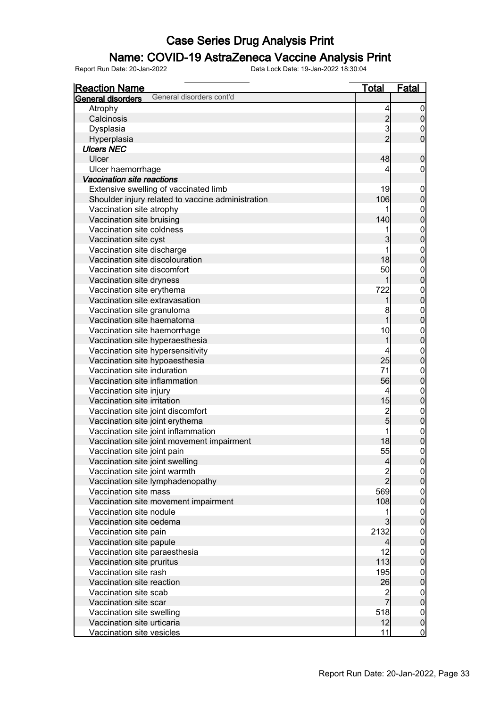### Name: COVID-19 AstraZeneca Vaccine Analysis Print

| <b>Reaction Name</b>                                   | <u>Total</u>                     | <b>Fatal</b>                         |
|--------------------------------------------------------|----------------------------------|--------------------------------------|
| General disorders cont'd<br><b>General disorders</b>   |                                  |                                      |
| Atrophy                                                | 4                                | $\overline{0}$                       |
| Calcinosis                                             |                                  | $\pmb{0}$                            |
| Dysplasia                                              | $\frac{2}{3}$                    | $\boldsymbol{0}$                     |
| Hyperplasia                                            | $\overline{2}$                   | $\overline{0}$                       |
| <b>Ulcers NEC</b>                                      |                                  |                                      |
| Ulcer                                                  | 48                               | $\boldsymbol{0}$                     |
| Ulcer haemorrhage                                      | 4                                | $\boldsymbol{0}$                     |
| Vaccination site reactions                             |                                  |                                      |
| Extensive swelling of vaccinated limb                  | 19                               | $\mathbf{0}$                         |
| Shoulder injury related to vaccine administration      | 106                              | $\mathbf 0$                          |
| Vaccination site atrophy                               |                                  |                                      |
| Vaccination site bruising                              | 140                              | 0<br>0                               |
| Vaccination site coldness                              | 1                                |                                      |
| Vaccination site cyst                                  | 3                                | $\begin{matrix}0\\0\end{matrix}$     |
| Vaccination site discharge                             | 1                                |                                      |
| Vaccination site discolouration                        | 18                               | $0\atop 0$                           |
| Vaccination site discomfort                            | 50                               |                                      |
| Vaccination site dryness                               | 1                                | $0\atop 0$                           |
| Vaccination site erythema                              | 722                              |                                      |
| Vaccination site extravasation                         | 1                                | $\begin{matrix}0\\0\end{matrix}$     |
| Vaccination site granuloma                             | 8                                |                                      |
| Vaccination site haematoma                             | 1                                | $0\atop 0$                           |
| Vaccination site haemorrhage                           | 10                               |                                      |
| Vaccination site hyperaesthesia                        | 1                                | $\begin{matrix}0\\0\end{matrix}$     |
| Vaccination site hypersensitivity                      | 4                                |                                      |
| Vaccination site hypoaesthesia                         | 25                               | $\begin{matrix}0\\0\end{matrix}$     |
| Vaccination site induration                            | 71                               |                                      |
| Vaccination site inflammation                          | 56                               | $0\atop 0$                           |
|                                                        | 4                                |                                      |
| Vaccination site injury<br>Vaccination site irritation | 15                               | $0\atop 0$                           |
|                                                        |                                  |                                      |
| Vaccination site joint discomfort                      | $\overline{c}$<br>$\overline{5}$ | $\begin{matrix} 0 \\ 0 \end{matrix}$ |
| Vaccination site joint erythema                        | 1                                |                                      |
| Vaccination site joint inflammation                    |                                  | $\begin{matrix}0\\0\end{matrix}$     |
| Vaccination site joint movement impairment             | 18                               |                                      |
| Vaccination site joint pain                            | 55                               | $\overline{0}$                       |
| Vaccination site joint swelling                        | $\overline{4}$                   | 0                                    |
| Vaccination site joint warmth                          | $\overline{c}$<br>$\overline{2}$ | $\overline{0}$                       |
| Vaccination site lymphadenopathy                       |                                  | $\overline{0}$                       |
| Vaccination site mass                                  | 569                              | $\begin{matrix} 0 \\ 0 \end{matrix}$ |
| Vaccination site movement impairment                   | 108                              |                                      |
| Vaccination site nodule                                | 1                                | $\begin{matrix} 0 \\ 0 \end{matrix}$ |
| Vaccination site oedema                                | 3                                |                                      |
| Vaccination site pain                                  | 2132                             | $0\atop 0$                           |
| Vaccination site papule                                | $\overline{4}$                   |                                      |
| Vaccination site paraesthesia                          | 12                               | $\begin{matrix} 0 \\ 0 \end{matrix}$ |
| Vaccination site pruritus                              | 113                              |                                      |
| Vaccination site rash                                  | 195                              | $0\atop 0$                           |
| Vaccination site reaction                              | 26                               |                                      |
| Vaccination site scab                                  | $\overline{c}$                   | $0\atop 0$                           |
| Vaccination site scar                                  | $\overline{7}$                   |                                      |
| Vaccination site swelling                              | 518                              | $\boldsymbol{0}$                     |
| Vaccination site urticaria                             | 12                               | $\pmb{0}$                            |
| Vaccination site vesicles                              | 11                               | $\overline{0}$                       |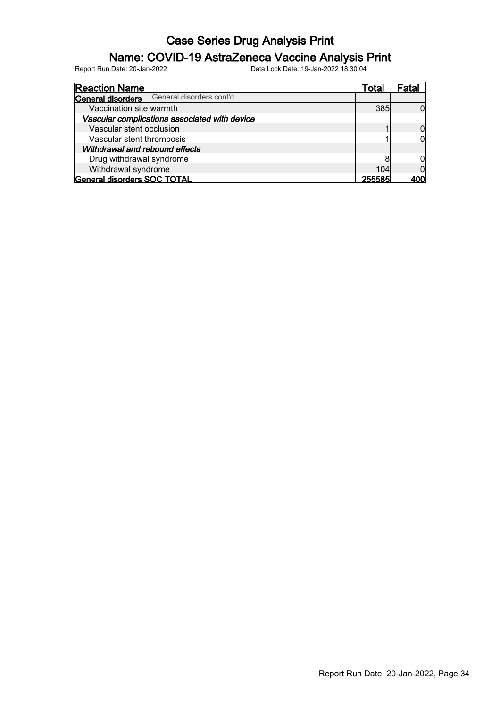#### Name: COVID-19 AstraZeneca Vaccine Analysis Print

| <b>Reaction Name</b>                                 | Total | ⊦atal |
|------------------------------------------------------|-------|-------|
| General disorders cont'd<br><b>General disorders</b> |       |       |
| Vaccination site warmth                              | 385   |       |
| Vascular complications associated with device        |       |       |
| Vascular stent occlusion                             |       |       |
| Vascular stent thrombosis                            |       |       |
| Withdrawal and rebound effects                       |       |       |
| Drug withdrawal syndrome                             |       |       |
| Withdrawal syndrome                                  | 104   |       |
| General disorders SOC TOTAL                          |       |       |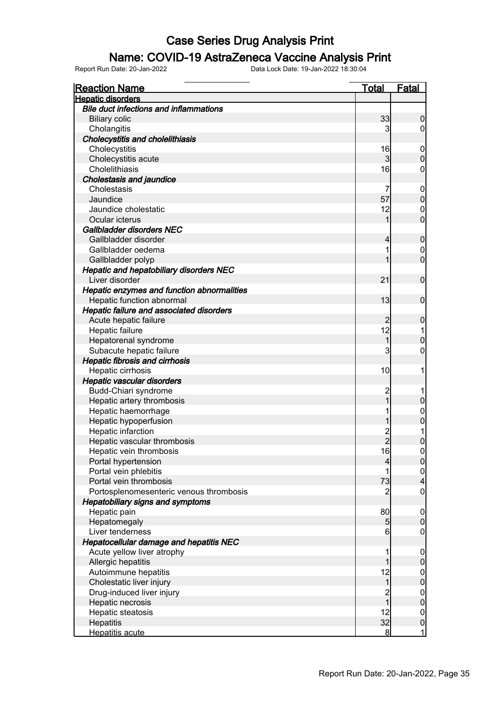#### Name: COVID-19 AstraZeneca Vaccine Analysis Print

| <b>Reaction Name</b>                          | <b>Total</b>   | <b>Fatal</b>                         |
|-----------------------------------------------|----------------|--------------------------------------|
| <b>Hepatic disorders</b>                      |                |                                      |
| <b>Bile duct infections and inflammations</b> |                |                                      |
| <b>Biliary colic</b>                          | 33             | $\boldsymbol{0}$                     |
| Cholangitis                                   | 3              | $\boldsymbol{0}$                     |
| <b>Cholecystitis and cholelithiasis</b>       |                |                                      |
| Cholecystitis                                 | 16             | $\mathbf{0}$                         |
| Cholecystitis acute                           | 3              | $\mathbf 0$                          |
| Cholelithiasis                                | 16             | $\boldsymbol{0}$                     |
| <b>Cholestasis and jaundice</b>               |                |                                      |
| Cholestasis                                   | 7              | $\mathbf{0}$                         |
| Jaundice                                      | 57             | $\mathbf 0$                          |
| Jaundice cholestatic                          | 12             | $\mathbf 0$                          |
| Ocular icterus                                | 1              | $\overline{0}$                       |
| Gallbladder disorders NEC                     |                |                                      |
| Gallbladder disorder                          | 4              | $\pmb{0}$                            |
| Gallbladder oedema                            | 1              |                                      |
| Gallbladder polyp                             | 1              | $\begin{matrix} 0 \\ 0 \end{matrix}$ |
| Hepatic and hepatobiliary disorders NEC       |                |                                      |
| Liver disorder                                | 21             | $\boldsymbol{0}$                     |
| Hepatic enzymes and function abnormalities    |                |                                      |
| Hepatic function abnormal                     | 13             | $\boldsymbol{0}$                     |
| Hepatic failure and associated disorders      |                |                                      |
| Acute hepatic failure                         | $\overline{c}$ | $\boldsymbol{0}$                     |
| Hepatic failure                               | 12             | 1                                    |
| Hepatorenal syndrome                          | 1              | $\mathbf 0$                          |
| Subacute hepatic failure                      | 3              | $\mathbf 0$                          |
| <b>Hepatic fibrosis and cirrhosis</b>         |                |                                      |
| Hepatic cirrhosis                             | 10             | 1                                    |
| Hepatic vascular disorders                    |                |                                      |
| Budd-Chiari syndrome                          | $\overline{c}$ |                                      |
| Hepatic artery thrombosis                     | $\overline{1}$ | $\pmb{0}$                            |
| Hepatic haemorrhage                           | 1              |                                      |
| Hepatic hypoperfusion                         | 1              | $\begin{matrix} 0 \\ 0 \end{matrix}$ |
| Hepatic infarction                            |                | 1                                    |
| Hepatic vascular thrombosis                   | 2<br>2         | $\overline{0}$                       |
| Hepatic vein thrombosis                       | 16             | $\overline{0}$                       |
| Portal hypertension                           | 4              | $\overline{0}$                       |
| Portal vein phlebitis                         | 1              |                                      |
| Portal vein thrombosis                        | 73             | $\frac{0}{4}$                        |
| Portosplenomesenteric venous thrombosis       | 2              | $\overline{0}$                       |
| <b>Hepatobiliary signs and symptoms</b>       |                |                                      |
| Hepatic pain                                  | 80             | $\boldsymbol{0}$                     |
| Hepatomegaly                                  | 5              | $\mathbf 0$                          |
| Liver tenderness                              | 6              | $\overline{0}$                       |
| Hepatocellular damage and hepatitis NEC       |                |                                      |
| Acute yellow liver atrophy                    | 1              | $\boldsymbol{0}$                     |
| Allergic hepatitis                            | 1              | $\mathbf 0$                          |
| Autoimmune hepatitis                          | 12             |                                      |
| Cholestatic liver injury                      | $\mathbf 1$    | $\begin{matrix}0\\0\end{matrix}$     |
| Drug-induced liver injury                     |                |                                      |
| Hepatic necrosis                              | 2<br>1         | $\begin{matrix}0\\0\end{matrix}$     |
| Hepatic steatosis                             | 12             |                                      |
| Hepatitis                                     | 32             | $\begin{matrix}0\\0\end{matrix}$     |
| Hepatitis acute                               | 8 <sup>1</sup> | $\mathbf{1}$                         |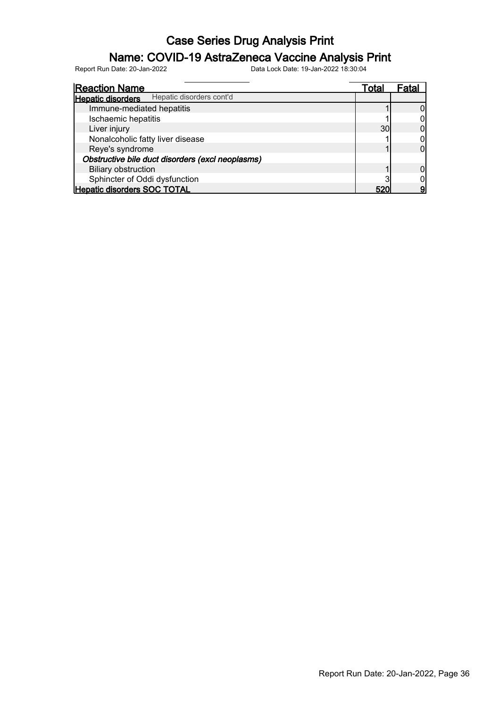### Name: COVID-19 AstraZeneca Vaccine Analysis Print

| <b>Reaction Name</b>                                 | Total | Fatal |
|------------------------------------------------------|-------|-------|
| Hepatic disorders cont'd<br><b>Hepatic disorders</b> |       |       |
| Immune-mediated hepatitis                            |       |       |
| Ischaemic hepatitis                                  |       |       |
| Liver injury                                         | 30    |       |
| Nonalcoholic fatty liver disease                     |       |       |
| Reye's syndrome                                      |       |       |
| Obstructive bile duct disorders (excl neoplasms)     |       |       |
| <b>Biliary obstruction</b>                           |       |       |
| Sphincter of Oddi dysfunction                        |       |       |
| <b>Hepatic disorders SOC TOTAL</b>                   |       |       |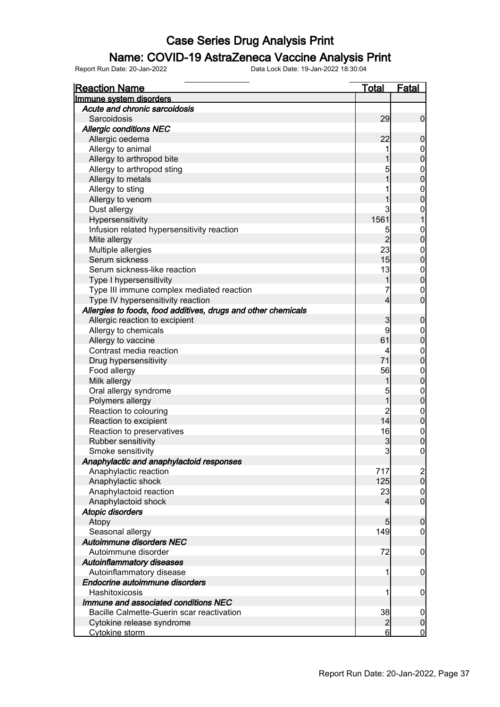#### Name: COVID-19 AstraZeneca Vaccine Analysis Print

| <b>Reaction Name</b>                                          | <u>Total</u>         | <b>Fatal</b>                       |
|---------------------------------------------------------------|----------------------|------------------------------------|
| Immune system disorders                                       |                      |                                    |
| Acute and chronic sarcoidosis                                 |                      |                                    |
| Sarcoidosis                                                   | 29                   | $\overline{0}$                     |
| <b>Allergic conditions NEC</b>                                |                      |                                    |
| Allergic oedema                                               | 22                   | $\mathbf 0$                        |
| Allergy to animal                                             |                      | $\mathbf 0$                        |
| Allergy to arthropod bite                                     |                      | $\mathbf 0$                        |
| Allergy to arthropod sting                                    | 5                    | $\mathbf 0$                        |
| Allergy to metals                                             |                      | $\mathbf 0$                        |
| Allergy to sting                                              |                      | $\boldsymbol{0}$                   |
| Allergy to venom                                              |                      | $\overline{0}$                     |
| Dust allergy                                                  | 3                    | 0                                  |
| Hypersensitivity                                              | 1561                 |                                    |
| Infusion related hypersensitivity reaction                    | 5                    | $\mathbf 0$                        |
| Mite allergy                                                  | $\overline{2}$       | $\boldsymbol{0}$                   |
| Multiple allergies                                            | 23                   | $\mathbf 0$                        |
| Serum sickness                                                | 15                   | $\overline{0}$                     |
| Serum sickness-like reaction                                  | 13                   | $\mathbf 0$                        |
| Type I hypersensitivity                                       | 1                    | $\mathbf 0$                        |
| Type III immune complex mediated reaction                     | 7                    | $\overline{0}$                     |
| Type IV hypersensitivity reaction                             | $\overline{4}$       | $\mathbf 0$                        |
| Allergies to foods, food additives, drugs and other chemicals |                      |                                    |
| Allergic reaction to excipient                                | 3                    | $\boldsymbol{0}$                   |
| Allergy to chemicals                                          | 9                    | $\mathbf 0$                        |
| Allergy to vaccine                                            | 61                   | $\mathbf 0$                        |
| Contrast media reaction                                       |                      |                                    |
|                                                               | 71                   | $\mathbf 0$<br>$\boldsymbol{0}$    |
| Drug hypersensitivity                                         | 56                   |                                    |
| Food allergy                                                  |                      | $\boldsymbol{0}$<br>$\overline{0}$ |
| Milk allergy                                                  |                      |                                    |
| Oral allergy syndrome                                         | 5<br>$\overline{1}$  | $\mathbf 0$<br>$\mathbf 0$         |
| Polymers allergy                                              |                      |                                    |
| Reaction to colouring                                         | $\overline{c}$<br>14 | $\mathbf 0$<br>$\pmb{0}$           |
| Reaction to excipient                                         |                      |                                    |
| Reaction to preservatives                                     | 16                   | $\mathbf 0$                        |
| Rubber sensitivity                                            | 3                    | $\overline{0}$                     |
| Smoke sensitivity                                             | 3                    | $\overline{0}$                     |
| Anaphylactic and anaphylactoid responses                      |                      |                                    |
| Anaphylactic reaction                                         | 717                  | $\frac{2}{0}$                      |
| Anaphylactic shock                                            | 125                  |                                    |
| Anaphylactoid reaction                                        | 23                   | $\overline{0}$                     |
| Anaphylactoid shock                                           | $\overline{4}$       | $\overline{0}$                     |
| <b>Atopic disorders</b>                                       |                      |                                    |
| Atopy                                                         | 5 <sub>5</sub>       | $\boldsymbol{0}$                   |
| Seasonal allergy                                              | 149                  | 0                                  |
| <b>Autoimmune disorders NEC</b>                               |                      |                                    |
| Autoimmune disorder                                           | 72                   | $\mathbf 0$                        |
| <b>Autoinflammatory diseases</b>                              |                      |                                    |
| Autoinflammatory disease                                      |                      | $\mathbf 0$                        |
| Endocrine autoimmune disorders                                |                      |                                    |
| Hashitoxicosis                                                |                      | $\mathbf 0$                        |
| Immune and associated conditions NEC                          |                      |                                    |
| Bacille Calmette-Guerin scar reactivation                     | 38                   | $\overline{0}$                     |
| Cytokine release syndrome                                     | $\overline{2}$       | $\overline{0}$                     |
| Cytokine storm                                                | $6 \,$               | $\overline{0}$                     |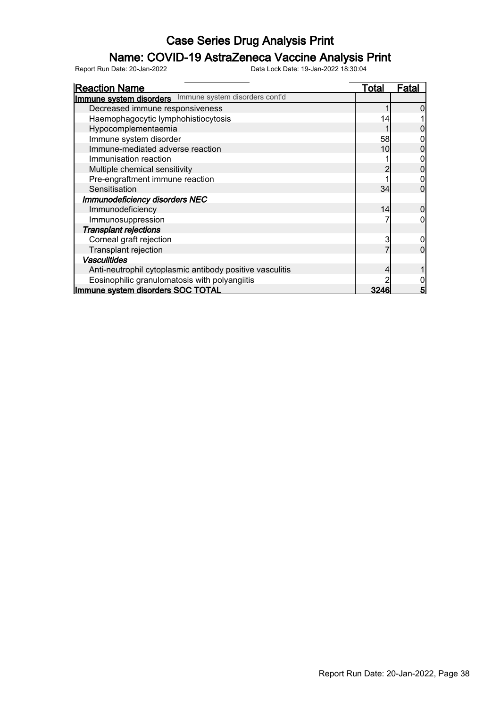### Name: COVID-19 AstraZeneca Vaccine Analysis Print

| <b>Reaction Name</b>                                     | Total | Fatal |
|----------------------------------------------------------|-------|-------|
| Immune system disorders Immune system disorders cont'd   |       |       |
| Decreased immune responsiveness                          |       |       |
| Haemophagocytic lymphohistiocytosis                      |       |       |
| Hypocomplementaemia                                      |       |       |
| Immune system disorder                                   | 58    |       |
| Immune-mediated adverse reaction                         | 10    |       |
| Immunisation reaction                                    |       |       |
| Multiple chemical sensitivity                            |       |       |
| Pre-engraftment immune reaction                          |       |       |
| Sensitisation                                            | 34    |       |
| <b>Immunodeficiency disorders NEC</b>                    |       |       |
| Immunodeficiency                                         | 14    |       |
| Immunosuppression                                        |       |       |
| <b>Transplant rejections</b>                             |       |       |
| Corneal graft rejection                                  | 3     |       |
| Transplant rejection                                     |       |       |
| <b>Vasculitides</b>                                      |       |       |
| Anti-neutrophil cytoplasmic antibody positive vasculitis |       |       |
| Eosinophilic granulomatosis with polyangiitis            |       |       |
| Immune system disorders SOC TOTAL                        | 3246  | 5     |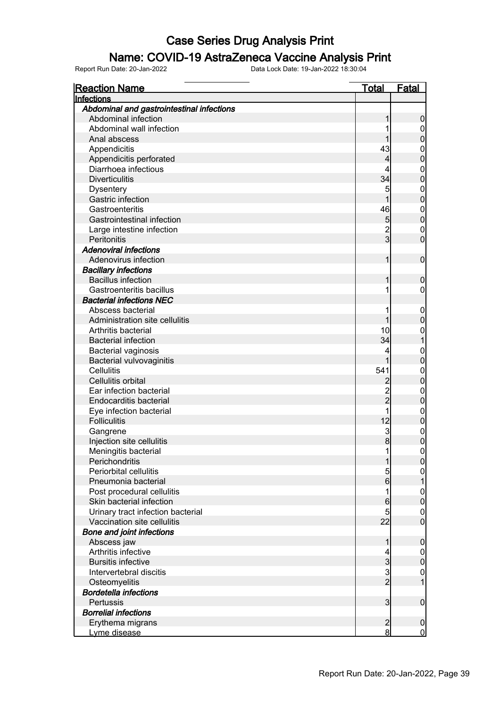#### Name: COVID-19 AstraZeneca Vaccine Analysis Print

| <b>Reaction Name</b>                           | Total           | <b>Fatal</b>                |
|------------------------------------------------|-----------------|-----------------------------|
| Infections                                     |                 |                             |
| Abdominal and gastrointestinal infections      |                 |                             |
| Abdominal infection                            | 1               | $\boldsymbol{0}$            |
| Abdominal wall infection                       |                 | $\overline{0}$              |
| Anal abscess                                   |                 | $\pmb{0}$                   |
| Appendicitis                                   | 43              | $\boldsymbol{0}$            |
| Appendicitis perforated                        | 4               | $\mathbf 0$                 |
| Diarrhoea infectious                           |                 | $\mathbf{0}$                |
| <b>Diverticulitis</b>                          | 34              | $\mathbf 0$                 |
| <b>Dysentery</b>                               | 5               | $\mathbf{0}$                |
| Gastric infection                              | 1               | $\mathbf 0$                 |
| Gastroenteritis                                | 46              | $\mathbf{0}$                |
| Gastrointestinal infection                     | 5               | $\mathbf 0$                 |
| Large intestine infection                      | $\overline{c}$  | $\mathbf 0$                 |
| Peritonitis                                    | $\overline{3}$  | $\overline{0}$              |
| <b>Adenoviral infections</b>                   |                 |                             |
| Adenovirus infection                           | 1               | $\boldsymbol{0}$            |
| <b>Bacillary infections</b>                    |                 |                             |
| <b>Bacillus infection</b>                      | 1               | $\boldsymbol{0}$            |
| Gastroenteritis bacillus                       |                 | $\mathbf 0$                 |
| <b>Bacterial infections NEC</b>                |                 |                             |
| Abscess bacterial                              |                 | $\mathbf 0$                 |
| Administration site cellulitis                 | 1               | $\pmb{0}$                   |
| Arthritis bacterial                            | 10              | $\boldsymbol{0}$            |
| <b>Bacterial infection</b>                     | 34              | 1                           |
| <b>Bacterial vaginosis</b>                     | 4               | $\mathbf{0}$                |
| <b>Bacterial vulvovaginitis</b>                |                 | $\mathbf 0$                 |
| Cellulitis                                     | 541             | $\mathbf{0}$                |
| Cellulitis orbital                             |                 | $\mathbf 0$                 |
| Ear infection bacterial                        |                 |                             |
| Endocarditis bacterial                         | $\overline{2}$  | $\mathbf{0}$<br>$\mathbf 0$ |
|                                                |                 |                             |
| Eye infection bacterial<br><b>Folliculitis</b> |                 | $\mathbf{0}$                |
|                                                | 12              | $\mathbf 0$                 |
| Gangrene                                       | $\mathbf{3}$    | $\mathbf{0}$                |
| Injection site cellulitis                      | 8               | $\mathbf 0$                 |
| Meningitis bacterial                           | 1               | $\mathbf 0$                 |
| Perichondritis                                 | $\mathbf{1}$    | 0                           |
| Periorbital cellulitis                         | $\overline{5}$  | $\overline{0}$              |
| Pneumonia bacterial                            | $6\overline{6}$ | 1                           |
| Post procedural cellulitis                     | 1               | $\mathbf{0}$                |
| Skin bacterial infection                       | $6\phantom{.}$  | $\mathbf 0$                 |
| Urinary tract infection bacterial              | 5               | $\mathbf 0$                 |
| Vaccination site cellulitis                    | 22              | $\overline{0}$              |
| <b>Bone and joint infections</b>               |                 |                             |
| Abscess jaw                                    | 1               | $\boldsymbol{0}$            |
| Arthritis infective                            |                 | $\overline{0}$              |
| <b>Bursitis infective</b>                      | $\overline{3}$  | $\pmb{0}$                   |
| Intervertebral discitis                        | $\frac{3}{2}$   | $\mathbf 0$                 |
| Osteomyelitis                                  |                 | $\mathbf{1}$                |
| <b>Bordetella infections</b>                   |                 |                             |
| Pertussis                                      | $\overline{3}$  | $\boldsymbol{0}$            |
| <b>Borrelial infections</b>                    |                 |                             |
| Erythema migrans                               | $\overline{2}$  | $\boldsymbol{0}$            |
| Lyme disease                                   | 8               | $\overline{0}$              |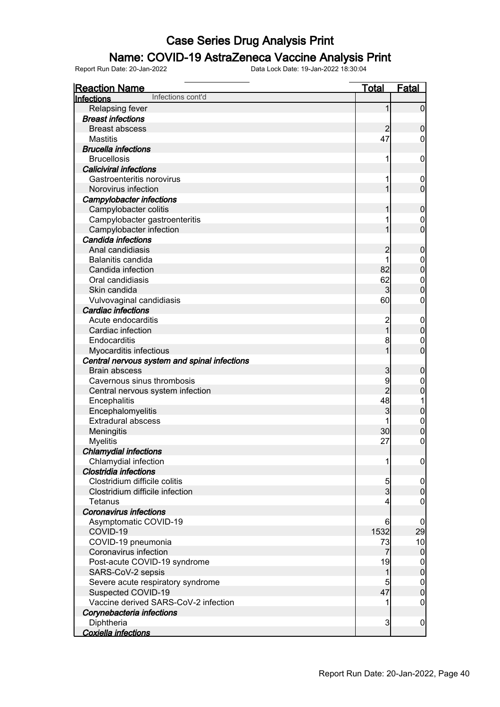### Name: COVID-19 AstraZeneca Vaccine Analysis Print

| <b>Reaction Name</b><br>Infections cont'd    | <u>Total</u>   | Fatal                                |
|----------------------------------------------|----------------|--------------------------------------|
| Infections                                   |                |                                      |
| <b>Relapsing fever</b>                       | 1              | $\mathbf 0$                          |
| <b>Breast infections</b>                     |                |                                      |
| <b>Breast abscess</b>                        |                | $\mathbf 0$                          |
| <b>Mastitis</b>                              | 47             | 0                                    |
| <b>Brucella infections</b>                   |                |                                      |
| <b>Brucellosis</b>                           |                | 0                                    |
| <b>Caliciviral infections</b>                |                |                                      |
| Gastroenteritis norovirus                    |                | $\boldsymbol{0}$                     |
| Norovirus infection                          |                | $\overline{0}$                       |
| <b>Campylobacter infections</b>              |                |                                      |
| Campylobacter colitis                        |                | $\mathbf 0$                          |
| Campylobacter gastroenteritis                |                | 0                                    |
| Campylobacter infection                      |                | $\overline{0}$                       |
| Candida infections                           |                |                                      |
| Anal candidiasis                             | 2              | $\mathbf 0$                          |
| Balanitis candida                            |                | $\mathbf 0$                          |
| Candida infection                            | 82             | $\overline{0}$                       |
| Oral candidiasis                             | 62             | $\mathbf 0$                          |
| Skin candida                                 | 3              | $\overline{0}$                       |
| Vulvovaginal candidiasis                     | 60             | 0                                    |
| <b>Cardiac infections</b>                    |                |                                      |
| Acute endocarditis                           |                | $\overline{0}$                       |
| Cardiac infection                            | $\overline{1}$ | $\mathbf 0$                          |
| Endocarditis                                 | 8              | 0                                    |
| Myocarditis infectious                       |                | $\overline{0}$                       |
| Central nervous system and spinal infections |                |                                      |
| <b>Brain abscess</b>                         | 3              | $\mathbf 0$                          |
| Cavernous sinus thrombosis                   | 9              | 0                                    |
| Central nervous system infection             | $\overline{2}$ | $\mathbf 0$                          |
| Encephalitis                                 | 48             | 1                                    |
| Encephalomyelitis                            | 3              | $\mathbf 0$                          |
| <b>Extradural abscess</b>                    |                | $\mathbf 0$                          |
| Meningitis                                   | 30             | $\overline{0}$                       |
| <b>Myelitis</b>                              | 27             | 0                                    |
| <b>Chlamydial infections</b>                 |                |                                      |
| Chlamydial infection                         |                | $\overline{0}$                       |
| Clostridia infections                        |                |                                      |
| Clostridium difficile colitis                |                | $\overline{0}$                       |
| Clostridium difficile infection              | $\frac{5}{3}$  | $\mathbf 0$                          |
| Tetanus                                      | 4              | 0                                    |
| <b>Coronavirus infections</b>                |                |                                      |
| Asymptomatic COVID-19                        | 6              | $\boldsymbol{0}$                     |
| COVID-19                                     | 1532           | 29                                   |
| COVID-19 pneumonia                           | 73             | 10                                   |
| Coronavirus infection                        | $\overline{7}$ | $\overline{0}$                       |
| Post-acute COVID-19 syndrome                 | 19             |                                      |
| SARS-CoV-2 sepsis                            | $\mathbf{1}$   | $0$<br>0                             |
| Severe acute respiratory syndrome            | 5              |                                      |
| Suspected COVID-19                           | 47             | $\begin{matrix} 0 \\ 0 \end{matrix}$ |
| Vaccine derived SARS-CoV-2 infection         |                | 0                                    |
| Corynebacteria infections                    |                |                                      |
| Diphtheria                                   | 3              | $\boldsymbol{0}$                     |
| <b>Coxiella infections</b>                   |                |                                      |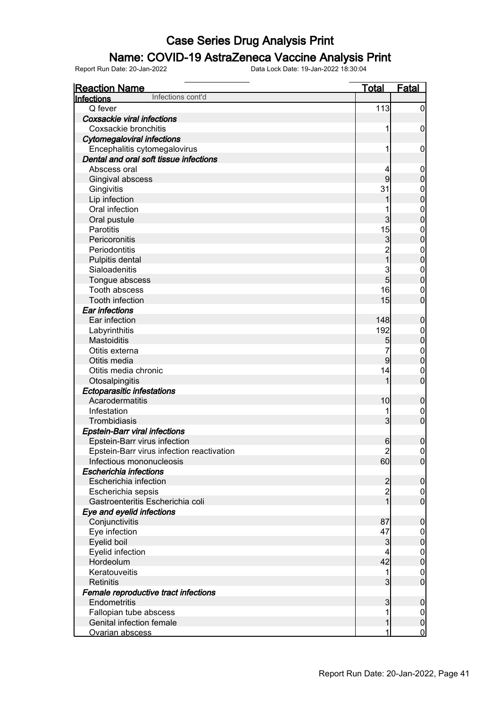#### Name: COVID-19 AstraZeneca Vaccine Analysis Print

| <b>Reaction Name</b><br>Infections cont'd | <b>Total</b>                     | <b>Fatal</b>                         |
|-------------------------------------------|----------------------------------|--------------------------------------|
| Infections                                |                                  |                                      |
| Q fever                                   | 113                              | $\overline{0}$                       |
| Coxsackie viral infections                |                                  |                                      |
| Coxsackie bronchitis                      |                                  | 0                                    |
| <b>Cytomegaloviral infections</b>         |                                  |                                      |
| Encephalitis cytomegalovirus              |                                  | 0                                    |
| Dental and oral soft tissue infections    |                                  |                                      |
| Abscess oral                              | 4                                | $\mathbf 0$                          |
| Gingival abscess                          | 9                                | $\overline{0}$                       |
| Gingivitis                                | 31                               | $\mathbf 0$                          |
| Lip infection                             | 1                                | $\overline{0}$                       |
| Oral infection                            |                                  | $\mathbf 0$                          |
| Oral pustule                              | 3                                | $\overline{0}$                       |
| <b>Parotitis</b>                          | 15                               | $\mathbf 0$                          |
| Pericoronitis                             | $\overline{3}$                   | $\overline{0}$                       |
| Periodontitis                             | $\overline{2}$<br>$\overline{1}$ | $\mathbf{0}$                         |
| Pulpitis dental                           |                                  | $\overline{0}$                       |
| Sialoadenitis                             | 3                                | $\mathbf 0$                          |
| Tongue abscess                            | 5                                | $\overline{0}$                       |
| <b>Tooth abscess</b>                      | 16                               | $\mathbf 0$                          |
| <b>Tooth infection</b>                    | 15                               | $\overline{0}$                       |
| <b>Ear infections</b>                     |                                  |                                      |
| Ear infection                             | 148                              | $\mathbf 0$                          |
| Labyrinthitis                             | 192                              | $\mathbf 0$                          |
| <b>Mastoiditis</b>                        | 5                                | $\overline{0}$                       |
| Otitis externa                            |                                  | $\mathbf 0$                          |
| Otitis media                              | 9                                | $\overline{0}$                       |
| Otitis media chronic                      | 14                               | $\mathbf 0$                          |
| Otosalpingitis                            | 1                                | $\overline{0}$                       |
| <b>Ectoparasitic infestations</b>         |                                  |                                      |
| Acarodermatitis                           | 10                               | $\mathbf 0$                          |
| Infestation                               |                                  | 0                                    |
| Trombidiasis                              | $\overline{3}$                   | $\overline{0}$                       |
| <b>Epstein-Barr viral infections</b>      |                                  |                                      |
| Epstein-Barr virus infection              | 6                                | $\mathbf 0$                          |
| Epstein-Barr virus infection reactivation | $\overline{2}$                   | $\overline{0}$                       |
| Infectious mononucleosis                  | 60                               | $\overline{0}$                       |
| Escherichia infections                    |                                  |                                      |
| Escherichia infection                     | $\overline{c}$                   | $\overline{0}$                       |
| Escherichia sepsis                        | $\overline{\mathbf{c}}$          | $\overline{0}$                       |
| Gastroenteritis Escherichia coli          | $\overline{1}$                   | $\overline{0}$                       |
| Eye and eyelid infections                 |                                  |                                      |
| Conjunctivitis                            | 87                               | $\boldsymbol{0}$                     |
| Eye infection                             | 47                               | $\overline{0}$                       |
| Eyelid boil                               | 3                                | $\overline{0}$                       |
| Eyelid infection                          | 4                                | $\begin{matrix} 0 \\ 0 \end{matrix}$ |
| Hordeolum                                 | 42                               |                                      |
| Keratouveitis                             | 1                                | $\mathbf 0$                          |
| <b>Retinitis</b>                          | 3                                | $\overline{0}$                       |
| Female reproductive tract infections      |                                  |                                      |
| Endometritis                              | 3                                | $\boldsymbol{0}$                     |
| Fallopian tube abscess                    |                                  | $\overline{0}$                       |
| Genital infection female                  | 1                                | $\mathbf 0$                          |
| Ovarian abscess                           | 1                                | $\overline{0}$                       |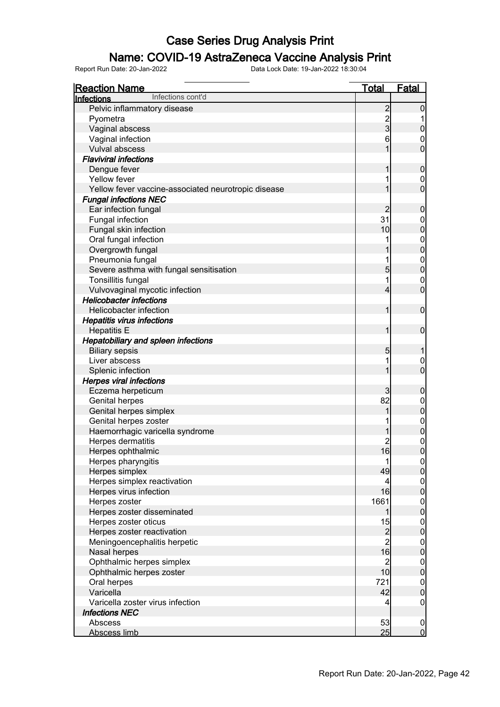#### Name: COVID-19 AstraZeneca Vaccine Analysis Print

| <u>Reaction Name</u>                                | <b>Total</b>                                      | <b>Fatal</b>                         |
|-----------------------------------------------------|---------------------------------------------------|--------------------------------------|
| Infections cont'd<br>Infections                     |                                                   |                                      |
| Pelvic inflammatory disease                         | $\overline{c}$                                    | $\mathbf 0$                          |
| Pyometra                                            |                                                   |                                      |
| Vaginal abscess                                     | $\frac{2}{3}$                                     | $\pmb{0}$                            |
| Vaginal infection                                   | 6                                                 | 0                                    |
| Vulval abscess                                      | 1                                                 | $\mathbf 0$                          |
| <b>Flaviviral infections</b>                        |                                                   |                                      |
| Dengue fever                                        | 1                                                 | $\mathbf 0$                          |
| Yellow fever                                        |                                                   | 0                                    |
| Yellow fever vaccine-associated neurotropic disease | 1                                                 | $\mathbf 0$                          |
| <b>Fungal infections NEC</b>                        |                                                   |                                      |
| Ear infection fungal                                | $\overline{c}$                                    | $\mathbf 0$                          |
| Fungal infection                                    | 31                                                | $\mathbf 0$                          |
| Fungal skin infection                               | 10                                                | $\mathbf 0$                          |
| Oral fungal infection                               |                                                   | $\mathbf{0}$                         |
| Overgrowth fungal                                   |                                                   | $\overline{0}$                       |
| Pneumonia fungal                                    | 1                                                 | $\mathbf{0}$                         |
| Severe asthma with fungal sensitisation             | 5                                                 | $\mathbf 0$                          |
| Tonsillitis fungal                                  | 1                                                 | $\mathbf 0$                          |
| Vulvovaginal mycotic infection                      | 4                                                 | $\mathbf 0$                          |
| <b>Helicobacter infections</b>                      |                                                   |                                      |
| Helicobacter infection                              | 1                                                 | $\boldsymbol{0}$                     |
| <b>Hepatitis virus infections</b>                   |                                                   |                                      |
| <b>Hepatitis E</b>                                  | 1                                                 | $\mathbf 0$                          |
| <b>Hepatobiliary and spleen infections</b>          |                                                   |                                      |
| <b>Biliary sepsis</b>                               | 5                                                 | 1                                    |
| Liver abscess                                       | 1                                                 | 0                                    |
| Splenic infection                                   | 1                                                 | $\overline{0}$                       |
| <b>Herpes viral infections</b>                      |                                                   |                                      |
| Eczema herpeticum                                   | 3                                                 | $\mathbf 0$                          |
| <b>Genital herpes</b>                               | 82                                                | $\mathbf 0$                          |
| Genital herpes simplex                              | 1                                                 | $\mathbf 0$                          |
| Genital herpes zoster                               |                                                   | $0\atop 0$                           |
| Haemorrhagic varicella syndrome                     |                                                   |                                      |
| Herpes dermatitis                                   | $\overline{c}$                                    | $\mathbf{0}$                         |
| Herpes ophthalmic                                   | 16                                                | $\overline{0}$                       |
| Herpes pharyngitis                                  | 1                                                 | 0                                    |
| Herpes simplex                                      | 49                                                | 0                                    |
| Herpes simplex reactivation                         | 4                                                 | $\begin{matrix} 0 \\ 0 \end{matrix}$ |
| Herpes virus infection                              | 16                                                |                                      |
| Herpes zoster                                       | 1661                                              | $\begin{matrix} 0 \\ 0 \end{matrix}$ |
| Herpes zoster disseminated                          | 1                                                 |                                      |
| Herpes zoster oticus                                | 15                                                | $\mathbf 0$                          |
| Herpes zoster reactivation                          | $\begin{array}{c}\n 2 \\  2 \\  16\n \end{array}$ | $\overline{0}$                       |
| Meningoencephalitis herpetic                        |                                                   | $\mathbf 0$                          |
| Nasal herpes                                        |                                                   | $\mathbf 0$                          |
| Ophthalmic herpes simplex                           | $\overline{c}$                                    | $\mathbf 0$                          |
| Ophthalmic herpes zoster                            | 10                                                | $\mathbf 0$                          |
| Oral herpes                                         | 721                                               | $\mathbf 0$                          |
| Varicella                                           | 42                                                | $\mathbf 0$                          |
| Varicella zoster virus infection                    | 4                                                 | $\mathbf 0$                          |
| <b>Infections NEC</b>                               |                                                   |                                      |
| Abscess                                             | 53                                                | $\mathbf 0$                          |
| Abscess limb                                        | 25                                                | $\overline{0}$                       |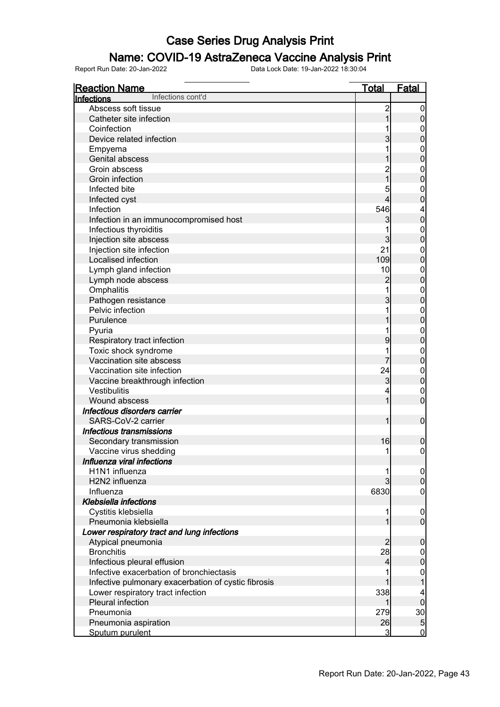### Name: COVID-19 AstraZeneca Vaccine Analysis Print

| <u>Total</u><br>Fatal<br><b>Reaction Name</b><br>Infections cont'd<br>Infections<br>Abscess soft tissue<br>$\overline{c}$<br>$\boldsymbol{0}$<br>$\mathbf 0$<br>Catheter site infection<br>Coinfection<br>0<br>$\overline{0}$<br>$\overline{3}$<br>Device related infection<br>Empyema<br>$\mathbf 0$<br>$\overline{0}$<br>Genital abscess<br>Groin abscess<br>$\boldsymbol{0}$<br>$\overline{0}$<br>Groin infection<br>Infected bite<br>5<br>$\boldsymbol{0}$<br>$\overline{0}$<br>4<br>Infected cyst<br>Infection<br>546<br>4<br>$\pmb{0}$<br>Infection in an immunocompromised host<br>3<br>Infectious thyroiditis<br>$\mathbf{0}$<br>$\mathbf 0$<br>3<br>Injection site abscess<br>Injection site infection<br>21<br>$\mathbf 0$<br>$\pmb{0}$<br>Localised infection<br>109<br>Lymph gland infection<br>10<br>$\mathbf 0$<br>$\pmb{0}$<br>$\overline{c}$<br>Lymph node abscess<br>Omphalitis<br>$\mathbf{0}$<br>$\mathbf 0$<br>3<br>Pathogen resistance<br>Pelvic infection<br>$\mathbf{0}$ |
|-------------------------------------------------------------------------------------------------------------------------------------------------------------------------------------------------------------------------------------------------------------------------------------------------------------------------------------------------------------------------------------------------------------------------------------------------------------------------------------------------------------------------------------------------------------------------------------------------------------------------------------------------------------------------------------------------------------------------------------------------------------------------------------------------------------------------------------------------------------------------------------------------------------------------------------------------------------------------------------------------|
|                                                                                                                                                                                                                                                                                                                                                                                                                                                                                                                                                                                                                                                                                                                                                                                                                                                                                                                                                                                                 |
|                                                                                                                                                                                                                                                                                                                                                                                                                                                                                                                                                                                                                                                                                                                                                                                                                                                                                                                                                                                                 |
|                                                                                                                                                                                                                                                                                                                                                                                                                                                                                                                                                                                                                                                                                                                                                                                                                                                                                                                                                                                                 |
|                                                                                                                                                                                                                                                                                                                                                                                                                                                                                                                                                                                                                                                                                                                                                                                                                                                                                                                                                                                                 |
|                                                                                                                                                                                                                                                                                                                                                                                                                                                                                                                                                                                                                                                                                                                                                                                                                                                                                                                                                                                                 |
|                                                                                                                                                                                                                                                                                                                                                                                                                                                                                                                                                                                                                                                                                                                                                                                                                                                                                                                                                                                                 |
|                                                                                                                                                                                                                                                                                                                                                                                                                                                                                                                                                                                                                                                                                                                                                                                                                                                                                                                                                                                                 |
|                                                                                                                                                                                                                                                                                                                                                                                                                                                                                                                                                                                                                                                                                                                                                                                                                                                                                                                                                                                                 |
|                                                                                                                                                                                                                                                                                                                                                                                                                                                                                                                                                                                                                                                                                                                                                                                                                                                                                                                                                                                                 |
|                                                                                                                                                                                                                                                                                                                                                                                                                                                                                                                                                                                                                                                                                                                                                                                                                                                                                                                                                                                                 |
|                                                                                                                                                                                                                                                                                                                                                                                                                                                                                                                                                                                                                                                                                                                                                                                                                                                                                                                                                                                                 |
|                                                                                                                                                                                                                                                                                                                                                                                                                                                                                                                                                                                                                                                                                                                                                                                                                                                                                                                                                                                                 |
|                                                                                                                                                                                                                                                                                                                                                                                                                                                                                                                                                                                                                                                                                                                                                                                                                                                                                                                                                                                                 |
|                                                                                                                                                                                                                                                                                                                                                                                                                                                                                                                                                                                                                                                                                                                                                                                                                                                                                                                                                                                                 |
|                                                                                                                                                                                                                                                                                                                                                                                                                                                                                                                                                                                                                                                                                                                                                                                                                                                                                                                                                                                                 |
|                                                                                                                                                                                                                                                                                                                                                                                                                                                                                                                                                                                                                                                                                                                                                                                                                                                                                                                                                                                                 |
|                                                                                                                                                                                                                                                                                                                                                                                                                                                                                                                                                                                                                                                                                                                                                                                                                                                                                                                                                                                                 |
|                                                                                                                                                                                                                                                                                                                                                                                                                                                                                                                                                                                                                                                                                                                                                                                                                                                                                                                                                                                                 |
|                                                                                                                                                                                                                                                                                                                                                                                                                                                                                                                                                                                                                                                                                                                                                                                                                                                                                                                                                                                                 |
|                                                                                                                                                                                                                                                                                                                                                                                                                                                                                                                                                                                                                                                                                                                                                                                                                                                                                                                                                                                                 |
|                                                                                                                                                                                                                                                                                                                                                                                                                                                                                                                                                                                                                                                                                                                                                                                                                                                                                                                                                                                                 |
|                                                                                                                                                                                                                                                                                                                                                                                                                                                                                                                                                                                                                                                                                                                                                                                                                                                                                                                                                                                                 |
| $\mathbf 0$<br>Purulence                                                                                                                                                                                                                                                                                                                                                                                                                                                                                                                                                                                                                                                                                                                                                                                                                                                                                                                                                                        |
| Pyuria<br>$\mathbf{0}$                                                                                                                                                                                                                                                                                                                                                                                                                                                                                                                                                                                                                                                                                                                                                                                                                                                                                                                                                                          |
| $\pmb{0}$<br>9<br>Respiratory tract infection                                                                                                                                                                                                                                                                                                                                                                                                                                                                                                                                                                                                                                                                                                                                                                                                                                                                                                                                                   |
| Toxic shock syndrome<br>$\mathbf{0}$                                                                                                                                                                                                                                                                                                                                                                                                                                                                                                                                                                                                                                                                                                                                                                                                                                                                                                                                                            |
| $\pmb{0}$<br>Vaccination site abscess<br>7                                                                                                                                                                                                                                                                                                                                                                                                                                                                                                                                                                                                                                                                                                                                                                                                                                                                                                                                                      |
| 24<br>Vaccination site infection<br>$\boldsymbol{0}$                                                                                                                                                                                                                                                                                                                                                                                                                                                                                                                                                                                                                                                                                                                                                                                                                                                                                                                                            |
| $\pmb{0}$<br>3<br>Vaccine breakthrough infection                                                                                                                                                                                                                                                                                                                                                                                                                                                                                                                                                                                                                                                                                                                                                                                                                                                                                                                                                |
| Vestibulitis<br>0                                                                                                                                                                                                                                                                                                                                                                                                                                                                                                                                                                                                                                                                                                                                                                                                                                                                                                                                                                               |
| $\mathbf 0$<br>Wound abscess                                                                                                                                                                                                                                                                                                                                                                                                                                                                                                                                                                                                                                                                                                                                                                                                                                                                                                                                                                    |
| Infectious disorders carrier                                                                                                                                                                                                                                                                                                                                                                                                                                                                                                                                                                                                                                                                                                                                                                                                                                                                                                                                                                    |
| $\overline{0}$<br>SARS-CoV-2 carrier<br>1                                                                                                                                                                                                                                                                                                                                                                                                                                                                                                                                                                                                                                                                                                                                                                                                                                                                                                                                                       |
| Infectious transmissions                                                                                                                                                                                                                                                                                                                                                                                                                                                                                                                                                                                                                                                                                                                                                                                                                                                                                                                                                                        |
| 16<br>$\boldsymbol{0}$<br>Secondary transmission                                                                                                                                                                                                                                                                                                                                                                                                                                                                                                                                                                                                                                                                                                                                                                                                                                                                                                                                                |
| 1<br>$\overline{0}$<br>Vaccine virus shedding                                                                                                                                                                                                                                                                                                                                                                                                                                                                                                                                                                                                                                                                                                                                                                                                                                                                                                                                                   |
| Influenza viral infections                                                                                                                                                                                                                                                                                                                                                                                                                                                                                                                                                                                                                                                                                                                                                                                                                                                                                                                                                                      |
| H <sub>1</sub> N <sub>1</sub> influenza<br> 0                                                                                                                                                                                                                                                                                                                                                                                                                                                                                                                                                                                                                                                                                                                                                                                                                                                                                                                                                   |
| $\overline{0}$<br>H2N2 influenza                                                                                                                                                                                                                                                                                                                                                                                                                                                                                                                                                                                                                                                                                                                                                                                                                                                                                                                                                                |
| 6830<br>Influenza<br>0                                                                                                                                                                                                                                                                                                                                                                                                                                                                                                                                                                                                                                                                                                                                                                                                                                                                                                                                                                          |
| <b>Klebsiella infections</b>                                                                                                                                                                                                                                                                                                                                                                                                                                                                                                                                                                                                                                                                                                                                                                                                                                                                                                                                                                    |
| Cystitis klebsiella<br>$\overline{0}$                                                                                                                                                                                                                                                                                                                                                                                                                                                                                                                                                                                                                                                                                                                                                                                                                                                                                                                                                           |
| $\overline{0}$<br>Pneumonia klebsiella                                                                                                                                                                                                                                                                                                                                                                                                                                                                                                                                                                                                                                                                                                                                                                                                                                                                                                                                                          |
| Lower respiratory tract and lung infections                                                                                                                                                                                                                                                                                                                                                                                                                                                                                                                                                                                                                                                                                                                                                                                                                                                                                                                                                     |
| 2<br>$\boldsymbol{0}$<br>Atypical pneumonia                                                                                                                                                                                                                                                                                                                                                                                                                                                                                                                                                                                                                                                                                                                                                                                                                                                                                                                                                     |
| <b>Bronchitis</b><br>28                                                                                                                                                                                                                                                                                                                                                                                                                                                                                                                                                                                                                                                                                                                                                                                                                                                                                                                                                                         |
| $\overline{0}$<br>$\overline{0}$<br>Infectious pleural effusion<br>4                                                                                                                                                                                                                                                                                                                                                                                                                                                                                                                                                                                                                                                                                                                                                                                                                                                                                                                            |
| Infective exacerbation of bronchiectasis                                                                                                                                                                                                                                                                                                                                                                                                                                                                                                                                                                                                                                                                                                                                                                                                                                                                                                                                                        |
| $\mathbf{0}$<br>Infective pulmonary exacerbation of cystic fibrosis                                                                                                                                                                                                                                                                                                                                                                                                                                                                                                                                                                                                                                                                                                                                                                                                                                                                                                                             |
| 338                                                                                                                                                                                                                                                                                                                                                                                                                                                                                                                                                                                                                                                                                                                                                                                                                                                                                                                                                                                             |
| Lower respiratory tract infection<br>$\overline{0}$<br>Pleural infection                                                                                                                                                                                                                                                                                                                                                                                                                                                                                                                                                                                                                                                                                                                                                                                                                                                                                                                        |
| Pneumonia                                                                                                                                                                                                                                                                                                                                                                                                                                                                                                                                                                                                                                                                                                                                                                                                                                                                                                                                                                                       |
| 30<br>279<br>$\overline{5}$<br>26<br>Pneumonia aspiration                                                                                                                                                                                                                                                                                                                                                                                                                                                                                                                                                                                                                                                                                                                                                                                                                                                                                                                                       |
| 3<br>$\mathbf 0$<br>Sputum purulent                                                                                                                                                                                                                                                                                                                                                                                                                                                                                                                                                                                                                                                                                                                                                                                                                                                                                                                                                             |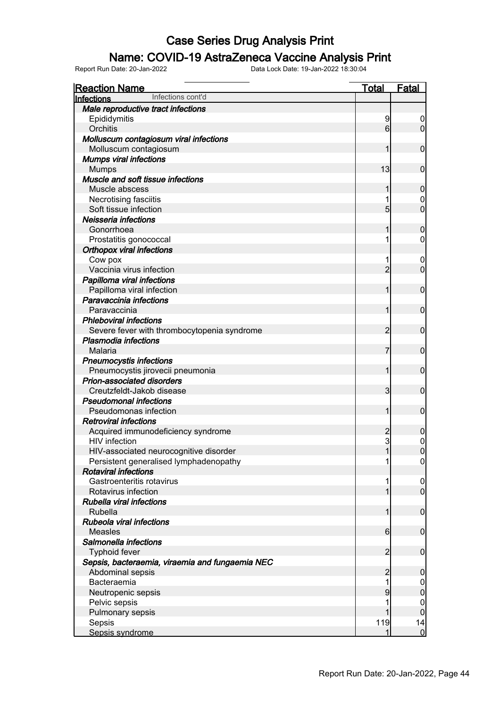#### Name: COVID-19 AstraZeneca Vaccine Analysis Print

| <b>Reaction Name</b>                            | <b>Total</b>    | <b>Fatal</b>     |
|-------------------------------------------------|-----------------|------------------|
| Infections cont'd<br>Infections                 |                 |                  |
| Male reproductive tract infections              |                 |                  |
| Epididymitis                                    | 9               | $\boldsymbol{0}$ |
| Orchitis                                        | 6               | $\overline{0}$   |
| Molluscum contagiosum viral infections          |                 |                  |
| Molluscum contagiosum                           |                 | $\overline{0}$   |
| <b>Mumps viral infections</b>                   |                 |                  |
| <b>Mumps</b>                                    | 13              | $\overline{0}$   |
| Muscle and soft tissue infections               |                 |                  |
| Muscle abscess                                  |                 | $\mathbf 0$      |
| Necrotising fasciitis                           |                 | $\mathbf 0$      |
| Soft tissue infection                           | 5               | $\overline{0}$   |
| Neisseria infections                            |                 |                  |
| Gonorrhoea                                      |                 | $\mathbf 0$      |
| Prostatitis gonococcal                          |                 | $\overline{0}$   |
| <b>Orthopox viral infections</b>                |                 |                  |
| Cow pox                                         |                 | 0                |
| Vaccinia virus infection                        | $\overline{2}$  | $\overline{0}$   |
| Papilloma viral infections                      |                 |                  |
| Papilloma viral infection                       | 1               | $\overline{0}$   |
| Paravaccinia infections                         |                 |                  |
| Paravaccinia                                    | 1               | $\overline{0}$   |
| <b>Phleboviral infections</b>                   |                 |                  |
| Severe fever with thrombocytopenia syndrome     | $\overline{2}$  | $\overline{0}$   |
| <b>Plasmodia infections</b>                     |                 |                  |
| Malaria                                         | 7               | $\overline{0}$   |
| <b>Pneumocystis infections</b>                  |                 |                  |
| Pneumocystis jirovecii pneumonia                | 1               | $\overline{0}$   |
| <b>Prion-associated disorders</b>               |                 |                  |
| Creutzfeldt-Jakob disease                       | 3               | $\overline{0}$   |
| <b>Pseudomonal infections</b>                   |                 |                  |
| Pseudomonas infection                           | 1               | $\overline{0}$   |
| <b>Retroviral infections</b>                    |                 |                  |
| Acquired immunodeficiency syndrome              | $\overline{c}$  | $\mathbf 0$      |
| <b>HIV</b> infection                            | 3               | $\mathbf 0$      |
| HIV-associated neurocognitive disorder          | $\mathbf{1}$    | $\overline{0}$   |
| Persistent generalised lymphadenopathy          |                 | 0                |
| <b>Rotaviral infections</b>                     |                 |                  |
| Gastroenteritis rotavirus                       |                 | $\overline{0}$   |
| Rotavirus infection                             |                 | $\overline{0}$   |
| Rubella viral infections                        |                 |                  |
| Rubella                                         | 1               | $\boldsymbol{0}$ |
| Rubeola viral infections                        |                 |                  |
| <b>Measles</b>                                  | $6 \overline{}$ | $\mathbf 0$      |
| Salmonella infections                           |                 |                  |
| <b>Typhoid fever</b>                            | $\overline{2}$  | $\mathbf 0$      |
| Sepsis, bacteraemia, viraemia and fungaemia NEC |                 |                  |
| Abdominal sepsis                                | $\overline{2}$  | $\boldsymbol{0}$ |
| Bacteraemia                                     |                 | $\overline{0}$   |
| Neutropenic sepsis                              | 9               | $\pmb{0}$        |
| Pelvic sepsis                                   |                 | $\mathbf 0$      |
| Pulmonary sepsis                                |                 | $\mathbf 0$      |
| Sepsis                                          | 119             | 14               |
| Sepsis syndrome                                 | 1               | $\overline{0}$   |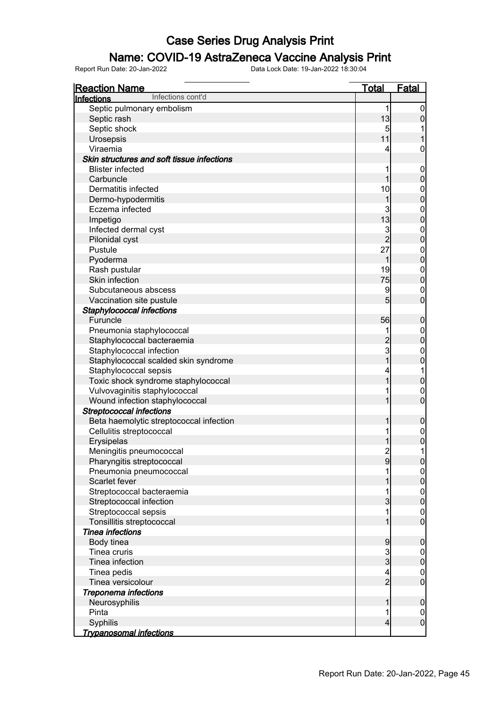### Name: COVID-19 AstraZeneca Vaccine Analysis Print

| <b>Reaction Name</b>                       | <u>Total</u>            | <b>Fatal</b>     |
|--------------------------------------------|-------------------------|------------------|
| Infections cont'd<br><u>Infections</u>     |                         |                  |
| Septic pulmonary embolism                  | 1                       | $\boldsymbol{0}$ |
| Septic rash                                | 13                      | $\overline{0}$   |
| Septic shock                               | 5                       |                  |
| Urosepsis                                  | 11                      |                  |
| Viraemia                                   | 4                       | 0                |
| Skin structures and soft tissue infections |                         |                  |
| <b>Blister infected</b>                    | 1                       | $\mathbf 0$      |
| Carbuncle                                  | 1                       | $\mathbf 0$      |
| Dermatitis infected                        | 10                      | $\mathbf 0$      |
| Dermo-hypodermitis                         | 1                       | $\overline{0}$   |
| Eczema infected                            | 3                       | $\mathbf{0}$     |
| Impetigo                                   | 13                      | $\overline{0}$   |
| Infected dermal cyst                       | 3                       | $\mathbf{0}$     |
| Pilonidal cyst                             | $\overline{2}$          | $\overline{0}$   |
| Pustule                                    | 27                      | $\mathbf{0}$     |
| Pyoderma                                   | 1                       | $\overline{0}$   |
| Rash pustular                              | 19                      | $\mathbf{0}$     |
| Skin infection                             | 75                      | $\overline{0}$   |
| Subcutaneous abscess                       | 9                       | $\mathbf 0$      |
| Vaccination site pustule                   | 5                       | $\overline{0}$   |
| Staphylococcal infections                  |                         |                  |
| Furuncle                                   | 56                      | $\boldsymbol{0}$ |
| Pneumonia staphylococcal                   | 1                       | $\mathbf 0$      |
| Staphylococcal bacteraemia                 | $\overline{c}$          | $\overline{0}$   |
| Staphylococcal infection                   | $\mathbf{3}$            | $\mathbf 0$      |
| Staphylococcal scalded skin syndrome       | $\overline{1}$          | $\mathbf 0$      |
| Staphylococcal sepsis                      | 4                       | 1                |
| Toxic shock syndrome staphylococcal        | $\overline{1}$          | $\mathbf 0$      |
| Vulvovaginitis staphylococcal              | 1                       | $\mathbf 0$      |
| Wound infection staphylococcal             | $\overline{1}$          | $\mathbf 0$      |
| <b>Streptococcal infections</b>            |                         |                  |
| Beta haemolytic streptococcal infection    | 1                       | $\mathbf 0$      |
| Cellulitis streptococcal                   | 1                       | $\mathbf 0$      |
| Erysipelas                                 | 1                       | $\mathbf 0$      |
| Meningitis pneumococcal                    | $\overline{c}$          | 1                |
| Pharyngitis streptococcal                  | 9                       | 0                |
| Pneumonia pneumococcal                     |                         |                  |
| Scarlet fever                              |                         | $\overline{0}$   |
| Streptococcal bacteraemia                  |                         |                  |
| Streptococcal infection                    | 3                       | $0$<br>0         |
| Streptococcal sepsis                       | 1                       | $\mathbf 0$      |
| Tonsillitis streptococcal                  | 1                       | $\overline{0}$   |
| Tinea infections                           |                         |                  |
| Body tinea                                 | 9                       | $\boldsymbol{0}$ |
| Tinea cruris                               | $\frac{3}{3}$           | $\overline{0}$   |
| Tinea infection                            |                         | $\mathbf 0$      |
| Tinea pedis                                | 4                       | $\overline{0}$   |
| Tinea versicolour                          | $\overline{2}$          | $\overline{0}$   |
| Treponema infections                       |                         |                  |
| Neurosyphilis                              | 1                       | $\mathbf 0$      |
| Pinta                                      | 1                       | $\mathbf 0$      |
| Syphilis                                   | $\overline{\mathbf{4}}$ | $\overline{0}$   |
| <u>Trypanosomal infections</u>             |                         |                  |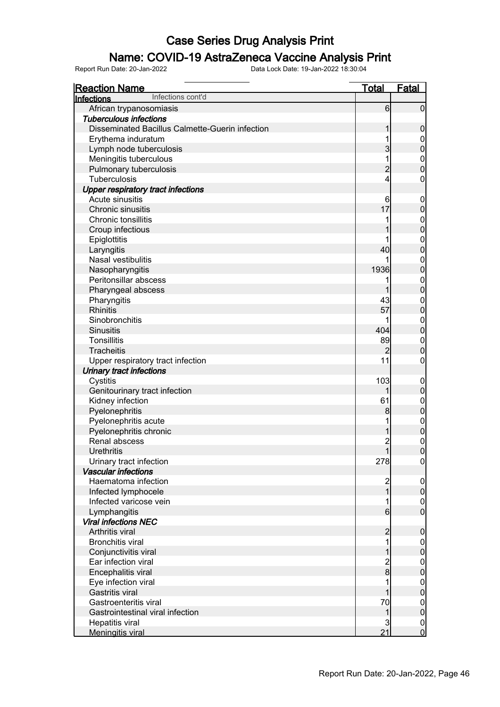#### Name: COVID-19 AstraZeneca Vaccine Analysis Print

| Infections cont'd<br><b>Infections</b><br>6<br>African trypanosomiasis<br>$\overline{0}$<br><b>Tuberculous infections</b><br>Disseminated Bacillus Calmette-Guerin infection<br>0<br>Erythema induratum<br>0<br>3<br>Lymph node tuberculosis<br>0<br>1<br>Meningitis tuberculous<br>$\mathbf 0$<br>0<br>$\overline{c}$<br>Pulmonary tuberculosis<br>$\overline{4}$<br><b>Tuberculosis</b><br>0<br><b>Upper respiratory tract infections</b><br>Acute sinusitis<br>6<br>$\mathbf 0$<br>17<br>Chronic sinusitis<br>0<br>Chronic tonsillitis<br>0<br>0<br>Croup infectious<br>Epiglottitis<br>0<br>40<br>0<br>Laryngitis<br>Nasal vestibulitis<br>$\mathbf 0$<br>0<br>1936<br>Nasopharyngitis<br>Peritonsillar abscess<br>1<br>$\mathbf 0$<br>0<br>Pharyngeal abscess<br>Pharyngitis<br>43<br>$\mathbf 0$<br>$\overline{0}$<br><b>Rhinitis</b><br>57<br>Sinobronchitis<br>$\mathbf 0$<br>$\overline{0}$<br>404<br><b>Sinusitis</b><br><b>Tonsillitis</b><br>89<br>$\mathbf{0}$<br>$\overline{0}$<br><b>Tracheitis</b><br>2<br>11<br>Upper respiratory tract infection<br>0<br><b>Urinary tract infections</b><br>103<br>Cystitis<br>$\overline{0}$<br>Genitourinary tract infection<br>1<br>0<br>Kidney infection<br>61<br>$\mathbf 0$<br>Pyelonephritis<br>8<br>0<br>Pyelonephritis acute<br>$\mathbf{0}$<br>Pyelonephritis chronic<br>0<br>Renal abscess<br>$\overline{c}$<br>$\mathbf{0}$<br>$\mathbf{1}$<br>$\overline{0}$<br>Urethritis |
|-------------------------------------------------------------------------------------------------------------------------------------------------------------------------------------------------------------------------------------------------------------------------------------------------------------------------------------------------------------------------------------------------------------------------------------------------------------------------------------------------------------------------------------------------------------------------------------------------------------------------------------------------------------------------------------------------------------------------------------------------------------------------------------------------------------------------------------------------------------------------------------------------------------------------------------------------------------------------------------------------------------------------------------------------------------------------------------------------------------------------------------------------------------------------------------------------------------------------------------------------------------------------------------------------------------------------------------------------------------------------------------------------------------------------------------------|
|                                                                                                                                                                                                                                                                                                                                                                                                                                                                                                                                                                                                                                                                                                                                                                                                                                                                                                                                                                                                                                                                                                                                                                                                                                                                                                                                                                                                                                           |
|                                                                                                                                                                                                                                                                                                                                                                                                                                                                                                                                                                                                                                                                                                                                                                                                                                                                                                                                                                                                                                                                                                                                                                                                                                                                                                                                                                                                                                           |
|                                                                                                                                                                                                                                                                                                                                                                                                                                                                                                                                                                                                                                                                                                                                                                                                                                                                                                                                                                                                                                                                                                                                                                                                                                                                                                                                                                                                                                           |
|                                                                                                                                                                                                                                                                                                                                                                                                                                                                                                                                                                                                                                                                                                                                                                                                                                                                                                                                                                                                                                                                                                                                                                                                                                                                                                                                                                                                                                           |
|                                                                                                                                                                                                                                                                                                                                                                                                                                                                                                                                                                                                                                                                                                                                                                                                                                                                                                                                                                                                                                                                                                                                                                                                                                                                                                                                                                                                                                           |
|                                                                                                                                                                                                                                                                                                                                                                                                                                                                                                                                                                                                                                                                                                                                                                                                                                                                                                                                                                                                                                                                                                                                                                                                                                                                                                                                                                                                                                           |
|                                                                                                                                                                                                                                                                                                                                                                                                                                                                                                                                                                                                                                                                                                                                                                                                                                                                                                                                                                                                                                                                                                                                                                                                                                                                                                                                                                                                                                           |
|                                                                                                                                                                                                                                                                                                                                                                                                                                                                                                                                                                                                                                                                                                                                                                                                                                                                                                                                                                                                                                                                                                                                                                                                                                                                                                                                                                                                                                           |
|                                                                                                                                                                                                                                                                                                                                                                                                                                                                                                                                                                                                                                                                                                                                                                                                                                                                                                                                                                                                                                                                                                                                                                                                                                                                                                                                                                                                                                           |
|                                                                                                                                                                                                                                                                                                                                                                                                                                                                                                                                                                                                                                                                                                                                                                                                                                                                                                                                                                                                                                                                                                                                                                                                                                                                                                                                                                                                                                           |
|                                                                                                                                                                                                                                                                                                                                                                                                                                                                                                                                                                                                                                                                                                                                                                                                                                                                                                                                                                                                                                                                                                                                                                                                                                                                                                                                                                                                                                           |
|                                                                                                                                                                                                                                                                                                                                                                                                                                                                                                                                                                                                                                                                                                                                                                                                                                                                                                                                                                                                                                                                                                                                                                                                                                                                                                                                                                                                                                           |
|                                                                                                                                                                                                                                                                                                                                                                                                                                                                                                                                                                                                                                                                                                                                                                                                                                                                                                                                                                                                                                                                                                                                                                                                                                                                                                                                                                                                                                           |
|                                                                                                                                                                                                                                                                                                                                                                                                                                                                                                                                                                                                                                                                                                                                                                                                                                                                                                                                                                                                                                                                                                                                                                                                                                                                                                                                                                                                                                           |
|                                                                                                                                                                                                                                                                                                                                                                                                                                                                                                                                                                                                                                                                                                                                                                                                                                                                                                                                                                                                                                                                                                                                                                                                                                                                                                                                                                                                                                           |
|                                                                                                                                                                                                                                                                                                                                                                                                                                                                                                                                                                                                                                                                                                                                                                                                                                                                                                                                                                                                                                                                                                                                                                                                                                                                                                                                                                                                                                           |
|                                                                                                                                                                                                                                                                                                                                                                                                                                                                                                                                                                                                                                                                                                                                                                                                                                                                                                                                                                                                                                                                                                                                                                                                                                                                                                                                                                                                                                           |
|                                                                                                                                                                                                                                                                                                                                                                                                                                                                                                                                                                                                                                                                                                                                                                                                                                                                                                                                                                                                                                                                                                                                                                                                                                                                                                                                                                                                                                           |
|                                                                                                                                                                                                                                                                                                                                                                                                                                                                                                                                                                                                                                                                                                                                                                                                                                                                                                                                                                                                                                                                                                                                                                                                                                                                                                                                                                                                                                           |
|                                                                                                                                                                                                                                                                                                                                                                                                                                                                                                                                                                                                                                                                                                                                                                                                                                                                                                                                                                                                                                                                                                                                                                                                                                                                                                                                                                                                                                           |
|                                                                                                                                                                                                                                                                                                                                                                                                                                                                                                                                                                                                                                                                                                                                                                                                                                                                                                                                                                                                                                                                                                                                                                                                                                                                                                                                                                                                                                           |
|                                                                                                                                                                                                                                                                                                                                                                                                                                                                                                                                                                                                                                                                                                                                                                                                                                                                                                                                                                                                                                                                                                                                                                                                                                                                                                                                                                                                                                           |
|                                                                                                                                                                                                                                                                                                                                                                                                                                                                                                                                                                                                                                                                                                                                                                                                                                                                                                                                                                                                                                                                                                                                                                                                                                                                                                                                                                                                                                           |
|                                                                                                                                                                                                                                                                                                                                                                                                                                                                                                                                                                                                                                                                                                                                                                                                                                                                                                                                                                                                                                                                                                                                                                                                                                                                                                                                                                                                                                           |
|                                                                                                                                                                                                                                                                                                                                                                                                                                                                                                                                                                                                                                                                                                                                                                                                                                                                                                                                                                                                                                                                                                                                                                                                                                                                                                                                                                                                                                           |
|                                                                                                                                                                                                                                                                                                                                                                                                                                                                                                                                                                                                                                                                                                                                                                                                                                                                                                                                                                                                                                                                                                                                                                                                                                                                                                                                                                                                                                           |
|                                                                                                                                                                                                                                                                                                                                                                                                                                                                                                                                                                                                                                                                                                                                                                                                                                                                                                                                                                                                                                                                                                                                                                                                                                                                                                                                                                                                                                           |
|                                                                                                                                                                                                                                                                                                                                                                                                                                                                                                                                                                                                                                                                                                                                                                                                                                                                                                                                                                                                                                                                                                                                                                                                                                                                                                                                                                                                                                           |
|                                                                                                                                                                                                                                                                                                                                                                                                                                                                                                                                                                                                                                                                                                                                                                                                                                                                                                                                                                                                                                                                                                                                                                                                                                                                                                                                                                                                                                           |
|                                                                                                                                                                                                                                                                                                                                                                                                                                                                                                                                                                                                                                                                                                                                                                                                                                                                                                                                                                                                                                                                                                                                                                                                                                                                                                                                                                                                                                           |
|                                                                                                                                                                                                                                                                                                                                                                                                                                                                                                                                                                                                                                                                                                                                                                                                                                                                                                                                                                                                                                                                                                                                                                                                                                                                                                                                                                                                                                           |
|                                                                                                                                                                                                                                                                                                                                                                                                                                                                                                                                                                                                                                                                                                                                                                                                                                                                                                                                                                                                                                                                                                                                                                                                                                                                                                                                                                                                                                           |
|                                                                                                                                                                                                                                                                                                                                                                                                                                                                                                                                                                                                                                                                                                                                                                                                                                                                                                                                                                                                                                                                                                                                                                                                                                                                                                                                                                                                                                           |
|                                                                                                                                                                                                                                                                                                                                                                                                                                                                                                                                                                                                                                                                                                                                                                                                                                                                                                                                                                                                                                                                                                                                                                                                                                                                                                                                                                                                                                           |
|                                                                                                                                                                                                                                                                                                                                                                                                                                                                                                                                                                                                                                                                                                                                                                                                                                                                                                                                                                                                                                                                                                                                                                                                                                                                                                                                                                                                                                           |
|                                                                                                                                                                                                                                                                                                                                                                                                                                                                                                                                                                                                                                                                                                                                                                                                                                                                                                                                                                                                                                                                                                                                                                                                                                                                                                                                                                                                                                           |
| 278<br>Urinary tract infection<br>$\boldsymbol{0}$                                                                                                                                                                                                                                                                                                                                                                                                                                                                                                                                                                                                                                                                                                                                                                                                                                                                                                                                                                                                                                                                                                                                                                                                                                                                                                                                                                                        |
| <b>Vascular infections</b>                                                                                                                                                                                                                                                                                                                                                                                                                                                                                                                                                                                                                                                                                                                                                                                                                                                                                                                                                                                                                                                                                                                                                                                                                                                                                                                                                                                                                |
| Haematoma infection<br>2<br>$\mathbf 0$                                                                                                                                                                                                                                                                                                                                                                                                                                                                                                                                                                                                                                                                                                                                                                                                                                                                                                                                                                                                                                                                                                                                                                                                                                                                                                                                                                                                   |
| $\overline{1}$<br>$\overline{0}$<br>Infected lymphocele                                                                                                                                                                                                                                                                                                                                                                                                                                                                                                                                                                                                                                                                                                                                                                                                                                                                                                                                                                                                                                                                                                                                                                                                                                                                                                                                                                                   |
| Infected varicose vein<br>0                                                                                                                                                                                                                                                                                                                                                                                                                                                                                                                                                                                                                                                                                                                                                                                                                                                                                                                                                                                                                                                                                                                                                                                                                                                                                                                                                                                                               |
| Lymphangitis<br>6<br>0                                                                                                                                                                                                                                                                                                                                                                                                                                                                                                                                                                                                                                                                                                                                                                                                                                                                                                                                                                                                                                                                                                                                                                                                                                                                                                                                                                                                                    |
| <b>Viral infections NEC</b>                                                                                                                                                                                                                                                                                                                                                                                                                                                                                                                                                                                                                                                                                                                                                                                                                                                                                                                                                                                                                                                                                                                                                                                                                                                                                                                                                                                                               |
| Arthritis viral<br>$\overline{c}$<br>0                                                                                                                                                                                                                                                                                                                                                                                                                                                                                                                                                                                                                                                                                                                                                                                                                                                                                                                                                                                                                                                                                                                                                                                                                                                                                                                                                                                                    |
| <b>Bronchitis viral</b><br>1                                                                                                                                                                                                                                                                                                                                                                                                                                                                                                                                                                                                                                                                                                                                                                                                                                                                                                                                                                                                                                                                                                                                                                                                                                                                                                                                                                                                              |
| Conjunctivitis viral<br>0                                                                                                                                                                                                                                                                                                                                                                                                                                                                                                                                                                                                                                                                                                                                                                                                                                                                                                                                                                                                                                                                                                                                                                                                                                                                                                                                                                                                                 |
| Ear infection viral                                                                                                                                                                                                                                                                                                                                                                                                                                                                                                                                                                                                                                                                                                                                                                                                                                                                                                                                                                                                                                                                                                                                                                                                                                                                                                                                                                                                                       |
| 2<br>8<br>$\overline{0}$<br>$\overline{0}$<br>Encephalitis viral                                                                                                                                                                                                                                                                                                                                                                                                                                                                                                                                                                                                                                                                                                                                                                                                                                                                                                                                                                                                                                                                                                                                                                                                                                                                                                                                                                          |
|                                                                                                                                                                                                                                                                                                                                                                                                                                                                                                                                                                                                                                                                                                                                                                                                                                                                                                                                                                                                                                                                                                                                                                                                                                                                                                                                                                                                                                           |
| Eye infection viral<br>$\begin{matrix} 0 \\ 0 \end{matrix}$<br><b>Gastritis viral</b>                                                                                                                                                                                                                                                                                                                                                                                                                                                                                                                                                                                                                                                                                                                                                                                                                                                                                                                                                                                                                                                                                                                                                                                                                                                                                                                                                     |
| Gastroenteritis viral                                                                                                                                                                                                                                                                                                                                                                                                                                                                                                                                                                                                                                                                                                                                                                                                                                                                                                                                                                                                                                                                                                                                                                                                                                                                                                                                                                                                                     |
| 70<br>$0\atop 0$                                                                                                                                                                                                                                                                                                                                                                                                                                                                                                                                                                                                                                                                                                                                                                                                                                                                                                                                                                                                                                                                                                                                                                                                                                                                                                                                                                                                                          |
| Gastrointestinal viral infection<br>1                                                                                                                                                                                                                                                                                                                                                                                                                                                                                                                                                                                                                                                                                                                                                                                                                                                                                                                                                                                                                                                                                                                                                                                                                                                                                                                                                                                                     |
| Hepatitis viral<br>3<br>$\begin{matrix}0\\0\end{matrix}$<br>21<br><b>Meningitis viral</b>                                                                                                                                                                                                                                                                                                                                                                                                                                                                                                                                                                                                                                                                                                                                                                                                                                                                                                                                                                                                                                                                                                                                                                                                                                                                                                                                                 |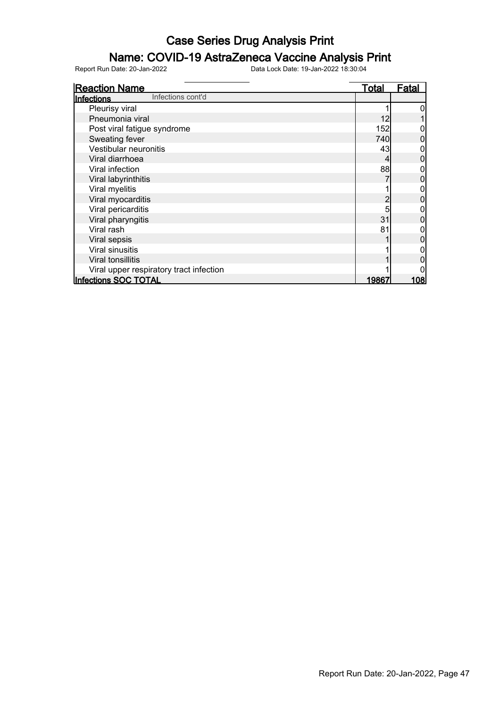### Name: COVID-19 AstraZeneca Vaccine Analysis Print

| <b>Reaction Name</b>                    | <b>Total</b>  | <u>Fatal</u> |
|-----------------------------------------|---------------|--------------|
| Infections cont'd<br>Infections         |               |              |
| Pleurisy viral                          |               |              |
| Pneumonia viral                         | 12            |              |
| Post viral fatigue syndrome             | 152           |              |
| Sweating fever                          | 740           | 0            |
| Vestibular neuronitis                   | 43            |              |
| Viral diarrhoea                         |               |              |
| Viral infection                         | 88            |              |
| Viral labyrinthitis                     |               |              |
| Viral myelitis                          |               |              |
| Viral myocarditis                       |               |              |
| Viral pericarditis                      | 5             |              |
| Viral pharyngitis                       | 31            |              |
| Viral rash                              | 81            |              |
| Viral sepsis                            |               |              |
| Viral sinusitis                         |               |              |
| <b>Viral tonsillitis</b>                |               |              |
| Viral upper respiratory tract infection |               |              |
| Infections SOC TOTAL                    | <u> 19867</u> | <u> 108 </u> |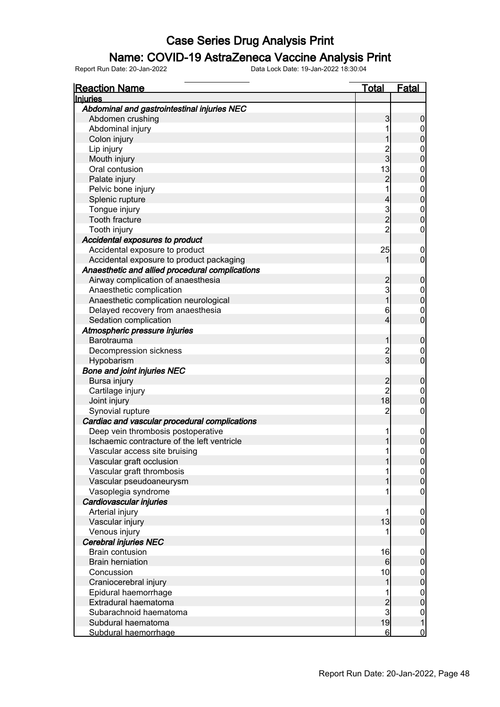#### Name: COVID-19 AstraZeneca Vaccine Analysis Print

| <b>Reaction Name</b>                            | <u>Total</u>     | <b>Fatal</b>                         |
|-------------------------------------------------|------------------|--------------------------------------|
| <b>Injuries</b>                                 |                  |                                      |
| Abdominal and gastrointestinal injuries NEC     |                  |                                      |
| Abdomen crushing                                | 3                | $\boldsymbol{0}$                     |
| Abdominal injury                                | 1                | $\boldsymbol{0}$                     |
| Colon injury                                    | 1                | $\overline{0}$                       |
| Lip injury                                      |                  |                                      |
| Mouth injury                                    | $\frac{2}{3}$    | $0\atop 0$                           |
| Oral contusion                                  | 13               |                                      |
| Palate injury                                   | $\overline{c}$   | $\begin{matrix}0\\0\end{matrix}$     |
| Pelvic bone injury                              | 1                |                                      |
| Splenic rupture                                 | $\overline{4}$   | $\begin{matrix}0\\0\end{matrix}$     |
| Tongue injury                                   |                  |                                      |
| Tooth fracture                                  | $\frac{3}{2}$    | $\begin{matrix}0\\0\end{matrix}$     |
| Tooth injury                                    | $\overline{2}$   | $\pmb{0}$                            |
| Accidental exposures to product                 |                  |                                      |
| Accidental exposure to product                  | 25               | $\mathbf 0$                          |
| Accidental exposure to product packaging        | 1                | $\mathbf 0$                          |
| Anaesthetic and allied procedural complications |                  |                                      |
| Airway complication of anaesthesia              |                  | $\boldsymbol{0}$                     |
| Anaesthetic complication                        | $\frac{2}{3}$    |                                      |
| Anaesthetic complication neurological           | $\overline{1}$   | $\begin{matrix} 0 \\ 0 \end{matrix}$ |
| Delayed recovery from anaesthesia               | 6                |                                      |
| Sedation complication                           | $\overline{4}$   | $\begin{matrix} 0 \\ 0 \end{matrix}$ |
| Atmospheric pressure injuries                   |                  |                                      |
| <b>Barotrauma</b>                               | 1                | $\pmb{0}$                            |
| Decompression sickness                          |                  |                                      |
| Hypobarism                                      | $\frac{2}{3}$    | $\boldsymbol{0}$<br>$\overline{0}$   |
|                                                 |                  |                                      |
| <b>Bone and joint injuries NEC</b>              |                  |                                      |
| Bursa injury                                    | 2<br>2           | $\pmb{0}$                            |
| Cartilage injury                                | 18               | $\mathbf{0}$<br>$\overline{0}$       |
| Joint injury                                    |                  |                                      |
| Synovial rupture                                | $\overline{c}$   | $\boldsymbol{0}$                     |
| Cardiac and vascular procedural complications   |                  |                                      |
| Deep vein thrombosis postoperative              | 1                | $\boldsymbol{0}$                     |
| Ischaemic contracture of the left ventricle     | 1                | $\overline{0}$                       |
| Vascular access site bruising                   | 1                | $\mathbf 0$                          |
| Vascular graft occlusion                        | 1                | 0                                    |
| Vascular graft thrombosis                       | 1                | 0                                    |
| Vascular pseudoaneurysm                         | 1                | $\mathbf 0$                          |
| Vasoplegia syndrome                             | 1                | $\boldsymbol{0}$                     |
| Cardiovascular injuries                         |                  |                                      |
| Arterial injury                                 | 1                | $\boldsymbol{0}$                     |
| Vascular injury                                 | 13               | $\pmb{0}$                            |
| Venous injury                                   |                  | $\mathbf 0$                          |
| <b>Cerebral injuries NEC</b>                    |                  |                                      |
| <b>Brain contusion</b>                          | 16               | $\boldsymbol{0}$                     |
| <b>Brain herniation</b>                         | $6 \overline{6}$ | $\mathbf 0$                          |
| Concussion                                      | 10               | $\boldsymbol{0}$                     |
| Craniocerebral injury                           | 1                | $\mathbf 0$                          |
| Epidural haemorrhage                            | 1                | $\boldsymbol{0}$                     |
| Extradural haematoma                            | $\frac{2}{3}$    | $\mathbf 0$                          |
| Subarachnoid haematoma                          |                  | $\begin{matrix} 0 \\ 1 \end{matrix}$ |
| Subdural haematoma                              | 19               |                                      |
| Subdural haemorrhage                            | 6                | $\overline{0}$                       |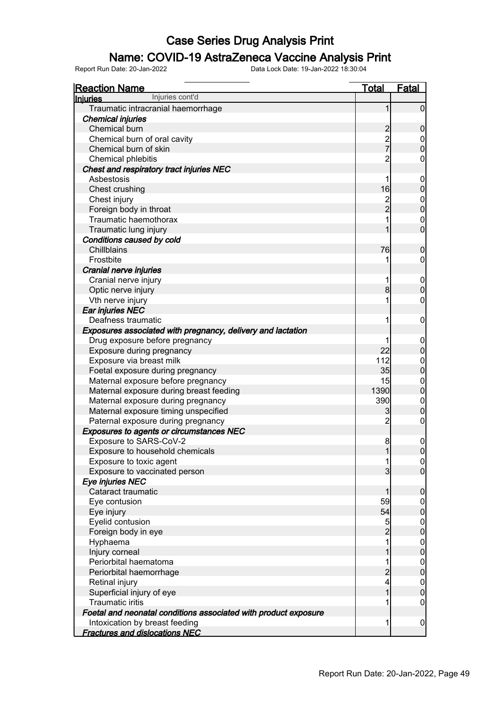#### Name: COVID-19 AstraZeneca Vaccine Analysis Print

| <b>Reaction Name</b>                                            | <u>Total</u>   | <b>Fatal</b>                         |
|-----------------------------------------------------------------|----------------|--------------------------------------|
| Injuries cont'd<br><b>Injuries</b>                              |                |                                      |
| Traumatic intracranial haemorrhage                              | 1              | $\overline{0}$                       |
| <b>Chemical injuries</b>                                        |                |                                      |
| Chemical burn                                                   |                | $\mathbf 0$                          |
| Chemical burn of oral cavity                                    | 2<br>2<br>7    | $\begin{matrix} 0 \\ 0 \end{matrix}$ |
| Chemical burn of skin                                           |                |                                      |
| Chemical phlebitis                                              | $\overline{2}$ | 0                                    |
| Chest and respiratory tract injuries NEC                        |                |                                      |
| Asbestosis                                                      | 1              | $\mathbf 0$                          |
| Chest crushing                                                  | 16             | $\boldsymbol{0}$                     |
| Chest injury                                                    | 2<br>2         | $\begin{matrix}0\\0\end{matrix}$     |
| Foreign body in throat                                          |                |                                      |
| Traumatic haemothorax                                           | 1              | $\mathbf{0}$                         |
| Traumatic lung injury                                           | 1              | $\overline{0}$                       |
| Conditions caused by cold                                       |                |                                      |
| Chillblains                                                     | 76             | $\mathbf 0$                          |
| Frostbite                                                       | 1              | $\mathbf 0$                          |
| Cranial nerve injuries                                          |                |                                      |
| Cranial nerve injury                                            | 1              | $\boldsymbol{0}$                     |
| Optic nerve injury                                              | 8              | $\overline{0}$                       |
| Vth nerve injury                                                | 1              | 0                                    |
| Ear injuries NEC                                                |                |                                      |
| Deafness traumatic                                              | 1              | $\mathbf 0$                          |
| Exposures associated with pregnancy, delivery and lactation     |                |                                      |
| Drug exposure before pregnancy                                  |                | $\mathbf 0$                          |
| Exposure during pregnancy                                       | 22             | $\overline{0}$                       |
| Exposure via breast milk                                        | 112            | $0\atop 0$                           |
| Foetal exposure during pregnancy                                | 35             |                                      |
| Maternal exposure before pregnancy                              | 15             | $\begin{matrix}0\\0\end{matrix}$     |
| Maternal exposure during breast feeding                         | 1390           |                                      |
| Maternal exposure during pregnancy                              | 390            | $\mathbf{0}$                         |
| Maternal exposure timing unspecified                            | 3              | $\overline{0}$                       |
| Paternal exposure during pregnancy                              | $\overline{2}$ | $\mathbf 0$                          |
| <b>Exposures to agents or circumstances NEC</b>                 |                |                                      |
| Exposure to SARS-CoV-2                                          | 8              | $\mathbf{0}$                         |
| Exposure to household chemicals                                 | 1              | $\overline{0}$                       |
| Exposure to toxic agent                                         | 11             | $\Omega$                             |
| Exposure to vaccinated person                                   | $\overline{3}$ | $\overline{0}$                       |
| Eye injuries NEC                                                |                |                                      |
| Cataract traumatic                                              | 1              | $\mathbf 0$                          |
| Eye contusion                                                   | 59             | $\overline{0}$                       |
| Eye injury                                                      | 54             | $\pmb{0}$                            |
| Eyelid contusion                                                | 5              | $\boldsymbol{0}$                     |
| Foreign body in eye                                             | $\overline{2}$ | $\pmb{0}$                            |
| Hyphaema                                                        | 1              | $\boldsymbol{0}$                     |
| Injury corneal                                                  | 1              | $\mathbf 0$                          |
| Periorbital haematoma                                           | 1              | $\boldsymbol{0}$                     |
| Periorbital haemorrhage                                         | $\overline{c}$ | $\pmb{0}$                            |
| Retinal injury                                                  | 4              | $\boldsymbol{0}$                     |
| Superficial injury of eye                                       | $\overline{1}$ | $\mathbf 0$                          |
| <b>Traumatic iritis</b>                                         | 1              | $\mathbf 0$                          |
| Foetal and neonatal conditions associated with product exposure |                |                                      |
| Intoxication by breast feeding                                  | 1              | $\mathbf 0$                          |
| <b>Fractures and dislocations NEC</b>                           |                |                                      |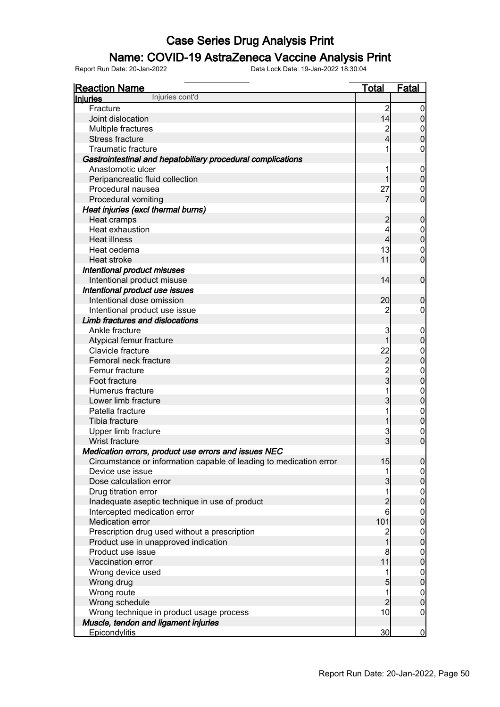### Name: COVID-19 AstraZeneca Vaccine Analysis Print

| Injuries cont'd<br><b>Injuries</b>                                 |                         |                                      |
|--------------------------------------------------------------------|-------------------------|--------------------------------------|
|                                                                    |                         |                                      |
| Fracture                                                           | $\overline{2}$          | $\overline{0}$                       |
| Joint dislocation                                                  | 14                      | $\overline{0}$                       |
| Multiple fractures                                                 | $\overline{\mathbf{c}}$ | 0                                    |
| <b>Stress fracture</b>                                             | 4                       | $\overline{0}$                       |
| <b>Traumatic fracture</b>                                          |                         | 0                                    |
| Gastrointestinal and hepatobiliary procedural complications        |                         |                                      |
| Anastomotic ulcer                                                  |                         | $\mathbf 0$                          |
| Peripancreatic fluid collection                                    |                         | $\overline{0}$                       |
| Procedural nausea                                                  | 27                      | 0                                    |
| Procedural vomiting                                                |                         | $\overline{0}$                       |
| Heat injuries (excl thermal burns)                                 |                         |                                      |
| Heat cramps                                                        | 2                       | $\mathbf 0$                          |
| Heat exhaustion                                                    | 4                       | $\mathbf 0$                          |
| <b>Heat illness</b>                                                | 4                       | $\overline{0}$                       |
| Heat oedema                                                        | 13                      | $\mathbf 0$                          |
| Heat stroke                                                        | 11                      | $\mathbf 0$                          |
| Intentional product misuses                                        |                         |                                      |
| Intentional product misuse                                         | 14                      | $\overline{0}$                       |
| Intentional product use issues                                     |                         |                                      |
| Intentional dose omission                                          | 20                      | $\mathbf 0$                          |
| Intentional product use issue                                      |                         | 0                                    |
| Limb fractures and dislocations                                    |                         |                                      |
| Ankle fracture                                                     | 3                       | $\mathbf 0$                          |
| Atypical femur fracture                                            |                         | $\overline{0}$                       |
| Clavicle fracture                                                  | 22                      | $\mathbf{0}$                         |
| Femoral neck fracture                                              | $\overline{c}$          | $\overline{0}$                       |
| Femur fracture                                                     |                         | $\mathbf{0}$                         |
| Foot fracture                                                      | $\frac{2}{3}$           | $\overline{0}$                       |
| Humerus fracture                                                   |                         | $\mathbf{0}$                         |
| Lower limb fracture                                                | $\overline{3}$          | $\overline{0}$                       |
| Patella fracture                                                   |                         | $\mathbf{0}$                         |
| Tibia fracture                                                     |                         | $\overline{0}$                       |
| Upper limb fracture                                                | 3                       | $\mathbf{0}$                         |
| Wrist fracture                                                     | $\overline{3}$          | $\overline{0}$                       |
| Medication errors, product use errors and issues NEC               |                         |                                      |
| Circumstance or information capable of leading to medication error | 15                      | 0                                    |
| Device use issue                                                   | 1                       | $\overline{0}$                       |
| Dose calculation error                                             | 3                       | $\overline{0}$                       |
| Drug titration error                                               | 1                       |                                      |
| Inadequate aseptic technique in use of product                     | $\overline{c}$          | $\begin{matrix} 0 \\ 0 \end{matrix}$ |
| Intercepted medication error                                       | 6                       |                                      |
| Medication error                                                   | 101                     | $\begin{matrix} 0 \\ 0 \end{matrix}$ |
| Prescription drug used without a prescription                      | $\overline{c}$          |                                      |
| Product use in unapproved indication                               | $\overline{1}$          | $\begin{matrix} 0 \\ 0 \end{matrix}$ |
| Product use issue                                                  | 8                       |                                      |
| Vaccination error                                                  | 11                      | $\begin{matrix} 0 \\ 0 \end{matrix}$ |
| Wrong device used                                                  | 1                       |                                      |
| Wrong drug                                                         | 5                       | $\begin{matrix} 0 \\ 0 \end{matrix}$ |
| Wrong route                                                        | 1                       | $\boldsymbol{0}$                     |
| Wrong schedule                                                     | $\overline{c}$          | $\overline{0}$                       |
| Wrong technique in product usage process                           | 10                      | $\boldsymbol{0}$                     |
| Muscle, tendon and ligament injuries                               |                         |                                      |
| <b>Epicondylitis</b>                                               | 30                      | $\overline{0}$                       |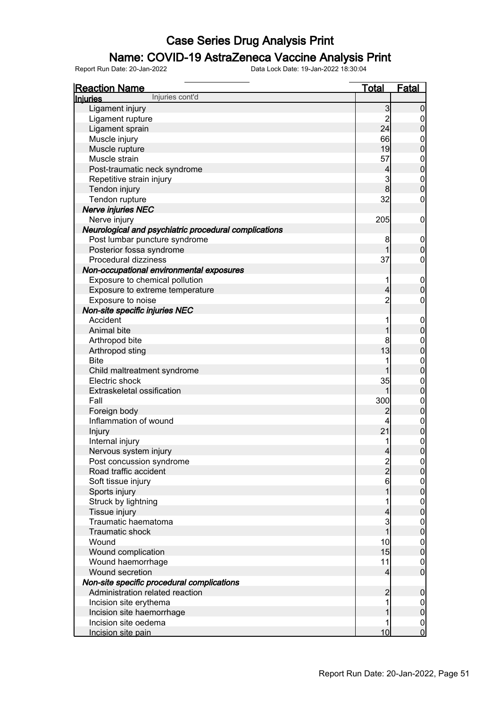### Name: COVID-19 AstraZeneca Vaccine Analysis Print

| <b>Reaction Name</b>                                  | <u>Total</u>             | <b>Fatal</b>                         |
|-------------------------------------------------------|--------------------------|--------------------------------------|
| Injuries cont'd<br><b>Injuries</b>                    |                          |                                      |
| Ligament injury                                       | 3                        | $\boldsymbol{0}$                     |
| Ligament rupture                                      | $\overline{c}$           | $\overline{0}$                       |
| Ligament sprain                                       | 24                       | $\pmb{0}$                            |
| Muscle injury                                         | 66                       | $\mathbf 0$                          |
| Muscle rupture                                        | 19                       | $\mathbf 0$                          |
| Muscle strain                                         | 57                       | $\boldsymbol{0}$                     |
| Post-traumatic neck syndrome                          | $\overline{\mathcal{L}}$ | $\boldsymbol{0}$                     |
| Repetitive strain injury                              | 3                        | $\boldsymbol{0}$                     |
| Tendon injury                                         | 8                        | $\mathbf 0$                          |
| Tendon rupture                                        | 32                       | $\boldsymbol{0}$                     |
| <b>Nerve injuries NEC</b>                             |                          |                                      |
| Nerve injury                                          | 205                      | $\mathbf 0$                          |
| Neurological and psychiatric procedural complications |                          |                                      |
| Post lumbar puncture syndrome                         | 8                        | $\mathbf 0$                          |
| Posterior fossa syndrome                              | 1                        | $\mathbf 0$                          |
| Procedural dizziness                                  | 37                       | $\boldsymbol{0}$                     |
| Non-occupational environmental exposures              |                          |                                      |
| Exposure to chemical pollution                        | 1                        | $\mathbf 0$                          |
| Exposure to extreme temperature                       | $\overline{4}$           | $\mathbf 0$                          |
| Exposure to noise                                     | $\overline{c}$           | $\boldsymbol{0}$                     |
| Non-site specific injuries NEC                        |                          |                                      |
| Accident                                              |                          | $\mathbf 0$                          |
| Animal bite                                           | 1                        | $\pmb{0}$                            |
| Arthropod bite                                        | 8                        |                                      |
|                                                       | 13                       | $\boldsymbol{0}$<br>$\mathbf 0$      |
| Arthropod sting<br><b>Bite</b>                        | 1                        |                                      |
|                                                       | 1                        | $\boldsymbol{0}$<br>$\boldsymbol{0}$ |
| Child maltreatment syndrome<br>Electric shock         |                          |                                      |
|                                                       | 35                       | $\boldsymbol{0}$                     |
| Extraskeletal ossification                            | 1                        | $\mathbf 0$                          |
| Fall                                                  | 300                      | $\boldsymbol{0}$                     |
| Foreign body                                          | 2                        | $\pmb{0}$                            |
| Inflammation of wound                                 | 4                        | $0$<br>0                             |
| Injury                                                | 21                       |                                      |
| Internal injury                                       |                          | $\begin{matrix}0\\0\end{matrix}$     |
| Nervous system injury                                 | $\overline{4}$           |                                      |
| Post concussion syndrome                              | $\frac{2}{2}$            | 0                                    |
| Road traffic accident                                 |                          | $\overline{0}$                       |
| Soft tissue injury                                    | 6                        | $0$ 0                                |
| Sports injury                                         |                          |                                      |
| Struck by lightning                                   |                          | $\boldsymbol{0}$                     |
| Tissue injury                                         | 4                        | $\overline{0}$                       |
| Traumatic haematoma                                   | 3                        | $\boldsymbol{0}$                     |
| <b>Traumatic shock</b>                                | 1                        | $\mathbf 0$                          |
| Wound                                                 | 10                       | $\boldsymbol{0}$                     |
| Wound complication                                    | 15                       | $\mathbf 0$                          |
| Wound haemorrhage                                     | 11                       | $\overline{0}$                       |
| Wound secretion                                       | 4                        | $\overline{0}$                       |
| Non-site specific procedural complications            |                          |                                      |
| Administration related reaction                       | $\overline{c}$           | $\mathbf 0$                          |
| Incision site erythema                                |                          | $\overline{0}$                       |
| Incision site haemorrhage                             |                          | $\pmb{0}$                            |
| Incision site oedema                                  |                          | $\overline{0}$                       |
| Incision site pain                                    | 10                       | $\overline{0}$                       |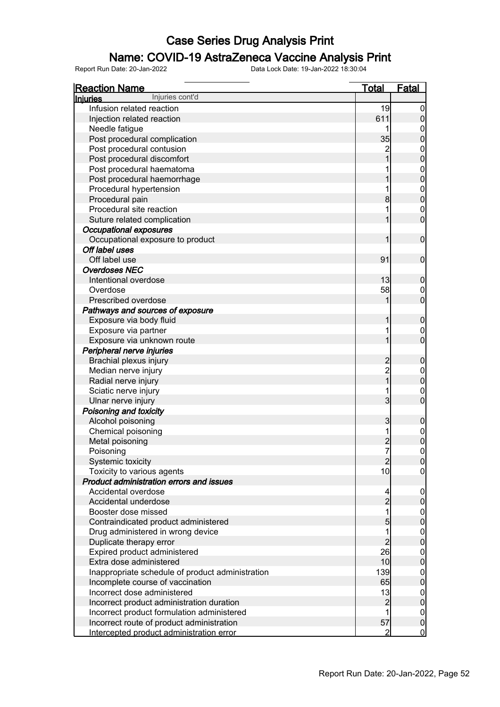### Name: COVID-19 AstraZeneca Vaccine Analysis Print

| <b>Reaction Name</b>                             | <b>Total</b>   | <b>Fatal</b>                         |
|--------------------------------------------------|----------------|--------------------------------------|
| Injuries cont'd<br><b>Injuries</b>               |                |                                      |
| Infusion related reaction                        | 19             | $\mathbf 0$                          |
| Injection related reaction                       | 611            | $\mathbf 0$                          |
| Needle fatigue                                   | 1              |                                      |
| Post procedural complication                     | 35             | $0$<br>0                             |
| Post procedural contusion                        | $\overline{c}$ |                                      |
| Post procedural discomfort                       | $\overline{1}$ | $\begin{matrix}0\\0\end{matrix}$     |
| Post procedural haematoma                        |                |                                      |
| Post procedural haemorrhage                      |                | $0$<br>0                             |
| Procedural hypertension                          | 1              |                                      |
| Procedural pain                                  | 8              | $\begin{matrix}0\\0\end{matrix}$     |
| Procedural site reaction                         | 1              |                                      |
| Suture related complication                      | 1              | $\begin{matrix}0\\0\end{matrix}$     |
| <b>Occupational exposures</b>                    |                |                                      |
| Occupational exposure to product                 | 1              | $\mathbf 0$                          |
| Off label uses                                   |                |                                      |
| Off label use                                    | 91             | $\mathbf 0$                          |
| <b>Overdoses NEC</b>                             |                |                                      |
| Intentional overdose                             | 13             | $\pmb{0}$                            |
| Overdose                                         | 58             |                                      |
| Prescribed overdose                              | 1              | $\begin{matrix}0\\0\end{matrix}$     |
| Pathways and sources of exposure                 |                |                                      |
| Exposure via body fluid                          | 1              | $\pmb{0}$                            |
| Exposure via partner                             | 1              |                                      |
| Exposure via unknown route                       | 1              | $\begin{matrix} 0 \\ 0 \end{matrix}$ |
| Peripheral nerve injuries                        |                |                                      |
| Brachial plexus injury                           |                | $\pmb{0}$                            |
| Median nerve injury                              | 2<br>2<br>1    |                                      |
| Radial nerve injury                              |                | $0\atop 0$                           |
| Sciatic nerve injury                             | 1              |                                      |
| Ulnar nerve injury                               | 3              | $\begin{matrix}0\\0\end{matrix}$     |
| Poisoning and toxicity                           |                |                                      |
| Alcohol poisoning                                | 3              | $\boldsymbol{0}$                     |
| Chemical poisoning                               | 1              |                                      |
| Metal poisoning                                  | $\overline{c}$ | $\begin{matrix}0\\0\end{matrix}$     |
| Poisoning                                        | 7              | $\overline{0}$                       |
| Systemic toxicity                                | $\mathbf{2}$   | 0                                    |
| Toxicity to various agents                       | 10             | $\overline{0}$                       |
| Product administration errors and issues         |                |                                      |
| Accidental overdose                              |                | $\mathbf 0$                          |
| Accidental underdose                             | $\overline{c}$ | $\boldsymbol{0}$                     |
| Booster dose missed                              | $\overline{1}$ |                                      |
| Contraindicated product administered             | 5              | $\begin{matrix} 0 \\ 0 \end{matrix}$ |
| Drug administered in wrong device                | 1              |                                      |
| Duplicate therapy error                          | $\overline{c}$ | $\begin{matrix} 0 \\ 0 \end{matrix}$ |
| Expired product administered                     | 26             |                                      |
| Extra dose administered                          | 10             | $\begin{matrix} 0 \\ 0 \end{matrix}$ |
| Inappropriate schedule of product administration | 139            |                                      |
| Incomplete course of vaccination                 | 65             | $0\atop 0$                           |
| Incorrect dose administered                      | 13             |                                      |
| Incorrect product administration duration        | $\overline{c}$ | $\begin{matrix} 0 \\ 0 \end{matrix}$ |
| Incorrect product formulation administered       | 1              | $\mathbf{0}$                         |
| Incorrect route of product administration        | 57             | $\overline{0}$                       |
| Intercepted product administration error         | $\overline{2}$ | $\overline{0}$                       |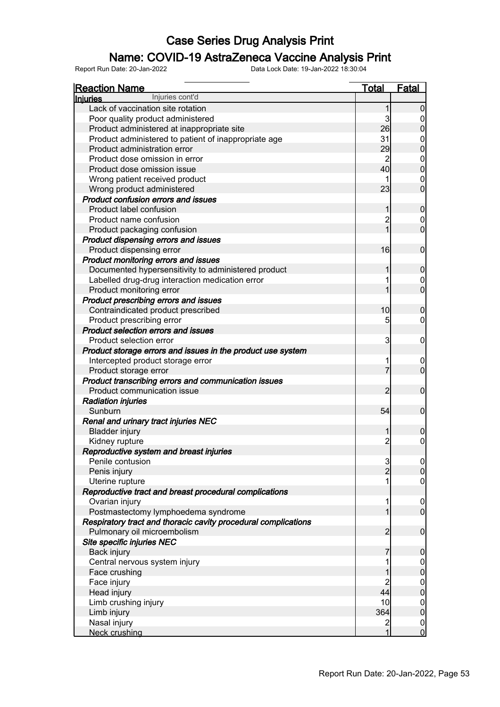### Name: COVID-19 AstraZeneca Vaccine Analysis Print

| <b>Reaction Name</b>                                           | <u>Total</u>   | <b>Fatal</b>        |
|----------------------------------------------------------------|----------------|---------------------|
| Injuries cont'd<br><b>Injuries</b>                             |                |                     |
| Lack of vaccination site rotation                              | 1              | $\Omega$            |
| Poor quality product administered                              | 3              | 0                   |
| Product administered at inappropriate site                     | 26             | $\overline{0}$      |
| Product administered to patient of inappropriate age           | 31             | 0                   |
| Product administration error                                   | 29             | $\overline{0}$      |
| Product dose omission in error                                 |                | $\mathbf 0$         |
| Product dose omission issue                                    | 40             | $\overline{0}$      |
| Wrong patient received product                                 |                | $\mathbf 0$         |
| Wrong product administered                                     | 23             | $\overline{0}$      |
| <b>Product confusion errors and issues</b>                     |                |                     |
| Product label confusion                                        | 1              | $\mathbf 0$         |
| Product name confusion                                         | $\overline{c}$ | $\mathbf 0$         |
| Product packaging confusion                                    | 1              | $\overline{0}$      |
| Product dispensing errors and issues                           |                |                     |
| Product dispensing error                                       | 16             | $\mathbf 0$         |
| Product monitoring errors and issues                           |                |                     |
| Documented hypersensitivity to administered product            | 1              | $\mathbf 0$         |
| Labelled drug-drug interaction medication error                |                | $\mathbf 0$         |
| Product monitoring error                                       |                | $\overline{0}$      |
| Product prescribing errors and issues                          |                |                     |
| Contraindicated product prescribed                             | 10             | $\mathbf 0$         |
| Product prescribing error                                      | 5              | 0                   |
| <b>Product selection errors and issues</b>                     |                |                     |
| Product selection error                                        | 3              | $\mathbf 0$         |
|                                                                |                |                     |
| Product storage errors and issues in the product use system    |                |                     |
| Intercepted product storage error                              | $\overline{7}$ | 0<br>$\overline{0}$ |
| Product storage error                                          |                |                     |
| Product transcribing errors and communication issues           |                |                     |
| Product communication issue                                    | 2              | $\mathbf 0$         |
| <b>Radiation injuries</b>                                      |                |                     |
| Sunburn                                                        | 54             | $\mathbf 0$         |
| Renal and urinary tract injuries NEC                           |                |                     |
| <b>Bladder injury</b>                                          |                | $\mathbf 0$         |
| Kidney rupture                                                 | $\overline{c}$ | 0                   |
| Reproductive system and breast injuries                        |                |                     |
| Penile contusion                                               | $\overline{3}$ | 0                   |
| Penis injury                                                   | $\overline{2}$ | $\overline{0}$      |
| Uterine rupture                                                |                | 0                   |
| Reproductive tract and breast procedural complications         |                |                     |
| Ovarian injury                                                 |                | $\overline{0}$      |
| Postmastectomy lymphoedema syndrome                            |                | $\overline{0}$      |
| Respiratory tract and thoracic cavity procedural complications |                |                     |
| Pulmonary oil microembolism                                    | 2              | $\boldsymbol{0}$    |
| Site specific injuries NEC                                     |                |                     |
| Back injury                                                    |                | $\boldsymbol{0}$    |
| Central nervous system injury                                  |                | $\overline{0}$      |
| Face crushing                                                  |                | $\overline{0}$      |
| Face injury                                                    | $\overline{c}$ | $0$<br>0            |
| Head injury                                                    | 44             |                     |
| Limb crushing injury                                           | 10             | $\boldsymbol{0}$    |
| Limb injury                                                    | 364            | $\overline{0}$      |
| Nasal injury                                                   | $\overline{c}$ | $\mathbf 0$         |
| <b>Neck crushing</b>                                           | 1              | $\overline{0}$      |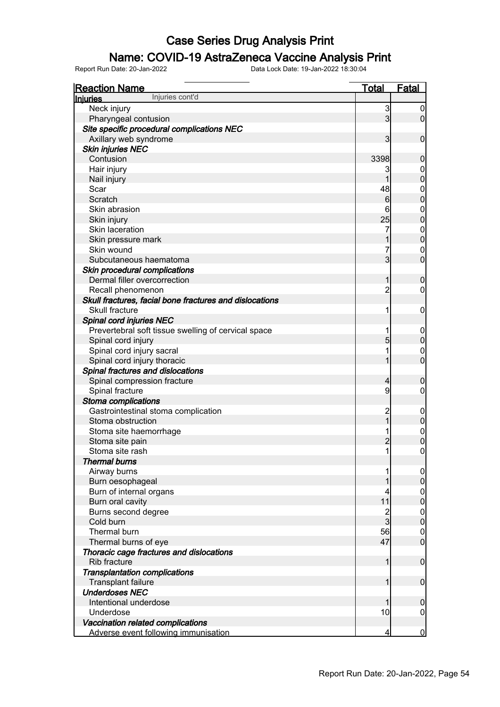#### Name: COVID-19 AstraZeneca Vaccine Analysis Print

| <b>Reaction Name</b>                                            | <b>Total</b>   | Fatal                            |
|-----------------------------------------------------------------|----------------|----------------------------------|
| Injuries cont'd<br><b>Injuries</b>                              |                |                                  |
| Neck injury                                                     | 3              | 0                                |
| Pharyngeal contusion                                            | 3              | $\overline{0}$                   |
| Site specific procedural complications NEC                      |                |                                  |
| Axillary web syndrome                                           | 3              | $\mathbf 0$                      |
| <b>Skin injuries NEC</b>                                        |                |                                  |
| Contusion                                                       | 3398           | 0                                |
| Hair injury                                                     | 3              | 0                                |
| Nail injury                                                     |                | $\overline{0}$                   |
| Scar                                                            | 48             | 0                                |
| Scratch                                                         | 6              | $\overline{0}$                   |
| Skin abrasion                                                   | 6              | 0                                |
| Skin injury                                                     | 25             | $\overline{0}$                   |
| Skin laceration                                                 | 7              | $\mathbf{0}$                     |
| Skin pressure mark                                              |                | $\overline{0}$                   |
| Skin wound                                                      | 7              | 0                                |
| Subcutaneous haematoma                                          | 3              | $\overline{0}$                   |
| Skin procedural complications                                   |                |                                  |
| Dermal filler overcorrection                                    | 1              | 0                                |
| Recall phenomenon                                               | 2              | 0                                |
| Skull fractures, facial bone fractures and dislocations         |                |                                  |
| Skull fracture                                                  | 1              | 0                                |
| Spinal cord injuries NEC                                        |                |                                  |
| Prevertebral soft tissue swelling of cervical space             | 1              | 0                                |
| Spinal cord injury                                              | 5              | $\mathbf 0$                      |
| Spinal cord injury sacral                                       | 1              | 0                                |
| Spinal cord injury thoracic                                     | 1              | $\overline{0}$                   |
| Spinal fractures and dislocations                               |                |                                  |
| Spinal compression fracture                                     | $\overline{4}$ | 0                                |
| Spinal fracture                                                 | 9              | 0                                |
| Stoma complications                                             |                |                                  |
| Gastrointestinal stoma complication                             | 2<br>1         | 0                                |
| Stoma obstruction                                               |                | $\mathbf 0$                      |
| Stoma site haemorrhage                                          | 1              | $\mathbf 0$                      |
| Stoma site pain                                                 | $\overline{c}$ | 0                                |
| Stoma site rash                                                 | 1              | 0                                |
| <b>Thermal burns</b>                                            |                |                                  |
| Airway burns                                                    |                |                                  |
| Burn oesophageal                                                |                | $\overline{0}$                   |
| Burn of internal organs                                         | 4              | $0\atop 0$                       |
| Burn oral cavity                                                | 11             |                                  |
| Burns second degree                                             | 2<br>3         | $\begin{matrix}0\\0\end{matrix}$ |
| Cold burn<br>Thermal burn                                       | 56             |                                  |
|                                                                 | 47             | $\mathbf 0$<br>$\overline{0}$    |
| Thermal burns of eye                                            |                |                                  |
| Thoracic cage fractures and dislocations<br><b>Rib fracture</b> | 1              | $\mathbf 0$                      |
| <b>Transplantation complications</b>                            |                |                                  |
| <b>Transplant failure</b>                                       | 1              | $\mathbf 0$                      |
| <b>Underdoses NEC</b>                                           |                |                                  |
| Intentional underdose                                           |                | 0                                |
| Underdose                                                       | 10             | 0                                |
| Vaccination related complications                               |                |                                  |
| Adverse event following immunisation                            | 4              | $\bf{0}$                         |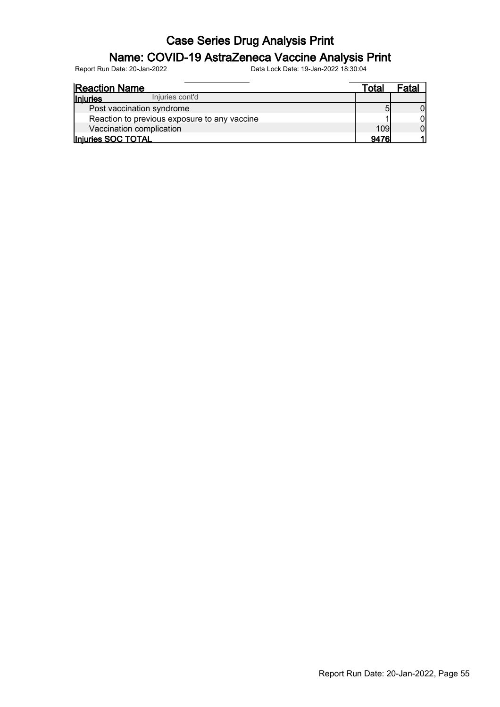#### Name: COVID-19 AstraZeneca Vaccine Analysis Print

| <b>Reaction Name</b>                         | Totai | Fatal |
|----------------------------------------------|-------|-------|
| Injuries cont'd<br><b>Injuries</b>           |       |       |
| Post vaccination syndrome                    |       |       |
| Reaction to previous exposure to any vaccine |       |       |
| Vaccination complication                     | 109   |       |
| Injuries SOC TOTAL                           | 9476  |       |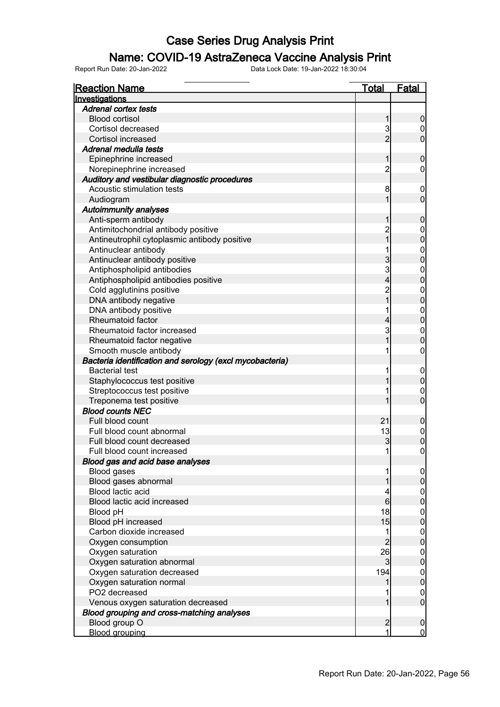### Name: COVID-19 AstraZeneca Vaccine Analysis Print

| <b>Reaction Name</b>                                     | <b>Total</b>            | <b>Fatal</b>     |
|----------------------------------------------------------|-------------------------|------------------|
| Investigations                                           |                         |                  |
| <b>Adrenal cortex tests</b>                              |                         |                  |
| <b>Blood cortisol</b>                                    | 1                       | $\boldsymbol{0}$ |
| Cortisol decreased                                       | 3                       | $\boldsymbol{0}$ |
| <b>Cortisol increased</b>                                | $\overline{2}$          | $\mathbf 0$      |
| Adrenal medulla tests                                    |                         |                  |
| Epinephrine increased                                    | 1                       | $\mathbf 0$      |
| Norepinephrine increased                                 | $\overline{c}$          | 0                |
| Auditory and vestibular diagnostic procedures            |                         |                  |
| Acoustic stimulation tests                               | 8                       | $\mathbf 0$      |
| Audiogram                                                | 1                       | $\mathbf 0$      |
| <b>Autoimmunity analyses</b>                             |                         |                  |
| Anti-sperm antibody                                      | 1                       | $\mathbf 0$      |
| Antimitochondrial antibody positive                      |                         | $\boldsymbol{0}$ |
| Antineutrophil cytoplasmic antibody positive             | 2<br>1                  | $\overline{0}$   |
| Antinuclear antibody                                     |                         |                  |
| Antinuclear antibody positive                            | 3                       | $0\atop 0$       |
| Antiphospholipid antibodies                              | 3                       | $\mathbf{0}$     |
| Antiphospholipid antibodies positive                     | $\overline{\mathbf{4}}$ | $\overline{0}$   |
| Cold agglutinins positive                                |                         |                  |
| DNA antibody negative                                    | 2<br>1                  | $0\atop 0$       |
| DNA antibody positive                                    | 1                       |                  |
| Rheumatoid factor                                        | 4                       | $0\atop 0$       |
| Rheumatoid factor increased                              | 3                       | $\boldsymbol{0}$ |
| Rheumatoid factor negative                               | 1                       | $\overline{0}$   |
| Smooth muscle antibody                                   |                         | $\boldsymbol{0}$ |
| Bacteria identification and serology (excl mycobacteria) |                         |                  |
| <b>Bacterial test</b>                                    | 1                       | $\mathbf 0$      |
| Staphylococcus test positive                             |                         | $\pmb{0}$        |
| Streptococcus test positive                              |                         | $\mathbf 0$      |
| Treponema test positive                                  |                         | $\overline{0}$   |
| <b>Blood counts NEC</b>                                  |                         |                  |
| Full blood count                                         | 21                      | $\mathbf 0$      |
| Full blood count abnormal                                | 13                      |                  |
| Full blood count decreased                               | 3                       | $0\atop 0$       |
| Full blood count increased                               | $\mathbf{1}$            | $\mathbf 0$      |
| Blood gas and acid base analyses                         |                         |                  |
| <b>Blood gases</b>                                       | 1                       | $\overline{0}$   |
| Blood gases abnormal                                     |                         | $\overline{0}$   |
| Blood lactic acid                                        | 4                       | $\overline{0}$   |
| Blood lactic acid increased                              | $6 \overline{}$         | $\overline{0}$   |
| Blood pH                                                 | 18                      | $\boldsymbol{0}$ |
| Blood pH increased                                       | 15                      | $\overline{0}$   |
| Carbon dioxide increased                                 | 1                       | $\boldsymbol{0}$ |
| Oxygen consumption                                       | $\overline{c}$          | $\mathbf 0$      |
| Oxygen saturation                                        | 26                      | $\boldsymbol{0}$ |
| Oxygen saturation abnormal                               | $\mathbf{3}$            | $\mathbf 0$      |
| Oxygen saturation decreased                              | 194                     | $\boldsymbol{0}$ |
| Oxygen saturation normal                                 | 1                       | $\mathbf 0$      |
| PO2 decreased                                            |                         | $\mathbf 0$      |
| Venous oxygen saturation decreased                       | 1                       | $\overline{0}$   |
| Blood grouping and cross-matching analyses               |                         |                  |
| Blood group O                                            | $\overline{2}$          | $\mathbf 0$      |
| <b>Blood grouping</b>                                    | 1                       | $\overline{0}$   |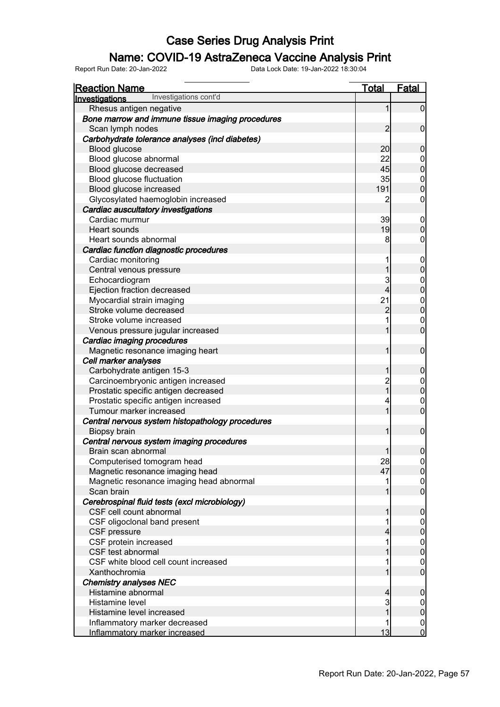#### Name: COVID-19 AstraZeneca Vaccine Analysis Print

| <b>Reaction Name</b>                             | <u>Total</u>   | <b>Fatal</b>                     |
|--------------------------------------------------|----------------|----------------------------------|
| Investigations cont'd<br>Investigations          |                |                                  |
| Rhesus antigen negative                          | 1              | $\overline{0}$                   |
| Bone marrow and immune tissue imaging procedures |                |                                  |
| Scan lymph nodes                                 | $\overline{2}$ | $\boldsymbol{0}$                 |
| Carbohydrate tolerance analyses (incl diabetes)  |                |                                  |
| Blood glucose                                    | 20             | $\boldsymbol{0}$                 |
| Blood glucose abnormal                           | 22             | $\overline{0}$                   |
| Blood glucose decreased                          | 45             | $\overline{0}$                   |
| Blood glucose fluctuation                        | 35             |                                  |
| Blood glucose increased                          | 191            | $\begin{matrix}0\\0\end{matrix}$ |
| Glycosylated haemoglobin increased               | 2              | $\boldsymbol{0}$                 |
| Cardiac auscultatory investigations              |                |                                  |
| Cardiac murmur                                   | 39             | $\mathbf 0$                      |
| Heart sounds                                     | 19             | $\mathbf 0$                      |
| Heart sounds abnormal                            | 8              | $\boldsymbol{0}$                 |
| Cardiac function diagnostic procedures           |                |                                  |
| Cardiac monitoring                               | 1              | $\mathbf 0$                      |
| Central venous pressure                          | 1              | $\mathbf 0$                      |
| Echocardiogram                                   | 3              |                                  |
| Ejection fraction decreased                      | 4              | $\begin{matrix}0\\0\end{matrix}$ |
| Myocardial strain imaging                        | 21             |                                  |
| Stroke volume decreased                          | $\overline{c}$ | $0\atop 0$                       |
| Stroke volume increased                          |                | $\boldsymbol{0}$                 |
| Venous pressure jugular increased                | 1              | $\overline{0}$                   |
| Cardiac imaging procedures                       |                |                                  |
| Magnetic resonance imaging heart                 | 1              | $\boldsymbol{0}$                 |
| Cell marker analyses                             |                |                                  |
| Carbohydrate antigen 15-3                        | 1              | $\boldsymbol{0}$                 |
| Carcinoembryonic antigen increased               | $\overline{c}$ |                                  |
| Prostatic specific antigen decreased             | $\overline{1}$ | $0\atop 0$                       |
| Prostatic specific antigen increased             | 4              | $\overline{0}$                   |
| Tumour marker increased                          | 1              | $\overline{0}$                   |
| Central nervous system histopathology procedures |                |                                  |
| <b>Biopsy brain</b>                              | 1              | $\boldsymbol{0}$                 |
| Central nervous system imaging procedures        |                |                                  |
| Brain scan abnormal                              | $\mathbf{1}$   | $\boldsymbol{0}$                 |
| Computerised tomogram head                       | 28             | $\Omega$                         |
| Magnetic resonance imaging head                  | 47             | $\overline{0}$                   |
| Magnetic resonance imaging head abnormal         |                | $\overline{0}$                   |
| Scan brain                                       |                | $\overline{0}$                   |
| Cerebrospinal fluid tests (excl microbiology)    |                |                                  |
| CSF cell count abnormal                          |                | $\mathbf 0$                      |
| CSF oligoclonal band present                     |                | $\overline{0}$                   |
| CSF pressure                                     |                | $\pmb{0}$                        |
| CSF protein increased                            |                | $\boldsymbol{0}$                 |
| CSF test abnormal                                |                | $\mathbf 0$                      |
| CSF white blood cell count increased             |                | $\overline{0}$                   |
| Xanthochromia                                    |                | $\overline{0}$                   |
| <b>Chemistry analyses NEC</b>                    |                |                                  |
| Histamine abnormal                               | 4              | $\boldsymbol{0}$                 |
| Histamine level                                  | 3              | $\overline{0}$                   |
| Histamine level increased                        |                | $\pmb{0}$                        |
| Inflammatory marker decreased                    |                | $\overline{0}$                   |
| Inflammatory marker increased                    | 13             | $\overline{0}$                   |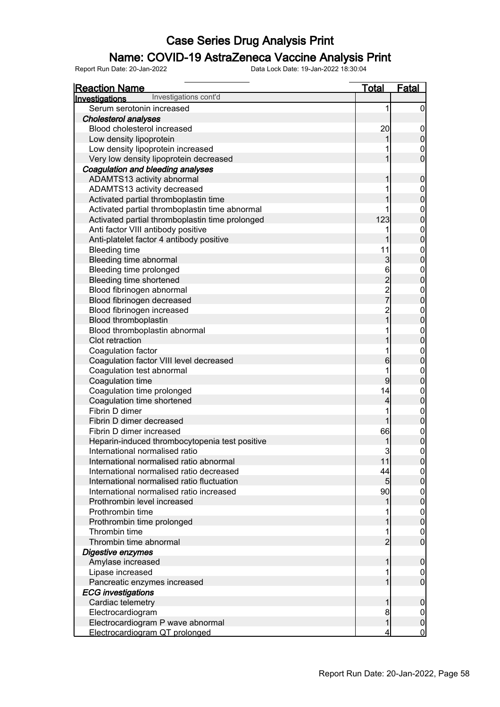### Name: COVID-19 AstraZeneca Vaccine Analysis Print

| <b>Reaction Name</b>                            | <b>Total</b>   | <b>Fatal</b>     |
|-------------------------------------------------|----------------|------------------|
| Investigations cont'd<br>Investigations         |                |                  |
| Serum serotonin increased                       | 1              | 0                |
| Cholesterol analyses                            |                |                  |
| Blood cholesterol increased                     | 20             | 0                |
| Low density lipoprotein                         |                | 0                |
| Low density lipoprotein increased               |                | 0                |
| Very low density lipoprotein decreased          |                | $\overline{0}$   |
| Coagulation and bleeding analyses               |                |                  |
| ADAMTS13 activity abnormal                      |                | 0                |
| ADAMTS13 activity decreased                     |                | 0                |
| Activated partial thromboplastin time           |                | $\mathbf 0$      |
| Activated partial thromboplastin time abnormal  |                | 0                |
| Activated partial thromboplastin time prolonged | 123            | $\mathbf 0$      |
| Anti factor VIII antibody positive              |                | 0                |
| Anti-platelet factor 4 antibody positive        |                | $\mathbf 0$      |
| <b>Bleeding time</b>                            | 11             | 0                |
| Bleeding time abnormal                          | $\mathbf{3}$   | $\mathbf 0$      |
| Bleeding time prolonged                         | 6              | 0                |
| Bleeding time shortened                         | $\overline{2}$ | $\mathbf 0$      |
| Blood fibrinogen abnormal                       | $\frac{2}{7}$  | 0                |
| Blood fibrinogen decreased                      |                | $\mathbf 0$      |
| Blood fibrinogen increased                      | $\overline{c}$ | 0                |
| Blood thromboplastin                            |                | $\mathbf 0$      |
| Blood thromboplastin abnormal                   |                | 0                |
| Clot retraction                                 |                | $\mathbf 0$      |
| Coagulation factor                              |                | 0                |
| Coagulation factor VIII level decreased         | 6              | $\mathbf 0$      |
| Coagulation test abnormal                       |                | 0                |
| Coagulation time                                | 9              | $\mathbf 0$      |
| Coagulation time prolonged                      | 14             | 0                |
| Coagulation time shortened                      | 4              | 0                |
| Fibrin D dimer                                  |                | 0                |
| Fibrin D dimer decreased                        |                | $\boldsymbol{0}$ |
| Fibrin D dimer increased                        | 66             | $\mathbf{0}$     |
| Heparin-induced thrombocytopenia test positive  |                | 0                |
| International normalised ratio                  | 3              | $\mathbf{0}$     |
| International normalised ratio abnormal         | 11             | <sub>0</sub>     |
| International normalised ratio decreased        | 44             |                  |
| International normalised ratio fluctuation      | 5              | 0                |
| International normalised ratio increased        | 90             | 0                |
| Prothrombin level increased                     |                | $\mathbf 0$      |
| Prothrombin time                                |                | 0                |
| Prothrombin time prolonged                      |                | $\mathbf 0$      |
| Thrombin time                                   |                | 0                |
| Thrombin time abnormal                          | $\overline{2}$ | $\mathbf 0$      |
| Digestive enzymes                               |                |                  |
| Amylase increased                               |                | 0                |
| Lipase increased                                |                | 0                |
| Pancreatic enzymes increased                    |                | $\mathbf 0$      |
| <b>ECG</b> investigations                       |                |                  |
| Cardiac telemetry                               |                | 0                |
| Electrocardiogram                               | 8              | 0                |
| Electrocardiogram P wave abnormal               |                | 0                |
| Electrocardiogram QT prolonged                  |                | $\mathbf 0$      |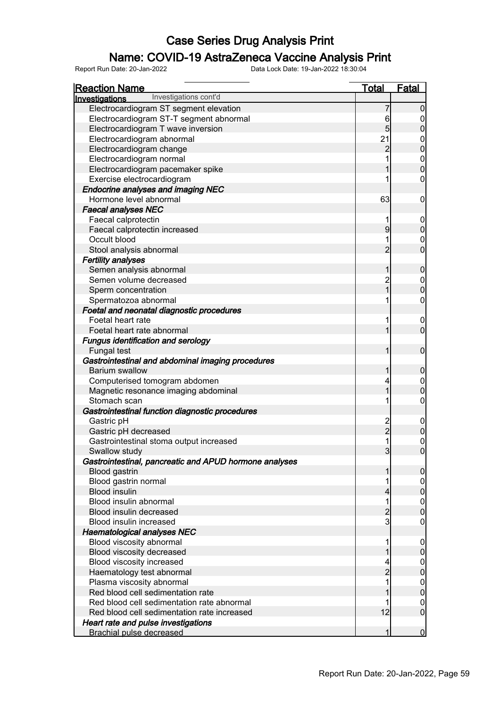### Name: COVID-19 AstraZeneca Vaccine Analysis Print

| <b>Reaction Name</b>                                   | <b>Total</b>   | <b>Fatal</b>     |
|--------------------------------------------------------|----------------|------------------|
| Investigations cont'd<br>Investigations                |                |                  |
| Electrocardiogram ST segment elevation                 | 7              | 0                |
| Electrocardiogram ST-T segment abnormal                |                | 0                |
| Electrocardiogram T wave inversion                     | $6\over 5$     | $\boldsymbol{0}$ |
| Electrocardiogram abnormal                             | 21             | 0                |
| Electrocardiogram change                               | $\overline{c}$ | $\mathbf 0$      |
| Electrocardiogram normal                               |                | $\mathbf 0$      |
| Electrocardiogram pacemaker spike                      |                | $\mathbf 0$      |
| Exercise electrocardiogram                             |                | $\mathbf 0$      |
| <b>Endocrine analyses and imaging NEC</b>              |                |                  |
| Hormone level abnormal                                 | 63             | 0                |
| <b>Faecal analyses NEC</b>                             |                |                  |
| Faecal calprotectin                                    |                | $\boldsymbol{0}$ |
| Faecal calprotectin increased                          | $\overline{9}$ | $\pmb{0}$        |
| Occult blood                                           |                | 0                |
| Stool analysis abnormal                                | $\overline{2}$ | $\mathbf 0$      |
| <b>Fertility analyses</b>                              |                |                  |
| Semen analysis abnormal                                | 1              | $\mathbf 0$      |
| Semen volume decreased                                 |                | $\mathbf 0$      |
| Sperm concentration                                    | 2<br>1         | $\boldsymbol{0}$ |
| Spermatozoa abnormal                                   |                | $\mathbf 0$      |
| Foetal and neonatal diagnostic procedures              |                |                  |
| Foetal heart rate                                      | 1              | 0                |
| Foetal heart rate abnormal                             | 1              | $\mathbf 0$      |
| <b>Fungus identification and serology</b>              |                |                  |
| <b>Fungal test</b>                                     | 1              | $\mathbf 0$      |
| Gastrointestinal and abdominal imaging procedures      |                |                  |
| Barium swallow                                         | 1              | $\mathbf 0$      |
| Computerised tomogram abdomen                          | 4              | $\mathbf 0$      |
| Magnetic resonance imaging abdominal                   | 1              | $\boldsymbol{0}$ |
| Stomach scan                                           |                | $\mathbf 0$      |
| Gastrointestinal function diagnostic procedures        |                |                  |
| Gastric pH                                             |                | $\mathbf 0$      |
| Gastric pH decreased                                   | $\frac{2}{2}$  | $\pmb{0}$        |
| Gastrointestinal stoma output increased                |                | $\mathbf{0}$     |
| Swallow study                                          | $\overline{3}$ | $\mathbf 0$      |
| Gastrointestinal, pancreatic and APUD hormone analyses |                |                  |
| <b>Blood gastrin</b>                                   | 1              | $\overline{0}$   |
| Blood gastrin normal                                   |                | 0                |
| <b>Blood insulin</b>                                   | 4              | $\pmb{0}$        |
| Blood insulin abnormal                                 | 1              | $\boldsymbol{0}$ |
| Blood insulin decreased                                | $\overline{c}$ | $\mathbf 0$      |
| Blood insulin increased                                | $\mathbf{3}$   | $\overline{0}$   |
| <b>Haematological analyses NEC</b>                     |                |                  |
| Blood viscosity abnormal                               |                | 0                |
| Blood viscosity decreased                              |                | $\boldsymbol{0}$ |
| Blood viscosity increased                              |                | 0                |
| Haematology test abnormal                              | $\overline{c}$ | $\boldsymbol{0}$ |
| Plasma viscosity abnormal                              |                | 0                |
| Red blood cell sedimentation rate                      |                | $\boldsymbol{0}$ |
| Red blood cell sedimentation rate abnormal             |                | 0                |
| Red blood cell sedimentation rate increased            | 12             | $\mathbf 0$      |
| Heart rate and pulse investigations                    |                |                  |
| <b>Brachial pulse decreased</b>                        | 1              | $\bf{0}$         |
|                                                        |                |                  |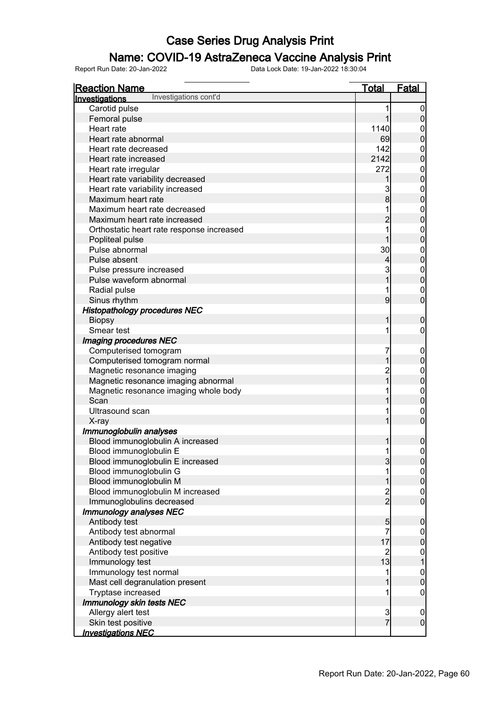### Name: COVID-19 AstraZeneca Vaccine Analysis Print

| <u>Reaction Name</u>                      | <u>Total</u>   | <b>Fatal</b>                           |
|-------------------------------------------|----------------|----------------------------------------|
| Investigations cont'd<br>Investigations   |                |                                        |
| Carotid pulse                             | 1              | $\boldsymbol{0}$                       |
| Femoral pulse                             | 1              | $\overline{0}$                         |
| Heart rate                                | 1140           | $\boldsymbol{0}$                       |
| Heart rate abnormal                       | 69             | $\boldsymbol{0}$                       |
| Heart rate decreased                      | 142            | $\mathbf{0}$                           |
| Heart rate increased                      | 2142           | $\overline{0}$                         |
| Heart rate irregular                      | 272            |                                        |
| Heart rate variability decreased          | 1              | $\begin{matrix}0\\0\end{matrix}$       |
| Heart rate variability increased          | 3              |                                        |
| Maximum heart rate                        | $\bf{8}$       | $0\atop 0$                             |
| Maximum heart rate decreased              | 1              |                                        |
| Maximum heart rate increased              | $\overline{2}$ | 0<br>0                                 |
| Orthostatic heart rate response increased | 1              |                                        |
| Popliteal pulse                           |                | $\begin{matrix}0\\0\end{matrix}$       |
| Pulse abnormal                            | 30             |                                        |
| Pulse absent                              | $\overline{4}$ | 0<br>0                                 |
| Pulse pressure increased                  | 3              |                                        |
| Pulse waveform abnormal                   | $\overline{1}$ | $0\atop 0$                             |
| Radial pulse                              | 1              | $\mathbf{0}$                           |
| Sinus rhythm                              | 9              | $\overline{0}$                         |
| <b>Histopathology procedures NEC</b>      |                |                                        |
| <b>Biopsy</b>                             | 1              | $\mathbf 0$                            |
| Smear test                                | 1              | 0                                      |
| Imaging procedures NEC                    |                |                                        |
| Computerised tomogram                     | 7              | $\boldsymbol{0}$                       |
| Computerised tomogram normal              | 1              | $\mathbf 0$                            |
| Magnetic resonance imaging                | $\overline{2}$ |                                        |
| Magnetic resonance imaging abnormal       | $\overline{1}$ | 0<br>0                                 |
| Magnetic resonance imaging whole body     | 1              |                                        |
| Scan                                      | 1              | $0\atop 0$                             |
| Ultrasound scan                           | 1              |                                        |
| X-ray                                     | 1              | $\begin{matrix}0\\0\end{matrix}$       |
| Immunoglobulin analyses                   |                |                                        |
| Blood immunoglobulin A increased          | 1              | 0                                      |
| Blood immunoglobulin E                    | 1              | $\mathbf 0$                            |
| Blood immunoglobulin E increased          | $\mathbf{3}$   | 0                                      |
| Blood immunoglobulin G                    | 1              |                                        |
| Blood immunoglobulin M                    | 1              | $\begin{bmatrix} 0 \\ 0 \end{bmatrix}$ |
| Blood immunoglobulin M increased          | $\frac{2}{2}$  |                                        |
| Immunoglobulins decreased                 |                | $\begin{matrix} 0 \\ 0 \end{matrix}$   |
| Immunology analyses NEC                   |                |                                        |
| Antibody test                             | 5              | $\boldsymbol{0}$                       |
| Antibody test abnormal                    | 7              |                                        |
| Antibody test negative                    | 17             | $0\atop 0$                             |
| Antibody test positive                    | $\overline{2}$ |                                        |
| Immunology test                           | 13             | $\begin{matrix} 0 \\ 1 \end{matrix}$   |
| Immunology test normal                    | 1              |                                        |
| Mast cell degranulation present           | 1              | $\begin{matrix} 0 \\ 0 \end{matrix}$   |
| Tryptase increased                        | 1              | $\mathbf 0$                            |
| Immunology skin tests NEC                 |                |                                        |
| Allergy alert test                        | $\frac{3}{7}$  | $\boldsymbol{0}$                       |
| Skin test positive                        |                | $\overline{0}$                         |
| <b>Investigations NEC</b>                 |                |                                        |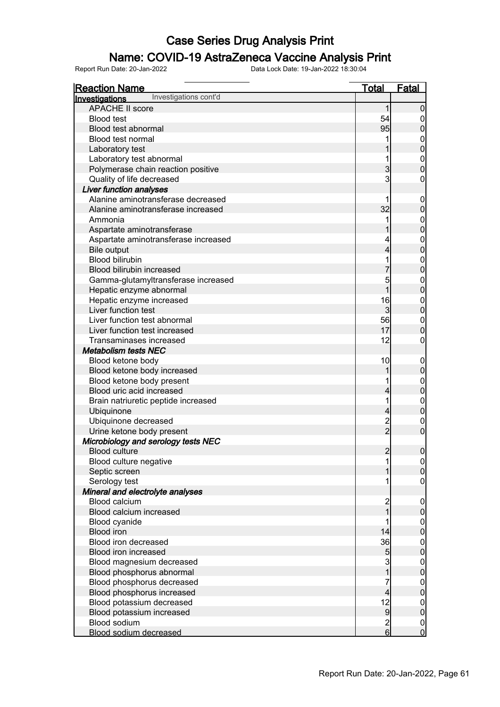# **Name: COVID-19 AstraZeneca Vaccine Analysis Print**<br>Report Run Date: 20-Jan-2022<br>Data Lock Date: 19-Jan-2022 18:30:04

Report Run Date: 20-Jan-2022 Data Lock Date: 19-Jan-2022 18:30:04

Reaction Name Total Fatal Investigations APACHE II score 1 0<br>Blood test 54 0 Blood test 54 0 Blood test abnormal and the set of the set of the set of the set of the set of the set of the set of the set o<br>Blood test normal and the set of the set of the set of the set of the set of the set of the set of the set of t Blood test normal and the set of the set of the set of the set of the set of the set of the set of the set of the set of the set of the set of the set of the set of the set of the set of the set of the set of the set of th Laboratory test 1 0<br>
Laboratory test abnormal 1 0<br>
0 Laboratory test abnormal  $\begin{array}{|c|c|c|c|c|}\n\hline\n\end{array}$  0  $\begin{array}{|c|c|c|c|}\n\hline\n\end{array}$  1  $\begin{array}{|c|c|c|}\n\hline\n\end{array}$  0  $\begin{array}{|c|c|c|}\n\hline\n\end{array}$  1  $\begin{array}{|c|c|c|}\n\hline\n\end{array}$  0 Polymerase chain reaction positive 3 0 Quality of life decreased Liver function analyses Alanine aminotransferase decreased<br>
Alanine aminotransferase increased<br>
0 0 0 0 1 Alanine aminotransferase increased  $\begin{array}{ccc} 32 & 0 \\ 0 & 32 \end{array}$  Ammonia 1 0 Aspartate aminotransferase<br>Aspartate aminotransferase increased<br>
0 Aspartate aminotransferase increased<br>
Bile output details and the contract of the contract of the contract of the contract of the contract of the contra<br>
A 0 Bile output  $\begin{bmatrix} 4 & 0 \end{bmatrix}$ Blood bilirubin<br>Blood bilirubin increased<br>Blood bilirubin increased Blood bilirubin increased<br>
Gamma-qlutamvltransferase increased<br>
0 Gamma-glutamyltransferase increased 5 0 Hepatic enzyme abnormal about the set of the set of the set of the set of the set of the set of the set of the set of the set of the set of the set of the set of the set of the set of the set of the set of the set of the s Hepatic enzyme increased<br>
Liver function test development of the state of the state of the state of the state of the state of the state o<br>
a contract of the state of the state of the state of the state of the state of the Liver function test  $\begin{array}{|c|c|c|c|c|c|}\n\hline\n\text{Liver function test abnormal} & & & & & 3 & 0 \\
\hline\n\end{array}$ Liver function test abnormal and the state of the state of the state of the state of the state of the state of the state of the state of the state of the state of the state of the state of the state of the state of the sta Liver function test increased 17 0<br>Transaminases increased 17 0<br>0 Transaminases increased 12 0 Metabolism tests NEC Blood ketone body 10 0 Blood ketone body increased and the set of the set of the set of the set of the set of the set of the set of the set of the set of the set of the set of the set of the set of the set of the set of the set of the set of the Blood ketone body present and the set of the set of the set of the set of the set of the set of the set of the set of the set of the set of the set of the set of the set of the set of the set of the set of the set of the s Blood uric acid increased 4 0 Brain natriuretic peptide increased 1 0 Ubiquinone 4 0 Ubiquinone decreased 2 0 Urine ketone body present 2 0 Microbiology and serology tests NEC Blood culture 2 0 Blood culture negative 1 0 Septic screen 1 0 Serology test 1 0 Mineral and electrolyte analyses Blood calcium increased and the control of the control of the control of the control of the control of the control of the control of the control of the control of the control of the control of the control of the control of Blood calcium increased and the set of the set of the set of the set of the set of the set of the set of the set of the set of the set of the set of the set of the set of the set of the set of the set of the set of the set Blood cyanide 1 0<br>Blood iron 14 0<br>Blood iron 14 0 Blood iron 14 0 Blood iron decreased 36 0 Blood iron increased in the set of the set of the set of the set of the set of the set of the set of the set o Blood magnesium decreased and a set of the set of the set of the set of the set of the set of the set of the set of the set of the set of the set of the set of the set of the set of the set of the set of the set of the set Blood phosphorus abnormal 1 0 Blood phosphorus decreased 7 0 Blood phosphorus increased and the set of the set of the set of the set of the set of the set of the set of the set of the set of the set of the set of the set of the set of the set of the set of the set of the set of the Blood potassium decreased 12 0 Blood potassium increased and the set of the set of the set of the set of the set of the set of the set of the set of the set of the set of the set of the set of the set of the set of the set of the set of the set of the s Blood sodium and the control of the control of the control of the control of the control of the control of the control of the control of the control of the control of the control of the control of the control of the contro Blood sodium decreased 6 0 Investigations cont'd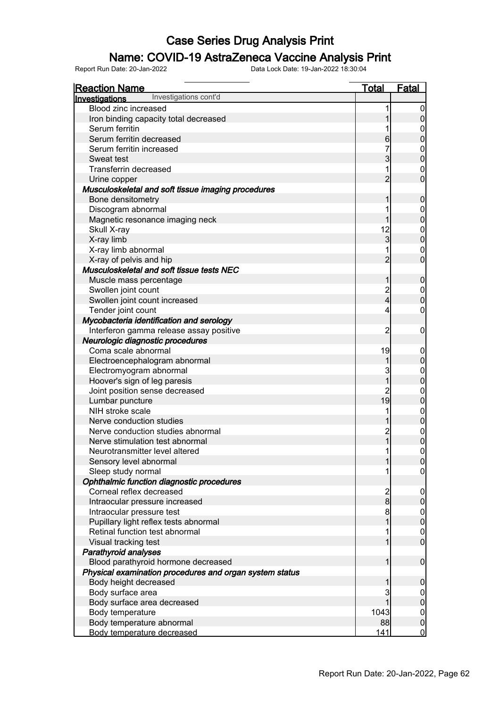### Name: COVID-19 AstraZeneca Vaccine Analysis Print

| <b>Reaction Name</b>                                    | <b>Total</b>                          | <b>Fatal</b>   |
|---------------------------------------------------------|---------------------------------------|----------------|
| Investigations cont'd<br><b>Investigations</b>          |                                       |                |
| <b>Blood zinc increased</b>                             |                                       | 0              |
| Iron binding capacity total decreased                   |                                       | 0              |
| Serum ferritin                                          |                                       | 0              |
| Serum ferritin decreased                                | 6                                     | 0              |
| Serum ferritin increased                                |                                       | 0              |
| Sweat test                                              | 3                                     | $\mathbf 0$    |
| <b>Transferrin decreased</b>                            | 1                                     | 0              |
| Urine copper                                            | $\overline{2}$                        | $\overline{0}$ |
| Musculoskeletal and soft tissue imaging procedures      |                                       |                |
| Bone densitometry                                       | 1                                     | 0              |
| Discogram abnormal                                      |                                       | 0              |
| Magnetic resonance imaging neck                         |                                       | $\mathbf 0$    |
| Skull X-ray                                             | 12                                    | 0              |
| X-ray limb                                              | 3                                     | $\overline{0}$ |
| X-ray limb abnormal                                     |                                       | 0              |
| X-ray of pelvis and hip                                 | $\overline{2}$                        | $\overline{0}$ |
| Musculoskeletal and soft tissue tests NEC               |                                       |                |
| Muscle mass percentage                                  | 1                                     | $\mathbf 0$    |
| Swollen joint count                                     |                                       | 0              |
| Swollen joint count increased                           | $\frac{2}{4}$                         | $\overline{0}$ |
| Tender joint count                                      | 4                                     | 0              |
| Mycobacteria identification and serology                |                                       |                |
| Interferon gamma release assay positive                 | 2                                     | 0              |
| Neurologic diagnostic procedures                        |                                       |                |
| Coma scale abnormal                                     | 19                                    | 0              |
| Electroencephalogram abnormal                           | 1                                     | 0              |
| Electromyogram abnormal                                 | 3                                     | $\mathbf 0$    |
| Hoover's sign of leg paresis                            | 1                                     | $\overline{0}$ |
| Joint position sense decreased                          |                                       | 0              |
| Lumbar puncture                                         | 19                                    | 0              |
| NIH stroke scale                                        |                                       | $\mathbf 0$    |
| Nerve conduction studies                                |                                       | 0              |
| Nerve conduction studies abnormal                       | $\overline{c}$                        | $\mathbf 0$    |
| Nerve stimulation test abnormal                         | $\overline{1}$                        | 0              |
| Neurotransmitter level altered                          | 1                                     | 0              |
| Sensory level abnormal                                  |                                       | 0              |
| Sleep study normal                                      |                                       | 0              |
| Ophthalmic function diagnostic procedures               |                                       |                |
| Corneal reflex decreased                                |                                       | $\mathbf 0$    |
| Intraocular pressure increased                          | $\begin{array}{c} 2 \\ 8 \end{array}$ | 0              |
| Intraocular pressure test                               | 8                                     |                |
| Pupillary light reflex tests abnormal                   |                                       | 0<br>0         |
| Retinal function test abnormal                          |                                       | $\mathbf 0$    |
| Visual tracking test                                    |                                       | $\overline{0}$ |
| <b>Parathyroid analyses</b>                             |                                       |                |
| Blood parathyroid hormone decreased                     |                                       | $\mathbf 0$    |
| Physical examination procedures and organ system status |                                       |                |
| Body height decreased                                   |                                       | 0              |
| Body surface area                                       |                                       | $\mathbf 0$    |
| Body surface area decreased                             |                                       | $\mathbf 0$    |
| Body temperature                                        | 1043                                  | $\mathbf{0}$   |
| Body temperature abnormal                               | 88                                    | $\mathbf 0$    |
| <b>Body temperature decreased</b>                       | 141                                   | $\mathbf 0$    |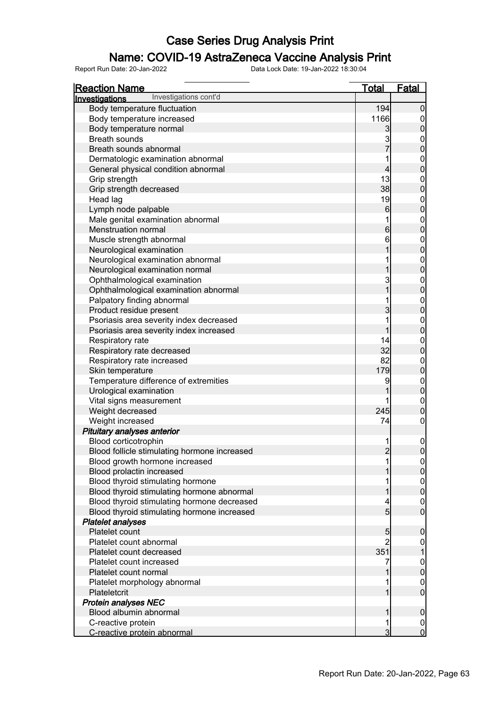### Name: COVID-19 AstraZeneca Vaccine Analysis Print

| <b>Reaction Name</b>                         | <b>Total</b>    | <b>Fatal</b>                         |
|----------------------------------------------|-----------------|--------------------------------------|
| Investigations cont'd<br>Investigations      |                 |                                      |
| Body temperature fluctuation                 | 194             | $\mathbf 0$                          |
| Body temperature increased                   | 1166            |                                      |
| Body temperature normal                      | 3               | $\mathbf 0$                          |
| <b>Breath sounds</b>                         | 3               |                                      |
| Breath sounds abnormal                       | $\overline{7}$  | $0$ 0                                |
| Dermatologic examination abnormal            |                 |                                      |
| General physical condition abnormal          | 4               | $0\atop 0$                           |
| Grip strength                                | 13              |                                      |
| Grip strength decreased                      | 38              | $0\atop 0$                           |
| Head lag                                     | 19              |                                      |
| Lymph node palpable                          | $6 \overline{}$ | $0\atop 0$                           |
| Male genital examination abnormal            |                 |                                      |
| Menstruation normal                          | $6 \overline{}$ | $0\atop 0$                           |
| Muscle strength abnormal                     | 6               |                                      |
| Neurological examination                     |                 | $0\atop 0$                           |
| Neurological examination abnormal            |                 |                                      |
| Neurological examination normal              |                 | $0\atop 0$                           |
| Ophthalmological examination                 | 3               |                                      |
| Ophthalmological examination abnormal        |                 | $0\atop 0$                           |
| Palpatory finding abnormal                   |                 |                                      |
| Product residue present                      | 3               | $0\atop 0$                           |
| Psoriasis area severity index decreased      |                 |                                      |
| Psoriasis area severity index increased      |                 | $\begin{matrix} 0 \\ 0 \end{matrix}$ |
| Respiratory rate                             | 14              |                                      |
| Respiratory rate decreased                   | 32              | $0\atop 0$                           |
| Respiratory rate increased                   | 82              |                                      |
| Skin temperature                             | 179             | $\begin{matrix} 0 \\ 0 \end{matrix}$ |
| Temperature difference of extremities        | 9               |                                      |
| Urological examination                       |                 | $0\atop 0$                           |
| Vital signs measurement                      |                 | $\boldsymbol{0}$                     |
| Weight decreased                             | 245             | $\overline{0}$                       |
| Weight increased                             | 74              | $\boldsymbol{0}$                     |
| Pituitary analyses anterior                  |                 |                                      |
| Blood corticotrophin                         |                 | $\mathbf 0$                          |
| Blood follicle stimulating hormone increased | $\overline{2}$  | $\overline{0}$                       |
| Blood growth hormone increased               |                 |                                      |
| Blood prolactin increased                    |                 | $\begin{matrix} 0 \\ 0 \end{matrix}$ |
| Blood thyroid stimulating hormone            |                 |                                      |
| Blood thyroid stimulating hormone abnormal   |                 | $\begin{matrix} 0 \\ 0 \end{matrix}$ |
| Blood thyroid stimulating hormone decreased  |                 | $\mathbf 0$                          |
| Blood thyroid stimulating hormone increased  | 5               | $\overline{0}$                       |
| <b>Platelet analyses</b>                     |                 |                                      |
| Platelet count                               | 5               | $\mathbf 0$                          |
| Platelet count abnormal                      |                 |                                      |
| Platelet count decreased                     | 351             |                                      |
| Platelet count increased                     |                 |                                      |
| Platelet count normal                        |                 | $\overline{0}$                       |
| Platelet morphology abnormal                 |                 | $\mathbf 0$                          |
| Plateletcrit                                 |                 | $\overline{0}$                       |
| <b>Protein analyses NEC</b>                  |                 |                                      |
| Blood albumin abnormal                       |                 | $\boldsymbol{0}$                     |
| C-reactive protein                           |                 | 0                                    |
| C-reactive protein abnormal                  | 3               | $\overline{0}$                       |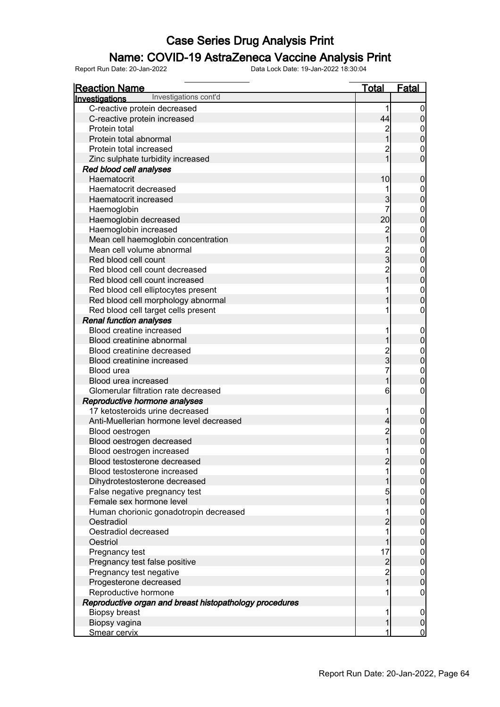### Name: COVID-19 AstraZeneca Vaccine Analysis Print

| Reaction Name                                           | <b>Total</b>    | <b>Fatal</b>   |
|---------------------------------------------------------|-----------------|----------------|
| Investigations cont'd<br>Investigations                 |                 |                |
| C-reactive protein decreased                            |                 | 0              |
| C-reactive protein increased                            | 44              | 0              |
| Protein total                                           |                 |                |
| Protein total abnormal                                  |                 | 0              |
| Protein total increased                                 |                 | 0              |
| Zinc sulphate turbidity increased                       |                 | 0              |
| Red blood cell analyses                                 |                 |                |
| Haematocrit                                             | 10              | 0              |
| Haematocrit decreased                                   |                 | 0              |
| Haematocrit increased                                   | 3               | 0              |
| Haemoglobin                                             |                 | 0              |
| Haemoglobin decreased                                   | 20              | 0              |
| Haemoglobin increased                                   | $\overline{c}$  | 0              |
| Mean cell haemoglobin concentration                     |                 | 0              |
| Mean cell volume abnormal                               |                 | 0              |
| Red blood cell count                                    | 3               | 0              |
| Red blood cell count decreased                          |                 | 0              |
| Red blood cell count increased                          |                 | 0              |
| Red blood cell elliptocytes present                     |                 | 0              |
| Red blood cell morphology abnormal                      |                 | 0              |
| Red blood cell target cells present                     |                 | 0              |
| <b>Renal function analyses</b>                          |                 |                |
| <b>Blood creatine increased</b>                         |                 | 0              |
| Blood creatinine abnormal                               |                 | 0              |
| Blood creatinine decreased                              |                 |                |
| Blood creatinine increased                              | 3               | 0              |
| Blood urea                                              |                 | 0              |
| Blood urea increased                                    |                 | 0              |
| Glomerular filtration rate decreased                    | 6               | 0              |
| Reproductive hormone analyses                           |                 |                |
| 17 ketosteroids urine decreased                         |                 | 0              |
| Anti-Muellerian hormone level decreased                 | $\vert 4 \vert$ | 0              |
| Blood oestrogen                                         | $\overline{c}$  | 0              |
| Blood oestrogen decreased                               |                 |                |
| Blood oestrogen increased                               |                 | $\mathbf{0}$   |
| Blood testosterone decreased                            | 2               | <sup>0</sup>   |
| Blood testosterone increased                            |                 |                |
| Dihydrotestosterone decreased                           |                 | 0              |
| False negative pregnancy test                           |                 | 0              |
| Female sex hormone level                                |                 | $\mathbf 0$    |
| Human chorionic gonadotropin decreased                  |                 | 0              |
| Oestradiol                                              | $\overline{c}$  | $\mathbf 0$    |
| Oestradiol decreased                                    |                 | 0              |
| Oestriol                                                |                 | $\mathbf 0$    |
| Pregnancy test                                          | 17              | 0              |
| Pregnancy test false positive                           | $\overline{c}$  | $\mathbf 0$    |
| Pregnancy test negative                                 |                 | 0              |
| Progesterone decreased                                  |                 | $\mathbf 0$    |
| Reproductive hormone                                    |                 | 0              |
| Reproductive organ and breast histopathology procedures |                 |                |
| Biopsy breast                                           |                 | 0              |
| Biopsy vagina                                           |                 | 0              |
| Smear cervix                                            |                 | $\overline{0}$ |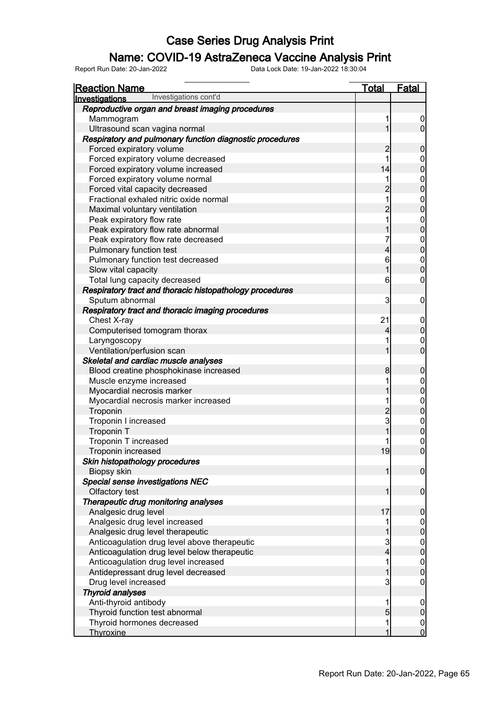### Name: COVID-19 AstraZeneca Vaccine Analysis Print

| <b>Reaction Name</b>                                     | <b>Total</b>   | <b>Fatal</b>                         |
|----------------------------------------------------------|----------------|--------------------------------------|
| Investigations cont'd<br>Investigations                  |                |                                      |
| Reproductive organ and breast imaging procedures         |                |                                      |
| Mammogram                                                | 1              | $\overline{0}$                       |
| Ultrasound scan vagina normal                            | 1              | $\overline{0}$                       |
| Respiratory and pulmonary function diagnostic procedures |                |                                      |
| Forced expiratory volume                                 | $\overline{c}$ | $\pmb{0}$                            |
| Forced expiratory volume decreased                       | 1              |                                      |
| Forced expiratory volume increased                       | 14             | $0$<br>0                             |
| Forced expiratory volume normal                          | 1              |                                      |
| Forced vital capacity decreased                          | $\overline{c}$ | $\begin{matrix}0\\0\end{matrix}$     |
| Fractional exhaled nitric oxide normal                   | $\overline{1}$ |                                      |
| Maximal voluntary ventilation                            | $\overline{c}$ | $0$<br>0                             |
| Peak expiratory flow rate                                | $\overline{1}$ |                                      |
| Peak expiratory flow rate abnormal                       | 1              | $0$<br>0                             |
| Peak expiratory flow rate decreased                      | 7              |                                      |
| Pulmonary function test                                  | 4              | $0$<br>0                             |
| Pulmonary function test decreased                        | 6              |                                      |
| Slow vital capacity                                      | $\overline{1}$ | $\begin{matrix} 0 \\ 0 \end{matrix}$ |
| Total lung capacity decreased                            | 6              | $\mathbf 0$                          |
| Respiratory tract and thoracic histopathology procedures |                |                                      |
| Sputum abnormal                                          | 3              | $\mathbf 0$                          |
| Respiratory tract and thoracic imaging procedures        |                |                                      |
| Chest X-ray                                              | 21             |                                      |
| Computerised tomogram thorax                             | 4              | $0\atop 0$                           |
| Laryngoscopy                                             | 1              | $\begin{matrix} 0 \\ 0 \end{matrix}$ |
| Ventilation/perfusion scan                               | 1              |                                      |
| Skeletal and cardiac muscle analyses                     |                |                                      |
| Blood creatine phosphokinase increased                   | 8              | $\boldsymbol{0}$                     |
| Muscle enzyme increased                                  | 1              | $0$<br>0                             |
| Myocardial necrosis marker                               | 1              |                                      |
| Myocardial necrosis marker increased                     | 1              | $0$<br>0                             |
| Troponin                                                 | $\frac{2}{3}$  |                                      |
| Troponin I increased                                     |                | $0$ 0                                |
| <b>Troponin T</b>                                        |                |                                      |
| Troponin T increased                                     |                | $\begin{matrix} 0 \\ 0 \end{matrix}$ |
| Troponin increased                                       | 19             |                                      |
| Skin histopathology procedures                           |                |                                      |
| Biopsy skin                                              | 1              | $\overline{0}$                       |
| Special sense investigations NEC                         |                |                                      |
| Olfactory test                                           | 1              | $\boldsymbol{0}$                     |
| Therapeutic drug monitoring analyses                     |                |                                      |
| Analgesic drug level                                     | 17             | $\pmb{0}$                            |
| Analgesic drug level increased                           | 1              | $0$<br>0                             |
| Analgesic drug level therapeutic                         |                |                                      |
| Anticoagulation drug level above therapeutic             | 3              | $\begin{matrix}0\\0\end{matrix}$     |
| Anticoagulation drug level below therapeutic             | 4              |                                      |
| Anticoagulation drug level increased                     | 1              | $\begin{matrix}0\\0\end{matrix}$     |
| Antidepressant drug level decreased                      | 1              |                                      |
| Drug level increased                                     | 3              | $\boldsymbol{0}$                     |
| <b>Thyroid analyses</b>                                  |                |                                      |
| Anti-thyroid antibody                                    | 1              | $\boldsymbol{0}$                     |
| Thyroid function test abnormal                           | 5              | $\mathbf 0$                          |
| Thyroid hormones decreased                               | 1              | $\begin{matrix} 0 \\ 0 \end{matrix}$ |
| Thyroxine                                                | 1              |                                      |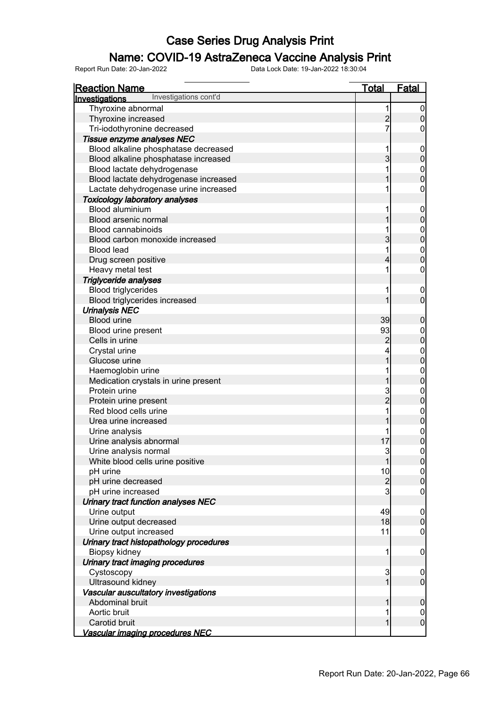### Name: COVID-19 AstraZeneca Vaccine Analysis Print

| <b>Reaction Name</b>                    | <u>Total</u>   | <b>Fatal</b>     |
|-----------------------------------------|----------------|------------------|
| Investigations cont'd<br>Investigations |                |                  |
| Thyroxine abnormal                      | 1              | $\overline{0}$   |
| Thyroxine increased                     | $\overline{c}$ | $\overline{0}$   |
| Tri-iodothyronine decreased             | 7              | 0                |
| Tissue enzyme analyses NEC              |                |                  |
| Blood alkaline phosphatase decreased    | 1              | $\mathbf 0$      |
| Blood alkaline phosphatase increased    | $\overline{3}$ | $\pmb{0}$        |
| Blood lactate dehydrogenase             |                | $\boldsymbol{0}$ |
| Blood lactate dehydrogenase increased   |                | $\overline{0}$   |
| Lactate dehydrogenase urine increased   |                | $\boldsymbol{0}$ |
| <b>Toxicology laboratory analyses</b>   |                |                  |
| Blood aluminium                         |                | $\mathbf 0$      |
| Blood arsenic normal                    |                | $\mathbf 0$      |
| <b>Blood cannabinoids</b>               |                | $\mathbf{0}$     |
| Blood carbon monoxide increased         | 3              | $\overline{0}$   |
| <b>Blood lead</b>                       | 1              |                  |
| Drug screen positive                    | 4              | $0\atop 0$       |
| Heavy metal test                        |                | $\boldsymbol{0}$ |
| Triglyceride analyses                   |                |                  |
| <b>Blood triglycerides</b>              |                | $\mathbf 0$      |
| Blood triglycerides increased           |                | $\overline{0}$   |
| <b>Urinalysis NEC</b>                   |                |                  |
| <b>Blood urine</b>                      | 39             | $\boldsymbol{0}$ |
| Blood urine present                     | 93             | $\boldsymbol{0}$ |
| Cells in urine                          | $\overline{c}$ | $\mathbf 0$      |
| Crystal urine                           | 4              | $0\atop 0$       |
| Glucose urine                           | 1              |                  |
| Haemoglobin urine                       |                | $\mathbf{0}$     |
| Medication crystals in urine present    |                | $\overline{0}$   |
| Protein urine                           | 3              | $\mathbf{0}$     |
| Protein urine present                   | $\overline{2}$ | $\mathbf 0$      |
| Red blood cells urine                   |                | $\boldsymbol{0}$ |
| Urea urine increased                    |                | $\overline{0}$   |
| Urine analysis                          |                | $\boldsymbol{0}$ |
| Urine analysis abnormal                 | 17             | $\overline{0}$   |
| Urine analysis normal                   | 3              | $\mathbf 0$      |
| White blood cells urine positive        | 1              | 0                |
| pH urine                                | 10             | 0                |
| pH urine decreased                      | $\overline{c}$ | $\mathbf 0$      |
| pH urine increased                      | 3              | $\mathbf 0$      |
| Urinary tract function analyses NEC     |                |                  |
| Urine output                            | 49             | $\overline{0}$   |
| Urine output decreased                  | 18             | $\mathbf 0$      |
| Urine output increased                  | 11             | $\boldsymbol{0}$ |
| Urinary tract histopathology procedures |                |                  |
| Biopsy kidney                           | 1              | $\mathbf 0$      |
| Urinary tract imaging procedures        |                |                  |
| Cystoscopy                              | 3              | $\overline{0}$   |
| Ultrasound kidney                       | 1              | $\overline{0}$   |
| Vascular auscultatory investigations    |                |                  |
| Abdominal bruit                         | 1              | $\mathbf 0$      |
| Aortic bruit                            | 1              | $\overline{0}$   |
| Carotid bruit                           | 1              | $\overline{0}$   |
| Vascular imaging procedures NEC         |                |                  |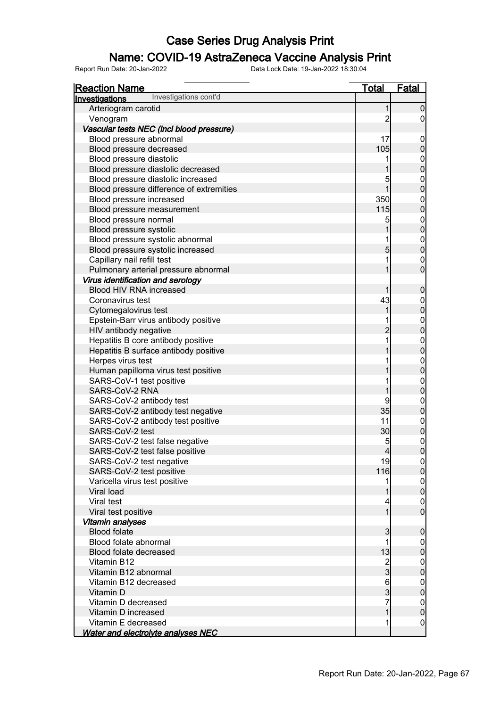### Name: COVID-19 AstraZeneca Vaccine Analysis Print

| <u>Reaction Name</u>                           | <u>Total</u>                          | <b>Fatal</b>                         |
|------------------------------------------------|---------------------------------------|--------------------------------------|
| Investigations cont'd<br><b>Investigations</b> |                                       |                                      |
| Arteriogram carotid                            | 1                                     | $\overline{0}$                       |
| Venogram                                       | 2                                     | $\overline{0}$                       |
| Vascular tests NEC (incl blood pressure)       |                                       |                                      |
| Blood pressure abnormal                        | 17                                    | $\mathbf 0$                          |
| Blood pressure decreased                       | 105                                   | $\pmb{0}$                            |
| Blood pressure diastolic                       |                                       |                                      |
| Blood pressure diastolic decreased             | $\overline{1}$                        | $0$ 0                                |
| Blood pressure diastolic increased             | 5                                     |                                      |
| Blood pressure difference of extremities       | 1                                     | $0\atop 0$                           |
| Blood pressure increased                       | 350                                   |                                      |
| Blood pressure measurement                     | 115                                   | $0\atop 0$                           |
| Blood pressure normal                          | 5                                     |                                      |
| Blood pressure systolic                        | 1                                     | $0\atop 0$                           |
| Blood pressure systolic abnormal               | 1                                     |                                      |
| Blood pressure systolic increased              | $\overline{5}$                        | $0\atop 0$                           |
| Capillary nail refill test                     | 1                                     | $\boldsymbol{0}$                     |
| Pulmonary arterial pressure abnormal           | 1                                     | $\overline{0}$                       |
| Virus identification and serology              |                                       |                                      |
| Blood HIV RNA increased                        | 1                                     | $\mathbf 0$                          |
| Coronavirus test                               | 43                                    |                                      |
| Cytomegalovirus test                           | 1                                     | $0\atop 0$                           |
| Epstein-Barr virus antibody positive           | 1                                     |                                      |
| HIV antibody negative                          | $\overline{c}$                        | $0$<br>0                             |
| Hepatitis B core antibody positive             | 1                                     |                                      |
| Hepatitis B surface antibody positive          | 1                                     | $0$<br>0                             |
| Herpes virus test                              |                                       |                                      |
| Human papilloma virus test positive            | 1                                     | $0$<br>0                             |
| SARS-CoV-1 test positive                       | 1                                     |                                      |
| SARS-CoV-2 RNA                                 | 1                                     | $0\atop 0$                           |
| SARS-CoV-2 antibody test                       | 9                                     |                                      |
| SARS-CoV-2 antibody test negative              | 35                                    | 0                                    |
| SARS-CoV-2 antibody test positive              | 11                                    |                                      |
| SARS-CoV-2 test                                | 30                                    | $\begin{matrix} 0 \\ 0 \end{matrix}$ |
| SARS-CoV-2 test false negative                 | 5                                     |                                      |
| SARS-CoV-2 test false positive                 | $\overline{4}$                        | $\begin{matrix} 0 \\ 0 \end{matrix}$ |
| SARS-CoV-2 test negative                       | 19                                    | 0                                    |
| SARS-CoV-2 test positive                       | 116                                   | 0                                    |
| Varicella virus test positive                  | 1                                     | $\overline{0}$                       |
| Viral load                                     | 1                                     | $\mathbf 0$                          |
| Viral test                                     | 4                                     | $\mathbf 0$                          |
| Viral test positive                            | 1                                     | $\overline{0}$                       |
| Vitamin analyses                               |                                       |                                      |
| <b>Blood folate</b>                            | 3                                     | $\mathbf 0$                          |
| Blood folate abnormal                          | 1                                     | $\overline{0}$                       |
| Blood folate decreased                         | 13                                    | $\pmb{0}$                            |
| Vitamin B12                                    |                                       | $\mathbf 0$                          |
| Vitamin B12 abnormal                           | $\frac{2}{3}$                         | $\mathbf 0$                          |
| Vitamin B12 decreased                          |                                       | $\mathbf 0$                          |
| Vitamin D                                      | $\begin{array}{c} 6 \\ 3 \end{array}$ | $\mathbf 0$                          |
| Vitamin D decreased                            | 7                                     | $\overline{0}$                       |
| Vitamin D increased                            | $\mathbf 1$                           | $\pmb{0}$                            |
| Vitamin E decreased                            | 1                                     | $\mathbf 0$                          |
| <b>Water and electrolyte analyses NEC</b>      |                                       |                                      |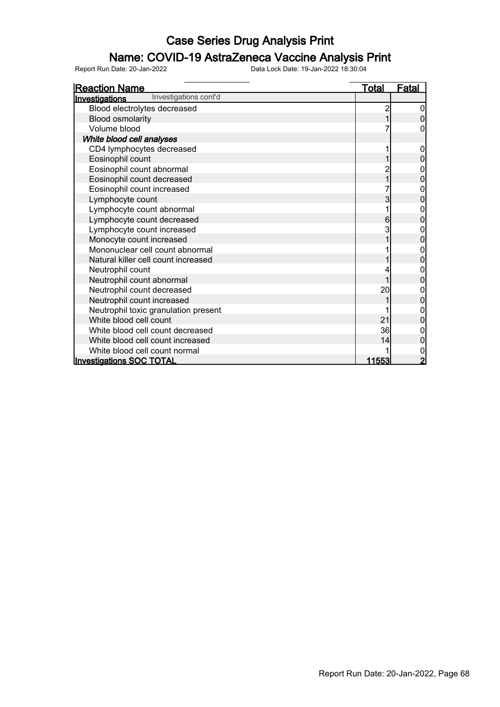# **Name: COVID-19 AstraZeneca Vaccine Analysis Print**<br>Report Run Date: 20-Jan-2022<br>Data Lock Date: 19-Jan-2022 18:30:04

Report Run Date: 20-Jan-2022 Data Lock Date: 19-Jan-2022 18:30:04

Reaction Name Total Fatal Investigations Blood electrolytes decreased 2 0<br>Blood osmolarity 1 0 Blood osmolarity 1 0<br>Volume blood 1 0<br>Volume blood 1 0 Volume blood White blood cell analyses CD4 lymphocytes decreased<br>Eosinophil count 1 0 Eosinophil count 1 0<br>
Eosinophil count abnormal 1 0<br>
2 0 Eosinophil count abnormal and the control of the control of the control of the control of the control of the control of the control of the control of the control of the control of the control of the control of the control Eosinophil count decreased 1 0 Eosinophil count increased 7 0 Lymphocyte count<br>
Lymphocyte count abnormal<br>
2 0<br>
0 Lymphocyte count abnormal decreased and the count of the count of the count of the count of the count of the count of the count of the count of the count of the count of the count of the count of the count of the count of Lymphocyte count decreased 6 0 Lymphocyte count increased<br>
Monocyte count increased<br>
3 0<br>
2 0 Monocyte count increased 1 0 Mononuclear cell count abnormal 1 0 Natural killer cell count increased 1 0 Neutrophil count abnormal and the control of the control of the control of the control of the control of the control of the control of the control of the control of the control of the control of the control of the control Neutrophil count abnormal and the set of the set of the set of the set of the set of the set of the set of the set of the set of the set of the set of the set of the set of the set of the set of the set of the set of the s Neutrophil count decreased and a set of the count of the count of the count of the count of the count of the count of the count of the count of the count of the count of the count of the count of the count of the count of Neutrophil count increased<br>
Neutrophil toxic granulation present<br>
1 0 Neutrophil toxic granulation present 1 0<br>
White blood cell count 0<br>
0 White blood cell count and the creased white blood cell count decreased and the country of the country of the country of the country of the country of the country of the country of the country of the country of the country White blood cell count decreased<br>
White blood cell count increased<br>
0 White blood cell count increased 14 0<br>
14 0<br>
1 0 White blood cell count normal and the set of the set of the set of the set of the set of the set of the set of the set of the set of the set of the set of the set of the set of the set of the set of the set of the set of t Investigations SOC TOTAL Investigations cont'd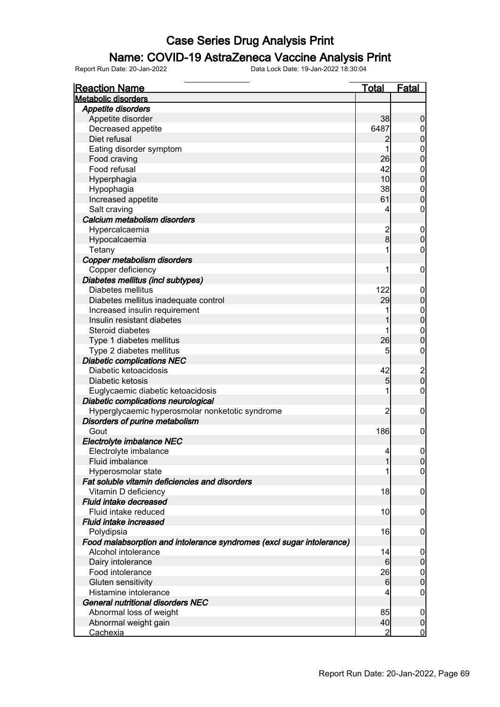### Name: COVID-19 AstraZeneca Vaccine Analysis Print

| <b>Reaction Name</b>                                                  | <u>Total</u>   | Fatal                                 |
|-----------------------------------------------------------------------|----------------|---------------------------------------|
| <b>Metabolic disorders</b>                                            |                |                                       |
| <b>Appetite disorders</b>                                             |                |                                       |
| Appetite disorder                                                     | 38             | $\mathbf 0$                           |
| Decreased appetite                                                    | 6487           | $\overline{0}$                        |
| Diet refusal                                                          | 2              | $\boldsymbol{0}$                      |
| Eating disorder symptom                                               | 1              | $\mathbf 0$                           |
| Food craving                                                          | 26             | $\overline{0}$                        |
| Food refusal                                                          | 42             | $\mathbf 0$                           |
| Hyperphagia                                                           | 10             | $\overline{0}$                        |
| Hypophagia                                                            | 38             | $\mathbf 0$                           |
| Increased appetite                                                    | 61             | $\overline{0}$                        |
| Salt craving                                                          | 4              | $\mathbf 0$                           |
| Calcium metabolism disorders                                          |                |                                       |
| Hypercalcaemia                                                        | $\overline{c}$ | $\mathbf 0$                           |
| Hypocalcaemia                                                         | 8              | $\mathbf 0$                           |
| Tetany                                                                |                | 0                                     |
| Copper metabolism disorders                                           |                |                                       |
| Copper deficiency                                                     |                | $\boldsymbol{0}$                      |
| Diabetes mellitus (incl subtypes)                                     |                |                                       |
| Diabetes mellitus                                                     | 122            | $\mathbf 0$                           |
| Diabetes mellitus inadequate control                                  | 29             | $\boldsymbol{0}$                      |
| Increased insulin requirement                                         |                | $\boldsymbol{0}$                      |
| Insulin resistant diabetes                                            |                | $\mathbf 0$                           |
| Steroid diabetes                                                      |                | $\boldsymbol{0}$                      |
| Type 1 diabetes mellitus                                              | 26             | $\overline{0}$                        |
| Type 2 diabetes mellitus                                              | 5              | 0                                     |
| <b>Diabetic complications NEC</b>                                     |                |                                       |
| Diabetic ketoacidosis                                                 | 42             |                                       |
| Diabetic ketosis                                                      | 5 <sub>5</sub> | $\begin{array}{c} 2 \\ 0 \end{array}$ |
| Euglycaemic diabetic ketoacidosis                                     |                | $\boldsymbol{0}$                      |
| Diabetic complications neurological                                   |                |                                       |
| Hyperglycaemic hyperosmolar nonketotic syndrome                       | $\overline{c}$ | $\boldsymbol{0}$                      |
| Disorders of purine metabolism                                        |                |                                       |
| Gout                                                                  | 186            | $\mathbf 0$                           |
| Electrolyte imbalance NEC                                             |                |                                       |
| Electrolyte imbalance                                                 | 4              | $\mathbf 0$                           |
| <b>Fluid imbalance</b>                                                | 1              | 0                                     |
| Hyperosmolar state                                                    |                | $\overline{0}$                        |
| Fat soluble vitamin deficiencies and disorders                        |                |                                       |
| Vitamin D deficiency                                                  | 18             | $\boldsymbol{0}$                      |
| Fluid intake decreased                                                |                |                                       |
| Fluid intake reduced                                                  | 10             | $\boldsymbol{0}$                      |
| Fluid intake increased                                                |                |                                       |
| Polydipsia                                                            | 16             | $\mathbf 0$                           |
| Food malabsorption and intolerance syndromes (excl sugar intolerance) |                |                                       |
| Alcohol intolerance                                                   | 14             | $\overline{0}$                        |
| Dairy intolerance                                                     | $6 \,$         | $\mathbf 0$                           |
| Food intolerance                                                      | 26             | $\mathbf 0$                           |
| Gluten sensitivity                                                    | $6 \,$         | $\mathbf 0$                           |
| Histamine intolerance                                                 | 4              | $\mathbf 0$                           |
| <b>General nutritional disorders NEC</b>                              |                |                                       |
| Abnormal loss of weight                                               | 85             | $\overline{0}$                        |
| Abnormal weight gain                                                  | 40             | $\overline{0}$                        |
| <u>Cachexia</u>                                                       | $\overline{2}$ | $\mathbf 0$                           |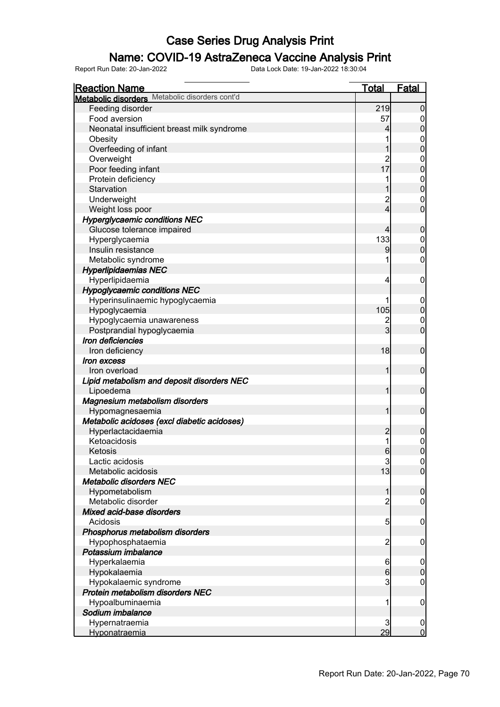### Name: COVID-19 AstraZeneca Vaccine Analysis Print

| <b>Reaction Name</b>                           | <b>Total</b>   | <b>Fatal</b>                         |
|------------------------------------------------|----------------|--------------------------------------|
| Metabolic disorders Metabolic disorders cont'd |                |                                      |
| Feeding disorder                               | 219            | $\overline{0}$                       |
| Food aversion                                  | 57             | $\overline{0}$                       |
| Neonatal insufficient breast milk syndrome     | 4              | $\mathbf 0$                          |
| Obesity                                        | 1              | $\mathbf 0$                          |
| Overfeeding of infant                          | 1              | $\overline{0}$                       |
| Overweight                                     | $\overline{2}$ | $\mathbf 0$                          |
| Poor feeding infant                            | 17             | $\overline{0}$                       |
| Protein deficiency                             |                |                                      |
| Starvation                                     |                | $\begin{matrix} 0 \\ 0 \end{matrix}$ |
| Underweight                                    | $\overline{2}$ | $\mathbf 0$                          |
| Weight loss poor                               | $\overline{4}$ | $\overline{0}$                       |
| <b>Hyperglycaemic conditions NEC</b>           |                |                                      |
| Glucose tolerance impaired                     | 4              | $\mathbf 0$                          |
| Hyperglycaemia                                 | 133            |                                      |
| Insulin resistance                             | 9              | $\begin{matrix}0\\0\end{matrix}$     |
| Metabolic syndrome                             |                | $\mathbf 0$                          |
| <b>Hyperlipidaemias NEC</b>                    |                |                                      |
| Hyperlipidaemia                                | 4              | $\mathbf 0$                          |
| <b>Hypoglycaemic conditions NEC</b>            |                |                                      |
|                                                |                |                                      |
| Hyperinsulinaemic hypoglycaemia                | 105            | $\mathbf 0$<br>$\mathbf 0$           |
| Hypoglycaemia                                  |                |                                      |
| Hypoglycaemia unawareness                      | 2              | $\mathbf 0$                          |
| Postprandial hypoglycaemia                     | 3              | $\overline{0}$                       |
| Iron deficiencies                              |                |                                      |
| Iron deficiency                                | 18             | $\mathbf 0$                          |
| Iron excess                                    |                |                                      |
| Iron overload                                  | 1              | $\mathbf 0$                          |
| Lipid metabolism and deposit disorders NEC     |                |                                      |
| Lipoedema                                      | 1              | $\mathbf 0$                          |
| Magnesium metabolism disorders                 |                |                                      |
| Hypomagnesaemia                                | $\mathbf{1}$   | $\mathbf 0$                          |
| Metabolic acidoses (excl diabetic acidoses)    |                |                                      |
| Hyperlactacidaemia                             | 2              | $\mathbf 0$                          |
| Ketoacidosis                                   | 1              | $\begin{matrix}0\\0\end{matrix}$     |
| Ketosis                                        | $6 \mid$       |                                      |
| Lactic acidosis                                | 3              | $\overline{0}$                       |
| Metabolic acidosis                             | 13             | $\overline{0}$                       |
| <b>Metabolic disorders NEC</b>                 |                |                                      |
| Hypometabolism                                 | 1              | $\mathbf 0$                          |
| Metabolic disorder                             | $\overline{2}$ | $\mathbf 0$                          |
| Mixed acid-base disorders                      |                |                                      |
| Acidosis                                       | 5 <sub>5</sub> | $\mathbf 0$                          |
| Phosphorus metabolism disorders                |                |                                      |
| Hypophosphataemia                              | $\overline{2}$ | $\mathbf 0$                          |
| Potassium imbalance                            |                |                                      |
| Hyperkalaemia                                  | 6              | $\mathbf 0$                          |
| Hypokalaemia                                   | $6 \mid$       | $\mathbf 0$                          |
| Hypokalaemic syndrome                          | 3              | $\mathbf 0$                          |
| Protein metabolism disorders NEC               |                |                                      |
| Hypoalbuminaemia                               | 1              | $\mathbf 0$                          |
| Sodium imbalance                               |                |                                      |
| Hypernatraemia                                 | 3              | 0                                    |
| Hyponatraemia                                  | 29             | $\overline{0}$                       |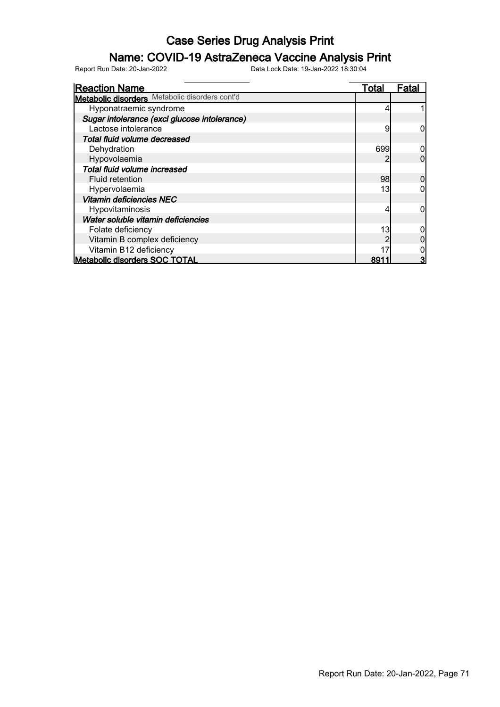### Name: COVID-19 AstraZeneca Vaccine Analysis Print

| <b>Reaction Name</b>                           | Total | Fatal |
|------------------------------------------------|-------|-------|
| Metabolic disorders Metabolic disorders cont'd |       |       |
| Hyponatraemic syndrome                         |       |       |
| Sugar intolerance (excl glucose intolerance)   |       |       |
| Lactose intolerance                            | 9     |       |
| Total fluid volume decreased                   |       |       |
| Dehydration                                    | 699   |       |
| Hypovolaemia                                   |       |       |
| Total fluid volume increased                   |       |       |
| Fluid retention                                | 98    |       |
| Hypervolaemia                                  | 13    |       |
| <b>Vitamin deficiencies NEC</b>                |       |       |
| Hypovitaminosis                                |       |       |
| Water soluble vitamin deficiencies             |       |       |
| Folate deficiency                              | 13    |       |
| Vitamin B complex deficiency                   |       |       |
| Vitamin B12 deficiency                         |       |       |
| <b>Metabolic disorders SOC TOTAL</b>           | 891   |       |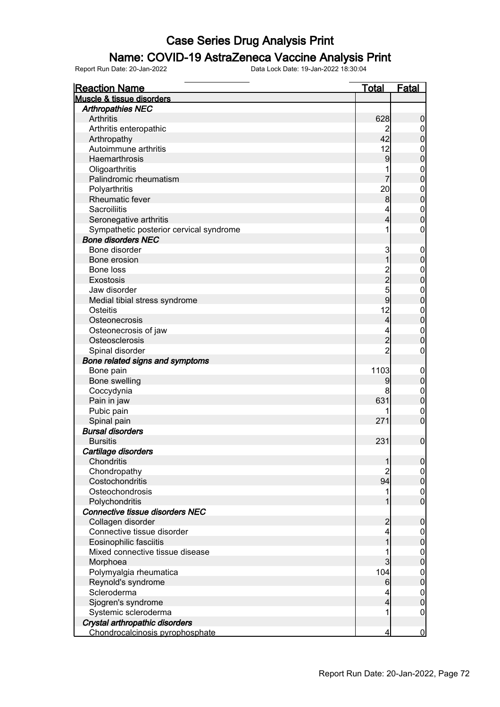### Name: COVID-19 AstraZeneca Vaccine Analysis Print

| <b>Reaction Name</b>                    | <u>Total</u>   | <b>Fatal</b>               |
|-----------------------------------------|----------------|----------------------------|
| <b>Muscle &amp; tissue disorders</b>    |                |                            |
| <b>Arthropathies NEC</b>                |                |                            |
| Arthritis                               | 628            | $\boldsymbol{0}$           |
| Arthritis enteropathic                  | 2              | $\boldsymbol{0}$           |
| Arthropathy                             | 42             | $\pmb{0}$                  |
| Autoimmune arthritis                    | 12             | $\mathbf 0$                |
| Haemarthrosis                           | 9              | $\mathbf 0$                |
| Oligoarthritis                          |                | $\mathbf 0$                |
| Palindromic rheumatism                  | 7              | $\mathbf 0$                |
| Polyarthritis                           | 20             | $\mathbf 0$                |
| Rheumatic fever                         | 8              | $\mathbf 0$                |
| Sacroiliitis                            | 4              | $\boldsymbol{0}$           |
| Seronegative arthritis                  | 4              | $\mathbf 0$                |
| Sympathetic posterior cervical syndrome | 1              | $\boldsymbol{0}$           |
| <b>Bone disorders NEC</b>               |                |                            |
| Bone disorder                           | 3              | $\mathbf 0$                |
| Bone erosion                            | 1              | $\pmb{0}$                  |
| Bone loss                               |                | $\mathbf 0$                |
| <b>Exostosis</b>                        | 2<br>2<br>5    | $\mathbf 0$                |
| Jaw disorder                            |                | $\mathbf 0$                |
| Medial tibial stress syndrome           | 9              | $\mathbf 0$                |
| Osteitis                                | 12             | $\mathbf 0$                |
| Osteonecrosis                           | $\overline{4}$ | $\mathbf 0$                |
| Osteonecrosis of jaw                    | 4              | $\mathbf 0$                |
| Osteosclerosis                          | $\overline{c}$ | $\mathbf 0$                |
| Spinal disorder                         | $\overline{2}$ | $\mathbf 0$                |
| Bone related signs and symptoms         |                |                            |
| Bone pain                               | 1103           | $\mathbf 0$                |
| Bone swelling                           | 9              | $\pmb{0}$                  |
| Coccydynia                              | 8              |                            |
|                                         | 631            | $\mathbf 0$<br>$\mathbf 0$ |
| Pain in jaw                             |                |                            |
| Pubic pain                              | 271            | $\mathbf 0$<br>$\mathbf 0$ |
| Spinal pain<br><b>Bursal disorders</b>  |                |                            |
|                                         |                |                            |
| <b>Bursitis</b>                         | 231            | $\mathbf 0$                |
| Cartilage disorders                     |                |                            |
| Chondritis                              | 1              | $\overline{0}$             |
| Chondropathy                            | 2              | $\overline{0}$             |
| Costochondritis                         | 94             | $\pmb{0}$                  |
| Osteochondrosis                         | 1              | $\overline{0}$             |
| Polychondritis                          |                | $\overline{0}$             |
| Connective tissue disorders NEC         |                |                            |
| Collagen disorder                       | $\overline{c}$ | $\boldsymbol{0}$           |
| Connective tissue disorder              | 4              | $\overline{0}$             |
| Eosinophilic fasciitis                  |                | $\pmb{0}$                  |
| Mixed connective tissue disease         |                | $\overline{0}$             |
| Morphoea                                | 3              | $\mathbf 0$                |
| Polymyalgia rheumatica                  | 104            | $\overline{0}$             |
| Reynold's syndrome                      | 6              | $\mathbf 0$                |
| Scleroderma                             | 4              | $\overline{0}$             |
| Sjogren's syndrome                      | 4              | $\pmb{0}$                  |
| Systemic scleroderma                    |                | $\boldsymbol{0}$           |
| Crystal arthropathic disorders          |                |                            |
| Chondrocalcinosis pyrophosphate         | 4              | $\overline{0}$             |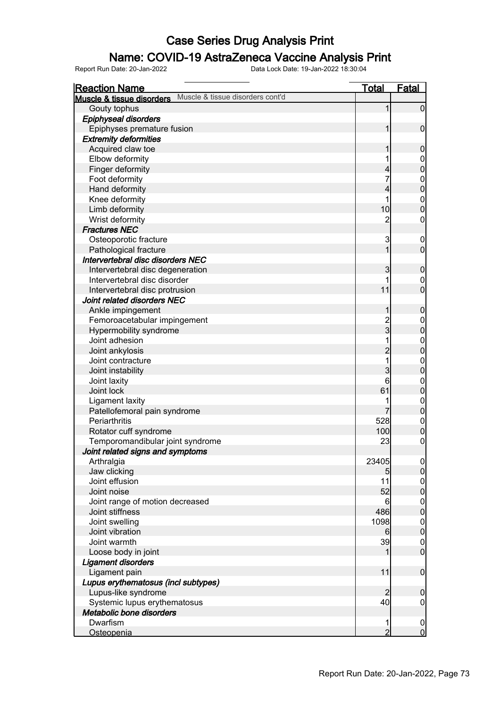### Name: COVID-19 AstraZeneca Vaccine Analysis Print

| <b>Reaction Name</b>                                          | <u>Total</u>   | Fatal                                |
|---------------------------------------------------------------|----------------|--------------------------------------|
| Muscle & tissue disorders cont'd<br>Muscle & tissue disorders |                |                                      |
| Gouty tophus                                                  | 1              | $\overline{0}$                       |
| <b>Epiphyseal disorders</b>                                   |                |                                      |
| Epiphyses premature fusion                                    | 1              | $\mathbf 0$                          |
| <b>Extremity deformities</b>                                  |                |                                      |
| Acquired claw toe                                             |                | $\boldsymbol{0}$                     |
| Elbow deformity                                               |                | $\mathbf 0$                          |
| Finger deformity                                              | 4              | $\overline{0}$                       |
| Foot deformity                                                |                | $\boldsymbol{0}$                     |
| Hand deformity                                                | 4              | $\mathbf 0$                          |
| Knee deformity                                                | 1              | $\boldsymbol{0}$                     |
| Limb deformity                                                | 10             | $\overline{0}$                       |
| Wrist deformity                                               | $\overline{c}$ | 0                                    |
| <b>Fractures NEC</b>                                          |                |                                      |
| Osteoporotic fracture                                         | 3              | $\boldsymbol{0}$                     |
| Pathological fracture                                         | 1              | $\mathbf 0$                          |
| Intervertebral disc disorders NEC                             |                |                                      |
| Intervertebral disc degeneration                              | 3              | $\boldsymbol{0}$                     |
| Intervertebral disc disorder                                  |                | $\boldsymbol{0}$                     |
| Intervertebral disc protrusion                                | 11             | $\overline{0}$                       |
| Joint related disorders NEC                                   |                |                                      |
|                                                               | 1              | $\boldsymbol{0}$                     |
| Ankle impingement<br>Femoroacetabular impingement             |                |                                      |
|                                                               | $\frac{2}{3}$  | $\mathbf 0$<br>$\overline{0}$        |
| Hypermobility syndrome                                        |                |                                      |
| Joint adhesion                                                |                | $\boldsymbol{0}$                     |
| Joint ankylosis                                               | $\overline{2}$ | $\mathbf 0$                          |
| Joint contracture                                             |                | $\boldsymbol{0}$                     |
| Joint instability                                             | 3              | $\overline{0}$                       |
| Joint laxity                                                  | 6              | $\boldsymbol{0}$                     |
| Joint lock                                                    | 61             | $\pmb{0}$                            |
| Ligament laxity                                               |                | $\boldsymbol{0}$                     |
| Patellofemoral pain syndrome                                  | 7              | $\mathbf 0$                          |
| Periarthritis                                                 | 528            | $\boldsymbol{0}$                     |
| Rotator cuff syndrome                                         | 100            | $\pmb{0}$                            |
| Temporomandibular joint syndrome                              | 23             | $\boldsymbol{0}$                     |
| Joint related signs and symptoms                              |                |                                      |
| Arthralgia                                                    | 23405          | 0                                    |
| Jaw clicking                                                  | 5              | 0                                    |
| Joint effusion                                                | 11             | $\begin{matrix} 0 \\ 0 \end{matrix}$ |
| Joint noise                                                   | 52             |                                      |
| Joint range of motion decreased                               | 6              | $0\atop 0$                           |
| Joint stiffness                                               | 486            |                                      |
| Joint swelling                                                | 1098           | $\begin{matrix} 0 \\ 0 \end{matrix}$ |
| Joint vibration                                               | 6              |                                      |
| Joint warmth                                                  | 39             | $\boldsymbol{0}$                     |
| Loose body in joint                                           |                | $\overline{0}$                       |
| <b>Ligament disorders</b>                                     |                |                                      |
| Ligament pain                                                 | 11             | $\mathbf 0$                          |
| Lupus erythematosus (incl subtypes)                           |                |                                      |
| Lupus-like syndrome                                           | $\overline{2}$ | $\mathbf 0$                          |
| Systemic lupus erythematosus                                  | 40             | $\boldsymbol{0}$                     |
| Metabolic bone disorders                                      |                |                                      |
| Dwarfism                                                      |                | $\overline{0}$                       |
| <u>Osteopenia</u>                                             | $\overline{2}$ | $\overline{0}$                       |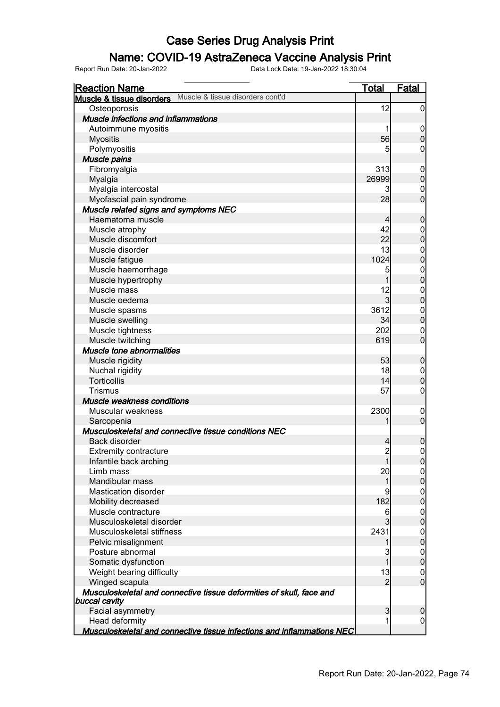### Name: COVID-19 AstraZeneca Vaccine Analysis Print

| <b>Reaction Name</b>                                                                  | <u>Total</u>   | <b>Fatal</b>             |
|---------------------------------------------------------------------------------------|----------------|--------------------------|
| Muscle & tissue disorders cont'd<br>Muscle & tissue disorders                         |                |                          |
| Osteoporosis                                                                          | 12             | $\overline{0}$           |
| <b>Muscle infections and inflammations</b>                                            |                |                          |
| Autoimmune myositis                                                                   | 1              | $\mathbf 0$              |
| <b>Myositis</b>                                                                       | 56             | $\pmb{0}$                |
| Polymyositis                                                                          | 5              | 0                        |
| Muscle pains                                                                          |                |                          |
| Fibromyalgia                                                                          | 313            | $\mathbf 0$              |
| Myalgia                                                                               | 26999          | $\mathbf 0$              |
| Myalgia intercostal                                                                   | 3              | $\mathbf 0$              |
| Myofascial pain syndrome                                                              | 28             | $\overline{0}$           |
| Muscle related signs and symptoms NEC                                                 |                |                          |
| Haematoma muscle                                                                      | $\overline{4}$ | $\boldsymbol{0}$         |
| Muscle atrophy                                                                        | 42             | $\mathbf{0}$             |
| Muscle discomfort                                                                     | 22             | $\overline{0}$           |
| Muscle disorder                                                                       | 13             | $\mathbf{0}$             |
| Muscle fatigue                                                                        | 1024           | $\mathbf{0}$             |
| Muscle haemorrhage                                                                    | 5              | $0\atop 0$               |
| Muscle hypertrophy                                                                    | 1              |                          |
| Muscle mass                                                                           | 12             | $0$<br>0                 |
| Muscle oedema                                                                         | $\overline{3}$ |                          |
| Muscle spasms                                                                         | 3612           | $\mathbf{0}$             |
| Muscle swelling                                                                       | 34             | $\overline{0}$           |
| Muscle tightness                                                                      | 202            | $\mathbf 0$              |
| Muscle twitching                                                                      | 619            | $\overline{0}$           |
| <b>Muscle tone abnormalities</b>                                                      |                |                          |
| Muscle rigidity                                                                       | 53             | $\boldsymbol{0}$         |
| Nuchal rigidity                                                                       | 18             | $\boldsymbol{0}$         |
| Torticollis                                                                           | 14             | $\mathbf 0$              |
| <b>Trismus</b>                                                                        | 57             | $\boldsymbol{0}$         |
| Muscle weakness conditions                                                            |                |                          |
| Muscular weakness                                                                     | 2300           | $\mathbf 0$              |
| Sarcopenia                                                                            | 1              | $\overline{0}$           |
| Musculoskeletal and connective tissue conditions NEC                                  |                |                          |
| <b>Back disorder</b>                                                                  | $\overline{4}$ | $\boldsymbol{0}$         |
| <b>Extremity contracture</b>                                                          | $\mathbf{2}$   | $\mathsf{O}\xspace$      |
| Infantile back arching                                                                | 1              | 0                        |
| Limb mass                                                                             | 20             | $\overline{0}$           |
| Mandibular mass                                                                       | 1              | $\pmb{0}$                |
| <b>Mastication disorder</b>                                                           | 9              | $\boldsymbol{0}$         |
| Mobility decreased<br>Muscle contracture                                              | 182            | $\mathbf 0$              |
|                                                                                       | 6              | $\boldsymbol{0}$         |
| Musculoskeletal disorder                                                              | 3<br>2431      | $\mathbf 0$              |
| Musculoskeletal stiffness                                                             |                | $\boldsymbol{0}$         |
| Pelvic misalignment<br>Posture abnormal                                               | 1<br>3         | $\pmb{0}$<br>$\mathbf 0$ |
| Somatic dysfunction                                                                   | 1              | $\pmb{0}$                |
| Weight bearing difficulty                                                             | 13             | $\overline{0}$           |
| Winged scapula                                                                        | $\overline{2}$ | $\overline{0}$           |
| Musculoskeletal and connective tissue deformities of skull, face and<br>buccal cavity |                |                          |
| Facial asymmetry                                                                      | 3              | 0                        |
| Head deformity                                                                        | 1              | $\boldsymbol{0}$         |
| Musculoskeletal and connective tissue infections and inflammations NEC                |                |                          |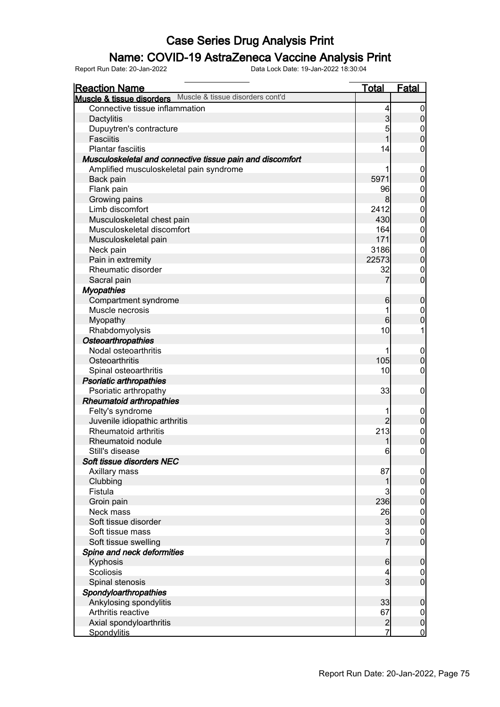#### Name: COVID-19 AstraZeneca Vaccine Analysis Print

| <b>Reaction Name</b>                                       | <b>Total</b>   | Fatal                            |
|------------------------------------------------------------|----------------|----------------------------------|
| Muscle & tissue disorders Muscle & tissue disorders cont'd |                |                                  |
| Connective tissue inflammation                             | 4              | 0                                |
| Dactylitis                                                 | 3              | $\overline{0}$                   |
| Dupuytren's contracture                                    | 5              | 0                                |
| <b>Fasciitis</b>                                           |                | $\overline{0}$                   |
| <b>Plantar fasciitis</b>                                   | 14             | 0                                |
| Musculoskeletal and connective tissue pain and discomfort  |                |                                  |
| Amplified musculoskeletal pain syndrome                    |                | 0                                |
| Back pain                                                  | 5971           | $\overline{0}$                   |
| Flank pain                                                 | 96             | $\mathbf 0$                      |
| Growing pains                                              | 8              | $\overline{0}$                   |
| Limb discomfort                                            | 2412           | $\mathbf 0$                      |
| Musculoskeletal chest pain                                 | 430            | $\overline{0}$                   |
| Musculoskeletal discomfort                                 | 164            | $\overline{0}$                   |
| Musculoskeletal pain                                       | 171            | $\overline{0}$                   |
| Neck pain                                                  | 3186           | $\mathbf{0}$                     |
| Pain in extremity                                          | 22573          | $\overline{0}$                   |
| Rheumatic disorder                                         | 32             | $\mathbf 0$                      |
| Sacral pain                                                |                | $\overline{0}$                   |
| <b>Myopathies</b>                                          |                |                                  |
| Compartment syndrome                                       | 6              | $\mathbf 0$                      |
| Muscle necrosis                                            |                | 0                                |
| Myopathy                                                   | 6              | 0                                |
| Rhabdomyolysis                                             | 10             |                                  |
| Osteoarthropathies                                         |                |                                  |
| Nodal osteoarthritis                                       |                | $\boldsymbol{0}$                 |
| Osteoarthritis                                             | 105            | $\mathbf 0$                      |
| Spinal osteoarthritis                                      | 10             | 0                                |
| <b>Psoriatic arthropathies</b>                             |                |                                  |
| Psoriatic arthropathy                                      | 33             | 0                                |
| <b>Rheumatoid arthropathies</b>                            |                |                                  |
| Felty's syndrome                                           |                | $\boldsymbol{0}$                 |
| Juvenile idiopathic arthritis                              | $\overline{2}$ | $\mathbf 0$                      |
| Rheumatoid arthritis                                       | 213            | $\mathbf{0}$                     |
| Rheumatoid nodule                                          |                | $\mathbf 0$                      |
| Still's disease                                            | 6              | 0                                |
| Soft tissue disorders NEC                                  |                |                                  |
| Axillary mass                                              | 87             | $\overline{0}$                   |
| Clubbing                                                   | 1              | $\overline{0}$                   |
| Fistula                                                    | 3              |                                  |
| Groin pain                                                 | 236            | $0$<br>0                         |
| Neck mass                                                  | 26             |                                  |
| Soft tissue disorder                                       | 3              | $\begin{matrix}0\\0\end{matrix}$ |
| Soft tissue mass                                           |                | $\mathbf 0$                      |
| Soft tissue swelling                                       | $rac{3}{7}$    | $\overline{0}$                   |
| Spine and neck deformities                                 |                |                                  |
| Kyphosis                                                   | 6              | $\boldsymbol{0}$                 |
| Scoliosis                                                  | 4              | $\mathbf 0$                      |
| Spinal stenosis                                            | 3              | $\overline{0}$                   |
| Spondyloarthropathies                                      |                |                                  |
| Ankylosing spondylitis                                     | 33             | $\boldsymbol{0}$                 |
| Arthritis reactive                                         | 67             | $\boldsymbol{0}$                 |
| Axial spondyloarthritis                                    |                | $\mathbf 0$                      |
| Spondylitis                                                | $\frac{2}{7}$  | $\overline{0}$                   |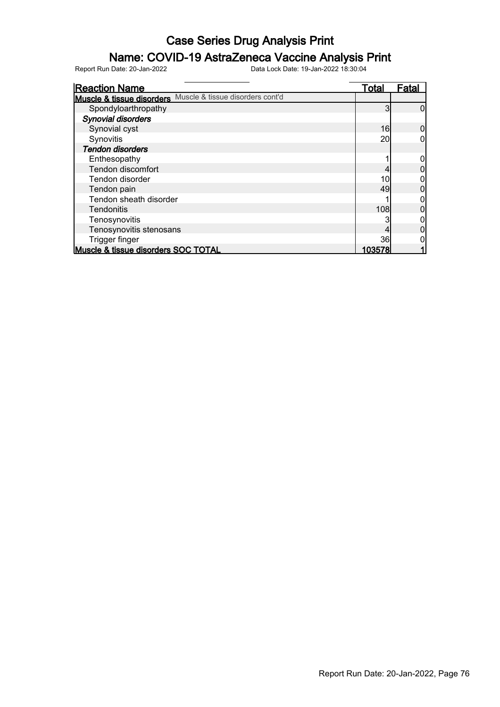### Name: COVID-19 AstraZeneca Vaccine Analysis Print

| <b>Reaction Name</b>                                          | Total  | <b>Fatal</b> |
|---------------------------------------------------------------|--------|--------------|
| Muscle & tissue disorders cont'd<br>Muscle & tissue disorders |        |              |
| Spondyloarthropathy                                           | 3      |              |
| Synovial disorders                                            |        |              |
| Synovial cyst                                                 | 16     |              |
| Synovitis                                                     | 20     |              |
| <b>Tendon disorders</b>                                       |        |              |
| Enthesopathy                                                  |        |              |
| Tendon discomfort                                             |        |              |
| Tendon disorder                                               | 10     |              |
| Tendon pain                                                   | 49     |              |
| Tendon sheath disorder                                        |        |              |
| Tendonitis                                                    | 108    |              |
| Tenosynovitis                                                 |        |              |
| Tenosynovitis stenosans                                       |        |              |
| Trigger finger                                                | 36     |              |
| Muscle & tissue disorders SOC TOTAL                           | 103578 |              |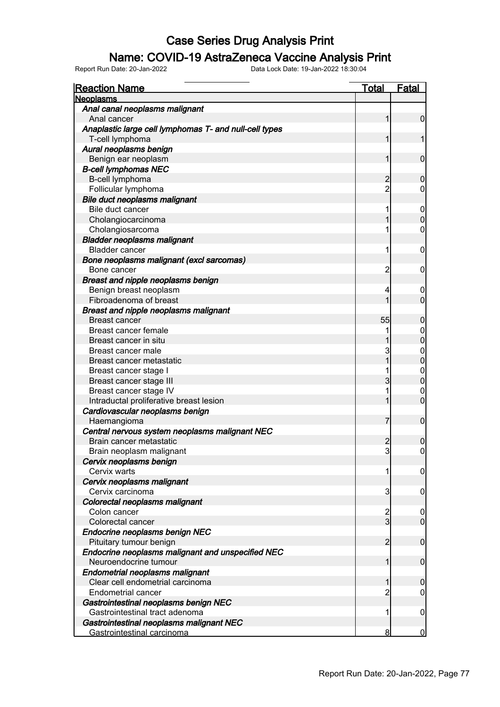#### Name: COVID-19 AstraZeneca Vaccine Analysis Print

| <b>Reaction Name</b>                                   | <u>Total</u>   | <b>Fatal</b>     |
|--------------------------------------------------------|----------------|------------------|
| <b>Neoplasms</b>                                       |                |                  |
| Anal canal neoplasms malignant                         |                |                  |
| Anal cancer                                            | 1              | $\mathbf 0$      |
| Anaplastic large cell lymphomas T- and null-cell types |                |                  |
| T-cell lymphoma                                        | 1              | 1                |
| Aural neoplasms benign                                 |                |                  |
| Benign ear neoplasm                                    | 1              | $\mathbf 0$      |
| <b>B-cell lymphomas NEC</b>                            |                |                  |
| B-cell lymphoma                                        | $\overline{c}$ | $\mathbf 0$      |
| Follicular lymphoma                                    | $\overline{c}$ | 0                |
| <b>Bile duct neoplasms malignant</b>                   |                |                  |
| Bile duct cancer                                       | 1              | $\mathbf 0$      |
| Cholangiocarcinoma                                     |                | $\mathbf 0$      |
| Cholangiosarcoma                                       |                | $\mathbf 0$      |
| <b>Bladder neoplasms malignant</b>                     |                |                  |
| <b>Bladder cancer</b>                                  | 1              | $\mathbf 0$      |
| Bone neoplasms malignant (excl sarcomas)               |                |                  |
| Bone cancer                                            | $\overline{c}$ | $\mathbf 0$      |
| Breast and nipple neoplasms benign                     |                |                  |
| Benign breast neoplasm                                 | 4              | $\overline{0}$   |
| Fibroadenoma of breast                                 | 1              | $\mathbf 0$      |
| <b>Breast and nipple neoplasms malignant</b>           |                |                  |
| <b>Breast cancer</b>                                   | 55             | $\mathbf 0$      |
| Breast cancer female                                   |                | $\mathbf 0$      |
| Breast cancer in situ                                  |                | $\mathbf 0$      |
| Breast cancer male                                     | 3              | $\mathbf{0}$     |
| Breast cancer metastatic                               | 1              | $\overline{0}$   |
| Breast cancer stage I                                  |                | $\mathbf{0}$     |
| Breast cancer stage III                                | 3              | $\mathbf 0$      |
| Breast cancer stage IV                                 |                | $\mathbf 0$      |
| Intraductal proliferative breast lesion                |                | $\mathbf 0$      |
| Cardiovascular neoplasms benign                        |                |                  |
| Haemangioma                                            | 7              | $\boldsymbol{0}$ |
| Central nervous system neoplasms malignant NEC         |                |                  |
| Brain cancer metastatic                                | $\overline{c}$ | $\boldsymbol{0}$ |
| Brain neoplasm malignant                               | 3              | $\mathbf 0$      |
| Cervix neoplasms benign                                |                |                  |
| Cervix warts                                           | 1              | $\overline{0}$   |
| Cervix neoplasms malignant                             |                |                  |
| Cervix carcinoma                                       | 3              | 0                |
| Colorectal neoplasms malignant                         |                |                  |
| Colon cancer                                           |                | $\mathbf 0$      |
| Colorectal cancer                                      | $\frac{2}{3}$  | $\mathbf 0$      |
| Endocrine neoplasms benign NEC                         |                |                  |
| Pituitary tumour benign                                | $\overline{2}$ | $\mathbf 0$      |
| Endocrine neoplasms malignant and unspecified NEC      |                |                  |
| Neuroendocrine tumour                                  | 1              |                  |
|                                                        |                | $\boldsymbol{0}$ |
| Endometrial neoplasms malignant                        | 1              |                  |
| Clear cell endometrial carcinoma                       |                | $\mathbf 0$      |
| <b>Endometrial cancer</b>                              | 2              | $\mathbf 0$      |
| Gastrointestinal neoplasms benign NEC                  |                |                  |
| Gastrointestinal tract adenoma                         | 1              | $\mathbf 0$      |
| Gastrointestinal neoplasms malignant NEC               |                |                  |
| Gastrointestinal carcinoma                             | 8              | 0                |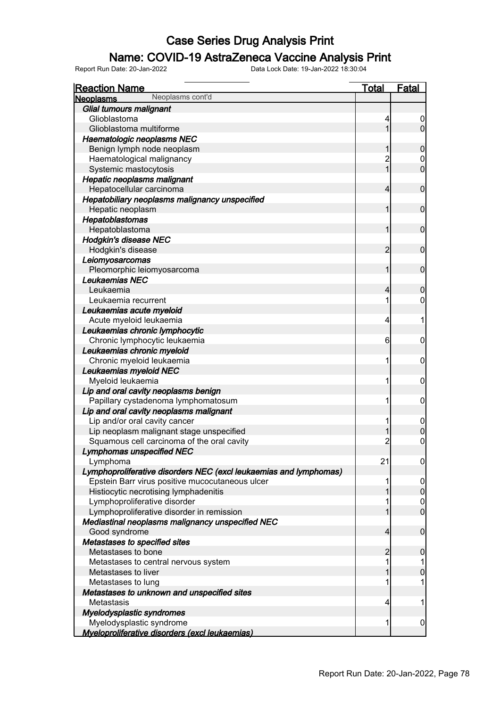### Name: COVID-19 AstraZeneca Vaccine Analysis Print

| <b>Reaction Name</b>                                              | <b>Total</b>   | Fatal            |
|-------------------------------------------------------------------|----------------|------------------|
| Neoplasms cont'd<br><b>Neoplasms</b>                              |                |                  |
| Glial tumours malignant                                           |                |                  |
| Glioblastoma                                                      | 4              |                  |
| Glioblastoma multiforme                                           |                | $\overline{0}$   |
| Haematologic neoplasms NEC                                        |                |                  |
| Benign lymph node neoplasm                                        |                | 0                |
| Haematological malignancy                                         | $\overline{c}$ | $\mathbf 0$      |
| Systemic mastocytosis                                             | $\overline{1}$ | $\overline{0}$   |
| Hepatic neoplasms malignant                                       |                |                  |
| Hepatocellular carcinoma                                          | 4              | $\mathbf 0$      |
| Hepatobiliary neoplasms malignancy unspecified                    |                |                  |
| Hepatic neoplasm                                                  | 1              | $\mathbf 0$      |
| Hepatoblastomas                                                   |                |                  |
| Hepatoblastoma                                                    | 1              | $\mathbf 0$      |
| <b>Hodgkin's disease NEC</b>                                      |                |                  |
| Hodgkin's disease                                                 | $\overline{c}$ | $\mathbf 0$      |
| Leiomyosarcomas                                                   |                |                  |
| Pleomorphic leiomyosarcoma                                        | 1              | $\mathbf 0$      |
| Leukaemias NEC                                                    |                |                  |
| Leukaemia                                                         | 4              | 0                |
| Leukaemia recurrent                                               |                | 0                |
| Leukaemias acute myeloid                                          |                |                  |
| Acute myeloid leukaemia                                           | 4              |                  |
| Leukaemias chronic lymphocytic                                    |                |                  |
| Chronic lymphocytic leukaemia                                     | 6              | 0                |
| Leukaemias chronic myeloid                                        |                |                  |
| Chronic myeloid leukaemia                                         | 1              | 0                |
| Leukaemias myeloid NEC                                            |                |                  |
| Myeloid leukaemia                                                 | 1              | 0                |
| Lip and oral cavity neoplasms benign                              |                |                  |
| Papillary cystadenoma lymphomatosum                               | 1              | $\mathbf 0$      |
| Lip and oral cavity neoplasms malignant                           |                |                  |
| Lip and/or oral cavity cancer                                     | 1              | $\overline{0}$   |
| Lip neoplasm malignant stage unspecified                          |                | $\mathbf 0$      |
| Squamous cell carcinoma of the oral cavity                        | $\overline{c}$ | $\mathbf 0$      |
| <b>Lymphomas unspecified NEC</b>                                  |                |                  |
| Lymphoma                                                          | 21             | $\boldsymbol{0}$ |
| Lymphoproliferative disorders NEC (excl leukaemias and lymphomas) |                |                  |
| Epstein Barr virus positive mucocutaneous ulcer                   |                | 0                |
| Histiocytic necrotising lymphadenitis                             |                | $\overline{0}$   |
| Lymphoproliferative disorder                                      |                | $\mathbf 0$      |
| Lymphoproliferative disorder in remission                         |                | 0                |
| Mediastinal neoplasms malignancy unspecified NEC                  |                |                  |
| Good syndrome                                                     | 4              | 0                |
| Metastases to specified sites                                     |                |                  |
| Metastases to bone                                                | 2              | 0                |
| Metastases to central nervous system                              | 1              |                  |
| Metastases to liver                                               |                | 0                |
| Metastases to lung                                                |                |                  |
| Metastases to unknown and unspecified sites                       |                |                  |
| Metastasis                                                        | 4              |                  |
|                                                                   |                |                  |
| Myelodysplastic syndromes<br>Myelodysplastic syndrome             | 1              | 0                |
| Myeloproliferative disorders (excl leukaemias)                    |                |                  |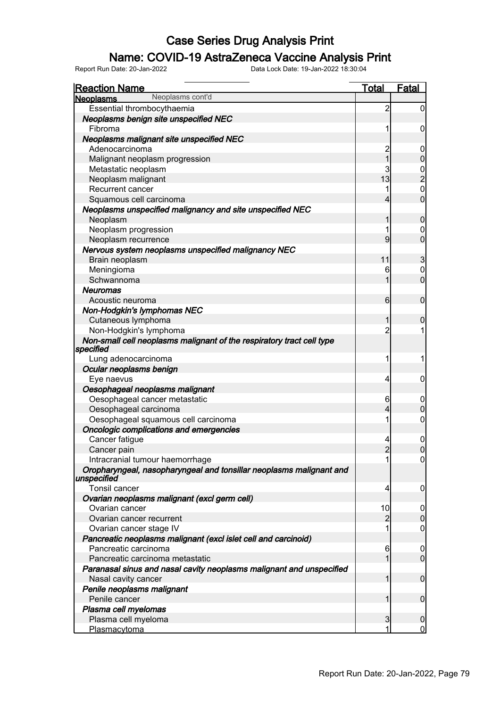### Name: COVID-19 AstraZeneca Vaccine Analysis Print

| <b>Reaction Name</b>                                                               | <u>Total</u>   | <b>Fatal</b>     |
|------------------------------------------------------------------------------------|----------------|------------------|
| Neoplasms cont'd<br><b>Neoplasms</b>                                               |                |                  |
| Essential thrombocythaemia<br>Neoplasms benign site unspecified NEC                | $\overline{c}$ | $\overline{0}$   |
| Fibroma                                                                            |                | 0                |
| Neoplasms malignant site unspecified NEC                                           |                |                  |
| Adenocarcinoma                                                                     | $\overline{c}$ | $\boldsymbol{0}$ |
| Malignant neoplasm progression                                                     | $\overline{1}$ | $\overline{0}$   |
| Metastatic neoplasm                                                                | 3              |                  |
| Neoplasm malignant                                                                 | 13             | $\frac{0}{2}$    |
| Recurrent cancer                                                                   |                | $\mathbf{0}$     |
| Squamous cell carcinoma                                                            | 4              | $\overline{0}$   |
| Neoplasms unspecified malignancy and site unspecified NEC                          |                |                  |
| Neoplasm                                                                           | 1              | $\mathbf 0$      |
| Neoplasm progression                                                               |                | 0                |
| Neoplasm recurrence                                                                | 9              | $\overline{0}$   |
| Nervous system neoplasms unspecified malignancy NEC                                |                |                  |
| Brain neoplasm                                                                     | 11             | 3                |
| Meningioma                                                                         | 6              | $\boldsymbol{0}$ |
| Schwannoma                                                                         |                | $\overline{0}$   |
| <b>Neuromas</b>                                                                    |                |                  |
| Acoustic neuroma                                                                   | 6              | $\mathbf 0$      |
| Non-Hodgkin's lymphomas NEC                                                        |                |                  |
| Cutaneous lymphoma                                                                 | 1              | $\mathbf 0$      |
| Non-Hodgkin's lymphoma                                                             | $\overline{2}$ |                  |
| Non-small cell neoplasms malignant of the respiratory tract cell type              |                |                  |
| specified                                                                          |                |                  |
| Lung adenocarcinoma                                                                | 1              | 1                |
| Ocular neoplasms benign                                                            |                |                  |
| Eye naevus                                                                         | 4              | $\mathbf 0$      |
| Oesophageal neoplasms malignant                                                    |                |                  |
| Oesophageal cancer metastatic                                                      | 6              | $\overline{0}$   |
| Oesophageal carcinoma                                                              | 4              | $\mathbf 0$      |
| Oesophageal squamous cell carcinoma                                                | 1              | $\mathbf 0$      |
| Oncologic complications and emergencies                                            |                |                  |
| Cancer fatigue                                                                     | 4              | $\mathbf{0}$     |
| Cancer pain                                                                        | $\overline{2}$ | $\mathbf 0$      |
| Intracranial tumour haemorrhage                                                    | 1              | $\overline{0}$   |
| Oropharyngeal, nasopharyngeal and tonsillar neoplasms malignant and<br>unspecified |                |                  |
| Tonsil cancer                                                                      | 4              | 0                |
| Ovarian neoplasms malignant (excl germ cell)                                       |                |                  |
| Ovarian cancer                                                                     | 10             | 0                |
| Ovarian cancer recurrent                                                           | 2              | $\mathbf 0$      |
| Ovarian cancer stage IV                                                            | 1              | 0                |
| Pancreatic neoplasms malignant (excl islet cell and carcinoid)                     |                |                  |
| Pancreatic carcinoma                                                               | 6              | $\boldsymbol{0}$ |
| Pancreatic carcinoma metastatic                                                    |                | $\mathbf 0$      |
| Paranasal sinus and nasal cavity neoplasms malignant and unspecified               |                |                  |
| Nasal cavity cancer                                                                | 1              | $\mathbf 0$      |
| Penile neoplasms malignant                                                         |                |                  |
| Penile cancer                                                                      |                | $\mathbf 0$      |
| Plasma cell myelomas                                                               |                |                  |
| Plasma cell myeloma                                                                | 3              | $\boldsymbol{0}$ |
| Plasmacytoma                                                                       | 1              | $\overline{0}$   |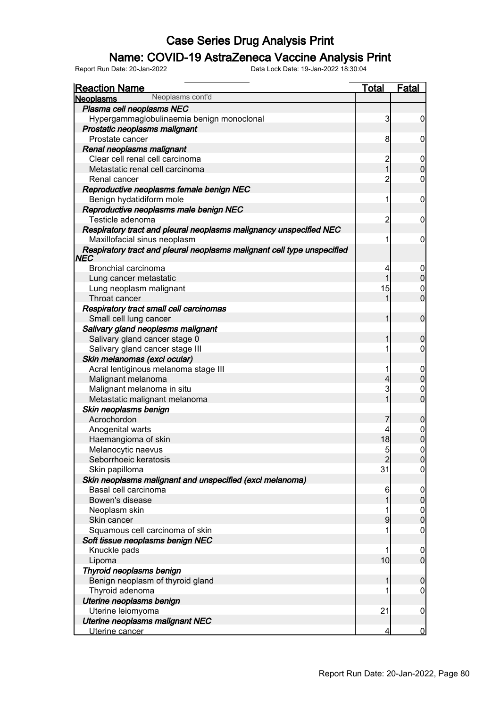### Name: COVID-19 AstraZeneca Vaccine Analysis Print

| <u>Reaction Name</u>                                                    | <b>Total</b>            | <b>Fatal</b>                         |
|-------------------------------------------------------------------------|-------------------------|--------------------------------------|
| Neoplasms cont'd<br><b>Neoplasms</b>                                    |                         |                                      |
| Plasma cell neoplasms NEC                                               |                         |                                      |
| Hypergammaglobulinaemia benign monoclonal                               | 3                       | $\overline{0}$                       |
| Prostatic neoplasms malignant                                           |                         |                                      |
| Prostate cancer                                                         | 8                       | $\boldsymbol{0}$                     |
| Renal neoplasms malignant                                               |                         |                                      |
| Clear cell renal cell carcinoma                                         | $\overline{\mathbf{c}}$ | $\overline{0}$                       |
| Metastatic renal cell carcinoma                                         | $\overline{1}$          | $\mathbf 0$                          |
| Renal cancer                                                            | $\overline{c}$          | $\mathbf 0$                          |
| Reproductive neoplasms female benign NEC                                |                         |                                      |
| Benign hydatidiform mole                                                | 1                       | $\mathbf 0$                          |
| Reproductive neoplasms male benign NEC                                  |                         |                                      |
| Testicle adenoma                                                        | $\overline{c}$          | $\mathbf 0$                          |
| Respiratory tract and pleural neoplasms malignancy unspecified NEC      |                         |                                      |
| Maxillofacial sinus neoplasm                                            |                         | $\mathbf 0$                          |
| Respiratory tract and pleural neoplasms malignant cell type unspecified |                         |                                      |
| NEC                                                                     |                         |                                      |
| Bronchial carcinoma                                                     | 4                       |                                      |
| Lung cancer metastatic                                                  | 1                       | $0\atop 0$                           |
| Lung neoplasm malignant                                                 | 15                      |                                      |
| Throat cancer                                                           | 1                       | $\begin{matrix} 0 \\ 0 \end{matrix}$ |
| Respiratory tract small cell carcinomas                                 |                         |                                      |
| Small cell lung cancer                                                  | 1                       | $\boldsymbol{0}$                     |
| Salivary gland neoplasms malignant                                      |                         |                                      |
| Salivary gland cancer stage 0                                           | 1                       | $\mathbf 0$                          |
| Salivary gland cancer stage III                                         | 1                       | $\boldsymbol{0}$                     |
| Skin melanomas (excl ocular)                                            |                         |                                      |
| Acral lentiginous melanoma stage III                                    | 1                       |                                      |
| Malignant melanoma                                                      | 4                       | $0\atop 0$                           |
| Malignant melanoma in situ                                              | 3                       |                                      |
| Metastatic malignant melanoma                                           | 1                       | $\begin{matrix}0\\0\end{matrix}$     |
| Skin neoplasms benign                                                   |                         |                                      |
| Acrochordon                                                             |                         | $\boldsymbol{0}$                     |
| Anogenital warts                                                        |                         |                                      |
| Haemangioma of skin                                                     | 18                      | $0\atop 0$                           |
| Melanocytic naevus                                                      | 5                       | $\overline{0}$                       |
| Seborrhoeic keratosis                                                   | $\overline{2}$          | 0                                    |
| Skin papilloma                                                          | 31                      | $\overline{0}$                       |
| Skin neoplasms malignant and unspecified (excl melanoma)                |                         |                                      |
| Basal cell carcinoma                                                    | 6                       |                                      |
| Bowen's disease                                                         | 1                       | $\begin{matrix} 0 \\ 0 \end{matrix}$ |
| Neoplasm skin                                                           | 1                       |                                      |
| Skin cancer                                                             | 9                       | $0\atop 0$                           |
| Squamous cell carcinoma of skin                                         | 1                       | $\boldsymbol{0}$                     |
| Soft tissue neoplasms benign NEC                                        |                         |                                      |
| Knuckle pads                                                            | 1                       |                                      |
| Lipoma                                                                  | 10                      | $0$<br>0                             |
| Thyroid neoplasms benign                                                |                         |                                      |
| Benign neoplasm of thyroid gland                                        | 1                       | $\boldsymbol{0}$                     |
| Thyroid adenoma                                                         | 1                       | $\mathbf 0$                          |
| Uterine neoplasms benign                                                |                         |                                      |
| Uterine leiomyoma                                                       | 21                      | $\mathbf 0$                          |
| Uterine neoplasms malignant NEC                                         |                         |                                      |
| Uterine cancer                                                          | 4                       | $\overline{0}$                       |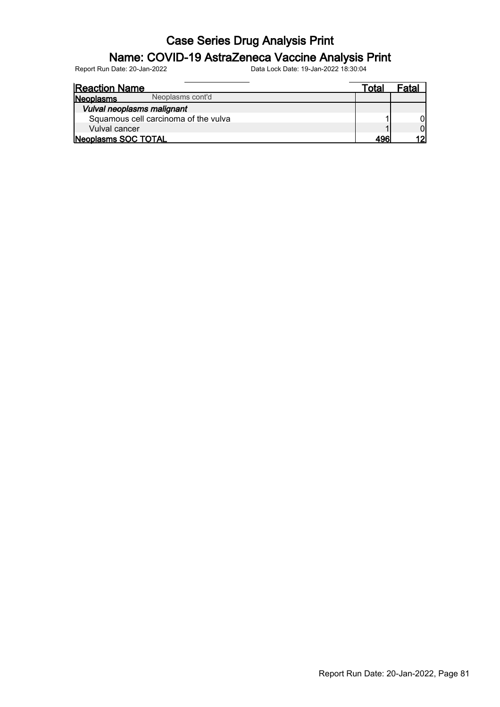### Name: COVID-19 AstraZeneca Vaccine Analysis Print

| <b>Reaction Name</b>                 | ™ota∟ | Fatal |
|--------------------------------------|-------|-------|
| Neoplasms cont'd<br>Neoplasms        |       |       |
| Vulval neoplasms malignant           |       |       |
| Squamous cell carcinoma of the vulva |       |       |
| Vulval cancer                        |       |       |
| Neoplasms SOC TOTAL                  | 496   |       |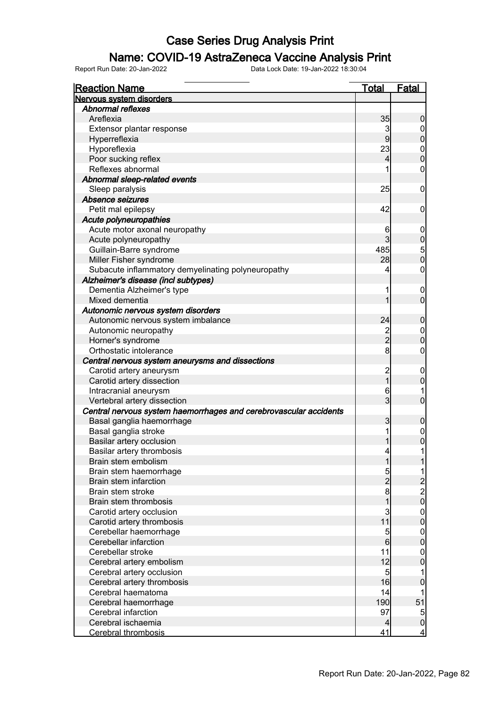### Name: COVID-19 AstraZeneca Vaccine Analysis Print

| <b>Reaction Name</b>                                              | <b>Total</b>    | <b>Fatal</b>                               |
|-------------------------------------------------------------------|-----------------|--------------------------------------------|
| Nervous system disorders                                          |                 |                                            |
| <b>Abnormal reflexes</b>                                          |                 |                                            |
| Areflexia                                                         | 35              | $\boldsymbol{0}$                           |
| Extensor plantar response                                         | 3               | $\overline{0}$                             |
| Hyperreflexia                                                     | $\overline{9}$  | $\overline{0}$                             |
| Hyporeflexia                                                      | 23              |                                            |
| Poor sucking reflex                                               | $\overline{4}$  | $0\atop 0$                                 |
| Reflexes abnormal                                                 | 1               | $\boldsymbol{0}$                           |
| Abnormal sleep-related events                                     |                 |                                            |
| Sleep paralysis                                                   | 25              | $\mathbf 0$                                |
| Absence seizures                                                  |                 |                                            |
| Petit mal epilepsy                                                | 42              | $\mathbf 0$                                |
| Acute polyneuropathies                                            |                 |                                            |
| Acute motor axonal neuropathy                                     | 6               | $\mathbf 0$                                |
| Acute polyneuropathy                                              | $\mathbf{3}$    | $\mathbf 0$                                |
| Guillain-Barre syndrome                                           | 485             |                                            |
| Miller Fisher syndrome                                            | 28              | $\frac{5}{0}$                              |
| Subacute inflammatory demyelinating polyneuropathy                | 4               | $\boldsymbol{0}$                           |
| Alzheimer's disease (incl subtypes)                               |                 |                                            |
| Dementia Alzheimer's type                                         | 1               | $\boldsymbol{0}$                           |
| Mixed dementia                                                    | 1               | $\overline{0}$                             |
| Autonomic nervous system disorders                                |                 |                                            |
| Autonomic nervous system imbalance                                | 24              | $\mathbf 0$                                |
| Autonomic neuropathy                                              |                 | $\boldsymbol{0}$                           |
| Horner's syndrome                                                 | $\frac{2}{2}$   | $\overline{0}$                             |
| Orthostatic intolerance                                           | $\bf{8}$        | $\boldsymbol{0}$                           |
| Central nervous system aneurysms and dissections                  |                 |                                            |
| Carotid artery aneurysm                                           |                 | $\boldsymbol{0}$                           |
| Carotid artery dissection                                         | 2<br>1          | $\mathbf 0$                                |
| Intracranial aneurysm                                             | 6               |                                            |
| Vertebral artery dissection                                       | 3               | $\mathbf 0$                                |
| Central nervous system haemorrhages and cerebrovascular accidents |                 |                                            |
| Basal ganglia haemorrhage                                         | 3               | $\mathbf 0$                                |
| Basal ganglia stroke                                              | 1               | $\boldsymbol{0}$                           |
| Basilar artery occlusion                                          |                 | $\overline{0}$                             |
| Basilar artery thrombosis                                         | $\vert 4 \vert$ | 1                                          |
| Brain stem embolism                                               | $\mathbf{1}$    | 1                                          |
| Brain stem haemorrhage                                            | 5               |                                            |
| Brain stem infarction                                             | $\overline{c}$  |                                            |
| Brain stem stroke                                                 | 8               | $\begin{array}{c} 2 \\ 2 \\ 0 \end{array}$ |
| Brain stem thrombosis                                             | 1               |                                            |
| Carotid artery occlusion                                          | 3               |                                            |
| Carotid artery thrombosis                                         | 11              | $0\atop 0$                                 |
| Cerebellar haemorrhage                                            | 5               | $\boldsymbol{0}$                           |
| Cerebellar infarction                                             | 6               | $\mathbf 0$                                |
| Cerebellar stroke                                                 | 11              | $\mathbf 0$                                |
| Cerebral artery embolism                                          | 12              | $\mathbf 0$                                |
| Cerebral artery occlusion                                         | $\overline{5}$  | 1                                          |
| Cerebral artery thrombosis                                        | 16              | $\pmb{0}$                                  |
| Cerebral haematoma                                                | 14              |                                            |
| Cerebral haemorrhage                                              | 190             | 51                                         |
| Cerebral infarction                                               | 97              | 5                                          |
| Cerebral ischaemia                                                | $\overline{4}$  | $\pmb{0}$                                  |
| <b>Cerebral thrombosis</b>                                        | 41              | $\overline{4}$                             |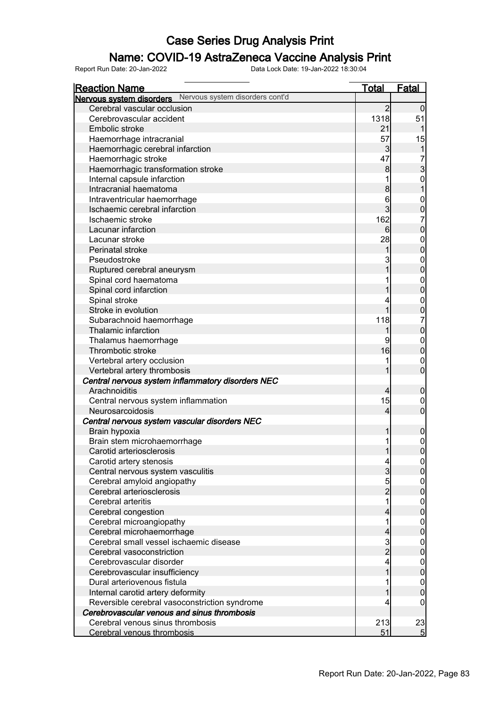### Name: COVID-19 AstraZeneca Vaccine Analysis Print

| <b>Reaction Name</b>                                     | <u>Total</u>   | <b>Fatal</b>                         |
|----------------------------------------------------------|----------------|--------------------------------------|
| Nervous system disorders Nervous system disorders cont'd |                |                                      |
| Cerebral vascular occlusion                              | $\overline{2}$ | $\Omega$                             |
| Cerebrovascular accident                                 | 1318           | 51                                   |
| Embolic stroke                                           | 21             |                                      |
| Haemorrhage intracranial                                 | 57             | 15                                   |
| Haemorrhagic cerebral infarction                         | $\overline{3}$ | $\mathbf{1}$                         |
| Haemorrhagic stroke                                      | 47             |                                      |
| Haemorrhagic transformation stroke                       | 8              | $\frac{7}{3}$                        |
| Internal capsule infarction                              | 1              |                                      |
| Intracranial haematoma                                   | 8              | $\begin{matrix} 0 \\ 1 \end{matrix}$ |
| Intraventricular haemorrhage                             | 6              | $\mathbf{0}$                         |
| Ischaemic cerebral infarction                            | $\overline{3}$ | $\overline{0}$                       |
| Ischaemic stroke                                         | 162            | 7                                    |
| Lacunar infarction                                       | 6              | $\mathbf 0$                          |
| Lacunar stroke                                           | 28             | $\boldsymbol{0}$                     |
| Perinatal stroke                                         | 1              | $\mathbf 0$                          |
| Pseudostroke                                             | 3              | $\boldsymbol{0}$                     |
| Ruptured cerebral aneurysm                               |                | $\mathbf 0$                          |
| Spinal cord haematoma                                    |                | $\mathbf{0}$                         |
| Spinal cord infarction                                   |                | $\mathbf 0$                          |
| Spinal stroke                                            |                | $\mathbf{0}$                         |
| Stroke in evolution                                      | 1              | $\overline{0}$                       |
| Subarachnoid haemorrhage                                 | 118            | 7                                    |
| Thalamic infarction                                      | 1              | $\mathbf 0$                          |
| Thalamus haemorrhage                                     | 9              | $\boldsymbol{0}$                     |
| Thrombotic stroke                                        | 16             | $\mathbf 0$                          |
| Vertebral artery occlusion                               | 1              | $\mathbf{0}$                         |
| Vertebral artery thrombosis                              | 1              | $\overline{0}$                       |
| Central nervous system inflammatory disorders NEC        |                |                                      |
| Arachnoiditis                                            | $\overline{4}$ | $\boldsymbol{0}$                     |
| Central nervous system inflammation                      | 15             | $\mathbf 0$                          |
| Neurosarcoidosis                                         | $\overline{4}$ | $\boldsymbol{0}$                     |
| Central nervous system vascular disorders NEC            |                |                                      |
| Brain hypoxia                                            | 1              | $\mathbf 0$                          |
| Brain stem microhaemorrhage                              | 1              | $\boldsymbol{0}$                     |
| Carotid arteriosclerosis                                 | 1              | $\overline{0}$                       |
| Carotid artery stenosis                                  | $\overline{4}$ | 0                                    |
| Central nervous system vasculitis                        | $\overline{3}$ | $\overline{0}$                       |
| Cerebral amyloid angiopathy                              | 5              | $\boldsymbol{0}$                     |
| Cerebral arteriosclerosis                                | $\overline{2}$ | $\mathbf 0$                          |
| Cerebral arteritis                                       | 1              | $\boldsymbol{0}$                     |
| Cerebral congestion                                      | 4              | $\mathbf 0$                          |
| Cerebral microangiopathy                                 | 1              | $\boldsymbol{0}$                     |
| Cerebral microhaemorrhage                                | 4              | $\mathbf 0$                          |
| Cerebral small vessel ischaemic disease                  | $\frac{3}{2}$  | $\boldsymbol{0}$                     |
| Cerebral vasoconstriction                                |                | $\mathbf 0$                          |
| Cerebrovascular disorder                                 | 4              | $\boldsymbol{0}$                     |
| Cerebrovascular insufficiency                            | 1              | $\mathbf 0$                          |
| Dural arteriovenous fistula                              |                | $\boldsymbol{0}$                     |
| Internal carotid artery deformity                        |                | $\pmb{0}$                            |
| Reversible cerebral vasoconstriction syndrome            | 4              | $\overline{0}$                       |
| Cerebrovascular venous and sinus thrombosis              |                |                                      |
| Cerebral venous sinus thrombosis                         | 213            | 23                                   |
| Cerebral venous thrombosis                               | 51             | 5                                    |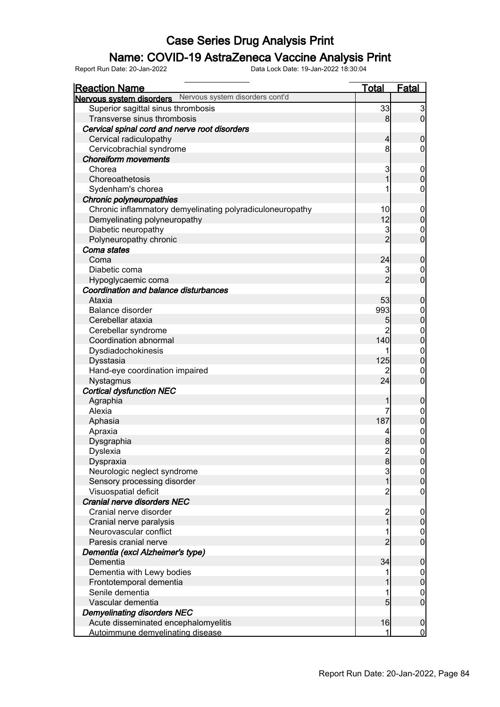### Name: COVID-19 AstraZeneca Vaccine Analysis Print

| <u>Reaction Name</u>                                      | <u>Total</u>            | <b>Fatal</b>     |
|-----------------------------------------------------------|-------------------------|------------------|
| Nervous system disorders Nervous system disorders cont'd  |                         |                  |
| Superior sagittal sinus thrombosis                        | 33                      | $\mathbf{3}$     |
| Transverse sinus thrombosis                               | 8                       | $\overline{0}$   |
| Cervical spinal cord and nerve root disorders             |                         |                  |
| Cervical radiculopathy                                    | $\overline{4}$          | $\mathbf 0$      |
| Cervicobrachial syndrome                                  | 8                       | $\overline{0}$   |
| <b>Choreiform movements</b>                               |                         |                  |
| Chorea                                                    | 3                       | $\mathbf 0$      |
| Choreoathetosis                                           | 1                       | $\mathbf 0$      |
| Sydenham's chorea                                         |                         | $\boldsymbol{0}$ |
| Chronic polyneuropathies                                  |                         |                  |
| Chronic inflammatory demyelinating polyradiculoneuropathy | 10                      | $\mathbf 0$      |
| Demyelinating polyneuropathy                              | 12                      | $\mathbf 0$      |
| Diabetic neuropathy                                       | 3                       | $\mathbf 0$      |
| Polyneuropathy chronic                                    | $\overline{2}$          | $\overline{0}$   |
| Coma states                                               |                         |                  |
| Coma                                                      | 24                      | $\boldsymbol{0}$ |
| Diabetic coma                                             | 3                       | $\mathbf 0$      |
| Hypoglycaemic coma                                        | $\overline{2}$          | $\overline{0}$   |
| Coordination and balance disturbances                     |                         |                  |
| Ataxia                                                    | 53                      | $\boldsymbol{0}$ |
| <b>Balance disorder</b>                                   | 993                     | $\mathbf 0$      |
| Cerebellar ataxia                                         | 5                       | $\mathbf 0$      |
| Cerebellar syndrome                                       | $\overline{2}$          | $\mathbf{0}$     |
| Coordination abnormal                                     | 140                     | $\mathbf 0$      |
| Dysdiadochokinesis                                        |                         | $\mathbf{0}$     |
| Dysstasia                                                 | 125                     | $\mathbf 0$      |
| Hand-eye coordination impaired                            | 2                       | $\mathbf 0$      |
| Nystagmus                                                 | 24                      | $\overline{0}$   |
| <b>Cortical dysfunction NEC</b>                           |                         |                  |
| Agraphia                                                  | 1                       | $\boldsymbol{0}$ |
| Alexia                                                    | 7                       | $\boldsymbol{0}$ |
| Aphasia                                                   | 187                     | $\mathbf 0$      |
| Apraxia                                                   | 4                       |                  |
| Dysgraphia                                                | 8                       | $0$<br>0         |
| Dyslexia                                                  | $\overline{2}$          | $\mathbf 0$      |
| Dyspraxia                                                 | $\boldsymbol{8}$        | 0                |
| Neurologic neglect syndrome                               | $\overline{3}$          | $\overline{0}$   |
| Sensory processing disorder                               | $\overline{1}$          | $\pmb{0}$        |
| Visuospatial deficit                                      | $\overline{2}$          | $\mathbf 0$      |
| Cranial nerve disorders NEC                               |                         |                  |
| Cranial nerve disorder                                    | $\overline{\mathbf{c}}$ | $\mathbf 0$      |
| Cranial nerve paralysis                                   | $\overline{1}$          | $\pmb{0}$        |
| Neurovascular conflict                                    | 1                       | $\boldsymbol{0}$ |
| Paresis cranial nerve                                     | $\overline{2}$          | $\overline{0}$   |
| Dementia (excl Alzheimer's type)                          |                         |                  |
| Dementia                                                  | 34                      | $\boldsymbol{0}$ |
| Dementia with Lewy bodies                                 | 1                       | $\overline{0}$   |
| Frontotemporal dementia                                   |                         | $\pmb{0}$        |
| Senile dementia                                           | 1                       | $\boldsymbol{0}$ |
| Vascular dementia                                         | 5                       | $\mathbf 0$      |
| <b>Demyelinating disorders NEC</b>                        |                         |                  |
| Acute disseminated encephalomyelitis                      | 16                      | $\boldsymbol{0}$ |
| Autoimmune demyelinating disease                          | 1                       | $\overline{0}$   |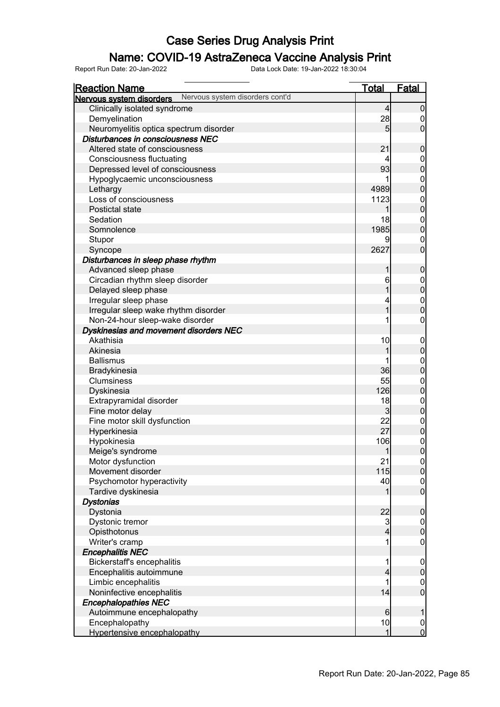### Name: COVID-19 AstraZeneca Vaccine Analysis Print

| <b>Reaction Name</b>                                        | <b>Total</b>   | Fatal            |
|-------------------------------------------------------------|----------------|------------------|
| Nervous system disorders cont'd<br>Nervous system disorders |                |                  |
| Clinically isolated syndrome                                | $\overline{4}$ | $\overline{0}$   |
| Demyelination                                               | 28             | 0                |
| Neuromyelitis optica spectrum disorder                      | 5              | $\overline{0}$   |
| Disturbances in consciousness NEC                           |                |                  |
| Altered state of consciousness                              | 21             | 0                |
| <b>Consciousness fluctuating</b>                            | 4              | 0                |
| Depressed level of consciousness                            | 93             | $\mathbf 0$      |
| Hypoglycaemic unconsciousness                               |                | 0                |
| Lethargy                                                    | 4989           | $\overline{0}$   |
| Loss of consciousness                                       | 1123           | $\mathbf 0$      |
| Postictal state                                             | 1              | $\overline{0}$   |
| Sedation                                                    | 18             | $\mathbf 0$      |
| Somnolence                                                  | 1985           | $\overline{0}$   |
| Stupor                                                      | 9              | 0                |
| Syncope                                                     | 2627           | $\overline{0}$   |
| Disturbances in sleep phase rhythm                          |                |                  |
| Advanced sleep phase                                        | 1              | $\mathbf 0$      |
| Circadian rhythm sleep disorder                             | 6              | $\mathbf 0$      |
| Delayed sleep phase                                         |                | $\overline{0}$   |
| Irregular sleep phase                                       | 4              | $\boldsymbol{0}$ |
| Irregular sleep wake rhythm disorder                        | 1              | $\overline{0}$   |
| Non-24-hour sleep-wake disorder                             |                | 0                |
| Dyskinesias and movement disorders NEC                      |                |                  |
| Akathisia                                                   | 10             | $\overline{0}$   |
| Akinesia                                                    | 1              | $\mathbf 0$      |
| <b>Ballismus</b>                                            |                | $\mathbf 0$      |
| Bradykinesia                                                | 36             | $\overline{0}$   |
| Clumsiness                                                  | 55             | $\mathbf{0}$     |
| Dyskinesia                                                  | 126            | $\overline{0}$   |
| Extrapyramidal disorder                                     | 18             | $\mathbf 0$      |
| Fine motor delay                                            | 3              | $\overline{0}$   |
| Fine motor skill dysfunction                                | 22             | $\mathbf 0$      |
| Hyperkinesia                                                | 27             | $\mathbf 0$      |
| Hypokinesia                                                 | 106            | $\mathbf{0}$     |
| Meige's syndrome                                            | $\mathbf{1}$   | $\overline{0}$   |
| Motor dysfunction                                           | 21             | $\overline{0}$   |
| Movement disorder                                           | 115            | $\overline{0}$   |
| Psychomotor hyperactivity                                   | 40             | $\overline{0}$   |
| Tardive dyskinesia                                          | 1              | $\overline{0}$   |
| <b>Dystonias</b>                                            |                |                  |
| Dystonia                                                    | 22             | $\boldsymbol{0}$ |
| Dystonic tremor                                             | $\mathbf{3}$   | $0\atop 0$       |
| Opisthotonus                                                | 4              |                  |
| Writer's cramp                                              | 1              | 0                |
| <b>Encephalitis NEC</b>                                     |                |                  |
| Bickerstaff's encephalitis                                  |                | $\mathbf 0$      |
| Encephalitis autoimmune                                     | 4              | $\overline{0}$   |
| Limbic encephalitis                                         | 1              | $\mathbf 0$      |
| Noninfective encephalitis                                   | 14             | $\mathbf 0$      |
| <b>Encephalopathies NEC</b>                                 |                |                  |
| Autoimmune encephalopathy                                   | 6              | 1                |
| Encephalopathy                                              | 10             | $\boldsymbol{0}$ |
| Hypertensive encephalopathy                                 | 1              | $\mathbf 0$      |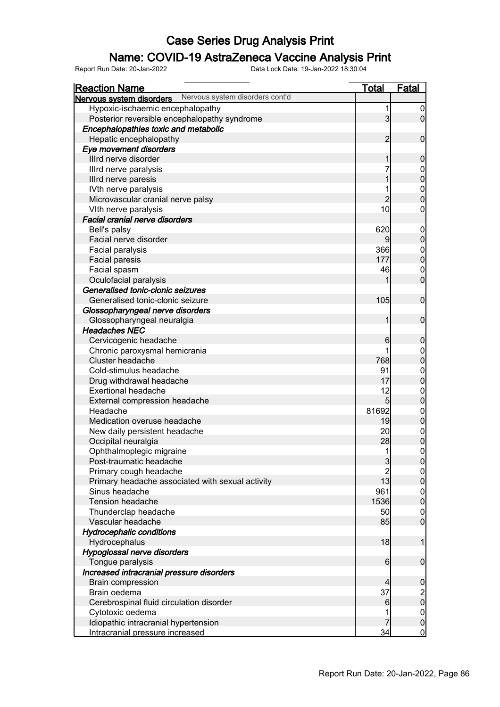### Name: COVID-19 AstraZeneca Vaccine Analysis Print

| <b>Reaction Name</b>                                        | <u>Total</u>   | Fatal            |
|-------------------------------------------------------------|----------------|------------------|
| Nervous system disorders cont'd<br>Nervous system disorders |                |                  |
| Hypoxic-ischaemic encephalopathy                            | 1              | $\boldsymbol{0}$ |
| Posterior reversible encephalopathy syndrome                | 3 <sub>l</sub> | $\overline{0}$   |
| Encephalopathies toxic and metabolic                        |                |                  |
| Hepatic encephalopathy                                      | $\overline{2}$ | $\overline{0}$   |
| Eye movement disorders                                      |                |                  |
| Illrd nerve disorder                                        | 1              | $\mathbf 0$      |
| Illrd nerve paralysis                                       |                | $\boldsymbol{0}$ |
| Illrd nerve paresis                                         |                | $\mathbf 0$      |
| IVth nerve paralysis                                        |                | $\boldsymbol{0}$ |
| Microvascular cranial nerve palsy                           | $\overline{2}$ | $\overline{0}$   |
| VIth nerve paralysis                                        | 10             | $\mathbf 0$      |
| <b>Facial cranial nerve disorders</b>                       |                |                  |
| Bell's palsy                                                | 620            | $\mathbf 0$      |
| Facial nerve disorder                                       | 9              | $\boldsymbol{0}$ |
| Facial paralysis                                            | 366            | $\boldsymbol{0}$ |
| <b>Facial paresis</b>                                       | 177            | $\mathbf 0$      |
| Facial spasm                                                | 46             | $\mathbf 0$      |
| Oculofacial paralysis                                       |                | $\overline{0}$   |
| Generalised tonic-clonic seizures                           |                |                  |
| Generalised tonic-clonic seizure                            | 105            | $\mathbf 0$      |
| Glossopharyngeal nerve disorders                            |                |                  |
| Glossopharyngeal neuralgia                                  | 1              | $\mathbf 0$      |
| <b>Headaches NEC</b>                                        |                |                  |
| Cervicogenic headache                                       | 6              | $\mathbf 0$      |
| Chronic paroxysmal hemicrania                               |                | $\boldsymbol{0}$ |
| Cluster headache                                            | 768            | $\mathbf 0$      |
| Cold-stimulus headache                                      | 91             | $\boldsymbol{0}$ |
| Drug withdrawal headache                                    | 17             | $\mathbf 0$      |
| <b>Exertional headache</b>                                  | 12             | $\boldsymbol{0}$ |
| External compression headache                               | 5 <sub>l</sub> | $\mathbf 0$      |
| Headache                                                    | 81692          | $\boldsymbol{0}$ |
| Medication overuse headache                                 | 19             | $\mathbf 0$      |
| New daily persistent headache                               | 20             | $\boldsymbol{0}$ |
| Occipital neuralgia                                         | 28             | $\mathbf 0$      |
| Ophthalmoplegic migraine                                    | 1              | $\mathbf 0$      |
| Post-traumatic headache                                     | 3              | 0                |
| Primary cough headache                                      | $\overline{c}$ | 0                |
| Primary headache associated with sexual activity            | 13             | $\mathbf 0$      |
| Sinus headache                                              | 961            | $\overline{0}$   |
| <b>Tension headache</b>                                     | 1536           | $\mathbf 0$      |
| Thunderclap headache                                        | 50             | $\overline{0}$   |
| Vascular headache                                           | 85             | $\overline{0}$   |
| <b>Hydrocephalic conditions</b>                             |                |                  |
| Hydrocephalus                                               | 18             | $\mathbf 1$      |
| Hypoglossal nerve disorders                                 |                |                  |
| Tongue paralysis                                            | 6              | $\boldsymbol{0}$ |
| Increased intracranial pressure disorders                   |                |                  |
| <b>Brain compression</b>                                    | 4              | $\mathbf 0$      |
| Brain oedema                                                | 37             | $\frac{2}{0}$    |
| Cerebrospinal fluid circulation disorder                    | 6              |                  |
| Cytotoxic oedema                                            |                | $\boldsymbol{0}$ |
| Idiopathic intracranial hypertension                        |                | $\mathbf 0$      |
| Intracranial pressure increased                             | $\frac{34}{5}$ | $\overline{0}$   |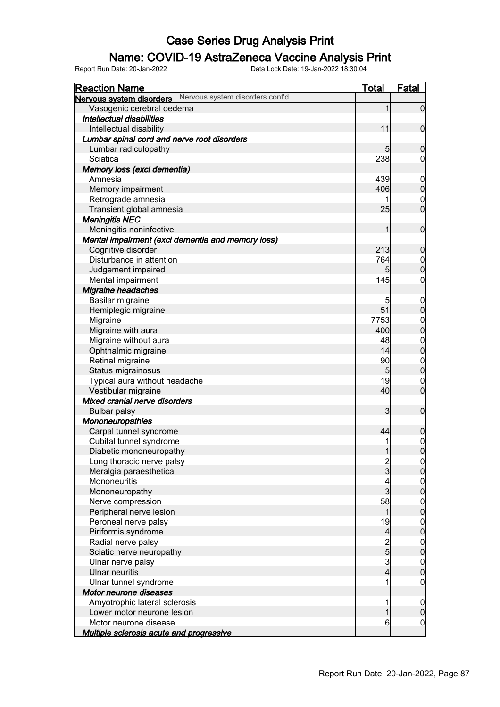### Name: COVID-19 AstraZeneca Vaccine Analysis Print

| <b>Reaction Name</b>                                     | <b>Total</b>             | <b>Fatal</b>                         |
|----------------------------------------------------------|--------------------------|--------------------------------------|
| Nervous system disorders Nervous system disorders cont'd |                          |                                      |
| Vasogenic cerebral oedema                                | 1                        | $\overline{0}$                       |
| Intellectual disabilities                                |                          |                                      |
| Intellectual disability                                  | 11                       | $\mathbf 0$                          |
| Lumbar spinal cord and nerve root disorders              |                          |                                      |
| Lumbar radiculopathy                                     | 5                        | $\mathbf 0$                          |
| Sciatica                                                 | 238                      | 0                                    |
| Memory loss (excl dementia)                              |                          |                                      |
| Amnesia                                                  | 439                      | $\mathbf 0$                          |
| Memory impairment                                        | 406                      | $\boldsymbol{0}$                     |
| Retrograde amnesia                                       |                          | $\mathbf 0$                          |
| Transient global amnesia                                 | 25                       | $\mathbf 0$                          |
| <b>Meningitis NEC</b>                                    |                          |                                      |
| Meningitis noninfective                                  | 1                        | $\boldsymbol{0}$                     |
| Mental impairment (excl dementia and memory loss)        |                          |                                      |
| Cognitive disorder                                       | 213                      | $\mathbf 0$                          |
| Disturbance in attention                                 | 764                      | $\overline{0}$                       |
| Judgement impaired                                       | 5 <sub>5</sub>           | $\mathbf 0$                          |
| Mental impairment                                        | 145                      | $\boldsymbol{0}$                     |
| <b>Migraine headaches</b>                                |                          |                                      |
| Basilar migraine                                         | 5                        | $\mathbf 0$                          |
| Hemiplegic migraine                                      | 51                       | $\pmb{0}$                            |
| Migraine                                                 | 7753                     | $\boldsymbol{0}$                     |
| Migraine with aura                                       | 400                      | $\overline{0}$                       |
| Migraine without aura                                    | 48                       | $\mathbf{0}$                         |
| Ophthalmic migraine                                      | 14                       | $\overline{0}$                       |
| Retinal migraine                                         | 90                       | $\boldsymbol{0}$                     |
| Status migrainosus                                       | 5 <sub>5</sub>           | $\boldsymbol{0}$                     |
| Typical aura without headache                            | 19                       | $\mathbf 0$                          |
| Vestibular migraine                                      | 40                       | $\mathbf 0$                          |
| Mixed cranial nerve disorders                            |                          |                                      |
| <b>Bulbar palsy</b>                                      | 3                        | $\boldsymbol{0}$                     |
| Mononeuropathies                                         |                          |                                      |
| Carpal tunnel syndrome                                   | 44                       | $\boldsymbol{0}$                     |
| Cubital tunnel syndrome                                  |                          |                                      |
| Diabetic mononeuropathy                                  | 1                        | $\begin{matrix} 0 \\ 0 \end{matrix}$ |
| Long thoracic nerve palsy                                |                          | 0                                    |
| Meralgia paraesthetica                                   | $\frac{2}{3}$            | $\mathbf 0$                          |
| Mononeuritis                                             | 4                        |                                      |
| Mononeuropathy                                           | $\overline{3}$           | $0\atop 0$                           |
| Nerve compression                                        | 58                       |                                      |
| Peripheral nerve lesion                                  | 1                        | $\begin{matrix} 0 \\ 0 \end{matrix}$ |
| Peroneal nerve palsy                                     | 19                       |                                      |
| Piriformis syndrome                                      | $\overline{\mathcal{L}}$ | $\begin{matrix} 0 \\ 0 \end{matrix}$ |
| Radial nerve palsy                                       |                          |                                      |
| Sciatic nerve neuropathy                                 | $\frac{2}{5}$            | $0$<br>0                             |
| Ulnar nerve palsy                                        | $\overline{3}$           |                                      |
| <b>Ulnar neuritis</b>                                    | $\overline{4}$           | $0\atop 0$                           |
| Ulnar tunnel syndrome                                    | 1                        | $\mathbf 0$                          |
| Motor neurone diseases                                   |                          |                                      |
| Amyotrophic lateral sclerosis                            | 1                        | $\mathbf 0$                          |
| Lower motor neurone lesion                               | 1                        | $\pmb{0}$                            |
| Motor neurone disease                                    | 6                        | $\mathbf 0$                          |
| Multiple sclerosis acute and progressive                 |                          |                                      |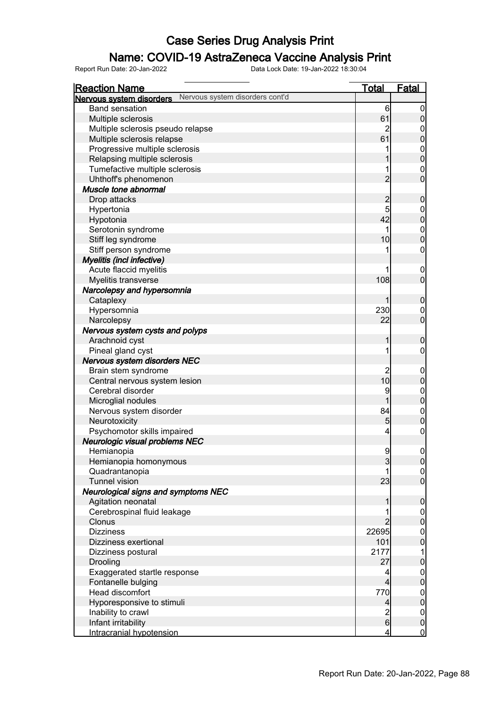### Name: COVID-19 AstraZeneca Vaccine Analysis Print

| <b>Reaction Name</b>                                        | <b>Total</b>    | Fatal                                |
|-------------------------------------------------------------|-----------------|--------------------------------------|
| Nervous system disorders cont'd<br>Nervous system disorders |                 |                                      |
| <b>Band sensation</b>                                       | $6 \overline{}$ | 0                                    |
| Multiple sclerosis                                          | 61              | $\mathbf 0$                          |
| Multiple sclerosis pseudo relapse                           | 2               | 0                                    |
| Multiple sclerosis relapse                                  | 61              | $\overline{0}$                       |
| Progressive multiple sclerosis                              |                 | $\mathbf{0}$                         |
| Relapsing multiple sclerosis                                | 1               | $\overline{0}$                       |
| Tumefactive multiple sclerosis                              | 1               | $\mathbf 0$                          |
| Uhthoff's phenomenon                                        | $\overline{2}$  | $\overline{0}$                       |
| Muscle tone abnormal                                        |                 |                                      |
| Drop attacks                                                | $\overline{c}$  | $\mathbf 0$                          |
| Hypertonia                                                  | 5               | 0                                    |
| Hypotonia                                                   | 42              | $\overline{0}$                       |
| Serotonin syndrome                                          |                 | $\mathbf 0$                          |
| Stiff leg syndrome                                          | 10              | $\overline{0}$                       |
| Stiff person syndrome                                       |                 | 0                                    |
| <b>Myelitis (incl infective)</b>                            |                 |                                      |
| Acute flaccid myelitis                                      |                 | $\mathbf 0$                          |
| Myelitis transverse                                         | 108             | $\overline{0}$                       |
| Narcolepsy and hypersomnia                                  |                 |                                      |
| Cataplexy                                                   | 1               | $\mathbf 0$                          |
| Hypersomnia                                                 | 230             | $\mathbf 0$                          |
| Narcolepsy                                                  | 22              | $\overline{0}$                       |
| Nervous system cysts and polyps                             |                 |                                      |
| Arachnoid cyst                                              | 1               | $\mathbf 0$                          |
| Pineal gland cyst                                           |                 | 0                                    |
| Nervous system disorders NEC                                |                 |                                      |
| Brain stem syndrome                                         | $\overline{c}$  | $\overline{0}$                       |
| Central nervous system lesion                               | 10              | $\mathbf 0$                          |
| Cerebral disorder                                           | 9               | $\mathbf 0$                          |
| Microglial nodules                                          | 1               | $\overline{0}$                       |
| Nervous system disorder                                     | 84              | $\mathbf 0$                          |
| Neurotoxicity                                               | 5               | $\overline{0}$                       |
| Psychomotor skills impaired                                 | 4               | 0                                    |
|                                                             |                 |                                      |
| Neurologic visual problems NEC                              | 9               | $\mathbf 0$                          |
| Hemianopia                                                  |                 |                                      |
| Hemianopia homonymous                                       | 3               | 0                                    |
| Quadrantanopia<br><b>Tunnel vision</b>                      | 23              | $\overline{0}$<br>$\overline{0}$     |
|                                                             |                 |                                      |
| Neurological signs and symptoms NEC                         |                 |                                      |
| Agitation neonatal                                          | 1               | $\mathbf 0$                          |
| Cerebrospinal fluid leakage                                 |                 | 0                                    |
| Clonus                                                      | 2               |                                      |
| <b>Dizziness</b>                                            | 22695           | $\begin{matrix} 0 \\ 0 \end{matrix}$ |
| Dizziness exertional                                        | 101             |                                      |
| Dizziness postural                                          | 2177            | 1                                    |
| Drooling                                                    | 27              | $\overline{0}$                       |
| Exaggerated startle response                                | 4               | $\begin{matrix} 0 \\ 0 \end{matrix}$ |
| Fontanelle bulging                                          | 4               |                                      |
| Head discomfort                                             | 770             | $0$<br>0                             |
| Hyporesponsive to stimuli                                   | 4               |                                      |
| Inability to crawl                                          | $\frac{2}{6}$   | $0$<br>0                             |
| Infant irritability                                         |                 |                                      |
| Intracranial hypotension                                    | 4               | $\mathbf 0$                          |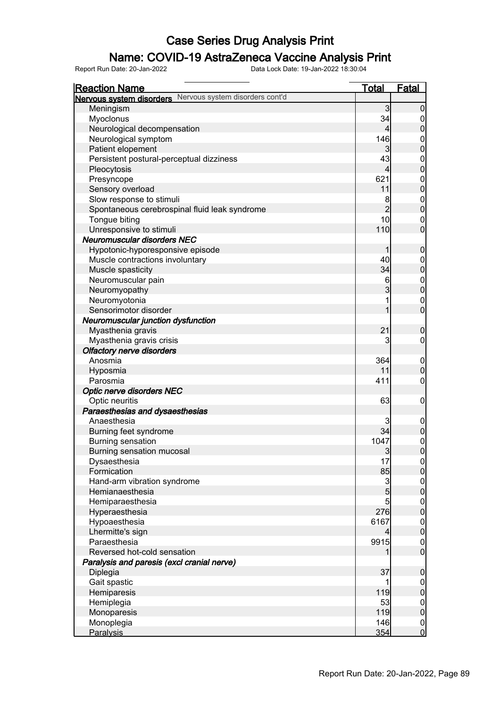### Name: COVID-19 AstraZeneca Vaccine Analysis Print

| <b>Reaction Name</b>                                     | <u>Total</u>   | <b>Fatal</b>                         |
|----------------------------------------------------------|----------------|--------------------------------------|
| Nervous system disorders Nervous system disorders cont'd |                |                                      |
| Meningism                                                | 3              | $\boldsymbol{0}$                     |
| Myoclonus                                                | 34             | $\mathbf 0$                          |
| Neurological decompensation                              | $\overline{4}$ | $\bf{0}$                             |
| Neurological symptom                                     | 146            |                                      |
| Patient elopement                                        | 3              | $0\atop 0$                           |
| Persistent postural-perceptual dizziness                 | 43             |                                      |
| Pleocytosis                                              | $\overline{4}$ | $0$<br>0                             |
| Presyncope                                               | 621            |                                      |
| Sensory overload                                         | 11             | $0$ 0                                |
| Slow response to stimuli                                 | 8              |                                      |
| Spontaneous cerebrospinal fluid leak syndrome            | $\overline{2}$ | $0$<br>0                             |
| Tongue biting                                            | 10             | $\mathbf{0}$                         |
| Unresponsive to stimuli                                  | 110            | $\overline{0}$                       |
| <b>Neuromuscular disorders NEC</b>                       |                |                                      |
| Hypotonic-hyporesponsive episode                         | 1              | $\mathbf 0$                          |
| Muscle contractions involuntary                          | 40             |                                      |
| Muscle spasticity                                        | 34             | $0$<br>0                             |
| Neuromuscular pain                                       | 6              |                                      |
| Neuromyopathy                                            | 3              | $0$ 0                                |
| Neuromyotonia                                            | 1              |                                      |
| Sensorimotor disorder                                    | 1              | $\begin{matrix}0\\0\end{matrix}$     |
| Neuromuscular junction dysfunction                       |                |                                      |
| Myasthenia gravis                                        | 21             | $\mathbf 0$                          |
| Myasthenia gravis crisis                                 | 3              | $\mathbf 0$                          |
| <b>Olfactory nerve disorders</b>                         |                |                                      |
| Anosmia                                                  | 364            | $\mathbf 0$                          |
| Hyposmia                                                 | 11             | $\pmb{0}$                            |
| Parosmia                                                 | 411            | $\boldsymbol{0}$                     |
| Optic nerve disorders NEC                                |                |                                      |
| Optic neuritis                                           | 63             | $\mathbf 0$                          |
| Paraesthesias and dysaesthesias                          |                |                                      |
| Anaesthesia                                              | 3              | $\boldsymbol{0}$                     |
| Burning feet syndrome                                    | 34             | $\mathbf 0$                          |
| <b>Burning sensation</b>                                 | 1047           |                                      |
| Burning sensation mucosal                                | 3              | $\begin{matrix} 0 \\ 0 \end{matrix}$ |
| Dysaesthesia                                             | 17             |                                      |
| Formication                                              | 85             | 0 <br>$\overline{0}$                 |
| Hand-arm vibration syndrome                              | $\mathbf{3}$   |                                      |
| Hemianaesthesia                                          | 5              | $\begin{matrix} 0 \\ 0 \end{matrix}$ |
| Hemiparaesthesia                                         | 5              | $\boldsymbol{0}$                     |
| Hyperaesthesia                                           | 276            | $\mathbf 0$                          |
| Hypoaesthesia                                            | 6167           | $\boldsymbol{0}$                     |
| Lhermitte's sign                                         | $\overline{4}$ | $\mathbf 0$                          |
| Paraesthesia                                             | 9915           | $\boldsymbol{0}$                     |
| Reversed hot-cold sensation                              |                | $\overline{0}$                       |
| Paralysis and paresis (excl cranial nerve)               |                |                                      |
| Diplegia                                                 | 37             | $\pmb{0}$                            |
| Gait spastic                                             |                |                                      |
| Hemiparesis                                              | 119            | $\overline{0}$<br>$\mathbf 0$        |
| Hemiplegia                                               | 53             |                                      |
| Monoparesis                                              | 119            | $\boldsymbol{0}$<br>$\mathbf 0$      |
| Monoplegia                                               | 146            |                                      |
| Paralysis                                                | 354            | $\boldsymbol{0}$<br>$\overline{0}$   |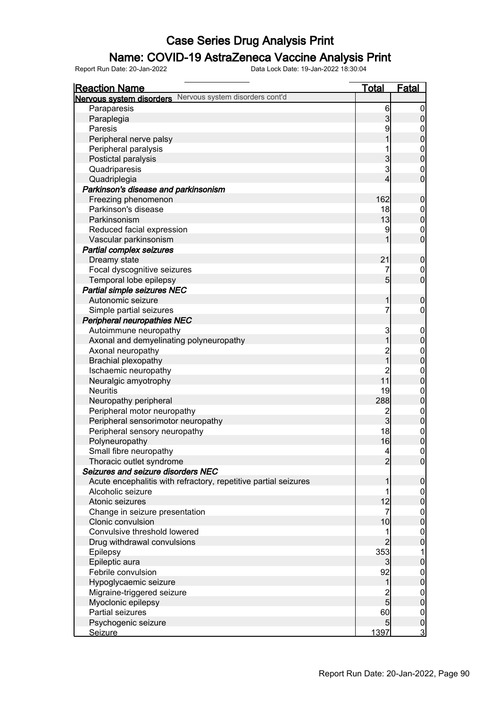### Name: COVID-19 AstraZeneca Vaccine Analysis Print

| Nervous system disorders Nervous system disorders cont'd<br>Paraparesis<br>6<br>$\overline{0}$<br>$\overline{3}$<br>Paraplegia<br>$\boldsymbol{0}$<br>9<br>Paresis<br>$0$<br>0<br>$\overline{1}$<br>Peripheral nerve palsy<br>$0\atop 0$<br>1<br>Peripheral paralysis<br>3<br>3<br>Postictal paralysis<br>$\begin{matrix}0\\0\end{matrix}$<br>Quadriparesis<br>4<br>Quadriplegia<br>Parkinson's disease and parkinsonism<br>162<br>Freezing phenomenon<br>$\boldsymbol{0}$<br>Parkinson's disease<br>18<br>$0\atop 0$<br>13<br>Parkinsonism<br>9<br>Reduced facial expression |
|-------------------------------------------------------------------------------------------------------------------------------------------------------------------------------------------------------------------------------------------------------------------------------------------------------------------------------------------------------------------------------------------------------------------------------------------------------------------------------------------------------------------------------------------------------------------------------|
|                                                                                                                                                                                                                                                                                                                                                                                                                                                                                                                                                                               |
|                                                                                                                                                                                                                                                                                                                                                                                                                                                                                                                                                                               |
|                                                                                                                                                                                                                                                                                                                                                                                                                                                                                                                                                                               |
|                                                                                                                                                                                                                                                                                                                                                                                                                                                                                                                                                                               |
|                                                                                                                                                                                                                                                                                                                                                                                                                                                                                                                                                                               |
|                                                                                                                                                                                                                                                                                                                                                                                                                                                                                                                                                                               |
|                                                                                                                                                                                                                                                                                                                                                                                                                                                                                                                                                                               |
|                                                                                                                                                                                                                                                                                                                                                                                                                                                                                                                                                                               |
|                                                                                                                                                                                                                                                                                                                                                                                                                                                                                                                                                                               |
|                                                                                                                                                                                                                                                                                                                                                                                                                                                                                                                                                                               |
|                                                                                                                                                                                                                                                                                                                                                                                                                                                                                                                                                                               |
|                                                                                                                                                                                                                                                                                                                                                                                                                                                                                                                                                                               |
|                                                                                                                                                                                                                                                                                                                                                                                                                                                                                                                                                                               |
|                                                                                                                                                                                                                                                                                                                                                                                                                                                                                                                                                                               |
| $\begin{matrix}0\\0\end{matrix}$<br>1<br>Vascular parkinsonism                                                                                                                                                                                                                                                                                                                                                                                                                                                                                                                |
| <b>Partial complex seizures</b>                                                                                                                                                                                                                                                                                                                                                                                                                                                                                                                                               |
| 21<br>Dreamy state<br>$\pmb{0}$                                                                                                                                                                                                                                                                                                                                                                                                                                                                                                                                               |
| 7<br>Focal dyscognitive seizures                                                                                                                                                                                                                                                                                                                                                                                                                                                                                                                                              |
| $\begin{matrix} 0 \\ 0 \end{matrix}$<br>$\overline{5}$<br>Temporal lobe epilepsy                                                                                                                                                                                                                                                                                                                                                                                                                                                                                              |
| Partial simple seizures NEC                                                                                                                                                                                                                                                                                                                                                                                                                                                                                                                                                   |
| Autonomic seizure<br>$\mathbf 0$<br>1                                                                                                                                                                                                                                                                                                                                                                                                                                                                                                                                         |
| 7<br>$\pmb{0}$<br>Simple partial seizures                                                                                                                                                                                                                                                                                                                                                                                                                                                                                                                                     |
| <b>Peripheral neuropathies NEC</b>                                                                                                                                                                                                                                                                                                                                                                                                                                                                                                                                            |
| 3<br>Autoimmune neuropathy                                                                                                                                                                                                                                                                                                                                                                                                                                                                                                                                                    |
| $0\atop 0$<br>$\overline{1}$<br>Axonal and demyelinating polyneuropathy                                                                                                                                                                                                                                                                                                                                                                                                                                                                                                       |
| Axonal neuropathy                                                                                                                                                                                                                                                                                                                                                                                                                                                                                                                                                             |
| $\frac{2}{1}$<br>$0$ 0<br>Brachial plexopathy                                                                                                                                                                                                                                                                                                                                                                                                                                                                                                                                 |
| $\overline{2}$<br>Ischaemic neuropathy                                                                                                                                                                                                                                                                                                                                                                                                                                                                                                                                        |
| $\begin{matrix}0\\0\end{matrix}$<br>11<br>Neuralgic amyotrophy                                                                                                                                                                                                                                                                                                                                                                                                                                                                                                                |
| 19<br><b>Neuritis</b>                                                                                                                                                                                                                                                                                                                                                                                                                                                                                                                                                         |
| $0\atop 0$<br>Neuropathy peripheral<br>288                                                                                                                                                                                                                                                                                                                                                                                                                                                                                                                                    |
| Peripheral motor neuropathy<br>$\overline{c}$                                                                                                                                                                                                                                                                                                                                                                                                                                                                                                                                 |
| $\begin{matrix}0\\0\end{matrix}$<br>$\overline{3}$<br>Peripheral sensorimotor neuropathy                                                                                                                                                                                                                                                                                                                                                                                                                                                                                      |
| 18<br>Peripheral sensory neuropathy                                                                                                                                                                                                                                                                                                                                                                                                                                                                                                                                           |
| $\begin{matrix}0\\0\end{matrix}$<br>16<br>Polyneuropathy                                                                                                                                                                                                                                                                                                                                                                                                                                                                                                                      |
| $\overline{0}$<br>Small fibre neuropathy<br>$\overline{4}$                                                                                                                                                                                                                                                                                                                                                                                                                                                                                                                    |
| Thoracic outlet syndrome<br>$\overline{2}$<br> 0                                                                                                                                                                                                                                                                                                                                                                                                                                                                                                                              |
| Seizures and seizure disorders NEC                                                                                                                                                                                                                                                                                                                                                                                                                                                                                                                                            |
| Acute encephalitis with refractory, repetitive partial seizures<br>$\mathbf 0$<br>1                                                                                                                                                                                                                                                                                                                                                                                                                                                                                           |
| Alcoholic seizure<br>1                                                                                                                                                                                                                                                                                                                                                                                                                                                                                                                                                        |
| $\overline{0}$<br>$\pmb{0}$<br>12<br>Atonic seizures                                                                                                                                                                                                                                                                                                                                                                                                                                                                                                                          |
| 7<br>Change in seizure presentation                                                                                                                                                                                                                                                                                                                                                                                                                                                                                                                                           |
| $\boldsymbol{0}$<br>$\mathbf 0$<br>10<br>Clonic convulsion                                                                                                                                                                                                                                                                                                                                                                                                                                                                                                                    |
| Convulsive threshold lowered<br>1                                                                                                                                                                                                                                                                                                                                                                                                                                                                                                                                             |
| $\boldsymbol{0}$<br>$\overline{0}$<br>2<br>Drug withdrawal convulsions                                                                                                                                                                                                                                                                                                                                                                                                                                                                                                        |
| 353<br>1<br>Epilepsy                                                                                                                                                                                                                                                                                                                                                                                                                                                                                                                                                          |
| Epileptic aura<br>$\pmb{0}$<br>$\mathbf{3}$                                                                                                                                                                                                                                                                                                                                                                                                                                                                                                                                   |
| 92<br>Febrile convulsion                                                                                                                                                                                                                                                                                                                                                                                                                                                                                                                                                      |
| $\boldsymbol{0}$<br>$\pmb{0}$<br>Hypoglycaemic seizure<br>$\mathbf{1}$                                                                                                                                                                                                                                                                                                                                                                                                                                                                                                        |
| Migraine-triggered seizure                                                                                                                                                                                                                                                                                                                                                                                                                                                                                                                                                    |
| $\frac{2}{5}$<br>$\boldsymbol{0}$<br>$\mathbf 0$<br>Myoclonic epilepsy                                                                                                                                                                                                                                                                                                                                                                                                                                                                                                        |
| Partial seizures<br>60                                                                                                                                                                                                                                                                                                                                                                                                                                                                                                                                                        |
| $\overline{0}$<br>$\pmb{0}$<br>Psychogenic seizure<br>5 <sub>5</sub>                                                                                                                                                                                                                                                                                                                                                                                                                                                                                                          |
| $\overline{3}$<br>1397<br><b>Seizure</b>                                                                                                                                                                                                                                                                                                                                                                                                                                                                                                                                      |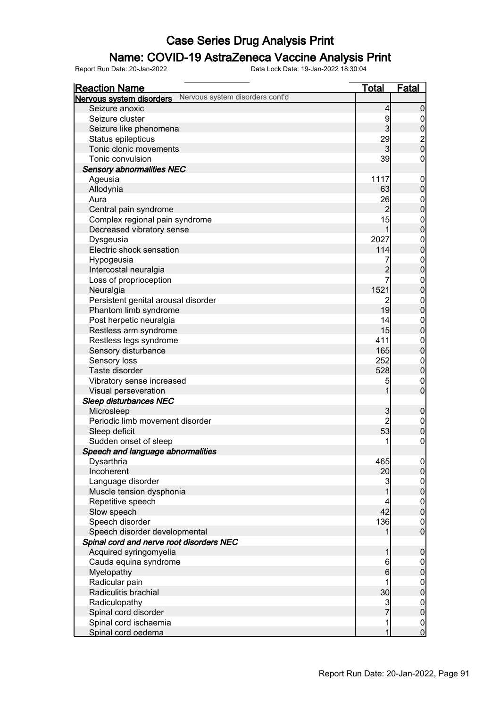### Name: COVID-19 AstraZeneca Vaccine Analysis Print

| <b>Reaction Name</b>                                        | <b>Total</b>        | <b>Fatal</b>                         |
|-------------------------------------------------------------|---------------------|--------------------------------------|
| Nervous system disorders cont'd<br>Nervous system disorders |                     |                                      |
| Seizure anoxic                                              | 4                   | $\mathbf 0$                          |
| Seizure cluster                                             | 9                   | $\overline{0}$                       |
| Seizure like phenomena                                      | $\overline{3}$      |                                      |
| Status epilepticus                                          | 29                  | $\frac{0}{2}$                        |
| Tonic clonic movements                                      | $\overline{3}$      |                                      |
| Tonic convulsion                                            | 39                  | $\pmb{0}$                            |
| <b>Sensory abnormalities NEC</b>                            |                     |                                      |
| Ageusia                                                     | 1117                | $\boldsymbol{0}$                     |
| Allodynia                                                   | 63                  | $\pmb{0}$                            |
| Aura                                                        | 26                  |                                      |
| Central pain syndrome                                       | $\overline{2}$      | $0\atop 0$                           |
| Complex regional pain syndrome                              | 15                  |                                      |
| Decreased vibratory sense                                   | 1                   | $0\atop 0$                           |
| Dysgeusia                                                   | 2027                |                                      |
| Electric shock sensation                                    | 114                 | $0\0$                                |
| Hypogeusia                                                  | 7                   |                                      |
| Intercostal neuralgia                                       | $\overline{c}$      | $\begin{matrix}0\\0\end{matrix}$     |
| Loss of proprioception                                      | 7                   |                                      |
| Neuralgia                                                   | 1521                | $0\atop 0$                           |
| Persistent genital arousal disorder                         | 2                   |                                      |
| Phantom limb syndrome                                       | 19                  | $\begin{matrix}0\\0\end{matrix}$     |
| Post herpetic neuralgia                                     | 14                  |                                      |
| Restless arm syndrome                                       | 15                  | $\begin{matrix}0\\0\end{matrix}$     |
| Restless legs syndrome                                      | 411                 |                                      |
|                                                             | 165                 | $\begin{matrix}0\\0\end{matrix}$     |
| Sensory disturbance                                         | 252                 |                                      |
| Sensory loss<br>Taste disorder                              | 528                 | $\begin{matrix}0\\0\end{matrix}$     |
|                                                             |                     |                                      |
| Vibratory sense increased                                   | 5                   | $\mathbf{0}$<br>$\overline{0}$       |
| Visual perseveration                                        | 1                   |                                      |
| <b>Sleep disturbances NEC</b>                               |                     |                                      |
| Microsleep<br>Periodic limb movement disorder               | 3<br>$\overline{2}$ | $\mathbf 0$                          |
|                                                             |                     | $\mathbf{0}$                         |
| Sleep deficit                                               | 53                  | $\overline{0}$                       |
| Sudden onset of sleep                                       | 1                   | $\mathbf 0$                          |
| Speech and language abnormalities                           |                     |                                      |
| Dysarthria                                                  | 465                 | 이                                    |
| Incoherent                                                  | 20 <sup>1</sup>     | $\overline{0}$                       |
| Language disorder                                           | 3                   | $\begin{matrix} 0 \\ 0 \end{matrix}$ |
| Muscle tension dysphonia                                    |                     |                                      |
| Repetitive speech                                           | 4                   | $\begin{matrix} 0 \\ 0 \end{matrix}$ |
| Slow speech                                                 | 42                  |                                      |
| Speech disorder                                             | 136                 | $\begin{matrix} 0 \\ 0 \end{matrix}$ |
| Speech disorder developmental                               | 1                   |                                      |
| Spinal cord and nerve root disorders NEC                    |                     |                                      |
| Acquired syringomyelia                                      | 1                   | $\mathbf 0$                          |
| Cauda equina syndrome                                       | 6                   | $\boldsymbol{0}$                     |
| Myelopathy                                                  | $6\overline{6}$     | $\mathbf 0$                          |
| Radicular pain                                              | 1                   | $0\atop 0$                           |
| Radiculitis brachial                                        | 30                  |                                      |
| Radiculopathy                                               | $\frac{3}{7}$       | $0\atop 0$                           |
| Spinal cord disorder                                        |                     |                                      |
| Spinal cord ischaemia                                       | 1                   | $\begin{matrix}0\\0\end{matrix}$     |
| Spinal cord oedema                                          | 1                   |                                      |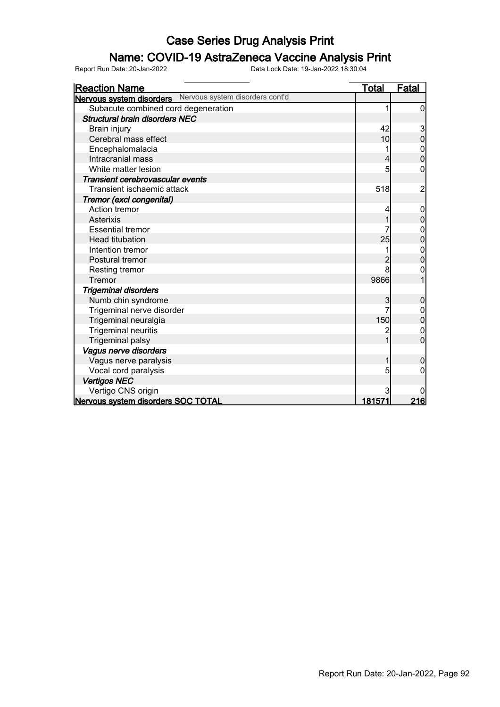### Name: COVID-19 AstraZeneca Vaccine Analysis Print

| <b>Reaction Name</b>                                        | <b>Total</b> | <b>Fatal</b>     |
|-------------------------------------------------------------|--------------|------------------|
| Nervous system disorders cont'd<br>Nervous system disorders |              |                  |
| Subacute combined cord degeneration                         |              | 0                |
| <b>Structural brain disorders NEC</b>                       |              |                  |
| Brain injury                                                | 42           |                  |
| Cerebral mass effect                                        | 10           | 3<br>0           |
| Encephalomalacia                                            |              | 0                |
| Intracranial mass                                           |              | 0                |
| White matter lesion                                         | 5            | 0                |
| Transient cerebrovascular events                            |              |                  |
| Transient ischaemic attack                                  | 518          | $\overline{c}$   |
| Tremor (excl congenital)                                    |              |                  |
| Action tremor                                               |              | $\boldsymbol{0}$ |
| <b>Asterixis</b>                                            |              | 0                |
| <b>Essential tremor</b>                                     |              | $\mathbf 0$      |
| <b>Head titubation</b>                                      | 25           | $\overline{0}$   |
| Intention tremor                                            |              | 0                |
| Postural tremor                                             |              | 0                |
| Resting tremor                                              | 8            | 0                |
| Tremor                                                      | 9866         |                  |
| <b>Trigeminal disorders</b>                                 |              |                  |
| Numb chin syndrome                                          | 3            | 0                |
| Trigeminal nerve disorder                                   |              | $\mathbf 0$      |
| Trigeminal neuralgia                                        | 150          | $\overline{0}$   |
| <b>Trigeminal neuritis</b>                                  |              | 0                |
| <b>Trigeminal palsy</b>                                     |              | $\overline{0}$   |
| Vagus nerve disorders                                       |              |                  |
| Vagus nerve paralysis                                       |              | 0                |
| Vocal cord paralysis                                        | 5            | 0                |
| <b>Vertigos NEC</b>                                         |              |                  |
| Vertigo CNS origin                                          | 3            |                  |
| Nervous system disorders SOC TOTAL                          | 181571       | 216              |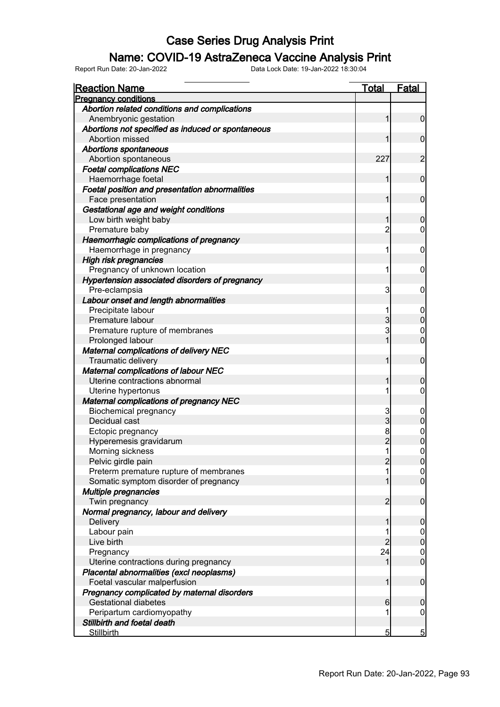### Name: COVID-19 AstraZeneca Vaccine Analysis Print

| <b>Reaction Name</b>                              | Total           | Fatal                                |
|---------------------------------------------------|-----------------|--------------------------------------|
| <b>Pregnancy conditions</b>                       |                 |                                      |
| Abortion related conditions and complications     |                 |                                      |
| Anembryonic gestation                             | 1               | $\overline{0}$                       |
| Abortions not specified as induced or spontaneous |                 |                                      |
| Abortion missed                                   | 1               | $\mathbf 0$                          |
| <b>Abortions spontaneous</b>                      |                 |                                      |
| Abortion spontaneous                              | 227             | $\overline{2}$                       |
| <b>Foetal complications NEC</b>                   |                 |                                      |
| Haemorrhage foetal                                | 1               | $\mathbf 0$                          |
| Foetal position and presentation abnormalities    |                 |                                      |
| Face presentation                                 | 1               | $\mathbf 0$                          |
| Gestational age and weight conditions             |                 |                                      |
| Low birth weight baby                             | 1               | $\boldsymbol{0}$                     |
| Premature baby                                    | $\overline{2}$  | 0                                    |
| Haemorrhagic complications of pregnancy           |                 |                                      |
| Haemorrhage in pregnancy                          | 1               | $\mathbf 0$                          |
| <b>High risk pregnancies</b>                      |                 |                                      |
| Pregnancy of unknown location                     | 1               | $\mathbf 0$                          |
| Hypertension associated disorders of pregnancy    |                 |                                      |
| Pre-eclampsia                                     | 3               | $\mathbf 0$                          |
| Labour onset and length abnormalities             |                 |                                      |
| Precipitate labour                                | 1               | $\mathbf 0$                          |
| Premature labour                                  | 3               | $\mathbf 0$                          |
| Premature rupture of membranes                    | 3               | 0                                    |
| Prolonged labour                                  | 1               | $\overline{0}$                       |
| <b>Maternal complications of delivery NEC</b>     |                 |                                      |
| Traumatic delivery                                | 1               | $\mathbf 0$                          |
| <b>Maternal complications of labour NEC</b>       |                 |                                      |
| Uterine contractions abnormal                     | 1               | $\mathbf 0$                          |
| Uterine hypertonus                                | 1               | $\mathbf 0$                          |
| <b>Maternal complications of pregnancy NEC</b>    |                 |                                      |
|                                                   |                 |                                      |
| <b>Biochemical pregnancy</b><br>Decidual cast     | 3<br>3          | $\mathbf 0$<br>$\boldsymbol{0}$      |
|                                                   | 8               |                                      |
| Ectopic pregnancy                                 | $\overline{2}$  | $0\atop 0$                           |
| Hyperemesis gravidarum                            | $\mathbf{1}$    | $\mathbf 0$                          |
| Morning sickness                                  | $\overline{2}$  |                                      |
| Pelvic girdle pain                                |                 | 0                                    |
| Preterm premature rupture of membranes            |                 | $\overline{0}$<br>$\overline{0}$     |
| Somatic symptom disorder of pregnancy             |                 |                                      |
| Multiple pregnancies                              |                 |                                      |
| Twin pregnancy                                    | $\overline{2}$  | $\boldsymbol{0}$                     |
| Normal pregnancy, labour and delivery             |                 |                                      |
| Delivery                                          | 1               | $\mathbf 0$                          |
| Labour pain                                       |                 | $\boldsymbol{0}$                     |
| Live birth                                        | $\overline{2}$  | $\mathbf 0$                          |
| Pregnancy                                         | 24              | $\begin{matrix} 0 \\ 0 \end{matrix}$ |
| Uterine contractions during pregnancy             | 1               |                                      |
| Placental abnormalities (excl neoplasms)          |                 |                                      |
| Foetal vascular malperfusion                      | 1               | $\boldsymbol{0}$                     |
| Pregnancy complicated by maternal disorders       |                 |                                      |
| <b>Gestational diabetes</b>                       | $6 \overline{}$ | $\mathbf 0$                          |
| Peripartum cardiomyopathy                         |                 | 0                                    |
| Stillbirth and foetal death                       |                 |                                      |
| <b>Stillbirth</b>                                 | 5               | $\overline{5}$                       |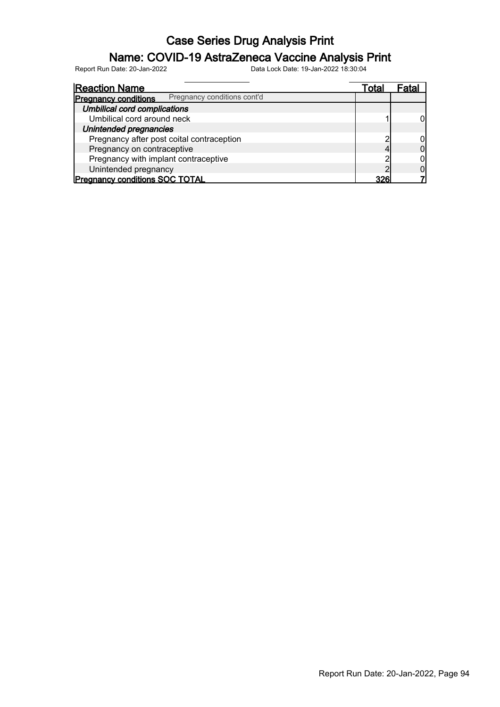### Name: COVID-19 AstraZeneca Vaccine Analysis Print

| <b>Reaction Name</b>                                       | Total      | Fatal |
|------------------------------------------------------------|------------|-------|
| Pregnancy conditions cont'd<br><b>Pregnancy conditions</b> |            |       |
| <b>Umbilical cord complications</b>                        |            |       |
| Umbilical cord around neck                                 |            |       |
| Unintended pregnancies                                     |            |       |
| Pregnancy after post coital contraception                  |            |       |
| Pregnancy on contraceptive                                 |            |       |
| Pregnancy with implant contraceptive                       |            |       |
| Unintended pregnancy                                       |            |       |
| <b>Pregnancy conditions SOC TOTAL</b>                      | <b>326</b> |       |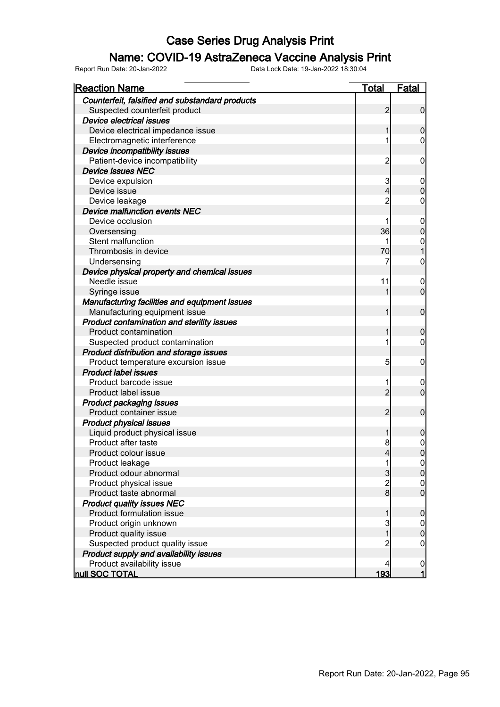### Name: COVID-19 AstraZeneca Vaccine Analysis Print

| <b>Reaction Name</b>                            | <u>Total</u>   | <b>Fatal</b>     |
|-------------------------------------------------|----------------|------------------|
| Counterfeit, falsified and substandard products |                |                  |
| Suspected counterfeit product                   | 2              | $\overline{0}$   |
| Device electrical issues                        |                |                  |
| Device electrical impedance issue               |                | $\mathbf 0$      |
| Electromagnetic interference                    |                | 0                |
| Device incompatibility issues                   |                |                  |
| Patient-device incompatibility                  | 2              | 0                |
| <b>Device issues NEC</b>                        |                |                  |
| Device expulsion                                | 3              | $\boldsymbol{0}$ |
| Device issue                                    | $\overline{4}$ | $\overline{0}$   |
| Device leakage                                  |                | 0                |
| <b>Device malfunction events NEC</b>            |                |                  |
| Device occlusion                                |                | $\mathbf 0$      |
| Oversensing                                     | 36             | $\overline{0}$   |
| Stent malfunction                               |                | 0                |
| Thrombosis in device                            | 70             |                  |
| Undersensing                                    |                | 0                |
| Device physical property and chemical issues    |                |                  |
| Needle issue                                    | 11             | $\mathbf 0$      |
| Syringe issue                                   | 1              | $\overline{0}$   |
| Manufacturing facilities and equipment issues   |                |                  |
| Manufacturing equipment issue                   | 1              | $\mathbf 0$      |
| Product contamination and sterility issues      |                |                  |
| Product contamination                           |                | 0                |
| Suspected product contamination                 |                | 0                |
| Product distribution and storage issues         |                |                  |
| Product temperature excursion issue             | 5              | 0                |
| <b>Product label issues</b>                     |                |                  |
| Product barcode issue                           | 1              | 0                |
| Product label issue                             | $\overline{2}$ | $\overline{0}$   |
| <b>Product packaging issues</b>                 |                |                  |
| Product container issue                         | 2              | $\mathbf 0$      |
| <b>Product physical issues</b>                  |                |                  |
| Liquid product physical issue                   | 1              | 0                |
| Product after taste                             | 8              | 0                |
| Product colour issue                            | $\overline{4}$ | $\overline{0}$   |
| Product leakage                                 |                | $\overline{0}$   |
| Product odour abnormal                          | $\overline{3}$ | $\overline{0}$   |
| Product physical issue                          | $\frac{2}{8}$  | 0                |
| Product taste abnormal                          |                | 0                |
| <b>Product quality issues NEC</b>               |                |                  |
| Product formulation issue                       |                | $\mathbf 0$      |
| Product origin unknown                          | 3              |                  |
| Product quality issue                           | 1              | $\overline{0}$   |
| Suspected product quality issue                 | 2              | 0                |
| Product supply and availability issues          |                |                  |
| Product availability issue                      | 4              | $\mathbf 0$      |
| null SOC TOTAL                                  | 193            | $\overline{1}$   |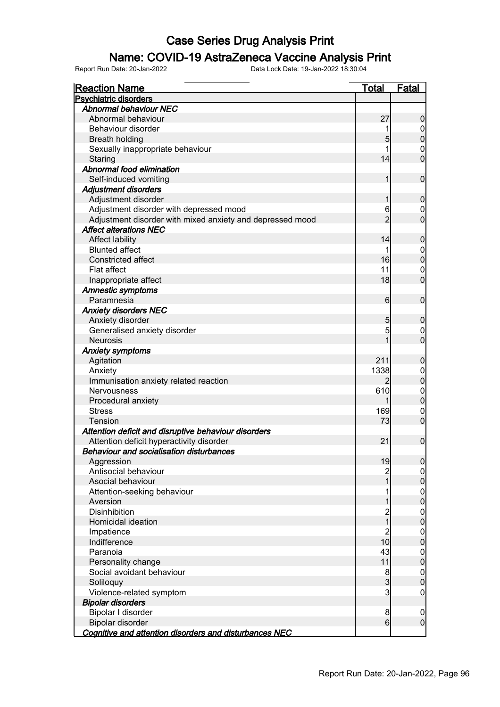### Name: COVID-19 AstraZeneca Vaccine Analysis Print

| <b>Reaction Name</b>                                      | <b>Total</b>    | <b>Fatal</b>     |
|-----------------------------------------------------------|-----------------|------------------|
| <b>Psychiatric disorders</b>                              |                 |                  |
| <b>Abnormal behaviour NEC</b>                             |                 |                  |
| Abnormal behaviour                                        | 27              | $\boldsymbol{0}$ |
| Behaviour disorder                                        |                 | $\overline{0}$   |
| <b>Breath holding</b>                                     | 5               | $\mathbf 0$      |
| Sexually inappropriate behaviour                          |                 | 0                |
| Staring                                                   | 14              | $\overline{0}$   |
| Abnormal food elimination                                 |                 |                  |
| Self-induced vomiting                                     | 1               | $\mathbf 0$      |
| <b>Adjustment disorders</b>                               |                 |                  |
| Adjustment disorder                                       | 1               | $\boldsymbol{0}$ |
| Adjustment disorder with depressed mood                   | 6               | 0                |
| Adjustment disorder with mixed anxiety and depressed mood | $\overline{2}$  | $\overline{0}$   |
| <b>Affect alterations NEC</b>                             |                 |                  |
| <b>Affect lability</b>                                    | 14              | $\boldsymbol{0}$ |
| <b>Blunted affect</b>                                     |                 | $\boldsymbol{0}$ |
| Constricted affect                                        | 16              | $\mathbf 0$      |
| Flat affect                                               | 11              | $\mathbf 0$      |
| Inappropriate affect                                      | 18              | $\overline{0}$   |
| <b>Amnestic symptoms</b>                                  |                 |                  |
| Paramnesia                                                | $6 \overline{}$ | $\mathbf 0$      |
| <b>Anxiety disorders NEC</b>                              |                 |                  |
| Anxiety disorder                                          | 5               | $\mathbf 0$      |
| Generalised anxiety disorder                              | 5               | 0                |
| <b>Neurosis</b>                                           | 1               | $\overline{0}$   |
|                                                           |                 |                  |
| <b>Anxiety symptoms</b>                                   | 211             |                  |
| Agitation                                                 |                 | $\boldsymbol{0}$ |
| Anxiety                                                   | 1338            | $\mathbf 0$      |
| Immunisation anxiety related reaction                     | 2               | $\mathbf 0$      |
| Nervousness                                               | 610             | $\mathbf 0$      |
| Procedural anxiety                                        | 1               | $\mathbf 0$      |
| <b>Stress</b>                                             | 169             | $\mathbf 0$      |
| <b>Tension</b>                                            | 73              | $\mathbf 0$      |
| Attention deficit and disruptive behaviour disorders      |                 |                  |
| Attention deficit hyperactivity disorder                  | 21              | $\mathbf 0$      |
| <b>Behaviour and socialisation disturbances</b>           |                 |                  |
| Aggression                                                | 19              | 0                |
| Antisocial behaviour                                      | 2               | $\overline{0}$   |
| Asocial behaviour                                         |                 | $\mathbf 0$      |
| Attention-seeking behaviour                               |                 | $0\atop 0$       |
| Aversion                                                  |                 |                  |
| <b>Disinhibition</b>                                      | 2<br>1          | $0\atop 0$       |
| Homicidal ideation                                        |                 |                  |
| Impatience                                                | $\overline{c}$  | $\boldsymbol{0}$ |
| Indifference                                              | 10              | $\mathbf 0$      |
| Paranoia                                                  | 43              | $\overline{0}$   |
| Personality change                                        | 11              | $\mathbf 0$      |
| Social avoidant behaviour                                 | $\frac{8}{3}$   | $\overline{0}$   |
| Soliloquy                                                 |                 | $\pmb{0}$        |
| Violence-related symptom                                  | 3               | $\mathbf 0$      |
| <b>Bipolar disorders</b>                                  |                 |                  |
| Bipolar I disorder                                        | 8               | $\boldsymbol{0}$ |
| Bipolar disorder                                          | $6 \mid$        | $\overline{0}$   |
| Cognitive and attention disorders and disturbances NEC    |                 |                  |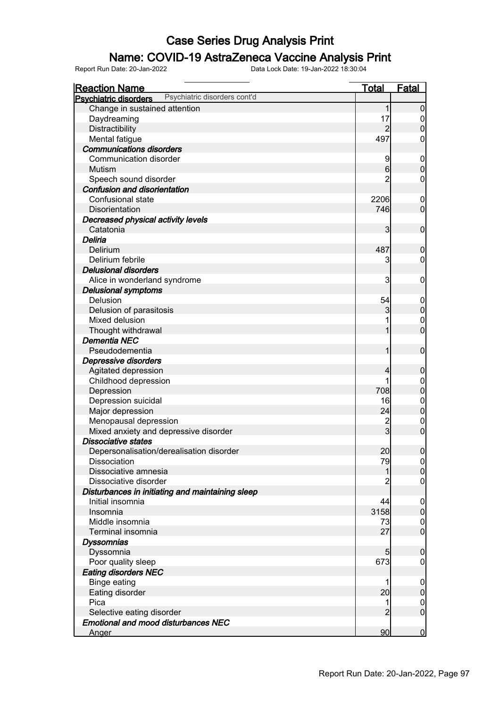### Name: COVID-19 AstraZeneca Vaccine Analysis Print

| <b>Reaction Name</b>                                         | <u>Total</u>            | <b>Fatal</b>     |
|--------------------------------------------------------------|-------------------------|------------------|
| Psychiatric disorders cont'd<br><b>Psychiatric disorders</b> |                         |                  |
| Change in sustained attention                                | 1                       | $\overline{0}$   |
| Daydreaming                                                  | 17                      | $\boldsymbol{0}$ |
| Distractibility                                              |                         | $\overline{0}$   |
| Mental fatigue                                               | 497                     | 0                |
| <b>Communications disorders</b>                              |                         |                  |
| Communication disorder                                       | 9                       | $\mathbf 0$      |
| <b>Mutism</b>                                                | $6 \overline{6}$        | $\overline{0}$   |
| Speech sound disorder                                        | 2                       | 0                |
| <b>Confusion and disorientation</b>                          |                         |                  |
| Confusional state                                            | 2206                    | $\mathbf 0$      |
| Disorientation                                               | 746                     | $\overline{0}$   |
| Decreased physical activity levels                           |                         |                  |
| Catatonia                                                    | 3                       | $\overline{0}$   |
| Deliria                                                      |                         |                  |
| Delirium                                                     | 487                     | $\mathbf 0$      |
| Delirium febrile                                             | 3                       | 0                |
| <b>Delusional disorders</b>                                  |                         |                  |
| Alice in wonderland syndrome                                 | 3                       | $\mathbf 0$      |
| <b>Delusional symptoms</b>                                   |                         |                  |
| Delusion                                                     | 54                      | $\mathbf 0$      |
| Delusion of parasitosis                                      | 3                       | $\mathbf 0$      |
| Mixed delusion                                               |                         | $\mathbf 0$      |
| Thought withdrawal                                           | 1                       | $\overline{0}$   |
| <b>Dementia NEC</b>                                          |                         |                  |
| Pseudodementia                                               | 1                       | $\mathbf 0$      |
| Depressive disorders                                         |                         |                  |
| Agitated depression                                          | 4                       | $\mathbf 0$      |
| Childhood depression                                         |                         | $\mathbf 0$      |
| Depression                                                   | 708                     | $\overline{0}$   |
| Depression suicidal                                          | 16                      | $\mathbf{0}$     |
| Major depression                                             | 24                      | $\overline{0}$   |
| Menopausal depression                                        | $\overline{\mathbf{c}}$ | $\mathbf 0$      |
| Mixed anxiety and depressive disorder                        | $\overline{3}$          | $\overline{0}$   |
| <b>Dissociative states</b>                                   |                         |                  |
| Depersonalisation/derealisation disorder                     | 20                      | $\overline{0}$   |
| Dissociation                                                 | 79                      | 0                |
| Dissociative amnesia                                         | 1                       | 0                |
| Dissociative disorder                                        |                         | $\overline{0}$   |
| Disturbances in initiating and maintaining sleep             |                         |                  |
| Initial insomnia                                             | 44                      | $\overline{0}$   |
| Insomnia                                                     | 3158                    | $\mathbf 0$      |
| Middle insomnia                                              | 73                      | $\mathbf 0$      |
| Terminal insomnia                                            | 27                      | $\overline{0}$   |
| <b>Dyssomnias</b>                                            |                         |                  |
| Dyssomnia                                                    | 5                       | $\mathbf 0$      |
| Poor quality sleep                                           | 673                     | 0                |
| <b>Eating disorders NEC</b>                                  |                         |                  |
| <b>Binge eating</b>                                          |                         | $\overline{0}$   |
| Eating disorder                                              | 20                      | $\boldsymbol{0}$ |
| Pica                                                         | 1                       | $\mathbf 0$      |
| Selective eating disorder                                    | $\overline{2}$          | $\overline{0}$   |
| <b>Emotional and mood disturbances NEC</b>                   |                         |                  |
| <u>Anger</u>                                                 | 90                      | $\overline{0}$   |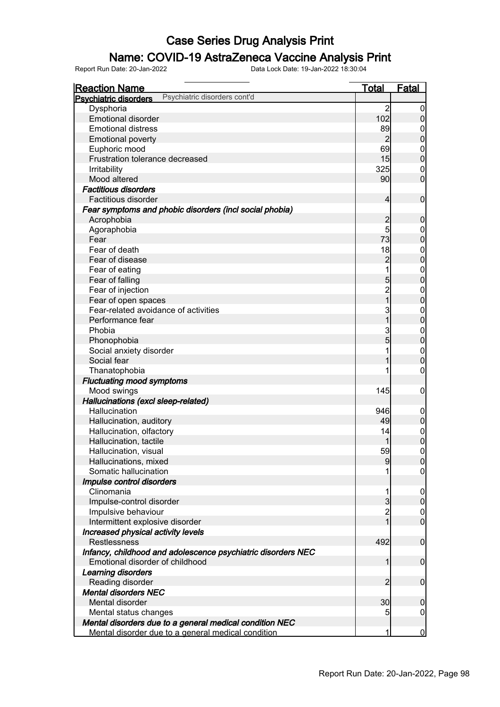### Name: COVID-19 AstraZeneca Vaccine Analysis Print

| <b>Reaction Name</b>                                         | <u>Total</u>        | <b>Fatal</b>               |
|--------------------------------------------------------------|---------------------|----------------------------|
| Psychiatric disorders cont'd<br><b>Psychiatric disorders</b> |                     |                            |
| Dysphoria                                                    | $\overline{2}$      | $\boldsymbol{0}$           |
| <b>Emotional disorder</b>                                    | 102                 | 0                          |
| <b>Emotional distress</b>                                    | 89                  | 0                          |
| <b>Emotional poverty</b>                                     | $\overline{2}$      | $\pmb{0}$                  |
| Euphoric mood                                                | 69                  | $\mathbf 0$                |
| Frustration tolerance decreased                              | 15                  | $\mathbf 0$                |
| Irritability                                                 | 325                 | $\mathbf 0$                |
| Mood altered                                                 | 90 <sub>0</sub>     | $\mathbf 0$                |
| <b>Factitious disorders</b>                                  |                     |                            |
| Factitious disorder                                          | 4                   | $\boldsymbol{0}$           |
| Fear symptoms and phobic disorders (incl social phobia)      |                     |                            |
| Acrophobia                                                   | $\overline{c}$      | $\boldsymbol{0}$           |
| Agoraphobia                                                  | 5                   | 0                          |
| Fear                                                         | 73                  | $\boldsymbol{0}$           |
| Fear of death                                                | 18                  | $\mathbf 0$                |
| Fear of disease                                              | $\overline{c}$      | $\mathbf 0$                |
| Fear of eating                                               | 1                   |                            |
|                                                              |                     | $\mathbf 0$<br>$\mathbf 0$ |
| Fear of falling                                              | 5<br>$\overline{c}$ |                            |
| Fear of injection                                            | $\overline{1}$      | $\mathbf 0$                |
| Fear of open spaces<br>Fear-related avoidance of activities  |                     | $\boldsymbol{0}$           |
|                                                              | 3                   | $\mathbf 0$                |
| Performance fear                                             | 1                   | $\mathbf{0}$               |
| Phobia                                                       | 3                   | $\mathbf 0$                |
| Phonophobia                                                  | 5                   | $\mathbf 0$                |
| Social anxiety disorder                                      |                     | $\boldsymbol{0}$           |
| Social fear                                                  |                     | $\overline{0}$             |
| Thanatophobia                                                |                     | 0                          |
| <b>Fluctuating mood symptoms</b>                             |                     |                            |
| Mood swings                                                  | 145                 | 0                          |
| Hallucinations (excl sleep-related)                          |                     |                            |
| Hallucination                                                | 946                 | $\mathbf 0$                |
| Hallucination, auditory                                      | 49                  | $\pmb{0}$                  |
| Hallucination, olfactory                                     | 14                  | $\boldsymbol{0}$           |
| Hallucination, tactile                                       |                     | $\boldsymbol{0}$           |
| Hallucination, visual                                        | 59                  | $\mathbf 0$                |
| Hallucinations, mixed                                        | 9                   | <sup>0</sup>               |
| Somatic hallucination                                        | 1                   | $\overline{0}$             |
| Impulse control disorders                                    |                     |                            |
| Clinomania                                                   | 1                   | $\mathbf 0$                |
| Impulse-control disorder                                     | $\overline{3}$      | $\overline{0}$             |
| Impulsive behaviour                                          | $\overline{2}$      | $\boldsymbol{0}$           |
| Intermittent explosive disorder                              | 1                   | $\overline{0}$             |
| Increased physical activity levels                           |                     |                            |
| <b>Restlessness</b>                                          | 492                 | $\mathbf 0$                |
| Infancy, childhood and adolescence psychiatric disorders NEC |                     |                            |
| Emotional disorder of childhood                              | 1                   | $\mathbf 0$                |
| <b>Learning disorders</b>                                    |                     |                            |
| Reading disorder                                             | $\overline{2}$      | $\mathbf 0$                |
| <b>Mental disorders NEC</b>                                  |                     |                            |
| Mental disorder                                              | 30                  | 0                          |
| Mental status changes                                        | 5                   | $\mathbf 0$                |
| Mental disorders due to a general medical condition NEC      |                     |                            |
| Mental disorder due to a general medical condition           | 1                   | $\bf{0}$                   |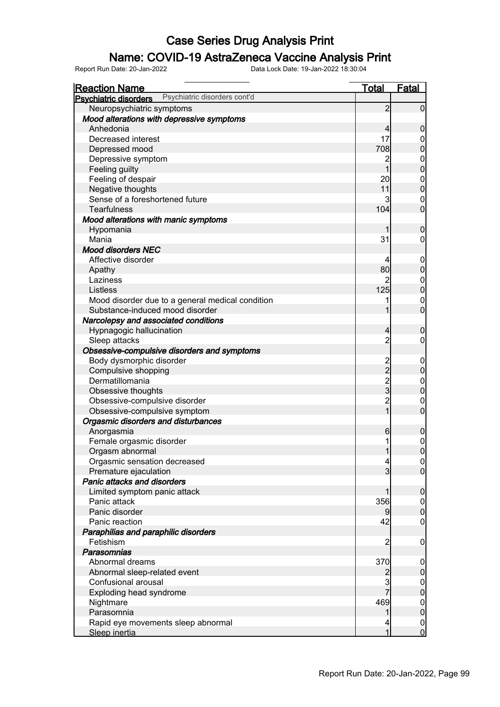### Name: COVID-19 AstraZeneca Vaccine Analysis Print

| <b>Reaction Name</b>                                         | <b>Total</b>                                     | <b>Fatal</b>                         |
|--------------------------------------------------------------|--------------------------------------------------|--------------------------------------|
| Psychiatric disorders cont'd<br><b>Psychiatric disorders</b> |                                                  |                                      |
| Neuropsychiatric symptoms                                    | $\overline{2}$                                   | $\overline{0}$                       |
| Mood alterations with depressive symptoms                    |                                                  |                                      |
| Anhedonia                                                    | $\overline{4}$                                   | $\mathbf 0$                          |
| Decreased interest                                           | 17                                               | $\mathbf 0$                          |
| Depressed mood                                               | 708                                              | $\overline{0}$                       |
| Depressive symptom                                           | $\overline{c}$                                   |                                      |
| Feeling guilty                                               | $\overline{1}$                                   | $0$<br>0                             |
| Feeling of despair                                           | 20                                               | $0\atop 0$                           |
| Negative thoughts                                            | 11                                               |                                      |
| Sense of a foreshortened future                              | 3                                                | $\mathbf 0$                          |
| <b>Tearfulness</b>                                           | 104                                              | $\overline{0}$                       |
| Mood alterations with manic symptoms                         |                                                  |                                      |
| Hypomania                                                    | 1                                                | $\mathbf 0$                          |
| Mania                                                        | 31                                               | $\overline{0}$                       |
| <b>Mood disorders NEC</b>                                    |                                                  |                                      |
| Affective disorder                                           | 4                                                | $\boldsymbol{0}$                     |
| Apathy                                                       | 80                                               | $\mathbf 0$                          |
| Laziness                                                     | 2                                                | $0\atop 0$                           |
| Listless                                                     | 125                                              |                                      |
| Mood disorder due to a general medical condition             | 1                                                | $\mathbf{0}$                         |
| Substance-induced mood disorder                              | 1                                                | $\overline{0}$                       |
| Narcolepsy and associated conditions                         |                                                  |                                      |
| Hypnagogic hallucination                                     | $\overline{4}$                                   | $\mathbf 0$                          |
| Sleep attacks                                                | $\overline{c}$                                   | $\mathbf 0$                          |
| Obsessive-compulsive disorders and symptoms                  |                                                  |                                      |
| Body dysmorphic disorder                                     | $\begin{array}{c}\n 2 \\  2 \\  3\n \end{array}$ | $\boldsymbol{0}$                     |
| Compulsive shopping                                          |                                                  | $\mathbf 0$                          |
| Dermatillomania                                              |                                                  | $0\atop 0$                           |
| Obsessive thoughts                                           |                                                  |                                      |
| Obsessive-compulsive disorder                                | $\frac{2}{1}$                                    | $\mathbf{0}$                         |
| Obsessive-compulsive symptom                                 |                                                  | $\overline{0}$                       |
| Orgasmic disorders and disturbances                          |                                                  |                                      |
| Anorgasmia                                                   | 6                                                | $\boldsymbol{0}$                     |
| Female orgasmic disorder                                     | 1                                                | $\begin{matrix} 0 \\ 0 \end{matrix}$ |
| Orgasm abnormal                                              | 1                                                |                                      |
| Orgasmic sensation decreased                                 | $\overline{a}$                                   | 0                                    |
| Premature ejaculation                                        | $\overline{3}$                                   | $\overline{0}$                       |
| Panic attacks and disorders                                  |                                                  |                                      |
| Limited symptom panic attack<br>Panic attack                 | 1                                                | $\boldsymbol{0}$                     |
| Panic disorder                                               | 356                                              | $\overline{0}$<br>$\pmb{0}$          |
| Panic reaction                                               | 9<br>42                                          | $\mathbf 0$                          |
| Paraphilias and paraphilic disorders                         |                                                  |                                      |
| Fetishism                                                    | $\overline{c}$                                   | $\mathbf 0$                          |
| Parasomnias                                                  |                                                  |                                      |
| Abnormal dreams                                              | 370                                              | $\mathbf 0$                          |
| Abnormal sleep-related event                                 | $\overline{c}$                                   | $\pmb{0}$                            |
| Confusional arousal                                          | 3                                                | $\overline{0}$                       |
| Exploding head syndrome                                      |                                                  | $\overline{0}$                       |
| Nightmare                                                    | 469                                              | $\boldsymbol{0}$                     |
| Parasomnia                                                   | 1                                                | $\mathbf 0$                          |
| Rapid eye movements sleep abnormal                           | 4                                                | $\overline{0}$                       |
| Sleep inertia                                                | 1                                                | $\overline{0}$                       |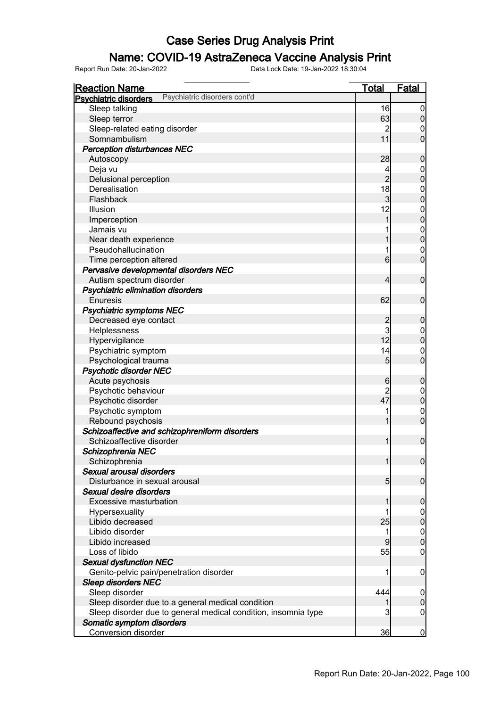### Name: COVID-19 AstraZeneca Vaccine Analysis Print

| <b>Reaction Name</b>                                           | <b>Total</b>     | <b>Fatal</b>     |
|----------------------------------------------------------------|------------------|------------------|
| Psychiatric disorders cont'd<br><b>Psychiatric disorders</b>   |                  |                  |
| Sleep talking                                                  | 16               | $\boldsymbol{0}$ |
| Sleep terror                                                   | 63               | $\overline{0}$   |
| Sleep-related eating disorder                                  | $\overline{c}$   | $\mathbf 0$      |
| Somnambulism                                                   | 11               | $\overline{0}$   |
| <b>Perception disturbances NEC</b>                             |                  |                  |
| Autoscopy                                                      | 28               | $\boldsymbol{0}$ |
| Deja vu                                                        | 4                | $\mathbf 0$      |
| Delusional perception                                          | $\overline{2}$   | $\overline{0}$   |
| Derealisation                                                  | 18               | $\boldsymbol{0}$ |
| Flashback                                                      | $\overline{3}$   | $\overline{0}$   |
| Illusion                                                       | 12               | $\mathbf{0}$     |
| Imperception                                                   | 1                | $\overline{0}$   |
| Jamais vu                                                      |                  | $\mathbf{0}$     |
| Near death experience                                          |                  | $\overline{0}$   |
| Pseudohallucination                                            |                  | $\mathbf 0$      |
| Time perception altered                                        | $6 \overline{6}$ | $\mathbf 0$      |
| Pervasive developmental disorders NEC                          |                  |                  |
| Autism spectrum disorder                                       | 4                | $\mathbf 0$      |
| Psychiatric elimination disorders                              |                  |                  |
| <b>Enuresis</b>                                                | 62               | $\mathbf 0$      |
|                                                                |                  |                  |
| <b>Psychiatric symptoms NEC</b>                                |                  |                  |
| Decreased eye contact                                          | $\overline{c}$   | $\boldsymbol{0}$ |
| Helplessness                                                   | 3<br>12          | $\mathbf 0$      |
| Hypervigilance                                                 |                  | $\overline{0}$   |
| Psychiatric symptom                                            | 14               | $\mathbf 0$      |
| Psychological trauma                                           | $5\overline{)}$  | $\mathbf 0$      |
| <b>Psychotic disorder NEC</b>                                  |                  |                  |
| Acute psychosis                                                | $6 \mid$         | $\boldsymbol{0}$ |
| Psychotic behaviour                                            | $\overline{2}$   | $\mathbf 0$      |
| Psychotic disorder                                             | 47               | $\mathbf 0$      |
| Psychotic symptom                                              |                  | $\mathbf 0$      |
| Rebound psychosis                                              | 1                | $\overline{0}$   |
| Schizoaffective and schizophreniform disorders                 |                  |                  |
| Schizoaffective disorder                                       | 1                | $\boldsymbol{0}$ |
| Schizophrenia NEC                                              |                  |                  |
| Schizophrenia                                                  |                  | 0                |
| Sexual arousal disorders                                       |                  |                  |
| Disturbance in sexual arousal                                  | 5 <sub>l</sub>   | $\overline{0}$   |
| Sexual desire disorders                                        |                  |                  |
| Excessive masturbation                                         |                  | $\mathbf 0$      |
| Hypersexuality                                                 |                  | $\overline{0}$   |
| Libido decreased                                               | 25               | $\overline{0}$   |
| Libido disorder                                                | 1                | $\mathbf 0$      |
| Libido increased                                               | 9                | $\mathbf 0$      |
| Loss of libido                                                 | 55               | 0                |
| <b>Sexual dysfunction NEC</b>                                  |                  |                  |
| Genito-pelvic pain/penetration disorder                        |                  | $\mathbf 0$      |
| <b>Sleep disorders NEC</b>                                     |                  |                  |
| Sleep disorder                                                 | 444              | $\mathbf 0$      |
| Sleep disorder due to a general medical condition              | 1                | $\boldsymbol{0}$ |
| Sleep disorder due to general medical condition, insomnia type | 3                | $\boldsymbol{0}$ |
| Somatic symptom disorders                                      |                  |                  |
| <b>Conversion disorder</b>                                     | 36               | $\overline{0}$   |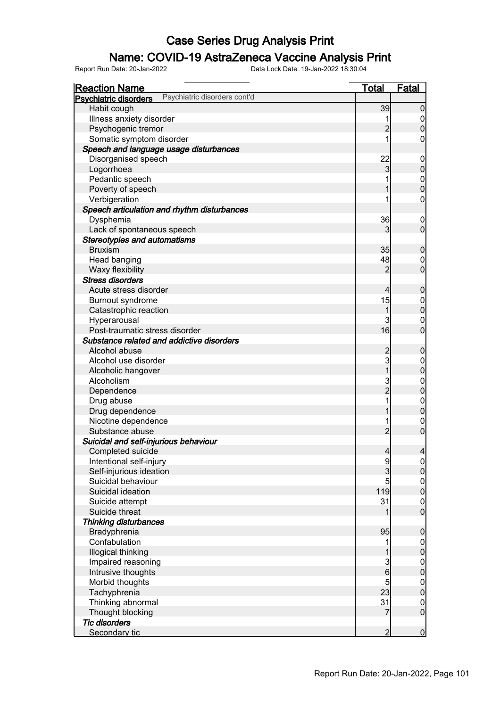### Name: COVID-19 AstraZeneca Vaccine Analysis Print

| <b>Reaction Name</b>                                         | <u>Total</u>   | <b>Fatal</b>     |
|--------------------------------------------------------------|----------------|------------------|
| Psychiatric disorders cont'd<br><b>Psychiatric disorders</b> |                |                  |
| Habit cough                                                  | 39             | 0                |
| Illness anxiety disorder                                     | 1              | 0                |
| Psychogenic tremor                                           | 2              | 0                |
| Somatic symptom disorder                                     |                | 0                |
| Speech and language usage disturbances                       |                |                  |
| Disorganised speech                                          | 22             | $\overline{0}$   |
| Logorrhoea                                                   | 3              | 0                |
| Pedantic speech                                              |                | $\mathbf{0}$     |
| Poverty of speech                                            |                | 0                |
| Verbigeration                                                |                | 0                |
| Speech articulation and rhythm disturbances                  |                |                  |
| Dysphemia                                                    | 36             | $\boldsymbol{0}$ |
| Lack of spontaneous speech                                   | 3              | $\overline{0}$   |
| <b>Stereotypies and automatisms</b>                          |                |                  |
| <b>Bruxism</b>                                               | 35             | 0                |
| Head banging                                                 | 48             | 0                |
| Waxy flexibility                                             | 2              | $\overline{0}$   |
| <b>Stress disorders</b>                                      |                |                  |
| Acute stress disorder                                        | 4              | 0                |
| Burnout syndrome                                             | 15             | $\mathbf 0$      |
| Catastrophic reaction                                        | 1              | $\overline{0}$   |
| Hyperarousal                                                 | 3              | 0                |
| Post-traumatic stress disorder                               | 16             | 0                |
| Substance related and addictive disorders                    |                |                  |
| Alcohol abuse                                                | 2              | 0                |
| Alcohol use disorder                                         | 3              | 0                |
| Alcoholic hangover                                           | 1              | 0                |
| Alcoholism                                                   |                | $\mathbf 0$      |
| Dependence                                                   | 3<br>2         | 0                |
| Drug abuse                                                   | 1              | $\mathbf 0$      |
| Drug dependence                                              |                | 0                |
| Nicotine dependence                                          | 1              | $\mathbf 0$      |
| Substance abuse                                              | $\overline{2}$ | 0                |
| Suicidal and self-injurious behaviour                        |                |                  |
| Completed suicide                                            | $\overline{4}$ | 4                |
| Intentional self-injury                                      | 9              | $\overline{0}$   |
| Self-injurious ideation                                      | 3              | $\overline{0}$   |
| Suicidal behaviour                                           | 5              |                  |
| Suicidal ideation                                            | 119            | $0$<br>0         |
| Suicide attempt                                              | 31             | $\mathbf 0$      |
| Suicide threat                                               |                | 0                |
|                                                              |                |                  |
| <b>Thinking disturbances</b>                                 | 95             | 0                |
| Bradyphrenia<br>Confabulation                                |                |                  |
|                                                              | 1              | $0\atop 0$       |
| Illogical thinking                                           |                |                  |
| Impaired reasoning                                           | $\frac{3}{6}$  | $0\atop 0$       |
| Intrusive thoughts                                           |                |                  |
| Morbid thoughts                                              | 5              | $0\atop 0$       |
| Tachyphrenia                                                 | 23             |                  |
| Thinking abnormal                                            | 31             | $\boldsymbol{0}$ |
| Thought blocking                                             | 7              | $\overline{0}$   |
| <b>Tic disorders</b>                                         |                |                  |
| Secondary tic                                                | $\overline{2}$ | $\overline{0}$   |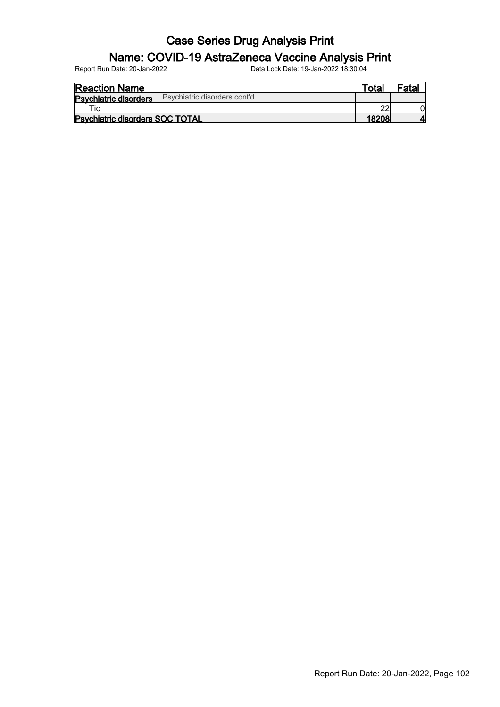#### Name: COVID-19 AstraZeneca Vaccine Analysis Print

| <b>Reaction Name</b>                                         | ⊤otaı | <sup>=</sup> atal |
|--------------------------------------------------------------|-------|-------------------|
| Psychiatric disorders cont'd<br><b>Psychiatric disorders</b> |       |                   |
| τic⊹                                                         |       |                   |
| <b>Psychiatric disorders SOC TOTAL</b>                       |       |                   |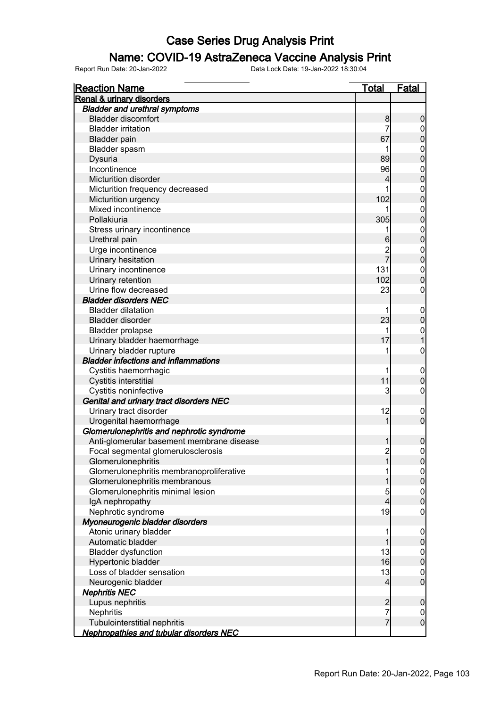### Name: COVID-19 AstraZeneca Vaccine Analysis Print

| <b>Reaction Name</b>                           | <b>Total</b>   | <b>Fatal</b>                    |
|------------------------------------------------|----------------|---------------------------------|
| <b>Renal &amp; urinary disorders</b>           |                |                                 |
| <b>Bladder and urethral symptoms</b>           |                |                                 |
| <b>Bladder discomfort</b>                      | 8              | $\boldsymbol{0}$                |
| <b>Bladder irritation</b>                      | 7              | 0                               |
| <b>Bladder pain</b>                            | 67             | $\mathbf 0$                     |
| Bladder spasm                                  |                | $\mathbf 0$                     |
| Dysuria                                        | 89             | $\mathbf 0$                     |
| Incontinence                                   | 96             | $\mathbf 0$                     |
| Micturition disorder                           | 4              | $\mathbf 0$                     |
| Micturition frequency decreased                |                | $\mathbf 0$                     |
| Micturition urgency                            | 102            | $\mathbf 0$                     |
| Mixed incontinence                             |                | $\mathbf 0$                     |
| Pollakiuria                                    | 305            | $\mathbf 0$                     |
| Stress urinary incontinence                    |                | $\mathbf{0}$                    |
| Urethral pain                                  | 6              | $\mathbf 0$                     |
| Urge incontinence                              |                | $\mathbf 0$                     |
| Urinary hesitation                             | 2<br>7         | $\mathbf 0$                     |
| Urinary incontinence                           | 131            | $\mathbf 0$                     |
| Urinary retention                              | 102            | $\boldsymbol{0}$                |
| Urine flow decreased                           | 23             | 0                               |
| <b>Bladder disorders NEC</b>                   |                |                                 |
| <b>Bladder dilatation</b>                      |                | $\mathbf 0$                     |
| <b>Bladder disorder</b>                        | 23             | $\pmb{0}$                       |
| <b>Bladder prolapse</b>                        |                | $\mathbf 0$                     |
| Urinary bladder haemorrhage                    | 17             | 1                               |
| Urinary bladder rupture                        |                | $\boldsymbol{0}$                |
| <b>Bladder infections and inflammations</b>    |                |                                 |
| Cystitis haemorrhagic                          | 1              | $\mathbf 0$                     |
| Cystitis interstitial                          | 11             | $\mathbf 0$                     |
| Cystitis noninfective                          | 3              | 0                               |
| Genital and urinary tract disorders NEC        |                |                                 |
| Urinary tract disorder                         | 12             | $\mathbf 0$                     |
| Urogenital haemorrhage                         | 1              | $\overline{0}$                  |
| Glomerulonephritis and nephrotic syndrome      |                |                                 |
| Anti-glomerular basement membrane disease      |                |                                 |
| Focal segmental glomerulosclerosis             | $\overline{2}$ | $\boldsymbol{0}$<br>$\mathbf 0$ |
| Glomerulonephritis                             | 1              |                                 |
| Glomerulonephritis membranoproliferative       |                | $\overline{0}$                  |
| Glomerulonephritis membranous                  |                | $\overline{0}$<br>$\pmb{0}$     |
| Glomerulonephritis minimal lesion              |                |                                 |
| IgA nephropathy                                | 5<br>4         | $\boldsymbol{0}$<br>$\mathbf 0$ |
|                                                | 19             |                                 |
| Nephrotic syndrome                             |                | $\mathbf 0$                     |
| Myoneurogenic bladder disorders                |                |                                 |
| Atonic urinary bladder<br>Automatic bladder    | 1              | $\mathbf 0$                     |
|                                                |                | $\pmb{0}$                       |
| <b>Bladder dysfunction</b>                     | 13             | $\overline{0}$                  |
| Hypertonic bladder                             | 16             | $\pmb{0}$                       |
| Loss of bladder sensation                      | 13             | $\mathbf 0$                     |
| Neurogenic bladder                             | $\overline{4}$ | $\mathbf 0$                     |
| <b>Nephritis NEC</b>                           |                |                                 |
| Lupus nephritis                                | $\frac{2}{7}$  | $\mathbf 0$                     |
| Nephritis                                      |                | $\boldsymbol{0}$                |
| Tubulointerstitial nephritis                   | $\overline{7}$ | $\mathbf 0$                     |
| <b>Nephropathies and tubular disorders NEC</b> |                |                                 |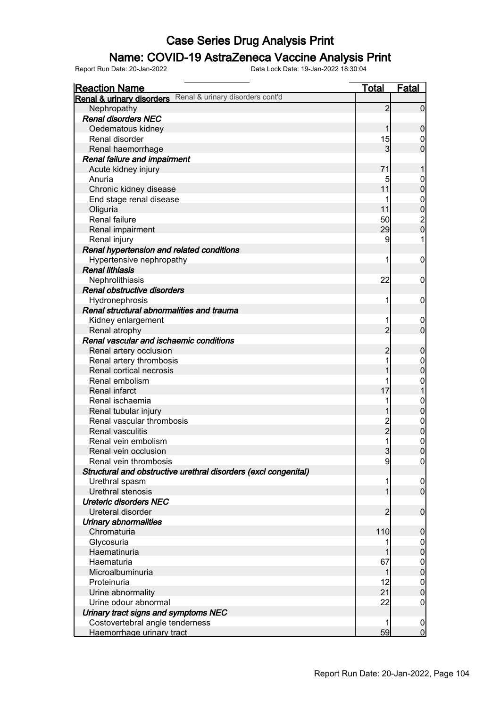### Name: COVID-19 AstraZeneca Vaccine Analysis Print

| <b>Reaction Name</b>                                            | Total          | <b>Fatal</b>     |
|-----------------------------------------------------------------|----------------|------------------|
| Renal & urinary disorders Renal & urinary disorders cont'd      |                |                  |
| Nephropathy                                                     | $\overline{2}$ | $\mathbf 0$      |
| <b>Renal disorders NEC</b>                                      |                |                  |
| Oedematous kidney                                               | 1              | $\mathbf 0$      |
| Renal disorder                                                  | 15             | 0                |
| Renal haemorrhage                                               | 3              | $\mathbf 0$      |
| Renal failure and impairment                                    |                |                  |
| Acute kidney injury                                             | 71             | 1                |
| Anuria                                                          | 5              | 0                |
| Chronic kidney disease                                          | 11             | $\pmb{0}$        |
| End stage renal disease                                         |                | $\mathbf{0}$     |
| Oliguria                                                        | 11             | $\mathbf 0$      |
| Renal failure                                                   | 50             |                  |
| Renal impairment                                                | 29             | $\frac{2}{0}$    |
| Renal injury                                                    | 9              | 1                |
| Renal hypertension and related conditions                       |                |                  |
| Hypertensive nephropathy                                        | 1              | $\mathbf 0$      |
| <b>Renal lithiasis</b>                                          |                |                  |
| Nephrolithiasis                                                 | 22             | $\mathbf 0$      |
| Renal obstructive disorders                                     |                |                  |
| Hydronephrosis                                                  | 1              | $\mathbf 0$      |
| Renal structural abnormalities and trauma                       |                |                  |
| Kidney enlargement                                              |                | $\boldsymbol{0}$ |
| Renal atrophy                                                   | $\overline{2}$ | $\overline{0}$   |
| Renal vascular and ischaemic conditions                         |                |                  |
| Renal artery occlusion                                          | $\overline{c}$ | $\mathbf 0$      |
| Renal artery thrombosis                                         |                | $\boldsymbol{0}$ |
| Renal cortical necrosis                                         |                | $\mathbf 0$      |
| Renal embolism                                                  |                | $\mathbf{0}$     |
| Renal infarct                                                   | 17             | $\mathbf{1}$     |
| Renal ischaemia                                                 |                | $\mathbf{0}$     |
| Renal tubular injury                                            |                | $\mathbf 0$      |
| Renal vascular thrombosis                                       |                | $\boldsymbol{0}$ |
| <b>Renal vasculitis</b>                                         | 2<br>2         | $\mathbf 0$      |
| Renal vein embolism                                             |                | $\mathbf{0}$     |
| Renal vein occlusion                                            | $\overline{3}$ | $\mathbf 0$      |
| Renal vein thrombosis                                           | $\overline{9}$ | 0                |
| Structural and obstructive urethral disorders (excl congenital) |                |                  |
| Urethral spasm                                                  |                | $\overline{0}$   |
| Urethral stenosis                                               |                | $\overline{0}$   |
| <b>Ureteric disorders NEC</b>                                   |                |                  |
| Ureteral disorder                                               | $\overline{2}$ | $\mathbf 0$      |
| Urinary abnormalities                                           |                |                  |
| Chromaturia                                                     | 110            | $\boldsymbol{0}$ |
| Glycosuria                                                      |                | $\boldsymbol{0}$ |
| Haematinuria                                                    |                | $\pmb{0}$        |
| Haematuria                                                      | 67             | $\boldsymbol{0}$ |
| Microalbuminuria                                                | 1              | $\mathbf 0$      |
| Proteinuria                                                     | 12             | $\mathbf 0$      |
| Urine abnormality                                               | 21             | $\mathbf 0$      |
| Urine odour abnormal                                            | 22             | $\mathbf 0$      |
| Urinary tract signs and symptoms NEC                            |                |                  |
| Costovertebral angle tenderness                                 |                | $\overline{0}$   |
| Haemorrhage urinary tract                                       | 59             | $\overline{0}$   |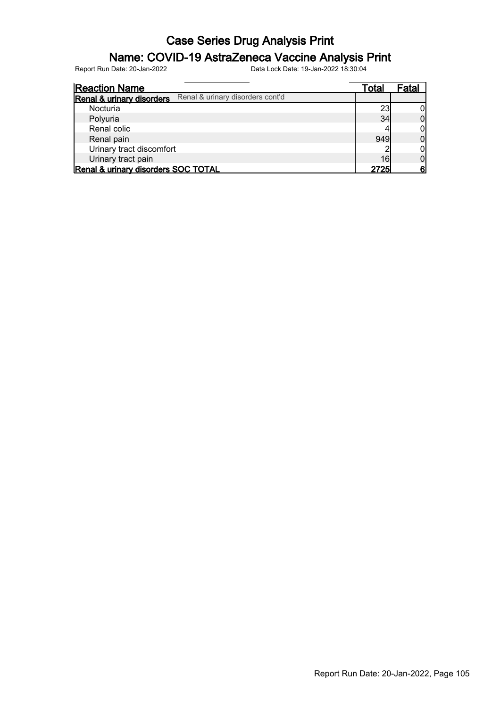### Name: COVID-19 AstraZeneca Vaccine Analysis Print

| <b>Reaction Name</b>                                          | Total | Fatal |
|---------------------------------------------------------------|-------|-------|
| Renal & urinary disorders cont'd<br>Renal & urinary disorders |       |       |
| Nocturia                                                      | 23    |       |
| Polyuria                                                      | 34    |       |
| Renal colic                                                   |       | Ωl    |
| Renal pain                                                    | 949   |       |
| Urinary tract discomfort                                      |       |       |
| Urinary tract pain                                            | 16    |       |
| Renal & urinary disorders SOC TOTAL                           | 27251 | 6'    |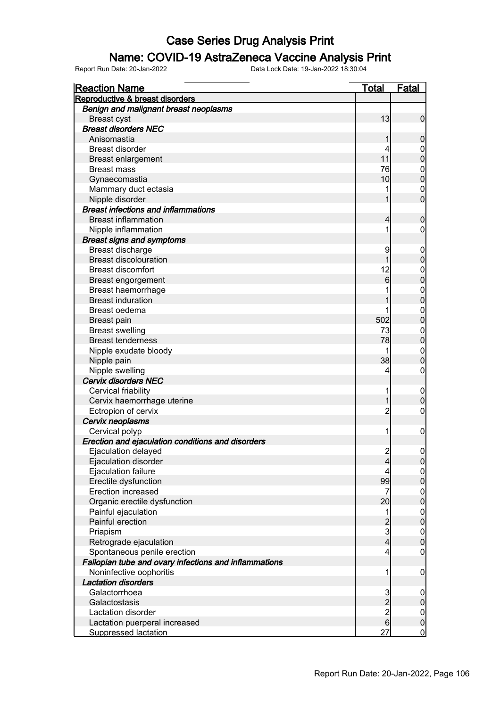#### Name: COVID-19 AstraZeneca Vaccine Analysis Print

| <b>Reaction Name</b>                                  | <b>Total</b>                | <b>Fatal</b>                    |
|-------------------------------------------------------|-----------------------------|---------------------------------|
| Reproductive & breast disorders                       |                             |                                 |
| Benign and malignant breast neoplasms                 |                             |                                 |
| <b>Breast cyst</b>                                    | 13                          | $\overline{0}$                  |
| <b>Breast disorders NEC</b>                           |                             |                                 |
| Anisomastia                                           | 1                           | $\mathbf 0$                     |
| <b>Breast disorder</b>                                | 4                           | $\overline{0}$                  |
| <b>Breast enlargement</b>                             | 11                          | $\overline{0}$                  |
| <b>Breast mass</b>                                    | 76                          | $\mathbf{0}$                    |
| Gynaecomastia                                         | 10                          | $\overline{0}$                  |
| Mammary duct ectasia                                  |                             | $\mathbf 0$                     |
| Nipple disorder                                       | 1                           | $\overline{0}$                  |
| <b>Breast infections and inflammations</b>            |                             |                                 |
| <b>Breast inflammation</b>                            | $\overline{4}$              | $\mathbf 0$                     |
| Nipple inflammation                                   | 1                           | 0                               |
| <b>Breast signs and symptoms</b>                      |                             |                                 |
| Breast discharge                                      | 9                           | $\mathbf 0$                     |
| <b>Breast discolouration</b>                          | 1                           | $\mathbf 0$                     |
| <b>Breast discomfort</b>                              | 12                          | $\mathbf{0}$                    |
| Breast engorgement                                    | 6                           | $\overline{0}$                  |
| Breast haemorrhage                                    |                             | $\mathbf{0}$                    |
| <b>Breast induration</b>                              |                             | $\overline{0}$                  |
| Breast oedema                                         | 1                           | $\mathbf{0}$                    |
| Breast pain                                           | 502                         | $\overline{0}$                  |
| <b>Breast swelling</b>                                | 73                          |                                 |
| <b>Breast tenderness</b>                              | 78                          | $\mathbf{0}$<br>$\mathbf 0$     |
| Nipple exudate bloody                                 | 1                           |                                 |
|                                                       | 38                          | $\mathbf{0}$<br>$\overline{0}$  |
| Nipple pain<br>Nipple swelling                        | 4                           | $\boldsymbol{0}$                |
| <b>Cervix disorders NEC</b>                           |                             |                                 |
|                                                       |                             |                                 |
| Cervical friability                                   | 1<br>1                      | $\mathbf 0$<br>$\boldsymbol{0}$ |
| Cervix haemorrhage uterine                            |                             |                                 |
| Ectropion of cervix                                   | $\overline{c}$              | $\boldsymbol{0}$                |
| Cervix neoplasms                                      |                             |                                 |
| Cervical polyp                                        | 1                           | $\boldsymbol{0}$                |
| Erection and ejaculation conditions and disorders     |                             |                                 |
| Ejaculation delayed                                   | $\overline{2}$              | $\mathbf 0$                     |
| Ejaculation disorder                                  | $\overline{4}$              | 0                               |
| Ejaculation failure                                   | 4                           | $\overline{0}$                  |
| Erectile dysfunction                                  | 99                          | $\overline{0}$                  |
| Erection increased                                    | 7                           | $\boldsymbol{0}$                |
| Organic erectile dysfunction                          | 20                          | $\mathbf 0$                     |
| Painful ejaculation                                   | 1                           | $\boldsymbol{0}$                |
| Painful erection                                      | $\frac{2}{3}$               | $\mathbf 0$                     |
| Priapism                                              |                             | $\boldsymbol{0}$                |
| Retrograde ejaculation                                | $\overline{4}$              | $\mathbf 0$                     |
| Spontaneous penile erection                           | $\overline{4}$              | $\mathbf 0$                     |
| Fallopian tube and ovary infections and inflammations |                             |                                 |
| Noninfective oophoritis                               | 1                           | $\mathbf 0$                     |
| <b>Lactation disorders</b>                            |                             |                                 |
| Galactorrhoea                                         |                             | $\mathbf 0$                     |
| Galactostasis                                         | $\frac{3}{2}$ $\frac{2}{6}$ | $\pmb{0}$                       |
| Lactation disorder                                    |                             | $\boldsymbol{0}$                |
| Lactation puerperal increased                         |                             | $\pmb{0}$                       |
| <b>Suppressed lactation</b>                           | 27                          | $\overline{0}$                  |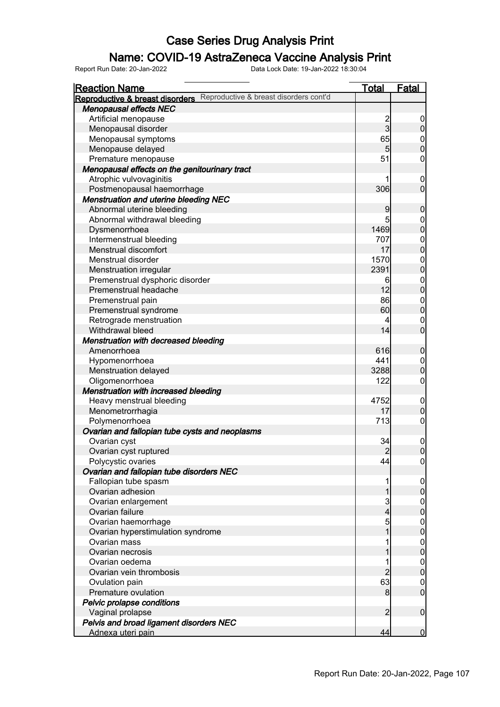### Name: COVID-19 AstraZeneca Vaccine Analysis Print

| <b>Reaction Name</b>                                                      | <u>Total</u>   | <b>Fatal</b>                         |
|---------------------------------------------------------------------------|----------------|--------------------------------------|
| Reproductive & breast disorders cont'd<br>Reproductive & breast disorders |                |                                      |
| <b>Menopausal effects NEC</b>                                             |                |                                      |
| Artificial menopause                                                      |                | $\overline{0}$                       |
| Menopausal disorder                                                       | $\frac{2}{3}$  | $\boldsymbol{0}$                     |
| Menopausal symptoms                                                       | 65             |                                      |
| Menopause delayed                                                         | 5              | $0$ 0                                |
| Premature menopause                                                       | 51             | $\boldsymbol{0}$                     |
| Menopausal effects on the genitourinary tract                             |                |                                      |
| Atrophic vulvovaginitis                                                   |                | $\boldsymbol{0}$                     |
| Postmenopausal haemorrhage                                                | 306            | $\mathbf 0$                          |
| <b>Menstruation and uterine bleeding NEC</b>                              |                |                                      |
| Abnormal uterine bleeding                                                 | 9              | $\mathbf 0$                          |
| Abnormal withdrawal bleeding                                              | 5              |                                      |
| Dysmenorrhoea                                                             | 1469           | $0\atop 0$                           |
| Intermenstrual bleeding                                                   | 707            |                                      |
| Menstrual discomfort                                                      | 17             | $0$ 0                                |
| Menstrual disorder                                                        | 1570           |                                      |
| Menstruation irregular                                                    | 2391           | $\begin{matrix} 0 \\ 0 \end{matrix}$ |
| Premenstrual dysphoric disorder                                           | 6              |                                      |
| Premenstrual headache                                                     | 12             | $0$<br>0                             |
| Premenstrual pain                                                         | 86             | $\boldsymbol{0}$                     |
| Premenstrual syndrome                                                     | 60             | $\overline{0}$                       |
| Retrograde menstruation                                                   | 4              | $\mathbf 0$                          |
| Withdrawal bleed                                                          | 14             | $\mathbf{0}$                         |
| <b>Menstruation with decreased bleeding</b>                               |                |                                      |
| Amenorrhoea                                                               | 616            |                                      |
|                                                                           | 441            | $\mathbf 0$                          |
| Hypomenorrhoea                                                            | 3288           | $\boldsymbol{0}$<br>$\mathbf 0$      |
| Menstruation delayed                                                      | 122            |                                      |
| Oligomenorrhoea                                                           |                | $\mathbf 0$                          |
| <b>Menstruation with increased bleeding</b>                               | 4752           |                                      |
| Heavy menstrual bleeding                                                  | 17             | $\mathbf 0$                          |
| Menometrorrhagia                                                          | 713            | $\pmb{0}$                            |
| Polymenorrhoea                                                            |                | $\mathbf 0$                          |
| Ovarian and fallopian tube cysts and neoplasms                            |                |                                      |
| Ovarian cyst                                                              | 34             | $\boldsymbol{0}$                     |
| Ovarian cyst ruptured                                                     | $\overline{c}$ | $\overline{0}$                       |
| Polycystic ovaries                                                        | 44             | 0                                    |
| Ovarian and fallopian tube disorders NEC                                  |                |                                      |
| Fallopian tube spasm                                                      |                | $\mathbf 0$                          |
| Ovarian adhesion                                                          | 1              | $\pmb{0}$                            |
| Ovarian enlargement                                                       | 3              | $\overline{0}$                       |
| Ovarian failure                                                           | $\overline{4}$ | $\pmb{0}$                            |
| Ovarian haemorrhage                                                       | 5              | $\boldsymbol{0}$                     |
| Ovarian hyperstimulation syndrome                                         | 1              | $\mathbf 0$                          |
| Ovarian mass                                                              |                | $\boldsymbol{0}$                     |
| Ovarian necrosis                                                          |                | $\mathbf 0$                          |
| Ovarian oedema                                                            | 1              | $\boldsymbol{0}$                     |
| Ovarian vein thrombosis                                                   | $\overline{2}$ | $\pmb{0}$                            |
| Ovulation pain                                                            | 63             | $\overline{0}$                       |
| Premature ovulation                                                       | 8              | $\boldsymbol{0}$                     |
| Pelvic prolapse conditions                                                |                |                                      |
| Vaginal prolapse                                                          | $\overline{2}$ | $\boldsymbol{0}$                     |
| Pelvis and broad ligament disorders NEC                                   |                |                                      |
| Adnexa uteri pain                                                         | 44             | $\mathbf 0$                          |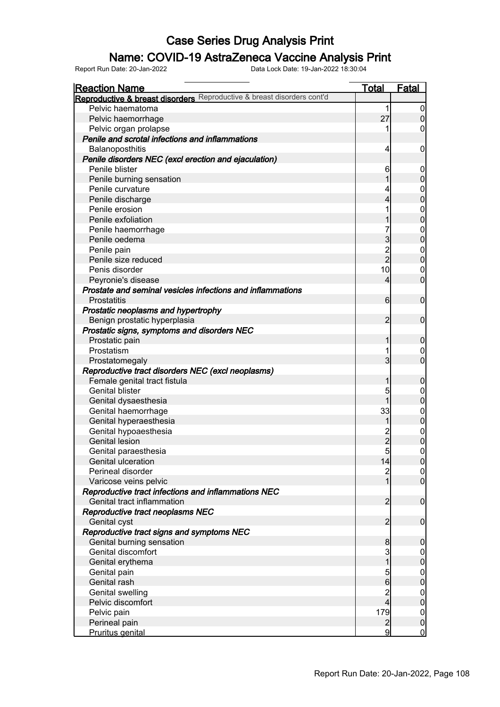### Name: COVID-19 AstraZeneca Vaccine Analysis Print

| <b>Reaction Name</b>                                                   | <u>Total</u>   | <b>Fatal</b>                              |
|------------------------------------------------------------------------|----------------|-------------------------------------------|
| Reproductive & breast disorders Reproductive & breast disorders cont'd |                |                                           |
| Pelvic haematoma                                                       | 1              | 0                                         |
| Pelvic haemorrhage                                                     | 27             | $\mathbf{0}$                              |
| Pelvic organ prolapse                                                  |                | 0                                         |
| Penile and scrotal infections and inflammations                        |                |                                           |
| Balanoposthitis                                                        | 4              | 0                                         |
| Penile disorders NEC (excl erection and ejaculation)                   |                |                                           |
| Penile blister                                                         | 6              | 0                                         |
| Penile burning sensation                                               |                | $\mathbf{0}$                              |
| Penile curvature                                                       | 4              | 0                                         |
| Penile discharge                                                       | 4              | $\mathbf 0$                               |
| Penile erosion                                                         | 1              | 0                                         |
| Penile exfoliation                                                     |                | $\overline{0}$                            |
| Penile haemorrhage                                                     |                | 0                                         |
| Penile oedema                                                          | 3              | $\overline{0}$                            |
| Penile pain                                                            |                | 0                                         |
| Penile size reduced                                                    | $\frac{2}{2}$  | $\overline{0}$                            |
| Penis disorder                                                         | 10             | 0                                         |
| Peyronie's disease                                                     | 4              | $\overline{0}$                            |
| Prostate and seminal vesicles infections and inflammations             |                |                                           |
| Prostatitis                                                            | 6              | $\mathbf 0$                               |
| Prostatic neoplasms and hypertrophy                                    |                |                                           |
| Benign prostatic hyperplasia                                           | 2              | $\mathbf 0$                               |
| Prostatic signs, symptoms and disorders NEC                            |                |                                           |
| Prostatic pain                                                         | 1              | 0                                         |
| Prostatism                                                             |                | 0                                         |
| Prostatomegaly                                                         | 3              | $\overline{0}$                            |
| Reproductive tract disorders NEC (excl neoplasms)                      |                |                                           |
| Female genital tract fistula                                           | 1              | $\mathbf 0$                               |
| <b>Genital blister</b>                                                 | 5              | 0                                         |
| Genital dysaesthesia                                                   | 1              | $\overline{0}$                            |
| Genital haemorrhage                                                    | 33             | 0                                         |
| Genital hyperaesthesia                                                 | 1              | $\overline{0}$                            |
| Genital hypoaesthesia                                                  |                | 0                                         |
| <b>Genital lesion</b>                                                  | 2<br>2         | 0                                         |
| Genital paraesthesia                                                   | 5 <sup>1</sup> | 0                                         |
| Genital ulceration                                                     | 14             | 0                                         |
| Perineal disorder                                                      | $\overline{c}$ | 0                                         |
| Varicose veins pelvic                                                  | 1              | $\overline{0}$                            |
| Reproductive tract infections and inflammations NEC                    |                |                                           |
| Genital tract inflammation                                             | $\overline{2}$ | $\mathbf 0$                               |
| Reproductive tract neoplasms NEC                                       |                |                                           |
| Genital cyst                                                           | $\overline{2}$ | $\mathbf 0$                               |
| Reproductive tract signs and symptoms NEC                              |                |                                           |
| Genital burning sensation                                              | 8              | $\mathbf 0$                               |
| Genital discomfort                                                     | 3              |                                           |
| Genital erythema                                                       | $\overline{1}$ | $\begin{smallmatrix}0\0\end{smallmatrix}$ |
| Genital pain                                                           | 5              |                                           |
| Genital rash                                                           | $\overline{6}$ | $0\atop 0$                                |
| Genital swelling                                                       |                |                                           |
| Pelvic discomfort                                                      | $\frac{2}{4}$  | $0\atop 0$                                |
| Pelvic pain                                                            | 179            |                                           |
| Perineal pain                                                          | $\overline{c}$ | $0\atop 0$                                |
| Pruritus genital                                                       | $\overline{9}$ | $\mathbf 0$                               |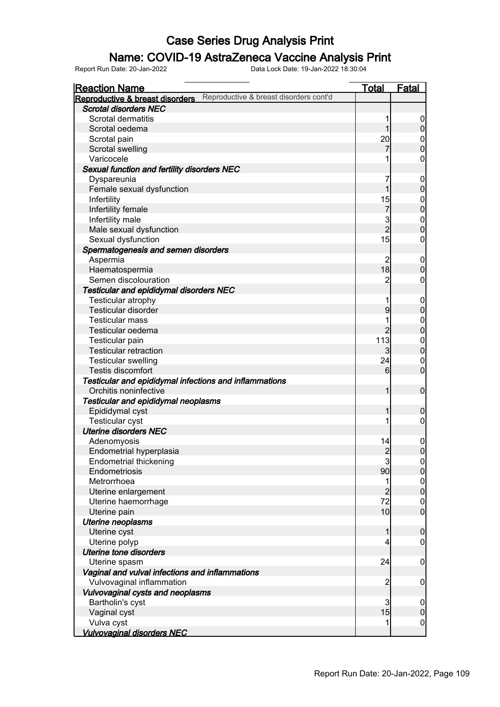#### Name: COVID-19 AstraZeneca Vaccine Analysis Print

| <b>Reaction Name</b>                                                      | <b>Total</b>            | <b>Fatal</b>     |
|---------------------------------------------------------------------------|-------------------------|------------------|
| Reproductive & breast disorders cont'd<br>Reproductive & breast disorders |                         |                  |
| <b>Scrotal disorders NEC</b>                                              |                         |                  |
| Scrotal dermatitis                                                        |                         | 0                |
| Scrotal oedema                                                            | 1                       | $\pmb{0}$        |
| Scrotal pain                                                              | 20                      | $\mathbf 0$      |
| Scrotal swelling                                                          |                         | $\mathbf 0$      |
| Varicocele                                                                |                         | $\mathbf 0$      |
| Sexual function and fertility disorders NEC                               |                         |                  |
| Dyspareunia                                                               | 7                       | $\boldsymbol{0}$ |
| Female sexual dysfunction                                                 | 1                       | $\pmb{0}$        |
| Infertility                                                               | 15                      | $\mathbf 0$      |
| Infertility female                                                        | 7                       | $\pmb{0}$        |
| Infertility male                                                          |                         | $\mathbf{0}$     |
| Male sexual dysfunction                                                   | 3<br>2                  | $\mathbf 0$      |
| Sexual dysfunction                                                        | 15                      | $\mathbf 0$      |
| Spermatogenesis and semen disorders                                       |                         |                  |
| Aspermia                                                                  | 2                       | $\boldsymbol{0}$ |
| Haematospermia                                                            | 18                      | $\boldsymbol{0}$ |
| Semen discolouration                                                      | $\overline{2}$          | $\mathbf 0$      |
| Testicular and epididymal disorders NEC                                   |                         |                  |
| Testicular atrophy                                                        |                         | $\mathbf 0$      |
| Testicular disorder                                                       | 9                       | $\pmb{0}$        |
| <b>Testicular mass</b>                                                    |                         | $\boldsymbol{0}$ |
| Testicular oedema                                                         | $\overline{2}$          | $\pmb{0}$        |
| Testicular pain                                                           | 113                     | $\mathbf 0$      |
| <b>Testicular retraction</b>                                              | $\overline{\mathbf{3}}$ | $\pmb{0}$        |
| <b>Testicular swelling</b>                                                | 24                      | $\mathbf 0$      |
| <b>Testis discomfort</b>                                                  | $6 \overline{}$         | $\mathbf 0$      |
| Testicular and epididymal infections and inflammations                    |                         |                  |
| Orchitis noninfective                                                     | 1                       | $\boldsymbol{0}$ |
| Testicular and epididymal neoplasms                                       |                         |                  |
| Epididymal cyst                                                           | 1                       | $\boldsymbol{0}$ |
| <b>Testicular cyst</b>                                                    |                         | $\mathbf 0$      |
| <b>Uterine disorders NEC</b>                                              |                         |                  |
| Adenomyosis                                                               | 14                      | $\boldsymbol{0}$ |
| Endometrial hyperplasia                                                   | $\overline{2}$          | $\mathbf 0$      |
| <b>Endometrial thickening</b>                                             | 3                       | $\overline{0}$   |
| Endometriosis                                                             | 90                      | $\overline{0}$   |
| Metrorrhoea                                                               | 1                       | $\overline{0}$   |
| Uterine enlargement                                                       | $\overline{2}$          | $\mathbf 0$      |
| Uterine haemorrhage                                                       | 72                      | $\boldsymbol{0}$ |
| Uterine pain                                                              | 10                      | $\mathbf 0$      |
| Uterine neoplasms                                                         |                         |                  |
| Uterine cyst                                                              | $\mathbf{1}$            | $\boldsymbol{0}$ |
| Uterine polyp                                                             | 4                       | $\mathbf 0$      |
| <b>Uterine tone disorders</b>                                             |                         |                  |
| Uterine spasm                                                             | 24                      | $\mathbf 0$      |
| Vaginal and vulval infections and inflammations                           |                         |                  |
| Vulvovaginal inflammation                                                 | $\overline{c}$          | $\mathbf 0$      |
| Vulvovaginal cysts and neoplasms                                          |                         |                  |
| Bartholin's cyst                                                          | 3                       | $\mathbf 0$      |
| Vaginal cyst                                                              | 15                      | $\pmb{0}$        |
| Vulva cyst                                                                | 1                       | $\overline{0}$   |
| <b>Vulvovaginal disorders NEC</b>                                         |                         |                  |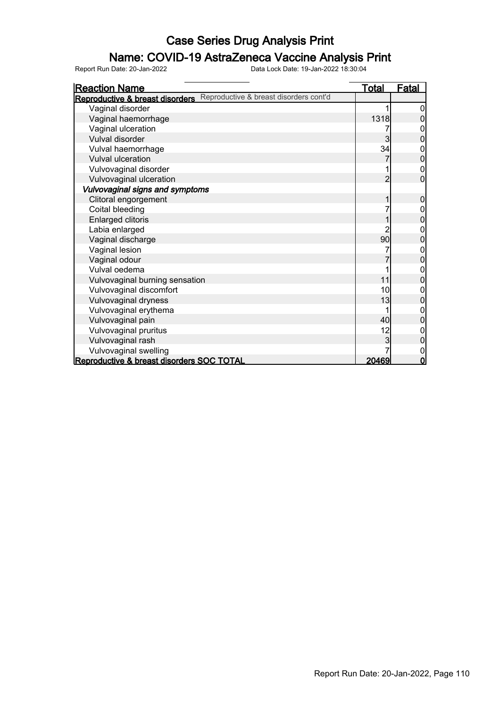### Name: COVID-19 AstraZeneca Vaccine Analysis Print

| <b>Reaction Name</b>                                                      | <u>Total</u>   | <u>Fatal</u>   |
|---------------------------------------------------------------------------|----------------|----------------|
| Reproductive & breast disorders cont'd<br>Reproductive & breast disorders |                |                |
| Vaginal disorder                                                          |                | 0              |
| Vaginal haemorrhage                                                       | 1318           |                |
| Vaginal ulceration                                                        |                | 0              |
| Vulval disorder                                                           | 3              | 0              |
| Vulval haemorrhage                                                        | 34             | 0              |
| <b>Vulval ulceration</b>                                                  |                | $\mathbf 0$    |
| Vulvovaginal disorder                                                     |                | 0              |
| Vulvovaginal ulceration                                                   | $\overline{2}$ | $\overline{0}$ |
| Vulvovaginal signs and symptoms                                           |                |                |
| Clitoral engorgement                                                      |                | 0              |
| Coital bleeding                                                           |                | 0              |
| <b>Enlarged clitoris</b>                                                  |                | 0              |
| Labia enlarged                                                            |                | 0              |
| Vaginal discharge                                                         | 90             | 0              |
| Vaginal lesion                                                            |                | 0              |
| Vaginal odour                                                             |                | $\overline{0}$ |
| Vulval oedema                                                             |                | 0              |
| Vulvovaginal burning sensation                                            | 11             | 0              |
| Vulvovaginal discomfort                                                   | 10             | 0              |
| Vulvovaginal dryness                                                      | 13             | 0              |
| Vulvovaginal erythema                                                     |                | 0              |
| Vulvovaginal pain                                                         | 40             | $\overline{0}$ |
| Vulvovaginal pruritus                                                     | 12             | 0              |
| Vulvovaginal rash                                                         |                | $\overline{0}$ |
| Vulvovaginal swelling                                                     |                | 0              |
| Reproductive & breast disorders SOC TOTAL                                 | 20469          | 0              |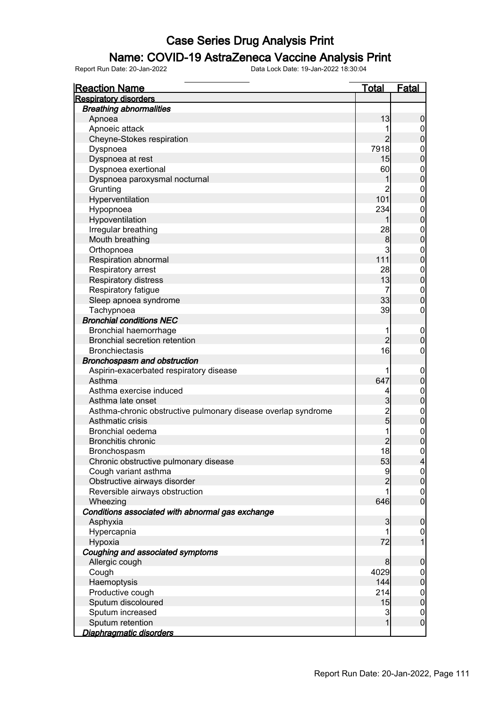### Name: COVID-19 AstraZeneca Vaccine Analysis Print

| <b>Reaction Name</b>                                          | <u>Total</u>   | Fatal                                |
|---------------------------------------------------------------|----------------|--------------------------------------|
| <b>Respiratory disorders</b>                                  |                |                                      |
| <b>Breathing abnormalities</b>                                |                |                                      |
| Apnoea                                                        | 13             | $\boldsymbol{0}$                     |
| Apnoeic attack                                                |                | $\overline{0}$                       |
| Cheyne-Stokes respiration                                     | $\overline{2}$ | $\pmb{0}$                            |
| Dyspnoea                                                      | <b>7918</b>    | $\boldsymbol{0}$                     |
| Dyspnoea at rest                                              | 15             | $\mathbf 0$                          |
| Dyspnoea exertional                                           | 60             | $\boldsymbol{0}$                     |
| Dyspnoea paroxysmal nocturnal                                 | 1              | $\overline{0}$                       |
| Grunting                                                      | 2              | $\boldsymbol{0}$                     |
| Hyperventilation                                              | 101            | $\mathbf 0$                          |
| Hypopnoea                                                     | 234            | $\boldsymbol{0}$                     |
| Hypoventilation                                               |                | $\mathbf 0$                          |
| Irregular breathing                                           | 28             | $\boldsymbol{0}$                     |
| Mouth breathing                                               | 8              | $\mathbf 0$                          |
| Orthopnoea                                                    | 3              | $\boldsymbol{0}$                     |
| Respiration abnormal                                          | 111            | $\mathbf 0$                          |
| Respiratory arrest                                            | 28             | $\boldsymbol{0}$                     |
| Respiratory distress                                          | 13             | $\mathbf 0$                          |
| Respiratory fatigue                                           | 7              | $\boldsymbol{0}$                     |
| Sleep apnoea syndrome                                         | 33             | $\mathbf 0$                          |
| Tachypnoea                                                    | 39             | $\mathbf 0$                          |
| <b>Bronchial conditions NEC</b>                               |                |                                      |
| Bronchial haemorrhage                                         | 1              | $\mathbf 0$                          |
| <b>Bronchial secretion retention</b>                          | $\overline{2}$ | $\mathbf 0$                          |
| <b>Bronchiectasis</b>                                         | 16             | 0                                    |
| Bronchospasm and obstruction                                  |                |                                      |
| Aspirin-exacerbated respiratory disease                       |                | $\mathbf 0$                          |
| Asthma                                                        | 647            | $\pmb{0}$                            |
| Asthma exercise induced                                       | 4              | $\boldsymbol{0}$                     |
| Asthma late onset                                             | $\overline{3}$ | $\pmb{0}$                            |
| Asthma-chronic obstructive pulmonary disease overlap syndrome |                | $\boldsymbol{0}$                     |
| Asthmatic crisis                                              | $\frac{2}{5}$  | $\mathbf 0$                          |
| Bronchial oedema                                              |                | $\boldsymbol{0}$                     |
| <b>Bronchitis chronic</b>                                     | $\overline{2}$ | $\overline{0}$                       |
| Bronchospasm                                                  | 18             | $\boldsymbol{0}$                     |
| Chronic obstructive pulmonary disease                         | 53             | 4                                    |
| Cough variant asthma                                          | 9              |                                      |
| Obstructive airways disorder                                  | $\overline{2}$ | $\frac{0}{0}$                        |
| Reversible airways obstruction                                | 1              |                                      |
| Wheezing                                                      | 646            | $\begin{matrix} 0 \\ 0 \end{matrix}$ |
| Conditions associated with abnormal gas exchange              |                |                                      |
| Asphyxia                                                      | $\overline{3}$ | $\boldsymbol{0}$                     |
| Hypercapnia                                                   | 1              | $\overline{0}$                       |
| Hypoxia                                                       | 72             | $\overline{1}$                       |
| Coughing and associated symptoms                              |                |                                      |
| Allergic cough                                                | 8              | $\mathbf 0$                          |
| Cough                                                         | 4029           |                                      |
| Haemoptysis                                                   | 144            | $0\atop 0$                           |
| Productive cough                                              | 214            |                                      |
| Sputum discoloured                                            | 15             | $0$<br>0                             |
| Sputum increased                                              | 3              |                                      |
| Sputum retention                                              | $\mathbf{1}$   | $0$<br>0                             |
| Diaphragmatic disorders                                       |                |                                      |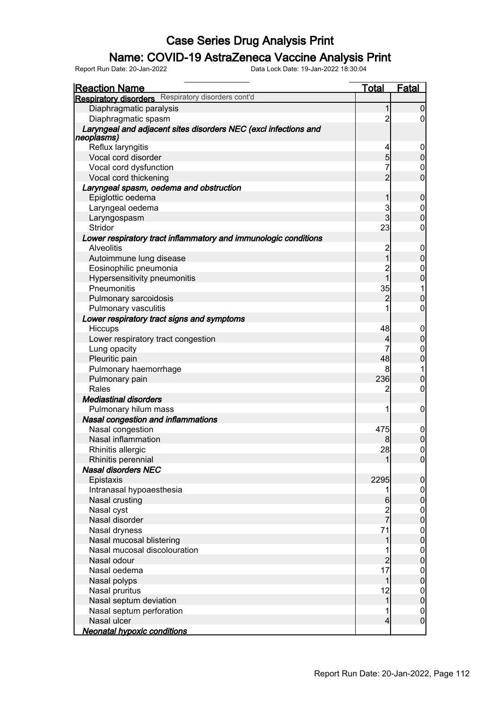### Name: COVID-19 AstraZeneca Vaccine Analysis Print

| <u>Reaction Name</u>                                            | <u>Total</u>   | <b>Fatal</b>                    |
|-----------------------------------------------------------------|----------------|---------------------------------|
| <b>Respiratory disorders</b> Respiratory disorders cont'd       |                |                                 |
| Diaphragmatic paralysis                                         | 1              | $\overline{0}$                  |
| Diaphragmatic spasm                                             | $\overline{2}$ | $\overline{0}$                  |
| Laryngeal and adjacent sites disorders NEC (excl infections and |                |                                 |
| neoplasms)                                                      |                |                                 |
| Reflux laryngitis                                               | 4              | 0                               |
| Vocal cord disorder                                             | $\overline{5}$ | $\pmb{0}$                       |
| Vocal cord dysfunction                                          | 7              | $\boldsymbol{0}$                |
| Vocal cord thickening                                           | $\overline{2}$ | $\overline{0}$                  |
| Laryngeal spasm, oedema and obstruction                         |                |                                 |
| Epiglottic oedema                                               | 1              | $\boldsymbol{0}$                |
| Laryngeal oedema                                                | 3              | $\boldsymbol{0}$                |
| Laryngospasm                                                    | $\overline{3}$ | $\overline{0}$                  |
| <b>Stridor</b>                                                  | 23             | $\overline{0}$                  |
| Lower respiratory tract inflammatory and immunologic conditions |                |                                 |
| <b>Alveolitis</b>                                               | $\overline{c}$ | $\mathbf 0$                     |
| Autoimmune lung disease                                         | $\overline{1}$ | $\mathbf 0$                     |
| Eosinophilic pneumonia                                          | $\overline{c}$ | $\mathbf{0}$                    |
| Hypersensitivity pneumonitis                                    | $\overline{1}$ | $\overline{0}$                  |
| Pneumonitis                                                     | 35             | 1                               |
| Pulmonary sarcoidosis                                           | $\overline{2}$ | $\mathbf 0$                     |
| Pulmonary vasculitis                                            |                | $\overline{0}$                  |
| Lower respiratory tract signs and symptoms                      |                |                                 |
| Hiccups                                                         | 48             | $\mathbf 0$                     |
| Lower respiratory tract congestion                              | $\overline{4}$ | $\mathbf 0$                     |
| Lung opacity                                                    | 7              | $\mathbf{0}$                    |
| Pleuritic pain                                                  | 48             | $\overline{0}$                  |
| Pulmonary haemorrhage                                           | 8              | 1                               |
| Pulmonary pain                                                  | 236            | $\mathbf 0$                     |
| Rales                                                           | $\overline{2}$ | $\mathbf 0$                     |
| <b>Mediastinal disorders</b>                                    |                |                                 |
| Pulmonary hilum mass                                            | 1              | $\mathbf 0$                     |
| Nasal congestion and inflammations                              |                |                                 |
| Nasal congestion                                                | 475            | $\mathbf 0$                     |
| Nasal inflammation                                              | 8              | $\overline{0}$                  |
| Rhinitis allergic                                               | 28             | $\mathsf{O}\xspace$             |
| Rhinitis perennial                                              | $\mathbf{1}$   | 0                               |
| <b>Nasal disorders NEC</b>                                      |                |                                 |
| Epistaxis                                                       | 2295           | $\mathbf 0$                     |
| Intranasal hypoaesthesia                                        | 1              | $\overline{0}$                  |
| Nasal crusting                                                  | $6\phantom{1}$ | $\mathbf 0$                     |
| Nasal cyst                                                      |                | $\mathbf 0$                     |
| Nasal disorder                                                  | 2<br>7         | $\overline{0}$                  |
| Nasal dryness                                                   | 71             | $\boldsymbol{0}$                |
| Nasal mucosal blistering                                        | 1              | $\overline{0}$                  |
| Nasal mucosal discolouration                                    |                | $\boldsymbol{0}$                |
| Nasal odour                                                     | $\overline{a}$ | $\overline{0}$                  |
| Nasal oedema                                                    | 17             |                                 |
|                                                                 | 1              | $\boldsymbol{0}$<br>$\mathbf 0$ |
| Nasal polyps                                                    |                |                                 |
| Nasal pruritus                                                  | 12             | $\boldsymbol{0}$                |
| Nasal septum deviation                                          | $\mathbf 1$    | $\mathbf 0$                     |
| Nasal septum perforation<br>Nasal ulcer                         | 1              | $\overline{0}$                  |
| <b>Neonatal hypoxic conditions</b>                              | $\overline{4}$ | $\boldsymbol{0}$                |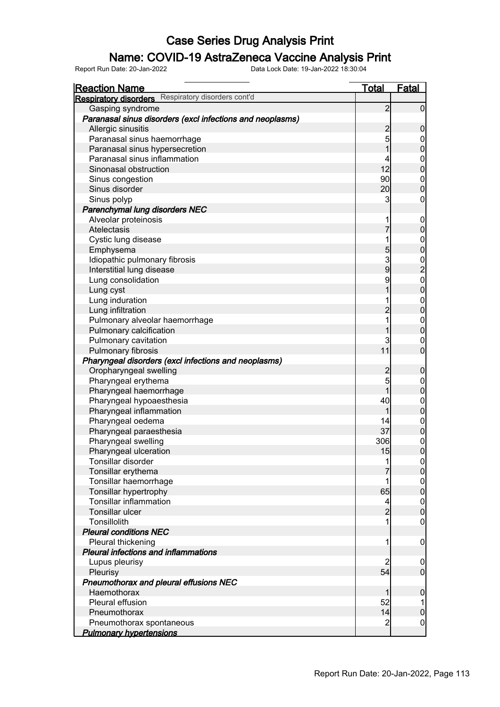### Name: COVID-19 AstraZeneca Vaccine Analysis Print

| <b>Reaction Name</b>                                      | <u>Total</u>   | <b>Fatal</b>                         |
|-----------------------------------------------------------|----------------|--------------------------------------|
| <b>Respiratory disorders</b> Respiratory disorders cont'd |                |                                      |
| Gasping syndrome                                          | $\overline{2}$ | $\overline{0}$                       |
| Paranasal sinus disorders (excl infections and neoplasms) |                |                                      |
| Allergic sinusitis                                        | $\overline{c}$ | $\mathbf 0$                          |
| Paranasal sinus haemorrhage                               | 5              | $\boldsymbol{0}$                     |
| Paranasal sinus hypersecretion                            | 1              | $\overline{0}$                       |
| Paranasal sinus inflammation                              | 4              | $\boldsymbol{0}$                     |
| Sinonasal obstruction                                     | 12             | $\mathbf 0$                          |
| Sinus congestion                                          | 90             | $\mathbf{0}$                         |
| Sinus disorder                                            | 20             | $\overline{0}$                       |
| Sinus polyp                                               | 3              | $\boldsymbol{0}$                     |
| Parenchymal lung disorders NEC                            |                |                                      |
| Alveolar proteinosis                                      | 1              | $\mathbf 0$                          |
| Atelectasis                                               | $\overline{7}$ | $\mathbf 0$                          |
| Cystic lung disease                                       | 1              | $\boldsymbol{0}$                     |
| Emphysema                                                 | 5              | $\overline{0}$                       |
| Idiopathic pulmonary fibrosis                             | 3              |                                      |
| Interstitial lung disease                                 | 9              | $\frac{0}{2}$                        |
| Lung consolidation                                        | 9              |                                      |
| Lung cyst                                                 | 1              | $\begin{matrix} 0 \\ 0 \end{matrix}$ |
| Lung induration                                           |                |                                      |
| Lung infiltration                                         | $\overline{2}$ | $\begin{matrix} 0 \\ 0 \end{matrix}$ |
| Pulmonary alveolar haemorrhage                            | 1              | $\mathbf{0}$                         |
| Pulmonary calcification                                   |                | $\mathbf 0$                          |
| Pulmonary cavitation                                      | 3              | $\mathbf 0$                          |
| Pulmonary fibrosis                                        | 11             | $\mathbf 0$                          |
| Pharyngeal disorders (excl infections and neoplasms)      |                |                                      |
| Oropharyngeal swelling                                    | $\overline{c}$ | $\boldsymbol{0}$                     |
| Pharyngeal erythema                                       | 5              | $\boldsymbol{0}$                     |
| Pharyngeal haemorrhage                                    | 1              | $\mathbf 0$                          |
| Pharyngeal hypoaesthesia                                  | 40             | $\boldsymbol{0}$                     |
| Pharyngeal inflammation                                   | 1              | $\overline{0}$                       |
| Pharyngeal oedema                                         | 14             | $\mathbf{0}$                         |
| Pharyngeal paraesthesia                                   | 37             | $\mathbf 0$                          |
| Pharyngeal swelling                                       | 306            | $\mathbf{0}$                         |
| Pharyngeal ulceration                                     | 15             | $\overline{0}$                       |
| Tonsillar disorder                                        | 1              | 0                                    |
| Tonsillar erythema                                        |                | 0                                    |
| Tonsillar haemorrhage                                     | 1              |                                      |
| Tonsillar hypertrophy                                     | 65             | $\begin{matrix} 0 \\ 0 \end{matrix}$ |
| <b>Tonsillar inflammation</b>                             | 4              |                                      |
| Tonsillar ulcer                                           | $\overline{2}$ | $0\atop 0$                           |
| Tonsillolith                                              | 1              | $\mathbf 0$                          |
| <b>Pleural conditions NEC</b>                             |                |                                      |
| Pleural thickening                                        | 1              | $\mathbf 0$                          |
| Pleural infections and inflammations                      |                |                                      |
| Lupus pleurisy                                            | $\overline{c}$ | $\mathbf 0$                          |
| Pleurisy                                                  | 54             | $\overline{0}$                       |
| Pneumothorax and pleural effusions NEC                    |                |                                      |
| Haemothorax                                               |                | $\boldsymbol{0}$                     |
| Pleural effusion                                          | 52             |                                      |
| Pneumothorax                                              | 14             | $\pmb{0}$                            |
| Pneumothorax spontaneous                                  | $\overline{c}$ | $\mathbf 0$                          |
| <b>Pulmonary hypertensions</b>                            |                |                                      |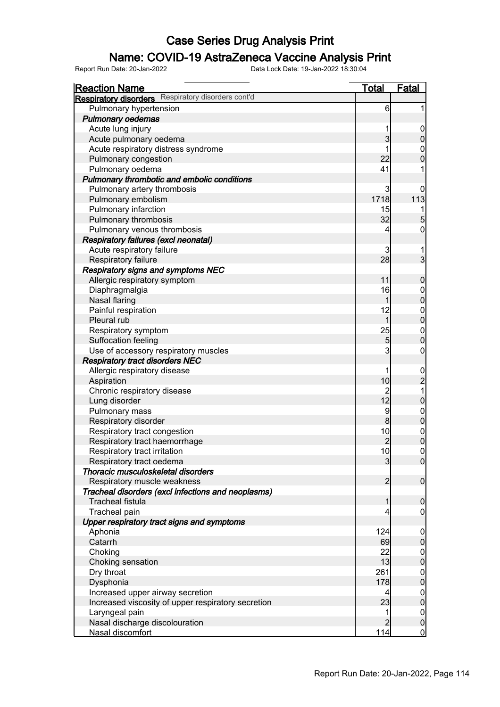### Name: COVID-19 AstraZeneca Vaccine Analysis Print

| <b>Reaction Name</b>                                      | <b>Total</b>                           | <b>Fatal</b>                |
|-----------------------------------------------------------|----------------------------------------|-----------------------------|
| <b>Respiratory disorders</b> Respiratory disorders cont'd |                                        |                             |
| Pulmonary hypertension                                    | $6 \overline{}$                        | 1                           |
| <b>Pulmonary oedemas</b>                                  |                                        |                             |
| Acute lung injury                                         |                                        | $\mathbf 0$                 |
| Acute pulmonary oedema                                    | 3                                      | $\pmb{0}$                   |
| Acute respiratory distress syndrome                       | 1                                      | $\boldsymbol{0}$            |
| Pulmonary congestion                                      | 22                                     | $\overline{0}$              |
| Pulmonary oedema                                          | 41                                     | 1                           |
| Pulmonary thrombotic and embolic conditions               |                                        |                             |
| Pulmonary artery thrombosis                               | 3                                      | 0                           |
| Pulmonary embolism                                        | 1718                                   | 113                         |
| Pulmonary infarction                                      | 15                                     |                             |
| Pulmonary thrombosis                                      | 32                                     | 5                           |
| Pulmonary venous thrombosis                               | 4                                      | 0                           |
| <b>Respiratory failures (excl neonatal)</b>               |                                        |                             |
| Acute respiratory failure                                 | 3                                      | 1                           |
| Respiratory failure                                       | 28                                     | $\overline{3}$              |
| <b>Respiratory signs and symptoms NEC</b>                 |                                        |                             |
| Allergic respiratory symptom                              | 11                                     | $\boldsymbol{0}$            |
| Diaphragmalgia                                            | 16                                     |                             |
| <b>Nasal flaring</b>                                      | 1                                      | 0                           |
| Painful respiration                                       | 12                                     |                             |
| Pleural rub                                               | $\mathbf{1}$                           | $0$<br>0                    |
| Respiratory symptom                                       | 25                                     |                             |
| Suffocation feeling                                       | 5                                      | $0\atop 0$                  |
| Use of accessory respiratory muscles                      | 3                                      | $\boldsymbol{0}$            |
| <b>Respiratory tract disorders NEC</b>                    |                                        |                             |
| Allergic respiratory disease                              | 1                                      |                             |
| Aspiration                                                | 10                                     | $\frac{0}{2}$               |
| Chronic respiratory disease                               |                                        | 1                           |
| Lung disorder                                             | $\begin{array}{c} 2 \\ 12 \end{array}$ | $\pmb{0}$                   |
| Pulmonary mass                                            | 9                                      |                             |
| Respiratory disorder                                      | $\bf{8}$                               | $0$<br>0                    |
| Respiratory tract congestion                              | 10                                     |                             |
| Respiratory tract haemorrhage                             | $\overline{c}$                         | $0$<br>0                    |
| Respiratory tract irritation                              | 10 <sup>1</sup>                        | $\pmb{0}$                   |
| Respiratory tract oedema                                  | $\overline{3}$                         | $\overline{0}$              |
| Thoracic musculoskeletal disorders                        |                                        |                             |
| Respiratory muscle weakness                               | $\overline{2}$                         | $\boldsymbol{0}$            |
| Tracheal disorders (excl infections and neoplasms)        |                                        |                             |
| <b>Tracheal fistula</b>                                   | $\mathbf{1}$                           | $\mathbf 0$                 |
| Tracheal pain                                             | 4                                      | $\boldsymbol{0}$            |
| Upper respiratory tract signs and symptoms                |                                        |                             |
| Aphonia                                                   | 124                                    | $\mathbf 0$                 |
| Catarrh                                                   | 69                                     | $\pmb{0}$                   |
| Choking                                                   | 22                                     | $\overline{0}$              |
| Choking sensation                                         | 13                                     | $\mathbf 0$                 |
| Dry throat                                                | 261                                    | $\boldsymbol{0}$            |
| Dysphonia                                                 | 178                                    | $\mathbf 0$                 |
| Increased upper airway secretion                          | 4                                      | $\overline{0}$              |
| Increased viscosity of upper respiratory secretion        | 23                                     | $\pmb{0}$                   |
| Laryngeal pain                                            | 1                                      |                             |
| Nasal discharge discolouration                            | $\overline{2}$                         | $\overline{0}$<br>$\pmb{0}$ |
| Nasal discomfort                                          | 114                                    | $\overline{0}$              |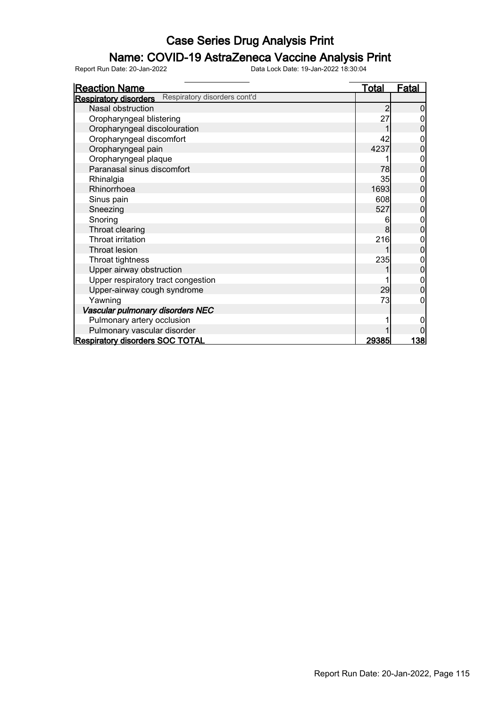### Name: COVID-19 AstraZeneca Vaccine Analysis Print

| <b>Reaction Name</b>                                         | <u>Total</u> | <b>Fatal</b> |
|--------------------------------------------------------------|--------------|--------------|
| Respiratory disorders cont'd<br><b>Respiratory disorders</b> |              |              |
| Nasal obstruction                                            | 2            |              |
| Oropharyngeal blistering                                     | 27           |              |
| Oropharyngeal discolouration                                 |              |              |
| Oropharyngeal discomfort                                     | 42           | 0            |
| Oropharyngeal pain                                           | 4237         | 0            |
| Oropharyngeal plaque                                         |              | 0            |
| Paranasal sinus discomfort                                   | 78           | 0            |
| Rhinalgia                                                    | 35           |              |
| Rhinorrhoea                                                  | 1693         | $\Omega$     |
| Sinus pain                                                   | 608          | 0            |
| Sneezing                                                     | 527          | 0            |
| Snoring                                                      | 6            |              |
| Throat clearing                                              | 8            |              |
| Throat irritation                                            | 216          |              |
| <b>Throat lesion</b>                                         |              | 0            |
| Throat tightness                                             | 235          | 0            |
| Upper airway obstruction                                     |              | 0            |
| Upper respiratory tract congestion                           |              |              |
| Upper-airway cough syndrome                                  | 29           |              |
| Yawning                                                      | 73           |              |
| Vascular pulmonary disorders NEC                             |              |              |
| Pulmonary artery occlusion                                   |              |              |
| Pulmonary vascular disorder                                  |              |              |
| <b>Respiratory disorders SOC TOTAL</b>                       | 29385        | <u> 138 </u> |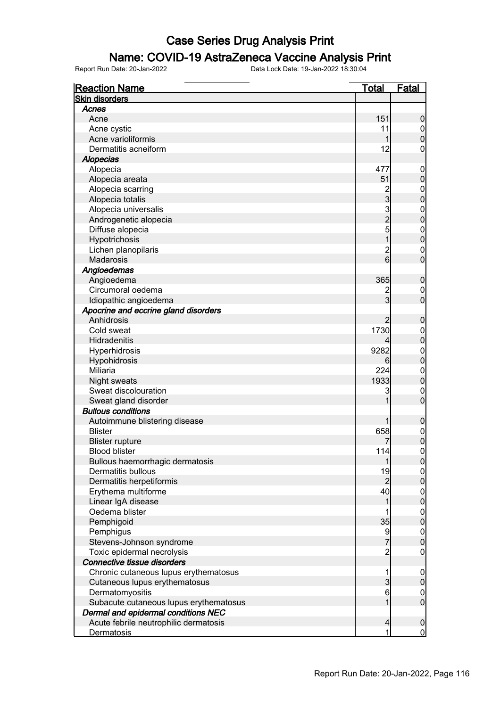### Name: COVID-19 AstraZeneca Vaccine Analysis Print

| <b>Reaction Name</b>                           | <b>Total</b>                               | <b>Fatal</b>                    |
|------------------------------------------------|--------------------------------------------|---------------------------------|
| <b>Skin disorders</b>                          |                                            |                                 |
| Acnes                                          |                                            |                                 |
| Acne                                           | 151                                        | $\boldsymbol{0}$                |
| Acne cystic                                    | 11                                         | $\overline{0}$                  |
| Acne varioliformis                             | 1                                          | $\boldsymbol{0}$                |
| Dermatitis acneiform                           | 12                                         | 0                               |
| <b>Alopecias</b>                               |                                            |                                 |
| Alopecia                                       | 477                                        | $\mathbf 0$                     |
| Alopecia areata                                | 51                                         | $\mathbf 0$                     |
| Alopecia scarring                              |                                            | $\mathbf 0$                     |
| Alopecia totalis                               | $\frac{2}{3}$                              | $\mathbf 0$                     |
| Alopecia universalis                           |                                            | $\boldsymbol{0}$                |
| Androgenetic alopecia                          | $\begin{array}{c} 3 \\ 2 \\ 5 \end{array}$ | $\mathbf 0$                     |
| Diffuse alopecia                               |                                            | $\mathbf{0}$                    |
| Hypotrichosis                                  | $\overline{1}$                             | $\mathbf 0$                     |
| Lichen planopilaris                            | $\overline{\mathbf{c}}$                    | $\mathbf 0$                     |
| <b>Madarosis</b>                               | 6                                          | $\overline{0}$                  |
| Angioedemas                                    |                                            |                                 |
| Angioedema                                     | 365                                        | $\mathbf 0$                     |
| Circumoral oedema                              |                                            | 0                               |
| Idiopathic angioedema                          | $\frac{2}{3}$                              | $\mathbf 0$                     |
| Apocrine and eccrine gland disorders           |                                            |                                 |
| Anhidrosis                                     | $\overline{2}$                             | $\mathbf 0$                     |
| Cold sweat                                     | 1730                                       | $\mathbf 0$                     |
| Hidradenitis                                   | 4                                          | $\mathbf 0$                     |
| Hyperhidrosis                                  | 9282                                       | $\mathbf 0$                     |
| Hypohidrosis                                   | 6                                          | $\mathbf 0$                     |
| Miliaria                                       | 224                                        | $\mathbf 0$                     |
| Night sweats                                   | 1933                                       | $\mathbf 0$                     |
| Sweat discolouration                           | 3                                          | $\mathbf 0$                     |
| Sweat gland disorder                           | 1                                          | $\mathbf 0$                     |
| <b>Bullous conditions</b>                      |                                            |                                 |
| Autoimmune blistering disease                  | 1                                          |                                 |
| <b>Blister</b>                                 | 658                                        | $\mathbf 0$                     |
|                                                |                                            | $\boldsymbol{0}$<br>$\mathbf 0$ |
| <b>Blister rupture</b><br><b>Blood blister</b> | 114                                        | $\mathbf 0$                     |
|                                                |                                            |                                 |
| Bullous haemorrhagic dermatosis                | 1                                          | 0                               |
| Dermatitis bullous                             | 19                                         | $\overline{0}$                  |
| Dermatitis herpetiformis                       | $\overline{2}$                             | $\overline{0}$                  |
| Erythema multiforme                            | 40                                         | $0\atop 0$                      |
| Linear IgA disease                             | 1                                          |                                 |
| Oedema blister                                 | 1                                          | $0$<br>0                        |
| Pemphigoid                                     | 35                                         |                                 |
| Pemphigus                                      | 9                                          | $0$<br>0                        |
| Stevens-Johnson syndrome                       | $\overline{7}$                             |                                 |
| Toxic epidermal necrolysis                     | $\overline{c}$                             | $\mathbf 0$                     |
| Connective tissue disorders                    |                                            |                                 |
| Chronic cutaneous lupus erythematosus          | 1                                          | $\mathbf 0$                     |
| Cutaneous lupus erythematosus                  | $\overline{3}$                             | $\pmb{0}$                       |
| Dermatomyositis                                | $6\phantom{.}6$                            | $\boldsymbol{0}$                |
| Subacute cutaneous lupus erythematosus         | 1                                          | $\boldsymbol{0}$                |
| Dermal and epidermal conditions NEC            |                                            |                                 |
| Acute febrile neutrophilic dermatosis          | $\overline{4}$                             | $\mathbf 0$                     |
| <b>Dermatosis</b>                              | 1                                          | $\overline{0}$                  |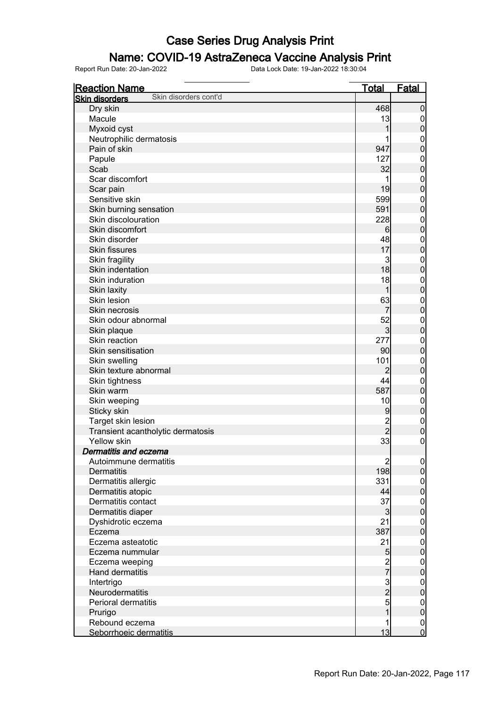#### Name: COVID-19 AstraZeneca Vaccine Analysis Print

| <b>Reaction Name</b>                           | <b>Total</b>                               | <b>Fatal</b>     |
|------------------------------------------------|--------------------------------------------|------------------|
| Skin disorders cont'd<br><b>Skin disorders</b> |                                            |                  |
| Dry skin                                       | 468                                        | $\boldsymbol{0}$ |
| Macule                                         | 13                                         | 0                |
| Myxoid cyst                                    | 1                                          | $\pmb{0}$        |
| Neutrophilic dermatosis                        |                                            | 0                |
| Pain of skin                                   | 947                                        | $\mathbf 0$      |
| Papule                                         | 127                                        | $\mathbf 0$      |
| Scab                                           | 32                                         | $\mathbf 0$      |
| Scar discomfort                                |                                            | $\mathbf 0$      |
| Scar pain                                      | 19                                         | $\mathbf 0$      |
| Sensitive skin                                 | 599                                        | $\mathbf 0$      |
| Skin burning sensation                         | 591                                        | $\mathbf 0$      |
| Skin discolouration                            | 228                                        |                  |
|                                                |                                            | $\mathbf 0$      |
| Skin discomfort                                | 6                                          | $\mathbf 0$      |
| Skin disorder                                  | 48                                         | $\mathbf 0$      |
| <b>Skin fissures</b>                           | 17                                         | $\mathbf 0$      |
| Skin fragility                                 | 3                                          | $\mathbf 0$      |
| Skin indentation                               | 18                                         | $\mathbf 0$      |
| Skin induration                                | 18                                         | $\mathbf 0$      |
| Skin laxity                                    | 1                                          | $\mathbf 0$      |
| Skin lesion                                    | 63                                         | $\mathbf 0$      |
| Skin necrosis                                  | 7                                          | $\mathbf 0$      |
| Skin odour abnormal                            | 52                                         | $\mathbf 0$      |
| Skin plaque                                    | $\overline{3}$                             | $\mathbf 0$      |
| Skin reaction                                  | 277                                        | $\mathbf 0$      |
| Skin sensitisation                             | 90                                         | $\mathbf 0$      |
| Skin swelling                                  | 101                                        | $\mathbf 0$      |
| Skin texture abnormal                          | $\overline{2}$                             | $\mathbf 0$      |
| Skin tightness                                 | 44                                         | $\mathbf 0$      |
| Skin warm                                      | 587                                        | $\mathbf 0$      |
| Skin weeping                                   | 10                                         | $\mathbf 0$      |
| Sticky skin                                    | 9                                          | $\mathbf 0$      |
| Target skin lesion                             |                                            | $\mathbf 0$      |
| Transient acantholytic dermatosis              | 2<br>2                                     | $\mathbf 0$      |
| Yellow skin                                    | 33                                         | $\boldsymbol{0}$ |
| Dermatitis and eczema                          |                                            |                  |
| Autoimmune dermatitis                          |                                            |                  |
|                                                | $\begin{array}{c} 2 \\ 198 \end{array}$    | 0 <br> 0         |
| <b>Dermatitis</b>                              |                                            |                  |
| Dermatitis allergic                            | 331                                        | $\overline{0}$   |
| Dermatitis atopic                              | 44                                         | $\overline{0}$   |
| Dermatitis contact                             | 37                                         | $\boldsymbol{0}$ |
| Dermatitis diaper                              | $\mathbf{3}$                               | $\mathbf 0$      |
| Dyshidrotic eczema                             | 21                                         | $\boldsymbol{0}$ |
| Eczema                                         | 387                                        | $\mathbf 0$      |
| Eczema asteatotic                              | 21                                         | $\boldsymbol{0}$ |
| Eczema nummular                                | 5                                          | $\mathbf 0$      |
| Eczema weeping                                 | $\frac{2}{7}$                              | $\boldsymbol{0}$ |
| Hand dermatitis                                |                                            | $\overline{0}$   |
| Intertrigo                                     | $\begin{array}{c} 3 \\ 2 \\ 5 \end{array}$ | $\boldsymbol{0}$ |
| Neurodermatitis                                |                                            | $\mathbf 0$      |
| Perioral dermatitis                            |                                            | $\boldsymbol{0}$ |
| Prurigo                                        | $\overline{1}$                             | $\mathbf 0$      |
| Rebound eczema                                 | 1                                          | $\boldsymbol{0}$ |
| Seborrhoeic dermatitis                         | 13                                         | $\mathbf 0$      |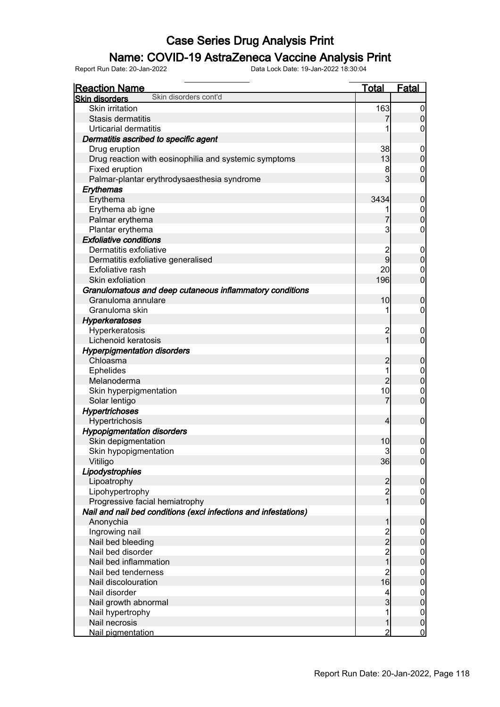### Name: COVID-19 AstraZeneca Vaccine Analysis Print

| <b>Reaction Name</b>                                            | <b>Total</b>   | <b>Fatal</b>                       |
|-----------------------------------------------------------------|----------------|------------------------------------|
| Skin disorders cont'd<br><b>Skin disorders</b>                  |                |                                    |
| <b>Skin irritation</b>                                          | 163            | $\overline{0}$                     |
| Stasis dermatitis                                               |                | $\overline{0}$                     |
| <b>Urticarial dermatitis</b>                                    |                | 0                                  |
| Dermatitis ascribed to specific agent                           |                |                                    |
| Drug eruption                                                   | 38             | $\boldsymbol{0}$                   |
| Drug reaction with eosinophilia and systemic symptoms           | 13             | $\boldsymbol{0}$                   |
| Fixed eruption                                                  | 8              | $\boldsymbol{0}$                   |
| Palmar-plantar erythrodysaesthesia syndrome                     | $\overline{3}$ | $\mathbf 0$                        |
| Erythemas                                                       |                |                                    |
| Erythema                                                        | 3434           | $\mathbf 0$                        |
| Erythema ab igne                                                | 1              | $\mathbf 0$                        |
| Palmar erythema                                                 | 7              | $\overline{0}$                     |
| Plantar erythema                                                | 3              | 0                                  |
| <b>Exfoliative conditions</b>                                   |                |                                    |
| Dermatitis exfoliative                                          | $\overline{c}$ | $\boldsymbol{0}$                   |
| Dermatitis exfoliative generalised                              | 9              | $\boldsymbol{0}$                   |
| <b>Exfoliative rash</b>                                         | 20             | $\boldsymbol{0}$                   |
| Skin exfoliation                                                | 196            | $\overline{0}$                     |
| Granulomatous and deep cutaneous inflammatory conditions        |                |                                    |
| Granuloma annulare                                              | 10             | $\boldsymbol{0}$                   |
| Granuloma skin                                                  |                | 0                                  |
| Hyperkeratoses                                                  |                |                                    |
| Hyperkeratosis                                                  | $\overline{c}$ | $\boldsymbol{0}$                   |
| Lichenoid keratosis                                             | $\overline{1}$ | $\overline{0}$                     |
| <b>Hyperpigmentation disorders</b>                              |                |                                    |
| Chloasma                                                        | $\overline{2}$ | $\mathbf 0$                        |
| Ephelides                                                       | 1              | $\mathbf 0$                        |
| Melanoderma                                                     | $\overline{2}$ | $\mathbf 0$                        |
| Skin hyperpigmentation                                          | 10             | $\mathbf 0$                        |
| Solar lentigo                                                   | 7              | $\overline{0}$                     |
| <b>Hypertrichoses</b>                                           |                |                                    |
| Hypertrichosis                                                  | 4              | $\boldsymbol{0}$                   |
| <b>Hypopigmentation disorders</b>                               |                |                                    |
| Skin depigmentation                                             | 10             | $\boldsymbol{0}$                   |
| Skin hypopigmentation                                           | 3              | $\overline{0}$                     |
| Vitiligo                                                        | 36             | 0                                  |
| Lipodystrophies                                                 |                |                                    |
| Lipoatrophy                                                     | $\overline{2}$ | $\overline{0}$                     |
| Lipohypertrophy                                                 | $\overline{2}$ | $\overline{0}$                     |
| Progressive facial hemiatrophy                                  | $\overline{1}$ | $\overline{0}$                     |
| Nail and nail bed conditions (excl infections and infestations) |                |                                    |
| Anonychia                                                       | 1              | $\mathbf 0$                        |
| Ingrowing nail                                                  |                | $\overline{0}$                     |
| Nail bed bleeding                                               | $\frac{2}{2}$  | $\mathbf 0$                        |
| Nail bed disorder                                               | $\overline{c}$ | $\boldsymbol{0}$                   |
| Nail bed inflammation                                           | $\overline{1}$ | $\overline{0}$                     |
| Nail bed tenderness                                             | $\overline{c}$ | $\boldsymbol{0}$                   |
| Nail discolouration                                             | 16             | $\overline{0}$                     |
| Nail disorder                                                   | 4              | $\boldsymbol{0}$                   |
| Nail growth abnormal                                            | 3              | $\overline{0}$                     |
| Nail hypertrophy                                                | 1              |                                    |
| Nail necrosis                                                   | 1              | $\overline{0}$<br>$\boldsymbol{0}$ |
| Nail pigmentation                                               | $\overline{2}$ | $\overline{0}$                     |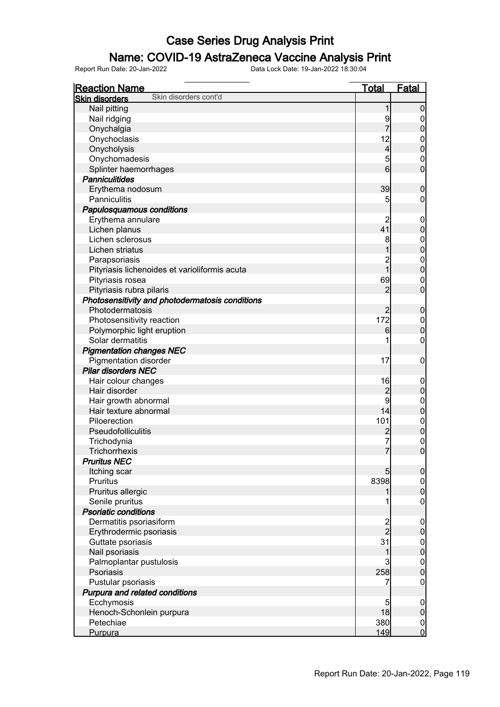### Name: COVID-19 AstraZeneca Vaccine Analysis Print

| <b>Reaction Name</b>                            | <b>Total</b>   | <b>Fatal</b>     |
|-------------------------------------------------|----------------|------------------|
| Skin disorders cont'd<br><b>Skin disorders</b>  |                |                  |
| Nail pitting                                    | 1              | $\mathbf 0$      |
| Nail ridging                                    | 9              | $\boldsymbol{0}$ |
| Onychalgia                                      | $\overline{7}$ | $\pmb{0}$        |
| Onychoclasis                                    | 12             | $\mathbf 0$      |
| Onycholysis                                     | $\overline{4}$ | $\mathbf 0$      |
| Onychomadesis                                   | 5              | $\mathbf 0$      |
| Splinter haemorrhages                           | 6              | $\mathbf 0$      |
| <b>Panniculitides</b>                           |                |                  |
| Erythema nodosum                                | 39             | $\mathbf 0$      |
| Panniculitis                                    | 5              | 0                |
| Papulosquamous conditions                       |                |                  |
| Erythema annulare                               | $\overline{c}$ | $\mathbf 0$      |
| Lichen planus                                   | 41             | $\mathbf 0$      |
| Lichen sclerosus                                | 8              | $\boldsymbol{0}$ |
| Lichen striatus                                 |                | $\mathbf 0$      |
| Parapsoriasis                                   | 2<br>1         | $\boldsymbol{0}$ |
| Pityriasis lichenoides et varioliformis acuta   |                | $\mathbf 0$      |
| Pityriasis rosea                                | 69             | $\mathbf 0$      |
| Pityriasis rubra pilaris                        | $\overline{2}$ | $\mathbf 0$      |
| Photosensitivity and photodermatosis conditions |                |                  |
| Photodermatosis                                 | $\overline{2}$ | $\mathbf 0$      |
| Photosensitivity reaction                       | 172            | $\mathbf 0$      |
| Polymorphic light eruption                      | 6              | $\mathbf 0$      |
| Solar dermatitis                                |                | $\boldsymbol{0}$ |
| <b>Pigmentation changes NEC</b>                 |                |                  |
| <b>Pigmentation disorder</b>                    | 17             | $\mathbf 0$      |
| <b>Pilar disorders NEC</b>                      |                |                  |
| Hair colour changes                             | 16             | $\mathbf 0$      |
| Hair disorder                                   | $\overline{c}$ | $\pmb{0}$        |
| Hair growth abnormal                            | 9              | $\boldsymbol{0}$ |
| Hair texture abnormal                           | 14             | $\mathbf 0$      |
| Piloerection                                    | 101            | $\mathbf{0}$     |
| Pseudofolliculitis                              | $\overline{c}$ | $\mathbf 0$      |
| Trichodynia                                     |                | $\mathbf{0}$     |
| <b>Trichorrhexis</b>                            | $\overline{7}$ | $\overline{0}$   |
| <b>Pruritus NEC</b>                             |                |                  |
| Itching scar                                    | 5              | $\overline{0}$   |
| Pruritus                                        | 8398           | $\overline{0}$   |
| Pruritus allergic                               |                | $\overline{0}$   |
| Senile pruritus                                 |                | $\mathbf 0$      |
| <b>Psoriatic conditions</b>                     |                |                  |
| Dermatitis psoriasiform                         | 2<br>2         | $\mathbf 0$      |
| Erythrodermic psoriasis                         |                | $\pmb{0}$        |
| Guttate psoriasis                               | 31             | $0\atop 0$       |
| Nail psoriasis                                  | 1              |                  |
| Palmoplantar pustulosis                         | 3              | $0\atop 0$       |
| Psoriasis                                       | 258            |                  |
| Pustular psoriasis                              | 7              | $\mathbf 0$      |
| Purpura and related conditions                  |                |                  |
| Ecchymosis                                      | 5              | $\mathbf 0$      |
| Henoch-Schonlein purpura                        | 18             | $\pmb{0}$        |
| Petechiae                                       | 380            | $\overline{0}$   |
| Purpura                                         | 149            | $\overline{0}$   |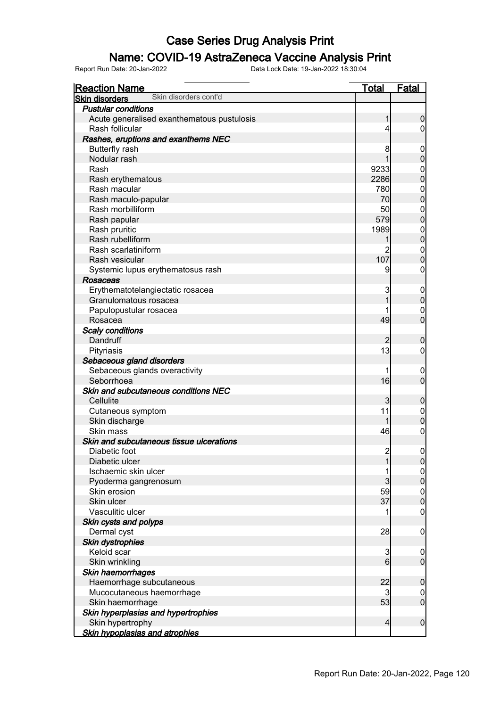### Name: COVID-19 AstraZeneca Vaccine Analysis Print

| <b>Reaction Name</b>                           | <b>Total</b>   | <b>Fatal</b>                           |
|------------------------------------------------|----------------|----------------------------------------|
| Skin disorders cont'd<br><b>Skin disorders</b> |                |                                        |
| <b>Pustular conditions</b>                     |                |                                        |
| Acute generalised exanthematous pustulosis     | 1              | $\boldsymbol{0}$                       |
| Rash follicular                                | 4              | $\boldsymbol{0}$                       |
| Rashes, eruptions and exanthems NEC            |                |                                        |
| <b>Butterfly rash</b>                          | 8              | $\boldsymbol{0}$                       |
| Nodular rash                                   |                | $\mathbf 0$                            |
| Rash                                           | 9233           |                                        |
| Rash erythematous                              | 2286           | $\begin{matrix}0\\0\end{matrix}$       |
| Rash macular                                   | 780            |                                        |
| Rash maculo-papular                            | 70             | $\begin{matrix}0\\0\end{matrix}$       |
| Rash morbilliform                              | 50             |                                        |
|                                                | 579            | $\begin{matrix}0\\0\end{matrix}$       |
| Rash papular                                   | 1989           |                                        |
| Rash pruritic                                  |                | $\begin{matrix}0\\0\end{matrix}$       |
| Rash rubelliform                               |                |                                        |
| Rash scarlatiniform                            |                | $\begin{matrix} 0 \\ 0 \end{matrix}$   |
| Rash vesicular                                 | 107            |                                        |
| Systemic lupus erythematosus rash              | 9              | $\mathbf 0$                            |
| Rosaceas                                       |                |                                        |
| Erythematotelangiectatic rosacea               | 3              | $\boldsymbol{0}$                       |
| Granulomatous rosacea                          | 1              | $\mathbf 0$                            |
| Papulopustular rosacea                         |                | $\mathbf{0}$                           |
| Rosacea                                        | 49             | $\overline{0}$                         |
| <b>Scaly conditions</b>                        |                |                                        |
| Dandruff                                       |                | $\mathbf 0$                            |
| Pityriasis                                     | 13             | $\boldsymbol{0}$                       |
| Sebaceous gland disorders                      |                |                                        |
| Sebaceous glands overactivity                  | 1              | $\mathbf 0$                            |
| Seborrhoea                                     | 16             | $\overline{0}$                         |
| Skin and subcutaneous conditions NEC           |                |                                        |
| Cellulite                                      | 3              | $\mathbf 0$                            |
| Cutaneous symptom                              | 11             | $\boldsymbol{0}$                       |
| Skin discharge                                 | 1              | $\mathbf 0$                            |
| Skin mass                                      | 46             | $\mathbf{0}$                           |
| Skin and subcutaneous tissue ulcerations       |                |                                        |
| Diabetic foot                                  | $\overline{c}$ | $\boldsymbol{0}$                       |
| Diabetic ulcer                                 | 1              | 0                                      |
| Ischaemic skin ulcer                           | 1              |                                        |
| Pyoderma gangrenosum                           | 3              | $\begin{bmatrix} 0 \\ 0 \end{bmatrix}$ |
| Skin erosion                                   | 59             |                                        |
| Skin ulcer                                     | 37             | $\begin{matrix} 0 \\ 0 \end{matrix}$   |
| Vasculitic ulcer                               |                | $\boldsymbol{0}$                       |
| Skin cysts and polyps                          |                |                                        |
| Dermal cyst                                    | 28             | $\mathbf 0$                            |
| <b>Skin dystrophies</b>                        |                |                                        |
| Keloid scar                                    | 3              | $\mathbf 0$                            |
| Skin wrinkling                                 | 6              | $\mathbf 0$                            |
| Skin haemorrhages                              |                |                                        |
| Haemorrhage subcutaneous                       | 22             | $\pmb{0}$                              |
| Mucocutaneous haemorrhage                      | 3              | $\boldsymbol{0}$                       |
| Skin haemorrhage                               | 53             | $\overline{0}$                         |
| Skin hyperplasias and hypertrophies            |                |                                        |
| Skin hypertrophy                               | 4              | $\boldsymbol{0}$                       |
| <b>Skin hypoplasias and atrophies</b>          |                |                                        |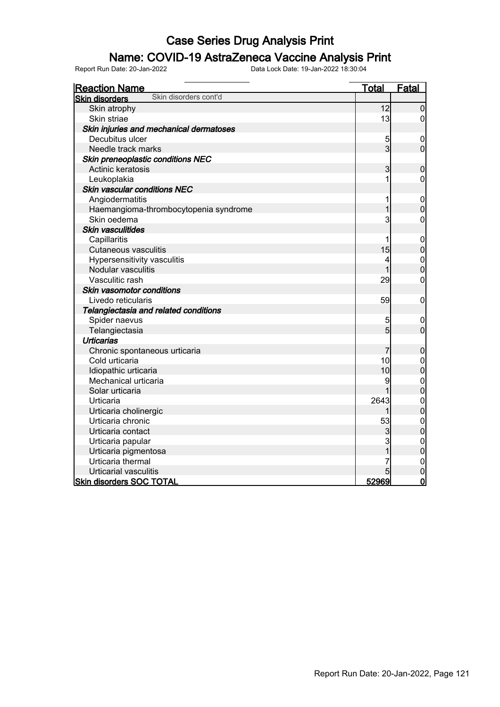### Name: COVID-19 AstraZeneca Vaccine Analysis Print

| <b>Reaction Name</b>                           | <u>Total</u>   | Fatal            |
|------------------------------------------------|----------------|------------------|
| Skin disorders cont'd<br><b>Skin disorders</b> |                |                  |
| Skin atrophy                                   | 12             | $\overline{0}$   |
| Skin striae                                    | 13             | 0                |
| Skin injuries and mechanical dermatoses        |                |                  |
| Decubitus ulcer                                | 5              | $\boldsymbol{0}$ |
| Needle track marks                             | $\overline{3}$ | $\overline{0}$   |
| Skin preneoplastic conditions NEC              |                |                  |
| Actinic keratosis                              | 3              | $\mathbf 0$      |
| Leukoplakia                                    | 1              | 0                |
| <b>Skin vascular conditions NEC</b>            |                |                  |
| Angiodermatitis                                | 1              | $\mathbf 0$      |
| Haemangioma-thrombocytopenia syndrome          | $\overline{1}$ | $\overline{0}$   |
| Skin oedema                                    | 3              | $\mathbf 0$      |
| Skin vasculitides                              |                |                  |
| Capillaritis                                   | 1              | $\mathbf 0$      |
| <b>Cutaneous vasculitis</b>                    | 15             | $\overline{0}$   |
| Hypersensitivity vasculitis                    | 4              | $\mathbf{0}$     |
| Nodular vasculitis                             |                | $\overline{0}$   |
| Vasculitic rash                                | 29             | $\mathbf 0$      |
| Skin vasomotor conditions                      |                |                  |
| Livedo reticularis                             | 59             | $\boldsymbol{0}$ |
| Telangiectasia and related conditions          |                |                  |
| Spider naevus                                  | 5              | $\mathbf 0$      |
| Telangiectasia                                 | 5              | $\overline{0}$   |
| <b>Urticarias</b>                              |                |                  |
| Chronic spontaneous urticaria                  | 7              | $\mathbf 0$      |
| Cold urticaria                                 | 10             | $0\atop 0$       |
| Idiopathic urticaria                           | 10             |                  |
| Mechanical urticaria                           | 9              | $\mathbf{0}$     |
| Solar urticaria                                |                | $\overline{0}$   |
| Urticaria                                      | 2643           | $\mathbf{0}$     |
| Urticaria cholinergic                          |                | $\overline{0}$   |
| Urticaria chronic                              | 53             | $\mathbf{0}$     |
| Urticaria contact                              | 3              | $\overline{0}$   |
| Urticaria papular                              | 3              | $\mathbf{0}$     |
| Urticaria pigmentosa                           |                | $\overline{0}$   |
| Urticaria thermal                              |                | $\mathbf 0$      |
| Urticarial vasculitis                          |                | $\mathbf 0$      |
| <b>Skin disorders SOC TOTAL</b>                | 52969          | $\overline{0}$   |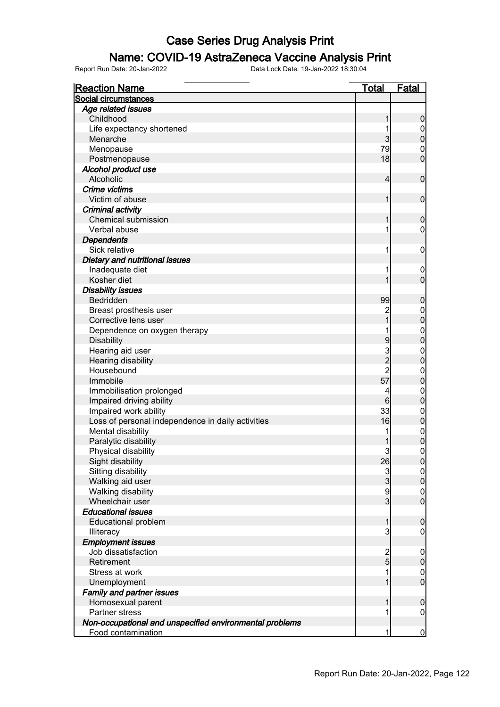### Name: COVID-19 AstraZeneca Vaccine Analysis Print

| <b>Reaction Name</b>                                    | <b>Total</b>   | Fatal            |
|---------------------------------------------------------|----------------|------------------|
| Social circumstances                                    |                |                  |
| Age related issues                                      |                |                  |
| Childhood                                               | 1              | $\boldsymbol{0}$ |
| Life expectancy shortened                               |                | $\boldsymbol{0}$ |
| Menarche                                                | 3              | $\mathbf 0$      |
| Menopause                                               | 79             | $\mathbf 0$      |
| Postmenopause                                           | 18             | $\mathbf 0$      |
| Alcohol product use                                     |                |                  |
| Alcoholic                                               | 4              | $\mathbf 0$      |
| Crime victims                                           |                |                  |
| Victim of abuse                                         | 1              | $\mathbf 0$      |
| Criminal activity                                       |                |                  |
| <b>Chemical submission</b>                              | 1              | $\boldsymbol{0}$ |
| Verbal abuse                                            | 1              | 0                |
| <b>Dependents</b>                                       |                |                  |
| Sick relative                                           | 1              | $\mathbf 0$      |
| Dietary and nutritional issues                          |                |                  |
| Inadequate diet                                         | 1              | $\boldsymbol{0}$ |
| Kosher diet                                             |                | $\overline{0}$   |
| <b>Disability issues</b>                                |                |                  |
| Bedridden                                               | 99             | $\boldsymbol{0}$ |
| Breast prosthesis user                                  | $\overline{c}$ | $\boldsymbol{0}$ |
| Corrective lens user                                    | $\overline{1}$ | $\mathbf 0$      |
| Dependence on oxygen therapy                            |                | $\boldsymbol{0}$ |
| <b>Disability</b>                                       | 9              | $\overline{0}$   |
| Hearing aid user                                        |                | $\boldsymbol{0}$ |
| Hearing disability                                      | $\frac{3}{2}$  | $\mathbf 0$      |
| Housebound                                              | $\overline{2}$ | $\boldsymbol{0}$ |
| Immobile                                                | 57             | $\mathbf 0$      |
| Immobilisation prolonged                                | 4              | $\mathbf 0$      |
| Impaired driving ability                                | 6              | $\mathbf 0$      |
| Impaired work ability                                   | 33             | $\boldsymbol{0}$ |
| Loss of personal independence in daily activities       | 16             | $\pmb{0}$        |
| Mental disability                                       |                | $\boldsymbol{0}$ |
| Paralytic disability                                    |                | $\mathbf 0$      |
| Physical disability                                     | 3              | $\mathbf 0$      |
| Sight disability                                        | 26             | $\overline{0}$   |
| Sitting disability                                      |                | $\overline{0}$   |
| Walking aid user                                        | $\frac{3}{3}$  | $\mathbf 0$      |
| Walking disability                                      | 9              | $\boldsymbol{0}$ |
| Wheelchair user                                         | $\overline{3}$ | $\overline{0}$   |
| <b>Educational issues</b>                               |                |                  |
| <b>Educational problem</b>                              | 1              | $\boldsymbol{0}$ |
| Illiteracy                                              | 3              | $\mathbf 0$      |
| <b>Employment issues</b>                                |                |                  |
| Job dissatisfaction                                     |                | $\mathbf 0$      |
| Retirement                                              | $\frac{2}{5}$  | $\boldsymbol{0}$ |
| Stress at work                                          | 1              | $\boldsymbol{0}$ |
| Unemployment                                            | 1              | $\overline{0}$   |
| <b>Family and partner issues</b>                        |                |                  |
| Homosexual parent                                       | 1              | $\boldsymbol{0}$ |
| <b>Partner stress</b>                                   |                |                  |
|                                                         |                | $\mathbf 0$      |
| Non-occupational and unspecified environmental problems | 1              |                  |
| Food contamination                                      |                | $\mathbf 0$      |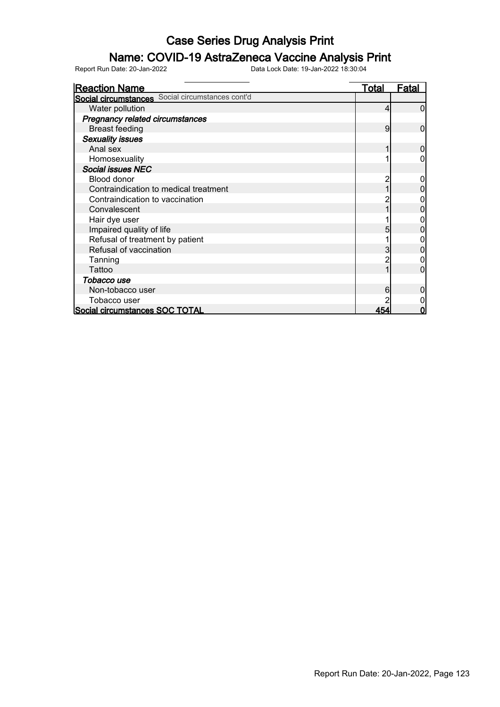### Name: COVID-19 AstraZeneca Vaccine Analysis Print

| <b>Reaction Name</b>                             | Total | Fatal |
|--------------------------------------------------|-------|-------|
| Social circumstances Social circumstances cont'd |       |       |
| Water pollution                                  |       |       |
| Pregnancy related circumstances                  |       |       |
| <b>Breast feeding</b>                            | 9     | O     |
| <b>Sexuality issues</b>                          |       |       |
| Anal sex                                         |       |       |
| Homosexuality                                    |       |       |
| <b>Social issues NEC</b>                         |       |       |
| Blood donor                                      |       |       |
| Contraindication to medical treatment            |       |       |
| Contraindication to vaccination                  |       |       |
| Convalescent                                     |       |       |
| Hair dye user                                    |       |       |
| Impaired quality of life                         |       |       |
| Refusal of treatment by patient                  |       |       |
| Refusal of vaccination                           |       |       |
| Tanning                                          |       |       |
| Tattoo                                           |       |       |
| Tobacco use                                      |       |       |
| Non-tobacco user                                 |       |       |
| Tobacco user                                     |       |       |
| Social circumstances SOC TOTAL                   | 454   | Ω     |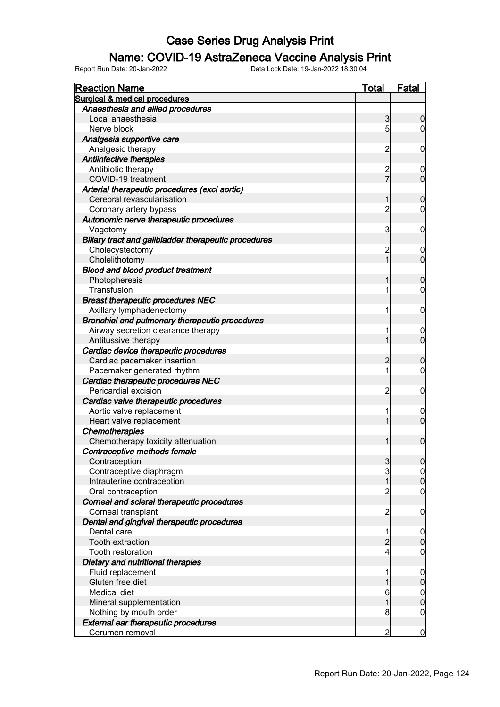#### Name: COVID-19 AstraZeneca Vaccine Analysis Print

| <b>Reaction Name</b>                                 | <b>Total</b>   | <b>Fatal</b>                         |
|------------------------------------------------------|----------------|--------------------------------------|
| <b>Surgical &amp; medical procedures</b>             |                |                                      |
| Anaesthesia and allied procedures                    |                |                                      |
| Local anaesthesia                                    | 3              | $\overline{0}$                       |
| Nerve block                                          | 5              | 0                                    |
| Analgesia supportive care                            |                |                                      |
| Analgesic therapy                                    | 2              | 0                                    |
| Antiinfective therapies                              |                |                                      |
| Antibiotic therapy                                   | $\overline{c}$ | 0                                    |
| COVID-19 treatment                                   | –<br>7         | $\overline{0}$                       |
| Arterial therapeutic procedures (excl aortic)        |                |                                      |
| Cerebral revascularisation                           | 1              | $\mathbf 0$                          |
| Coronary artery bypass                               | $\overline{2}$ | $\mathbf 0$                          |
| Autonomic nerve therapeutic procedures               |                |                                      |
| Vagotomy                                             | 3              | $\mathbf 0$                          |
| Biliary tract and gallbladder therapeutic procedures |                |                                      |
| Cholecystectomy                                      | $\overline{c}$ | 0                                    |
| Cholelithotomy                                       | $\overline{1}$ | $\overline{0}$                       |
| <b>Blood and blood product treatment</b>             |                |                                      |
| Photopheresis                                        |                | $\mathbf 0$                          |
| Transfusion                                          |                | $\mathbf 0$                          |
| <b>Breast therapeutic procedures NEC</b>             |                |                                      |
| Axillary lymphadenectomy                             |                | $\mathbf 0$                          |
| Bronchial and pulmonary therapeutic procedures       |                |                                      |
| Airway secretion clearance therapy                   |                |                                      |
| Antitussive therapy                                  | 1              | $\overline{0}$                       |
| Cardiac device therapeutic procedures                |                |                                      |
| Cardiac pacemaker insertion                          | $\overline{c}$ |                                      |
|                                                      | 1              | 0<br>$\mathbf 0$                     |
| Pacemaker generated rhythm                           |                |                                      |
| Cardiac therapeutic procedures NEC                   |                |                                      |
| Pericardial excision                                 | 2              | $\mathbf 0$                          |
| Cardiac valve therapeutic procedures                 |                |                                      |
| Aortic valve replacement                             |                | $\mathbf 0$                          |
| Heart valve replacement                              |                | $\overline{0}$                       |
| <b>Chemotherapies</b>                                |                |                                      |
| Chemotherapy toxicity attenuation                    |                | $\mathbf 0$                          |
| Contraceptive methods female                         |                |                                      |
| Contraception                                        | 3              | $\overline{0}$                       |
| Contraceptive diaphragm                              | 3              | $\begin{matrix} 0 \\ 0 \end{matrix}$ |
| Intrauterine contraception                           | $\overline{1}$ |                                      |
| Oral contraception                                   | $\overline{c}$ | 0                                    |
| Corneal and scleral therapeutic procedures           |                |                                      |
| Corneal transplant                                   | $\overline{c}$ | $\mathbf 0$                          |
| Dental and gingival therapeutic procedures           |                |                                      |
| Dental care                                          |                | $\mathbf 0$                          |
| Tooth extraction                                     | $\overline{2}$ | $\overline{0}$                       |
| Tooth restoration                                    | 4              | 0                                    |
| Dietary and nutritional therapies                    |                |                                      |
| Fluid replacement                                    |                | $0\atop 0$                           |
| Gluten free diet                                     |                |                                      |
| Medical diet                                         | 6              | $\begin{matrix}0\\0\end{matrix}$     |
| Mineral supplementation                              | 1              |                                      |
| Nothing by mouth order                               | 8              | 0                                    |
| External ear therapeutic procedures                  |                |                                      |
| Cerumen removal                                      | 2              | $\bf{0}$                             |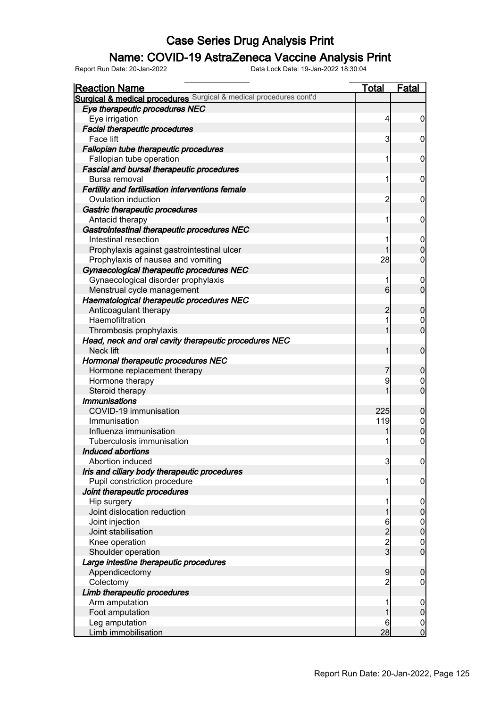### Name: COVID-19 AstraZeneca Vaccine Analysis Print

| <b>Reaction Name</b>                                               | <b>Total</b>   | <b>Fatal</b>     |
|--------------------------------------------------------------------|----------------|------------------|
| Surgical & medical procedures Surgical & medical procedures cont'd |                |                  |
| Eye therapeutic procedures NEC                                     |                |                  |
| Eye irrigation                                                     | 4              | $\overline{0}$   |
| <b>Facial therapeutic procedures</b>                               |                |                  |
| Face lift                                                          | 3              | $\boldsymbol{0}$ |
| Fallopian tube therapeutic procedures                              |                |                  |
| Fallopian tube operation                                           | 1              | $\boldsymbol{0}$ |
| <b>Fascial and bursal therapeutic procedures</b>                   |                |                  |
| Bursa removal                                                      | 1              | $\boldsymbol{0}$ |
| Fertility and fertilisation interventions female                   |                |                  |
| Ovulation induction                                                | $\overline{c}$ | $\boldsymbol{0}$ |
| Gastric therapeutic procedures                                     |                |                  |
| Antacid therapy                                                    | 1              | $\boldsymbol{0}$ |
| Gastrointestinal therapeutic procedures NEC                        |                |                  |
| Intestinal resection                                               | 1              | $\overline{0}$   |
| Prophylaxis against gastrointestinal ulcer                         | 1              | $\boldsymbol{0}$ |
| Prophylaxis of nausea and vomiting                                 | 28             | $\mathbf 0$      |
| Gynaecological therapeutic procedures NEC                          |                |                  |
| Gynaecological disorder prophylaxis                                | 1              | 0                |
| Menstrual cycle management                                         | 6              | $\overline{0}$   |
| Haematological therapeutic procedures NEC                          |                |                  |
| Anticoagulant therapy                                              | $\overline{c}$ | $\boldsymbol{0}$ |
| Haemofiltration                                                    | 1              | $\overline{0}$   |
| Thrombosis prophylaxis                                             | 1              | $\mathbf{0}$     |
| Head, neck and oral cavity therapeutic procedures NEC              |                |                  |
| Neck lift                                                          | 1              | $\boldsymbol{0}$ |
| Hormonal therapeutic procedures NEC                                |                |                  |
| Hormone replacement therapy                                        | 7              | $\boldsymbol{0}$ |
| Hormone therapy                                                    | 9              | $\overline{0}$   |
| Steroid therapy                                                    | 1              | $\mathbf{0}$     |
| <b>Immunisations</b>                                               |                |                  |
| COVID-19 immunisation                                              | 225            | $\boldsymbol{0}$ |
| Immunisation                                                       | 119            |                  |
| Influenza immunisation                                             |                | $0$<br>0         |
| Tuberculosis immunisation                                          |                | $\mathbf 0$      |
| Induced abortions                                                  |                |                  |
| Abortion induced                                                   | 3              | 0                |
| Iris and ciliary body therapeutic procedures                       |                |                  |
| Pupil constriction procedure                                       | 1              | $\overline{0}$   |
| Joint therapeutic procedures                                       |                |                  |
| Hip surgery                                                        | 1              | $\mathbf 0$      |
| Joint dislocation reduction                                        |                | $\mathbf 0$      |
| Joint injection                                                    |                |                  |
| Joint stabilisation                                                | 6223           | $0$<br>0         |
| Knee operation                                                     |                | $\boldsymbol{0}$ |
| Shoulder operation                                                 |                | $\overline{0}$   |
| Large intestine therapeutic procedures                             |                |                  |
| Appendicectomy                                                     | 9              | $\mathbf 0$      |
| Colectomy                                                          | $\overline{c}$ | $\overline{0}$   |
| Limb therapeutic procedures                                        |                |                  |
| Arm amputation                                                     |                | $\mathbf 0$      |
| Foot amputation                                                    |                | $\pmb{0}$        |
| Leg amputation                                                     | 6              | $\boldsymbol{0}$ |
| Limb immobilisation                                                | 28             | $\overline{0}$   |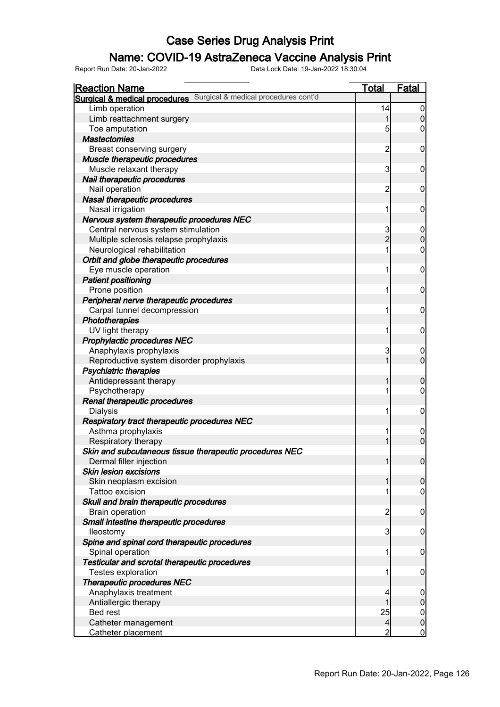### Name: COVID-19 AstraZeneca Vaccine Analysis Print

| <b>Reaction Name</b>                                               | <u>Total</u>            | Fatal            |
|--------------------------------------------------------------------|-------------------------|------------------|
| Surgical & medical procedures Surgical & medical procedures cont'd |                         |                  |
| Limb operation                                                     | 14                      | $\overline{0}$   |
| Limb reattachment surgery                                          | 1                       | $\overline{0}$   |
| Toe amputation                                                     | 5                       | 0                |
| <b>Mastectomies</b>                                                |                         |                  |
| Breast conserving surgery                                          | $\overline{\mathbf{c}}$ | $\mathbf 0$      |
| Muscle therapeutic procedures                                      |                         |                  |
| Muscle relaxant therapy                                            | 3                       | $\mathbf 0$      |
| Nail therapeutic procedures                                        |                         |                  |
| Nail operation                                                     | $\overline{c}$          | $\mathbf 0$      |
| <b>Nasal therapeutic procedures</b>                                |                         |                  |
| Nasal irrigation                                                   | 1                       | $\mathbf 0$      |
| Nervous system therapeutic procedures NEC                          |                         |                  |
| Central nervous system stimulation                                 | 3                       | $\mathbf 0$      |
| Multiple sclerosis relapse prophylaxis                             | $\overline{2}$          | $\overline{0}$   |
| Neurological rehabilitation                                        | 1                       | $\boldsymbol{0}$ |
| Orbit and globe therapeutic procedures                             |                         |                  |
| Eye muscle operation                                               | 1                       | $\boldsymbol{0}$ |
| <b>Patient positioning</b>                                         |                         |                  |
| Prone position                                                     | 1                       | $\mathbf 0$      |
| Peripheral nerve therapeutic procedures                            |                         |                  |
| Carpal tunnel decompression                                        | 1                       | $\mathbf 0$      |
| Phototherapies                                                     |                         |                  |
| UV light therapy                                                   | 1                       | $\mathbf 0$      |
| Prophylactic procedures NEC                                        |                         |                  |
| Anaphylaxis prophylaxis                                            | 3                       | $\mathbf 0$      |
| Reproductive system disorder prophylaxis                           |                         | $\overline{0}$   |
| <b>Psychiatric therapies</b>                                       |                         |                  |
| Antidepressant therapy                                             |                         | $\boldsymbol{0}$ |
| Psychotherapy                                                      | 1                       | $\boldsymbol{0}$ |
| Renal therapeutic procedures                                       |                         |                  |
| <b>Dialysis</b>                                                    | 1                       | $\mathbf 0$      |
| Respiratory tract therapeutic procedures NEC                       |                         |                  |
| Asthma prophylaxis                                                 | 1                       | $\mathbf 0$      |
| Respiratory therapy                                                |                         | $\overline{0}$   |
| Skin and subcutaneous tissue therapeutic procedures NEC            |                         |                  |
| Dermal filler injection                                            | 1                       | 0                |
| <b>Skin lesion excisions</b>                                       |                         |                  |
| Skin neoplasm excision                                             | 1                       | $\mathbf 0$      |
| Tattoo excision                                                    |                         | $\boldsymbol{0}$ |
| Skull and brain therapeutic procedures                             |                         |                  |
| <b>Brain operation</b>                                             | $\overline{c}$          | $\mathbf 0$      |
| Small intestine therapeutic procedures                             |                         |                  |
| lleostomy                                                          | 3                       | $\mathbf 0$      |
| Spine and spinal cord therapeutic procedures                       |                         |                  |
| Spinal operation                                                   | 1                       | $\mathbf 0$      |
| Testicular and scrotal therapeutic procedures                      |                         |                  |
| Testes exploration                                                 |                         | $\mathbf 0$      |
| <b>Therapeutic procedures NEC</b>                                  |                         |                  |
| Anaphylaxis treatment                                              | 4                       | $\overline{0}$   |
| Antiallergic therapy                                               |                         | $\pmb{0}$        |
| <b>Bed rest</b>                                                    | 25                      | $\overline{0}$   |
| Catheter management                                                | $\overline{4}$          | $\mathbf 0$      |
| Catheter placement                                                 | 2                       | $\mathbf 0$      |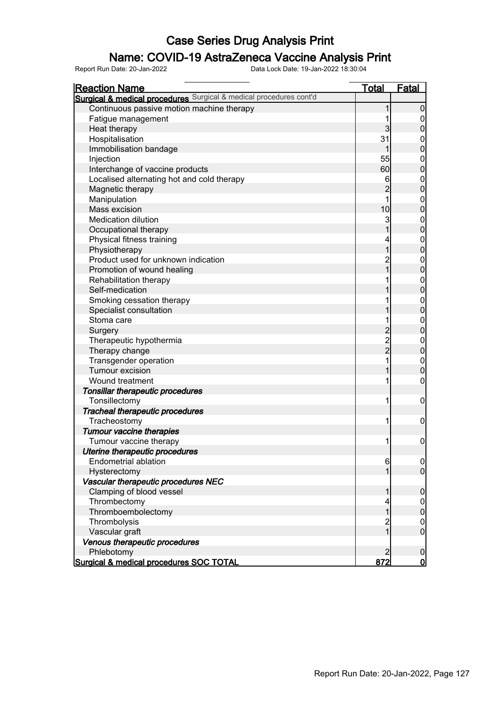#### Name: COVID-19 AstraZeneca Vaccine Analysis Print

| <u>Reaction Name</u>                                               | <b>Total</b>                               | <b>Fatal</b>     |
|--------------------------------------------------------------------|--------------------------------------------|------------------|
| Surgical & medical procedures Surgical & medical procedures cont'd |                                            |                  |
| Continuous passive motion machine therapy                          | 1                                          | $\boldsymbol{0}$ |
| Fatigue management                                                 |                                            | 0                |
| Heat therapy                                                       | 3                                          | $\pmb{0}$        |
| Hospitalisation                                                    | 31                                         | $\mathbf 0$      |
| Immobilisation bandage                                             | 1                                          | $\mathbf 0$      |
| Injection                                                          | 55                                         | $\mathbf 0$      |
| Interchange of vaccine products                                    | 60                                         | $\mathbf 0$      |
| Localised alternating hot and cold therapy                         | 6                                          | $\boldsymbol{0}$ |
| Magnetic therapy                                                   | $\overline{c}$                             | $\mathbf 0$      |
| Manipulation                                                       | 1                                          | $\boldsymbol{0}$ |
| Mass excision                                                      | 10                                         | $\mathbf 0$      |
| <b>Medication dilution</b>                                         | 3                                          | $\boldsymbol{0}$ |
| Occupational therapy                                               | 1                                          | $\mathbf 0$      |
| Physical fitness training                                          | 4                                          | $\boldsymbol{0}$ |
| Physiotherapy                                                      | $\overline{1}$                             | $\overline{0}$   |
| Product used for unknown indication                                | $\overline{c}$                             | $\boldsymbol{0}$ |
| Promotion of wound healing                                         | $\overline{1}$                             | $\overline{0}$   |
| Rehabilitation therapy                                             |                                            | $\boldsymbol{0}$ |
| Self-medication                                                    |                                            | $\overline{0}$   |
| Smoking cessation therapy                                          |                                            | $\boldsymbol{0}$ |
| Specialist consultation                                            |                                            | $\overline{0}$   |
| Stoma care                                                         | 1                                          | $\boldsymbol{0}$ |
| Surgery                                                            |                                            | $\mathbf 0$      |
| Therapeutic hypothermia                                            | $\begin{array}{c} 2 \\ 2 \\ 2 \end{array}$ | $\boldsymbol{0}$ |
| Therapy change                                                     |                                            | $\mathbf 0$      |
| Transgender operation                                              | 1                                          | $\boldsymbol{0}$ |
| Tumour excision                                                    | 1                                          | $\mathbf 0$      |
| Wound treatment                                                    | 1                                          | $\boldsymbol{0}$ |
| Tonsillar therapeutic procedures                                   |                                            |                  |
| Tonsillectomy                                                      | 1                                          | $\mathbf 0$      |
| <b>Tracheal therapeutic procedures</b>                             |                                            |                  |
| Tracheostomy                                                       | 1                                          | $\mathbf 0$      |
| <b>Tumour vaccine therapies</b>                                    |                                            |                  |
| Tumour vaccine therapy                                             | 1                                          | $\mathbf 0$      |
| Uterine therapeutic procedures                                     |                                            |                  |
| <b>Endometrial ablation</b>                                        | $6 \,$                                     | 0                |
| Hysterectomy                                                       | 1                                          | $\overline{0}$   |
| Vascular therapeutic procedures NEC                                |                                            |                  |
| Clamping of blood vessel                                           | 1                                          | $\boldsymbol{0}$ |
| Thrombectomy                                                       | 4                                          | $\overline{0}$   |
| Thromboembolectomy                                                 | $\mathbf 1$                                | $\pmb{0}$        |
| Thrombolysis                                                       | $\overline{c}$                             | $\overline{0}$   |
| Vascular graft                                                     | 1                                          | $\boldsymbol{0}$ |
| Venous therapeutic procedures                                      |                                            |                  |
| Phlebotomy                                                         | $\overline{2}$                             | $\mathbf 0$      |
| Surgical & medical procedures SOC TOTAL                            | 872                                        | <u>0</u>         |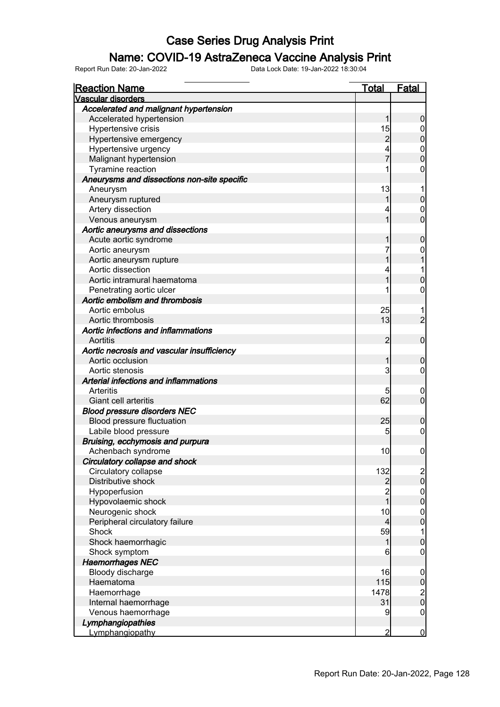#### Name: COVID-19 AstraZeneca Vaccine Analysis Print

| <b>Reaction Name</b>                        | <u>Total</u>                               | Fatal            |
|---------------------------------------------|--------------------------------------------|------------------|
| Vascular disorders                          |                                            |                  |
| Accelerated and malignant hypertension      |                                            |                  |
| Accelerated hypertension                    | 1                                          | $\boldsymbol{0}$ |
| Hypertensive crisis                         | 15                                         | $\mathbf 0$      |
| Hypertensive emergency                      | $\overline{c}$                             | $\mathbf 0$      |
| Hypertensive urgency                        |                                            |                  |
| Malignant hypertension                      |                                            | $0\atop 0$       |
| Tyramine reaction                           | 1                                          | 0                |
| Aneurysms and dissections non-site specific |                                            |                  |
| Aneurysm                                    | 13                                         | 1                |
| Aneurysm ruptured                           | 1                                          | $\mathbf 0$      |
| Artery dissection                           | 4                                          | $\mathbf 0$      |
| Venous aneurysm                             | 1                                          | $\overline{0}$   |
| Aortic aneurysms and dissections            |                                            |                  |
| Acute aortic syndrome                       | 1                                          | $\mathbf 0$      |
| Aortic aneurysm                             | 7                                          | 0                |
| Aortic aneurysm rupture                     | 1                                          |                  |
| Aortic dissection                           | 4                                          | 1                |
| Aortic intramural haematoma                 | 1                                          | $\overline{0}$   |
| Penetrating aortic ulcer                    |                                            | $\mathbf 0$      |
| Aortic embolism and thrombosis              |                                            |                  |
| Aortic embolus                              | 25                                         |                  |
| Aortic thrombosis                           | 13                                         | $\overline{c}$   |
| Aortic infections and inflammations         |                                            |                  |
| Aortitis                                    | $\overline{2}$                             | $\mathbf 0$      |
| Aortic necrosis and vascular insufficiency  |                                            |                  |
| Aortic occlusion                            | 1                                          | $\mathbf 0$      |
| Aortic stenosis                             | 3                                          | $\mathbf 0$      |
| Arterial infections and inflammations       |                                            |                  |
| Arteritis                                   | 5                                          | $\boldsymbol{0}$ |
| Giant cell arteritis                        | 62                                         | $\overline{0}$   |
| <b>Blood pressure disorders NEC</b>         |                                            |                  |
| Blood pressure fluctuation                  | 25                                         | $\boldsymbol{0}$ |
| Labile blood pressure                       | 5                                          | $\mathbf 0$      |
| Bruising, ecchymosis and purpura            |                                            |                  |
| Achenbach syndrome                          | 10                                         | $\mathbf 0$      |
| Circulatory collapse and shock              |                                            |                  |
| Circulatory collapse                        | 132                                        |                  |
| Distributive shock                          |                                            | $\frac{2}{0}$    |
| Hypoperfusion                               | $\begin{array}{c} 2 \\ 2 \\ 1 \end{array}$ |                  |
| Hypovolaemic shock                          |                                            | $0$<br>0         |
| Neurogenic shock                            | 10                                         | $\boldsymbol{0}$ |
| Peripheral circulatory failure              | $\overline{4}$                             | $\mathbf 0$      |
| Shock                                       | 59                                         | $\mathbf 1$      |
| Shock haemorrhagic                          | 1                                          | $\mathbf 0$      |
| Shock symptom                               | 6                                          | $\mathbf 0$      |
| <b>Haemorrhages NEC</b>                     |                                            |                  |
| Bloody discharge                            | 16                                         | $\boldsymbol{0}$ |
| Haematoma                                   | 115                                        | $\bf{0}$         |
| Haemorrhage                                 | 1478                                       |                  |
| Internal haemorrhage                        | 31                                         | $\frac{2}{0}$    |
| Venous haemorrhage                          | 9                                          | $\mathbf 0$      |
| Lymphangiopathies                           |                                            |                  |
| Lymphangiopathy                             | $\overline{2}$                             | $\overline{0}$   |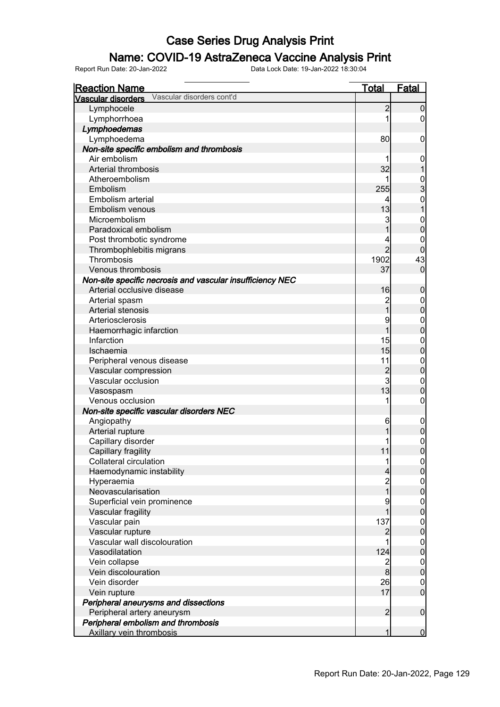### Name: COVID-19 AstraZeneca Vaccine Analysis Print

| <b>Reaction Name</b>                                      | <b>Total</b>                          | <b>Fatal</b>     |
|-----------------------------------------------------------|---------------------------------------|------------------|
| Vascular disorders cont'd<br>Vascular disorders           |                                       |                  |
| Lymphocele                                                | $\overline{2}$                        | $\boldsymbol{0}$ |
| Lymphorrhoea                                              | 1                                     | $\overline{0}$   |
| Lymphoedemas                                              |                                       |                  |
| Lymphoedema                                               | 80                                    | 0                |
| Non-site specific embolism and thrombosis                 |                                       |                  |
| Air embolism                                              |                                       | 0                |
| Arterial thrombosis                                       | 32                                    |                  |
| Atheroembolism                                            |                                       |                  |
| Embolism                                                  | 255                                   | $\frac{0}{3}$    |
| Embolism arterial                                         | 4                                     | $\mathbf 0$      |
| Embolism venous                                           | 13                                    |                  |
| Microembolism                                             | 3                                     | $\mathbf{0}$     |
| Paradoxical embolism                                      | 1                                     | $\overline{0}$   |
| Post thrombotic syndrome                                  | 4                                     | 0                |
| Thrombophlebitis migrans                                  | $\overline{2}$                        | $\mathbf 0$      |
| Thrombosis                                                | 1902                                  | 43               |
| Venous thrombosis                                         | 37                                    | $\mathbf 0$      |
| Non-site specific necrosis and vascular insufficiency NEC |                                       |                  |
| Arterial occlusive disease                                | 16                                    | $\boldsymbol{0}$ |
| Arterial spasm                                            | $\begin{array}{c} 2 \\ 1 \end{array}$ | 0                |
| Arterial stenosis                                         |                                       | $\mathbf 0$      |
| Arteriosclerosis                                          | 9                                     | $\mathbf 0$      |
| Haemorrhagic infarction                                   | 1                                     | $\mathbf 0$      |
| Infarction                                                | 15                                    | $\mathbf 0$      |
| Ischaemia                                                 | 15                                    | $\mathbf 0$      |
| Peripheral venous disease                                 | 11                                    | $\mathbf 0$      |
| Vascular compression                                      | $\overline{c}$                        | $\mathbf 0$      |
| Vascular occlusion                                        | $\mathbf{3}$                          | $\mathbf 0$      |
| Vasospasm                                                 | 13                                    | $\mathbf 0$      |
| Venous occlusion                                          | 1                                     | $\boldsymbol{0}$ |
| Non-site specific vascular disorders NEC                  |                                       |                  |
| Angiopathy                                                | 6                                     | $\mathbf 0$      |
| Arterial rupture                                          |                                       | $\pmb{0}$        |
| Capillary disorder                                        |                                       | $\mathbf{0}$     |
| Capillary fragility                                       | 11                                    | $\overline{0}$   |
| Collateral circulation                                    | 1                                     | 0                |
| Haemodynamic instability                                  | $\overline{4}$                        | $\overline{0}$   |
| Hyperaemia                                                | 2<br>1                                | $\mathbf 0$      |
| Neovascularisation                                        |                                       | $\mathbf 0$      |
| Superficial vein prominence                               | 9                                     | $\overline{0}$   |
| Vascular fragility                                        | 1                                     | $\pmb{0}$        |
| Vascular pain                                             | 137                                   | $\mathbf 0$      |
| Vascular rupture                                          | $\overline{c}$                        | $\mathbf 0$      |
| Vascular wall discolouration                              | 1                                     | $\overline{0}$   |
| Vasodilatation                                            | 124                                   | $\pmb{0}$        |
| Vein collapse                                             |                                       | $\overline{0}$   |
| Vein discolouration                                       | $\frac{2}{8}$                         | $\mathbf 0$      |
| Vein disorder                                             | 26                                    | $\mathbf 0$      |
| Vein rupture                                              | 17                                    | $\overline{0}$   |
| Peripheral aneurysms and dissections                      |                                       |                  |
| Peripheral artery aneurysm                                | $\overline{2}$                        | $\boldsymbol{0}$ |
| Peripheral embolism and thrombosis                        |                                       |                  |
| Axillary vein thrombosis                                  | 1                                     | $\overline{0}$   |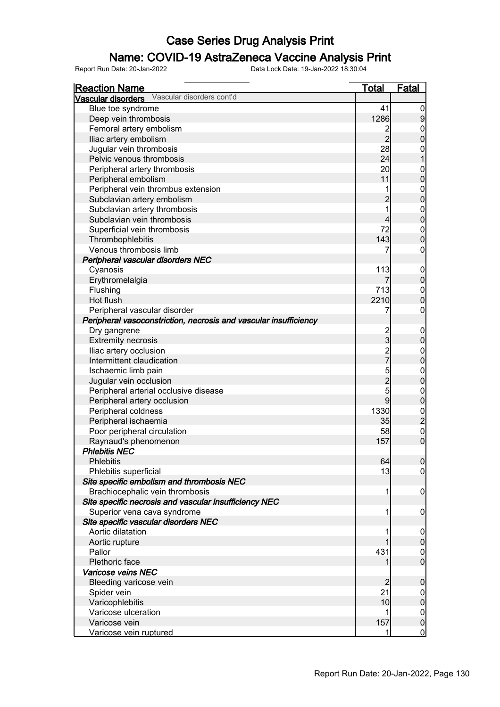### Name: COVID-19 AstraZeneca Vaccine Analysis Print

| <b>Reaction Name</b>                                             | <u>Total</u>   | <u>Fatal</u>                                    |
|------------------------------------------------------------------|----------------|-------------------------------------------------|
| Vascular disorders Vascular disorders cont'd                     |                |                                                 |
| Blue toe syndrome                                                | 41             | $\overline{0}$                                  |
| Deep vein thrombosis                                             | 1286           | $\overline{9}$                                  |
| Femoral artery embolism                                          | $\overline{2}$ |                                                 |
| Iliac artery embolism                                            | $\overline{2}$ | $\begin{matrix} 0 \\ 0 \end{matrix}$            |
| Jugular vein thrombosis                                          | 28             | $\mathbf{0}$                                    |
| Pelvic venous thrombosis                                         | 24             | $\overline{1}$                                  |
| Peripheral artery thrombosis                                     | 20             |                                                 |
| Peripheral embolism                                              | 11             | $0\atop 0$                                      |
| Peripheral vein thrombus extension                               | 1              |                                                 |
| Subclavian artery embolism                                       | $\overline{c}$ | $\begin{matrix}0\\0\end{matrix}$                |
| Subclavian artery thrombosis                                     | $\overline{1}$ |                                                 |
| Subclavian vein thrombosis                                       | 4              | $\begin{matrix}0\\0\end{matrix}$                |
| Superficial vein thrombosis                                      | 72             | $\begin{matrix}0\\0\end{matrix}$                |
| Thrombophlebitis                                                 | 143            |                                                 |
| Venous thrombosis limb                                           | 7              | $\mathbf 0$                                     |
| Peripheral vascular disorders NEC                                |                |                                                 |
| Cyanosis                                                         | 113            |                                                 |
| Erythromelalgia                                                  |                | $\begin{matrix}0\\0\end{matrix}$                |
| Flushing                                                         | 713            | $\begin{matrix}0\\0\end{matrix}$                |
| Hot flush                                                        | 2210           |                                                 |
| Peripheral vascular disorder                                     | 7              | $\mathbf 0$                                     |
| Peripheral vasoconstriction, necrosis and vascular insufficiency |                |                                                 |
| Dry gangrene                                                     | $\overline{c}$ | $\boldsymbol{0}$                                |
| <b>Extremity necrosis</b>                                        | $\overline{3}$ | $\overline{0}$                                  |
| Iliac artery occlusion                                           | $\frac{2}{7}$  |                                                 |
| Intermittent claudication                                        |                | $0\atop 0$                                      |
| Ischaemic limb pain                                              |                |                                                 |
| Jugular vein occlusion                                           | $\frac{5}{2}$  | $\begin{matrix}0\\0\end{matrix}$                |
| Peripheral arterial occlusive disease                            |                | $\begin{matrix}0\\0\end{matrix}$                |
| Peripheral artery occlusion                                      | $\overline{9}$ |                                                 |
| Peripheral coldness                                              | 1330           |                                                 |
| Peripheral ischaemia                                             | 35             | $\begin{array}{c} 0 \\ 2 \\ 0 \\ 0 \end{array}$ |
| Poor peripheral circulation                                      | 58             |                                                 |
| Raynaud's phenomenon                                             | 157            |                                                 |
| <b>Phlebitis NEC</b>                                             |                |                                                 |
| Phlebitis                                                        | 64             | 0                                               |
| Phlebitis superficial                                            | 13             | $\overline{0}$                                  |
| Site specific embolism and thrombosis NEC                        |                |                                                 |
| Brachiocephalic vein thrombosis                                  | 1              | $\mathbf 0$                                     |
| Site specific necrosis and vascular insufficiency NEC            |                |                                                 |
| Superior vena cava syndrome                                      | 1              | $\mathbf 0$                                     |
| Site specific vascular disorders NEC                             |                |                                                 |
| Aortic dilatation                                                | 1              | $\mathbf 0$                                     |
| Aortic rupture                                                   |                | $\mathbf 0$                                     |
| Pallor                                                           | 431            | $\boldsymbol{0}$                                |
| Plethoric face                                                   | 1              | $\overline{0}$                                  |
| Varicose veins NEC                                               |                |                                                 |
| Bleeding varicose vein                                           | $\overline{2}$ | $\mathbf 0$                                     |
| Spider vein                                                      | 21             | $\mathbf 0$                                     |
| Varicophlebitis                                                  | 10             | $\pmb{0}$                                       |
| Varicose ulceration                                              |                | $\mathbf 0$                                     |
| Varicose vein                                                    | 157            | $\pmb{0}$                                       |
| Varicose vein ruptured                                           | 1              | $\overline{0}$                                  |